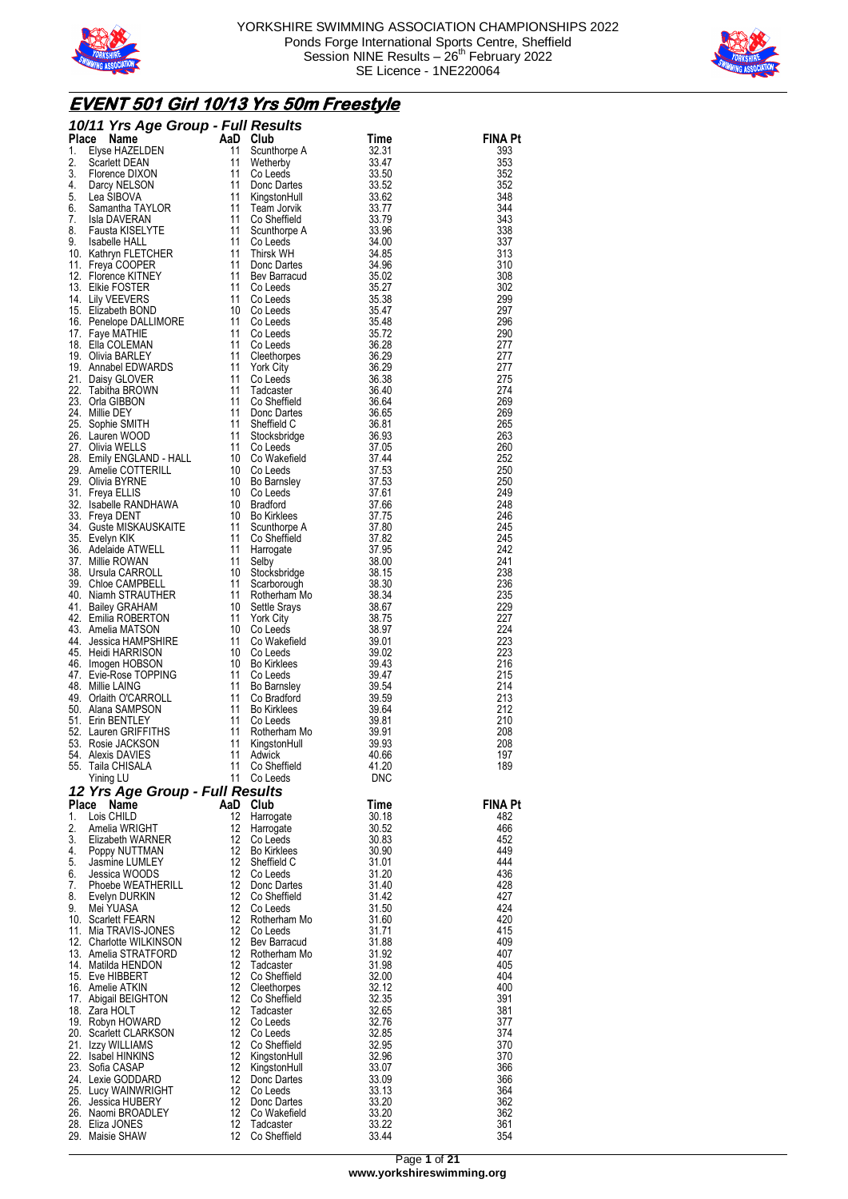



## **EVENT 501 Girl 10/13 Yrs 50m Freestyle**

|          | 10/11 Yrs Agre Group - Full Results<br>10/11 Yrs Agre Group - Full Results<br>11 Styse HAZELDEN<br>1. Byse HAZELDEN 11 Southern 32,37<br>2. Scarled DEAN 11 Studients<br>4. Denote DIXON 11 Collects<br>5. Samanthe TANCOR<br>6. Samanthe TA |                                    |                              |                     |                       |
|----------|----------------------------------------------------------------------------------------------------------------------------------------------------------------------------------------------------------------------------------------------|------------------------------------|------------------------------|---------------------|-----------------------|
|          |                                                                                                                                                                                                                                              |                                    |                              |                     | <b>FINA Pt</b><br>393 |
|          |                                                                                                                                                                                                                                              |                                    |                              |                     | 353                   |
|          |                                                                                                                                                                                                                                              |                                    |                              |                     | 352<br>352            |
|          |                                                                                                                                                                                                                                              |                                    |                              |                     | 348                   |
|          |                                                                                                                                                                                                                                              |                                    |                              |                     | 344                   |
|          |                                                                                                                                                                                                                                              |                                    |                              |                     | 343<br>338            |
|          |                                                                                                                                                                                                                                              |                                    |                              |                     | 337                   |
|          |                                                                                                                                                                                                                                              |                                    |                              |                     | 313<br>310            |
|          |                                                                                                                                                                                                                                              |                                    |                              |                     | 308                   |
|          |                                                                                                                                                                                                                                              |                                    |                              |                     | 302                   |
|          |                                                                                                                                                                                                                                              |                                    |                              |                     | 299<br>297            |
|          |                                                                                                                                                                                                                                              |                                    |                              |                     | 296                   |
|          |                                                                                                                                                                                                                                              |                                    |                              |                     | 290<br>277            |
|          |                                                                                                                                                                                                                                              |                                    |                              |                     | 277                   |
|          |                                                                                                                                                                                                                                              |                                    |                              |                     | 277                   |
|          |                                                                                                                                                                                                                                              |                                    |                              |                     | 275<br>274            |
|          |                                                                                                                                                                                                                                              |                                    |                              |                     | 269                   |
|          |                                                                                                                                                                                                                                              |                                    |                              |                     | 269                   |
|          |                                                                                                                                                                                                                                              |                                    |                              |                     | 265<br>263            |
|          |                                                                                                                                                                                                                                              |                                    |                              |                     | 260                   |
|          |                                                                                                                                                                                                                                              |                                    |                              |                     | 252<br>250            |
|          |                                                                                                                                                                                                                                              |                                    |                              |                     | 250                   |
|          |                                                                                                                                                                                                                                              |                                    |                              |                     | 249                   |
|          |                                                                                                                                                                                                                                              |                                    |                              |                     | 248<br>246            |
|          |                                                                                                                                                                                                                                              |                                    |                              |                     | 245                   |
|          |                                                                                                                                                                                                                                              |                                    |                              |                     | 245<br>242            |
|          |                                                                                                                                                                                                                                              |                                    |                              |                     | 241                   |
|          |                                                                                                                                                                                                                                              |                                    |                              |                     | 238                   |
|          |                                                                                                                                                                                                                                              |                                    |                              |                     | 236<br>235            |
|          |                                                                                                                                                                                                                                              |                                    |                              |                     | 229                   |
|          |                                                                                                                                                                                                                                              |                                    |                              |                     | 227<br>224            |
|          |                                                                                                                                                                                                                                              |                                    |                              |                     | 223                   |
|          |                                                                                                                                                                                                                                              |                                    |                              |                     | 223<br>216            |
|          |                                                                                                                                                                                                                                              |                                    |                              |                     | 215                   |
|          |                                                                                                                                                                                                                                              |                                    |                              |                     | 214                   |
|          |                                                                                                                                                                                                                                              |                                    |                              |                     | 213<br>212            |
|          |                                                                                                                                                                                                                                              |                                    |                              |                     | 210                   |
|          |                                                                                                                                                                                                                                              |                                    |                              |                     | 208<br>208            |
|          |                                                                                                                                                                                                                                              |                                    |                              |                     | 197                   |
|          | 55. Taila CHISALA<br>Yining LU                                                                                                                                                                                                               | 11<br>11                           | Co Sheffield<br>Co Leeds     | 41.20<br><b>DNC</b> | 189                   |
|          | 12 Yrs Age Group - Full Results                                                                                                                                                                                                              |                                    |                              |                     |                       |
| Place    | Name                                                                                                                                                                                                                                         | AaD Club                           |                              | Time                | <b>FINA Pt</b>        |
| 1.<br>2. | Lois CHILD<br>Amelia WRIGHT                                                                                                                                                                                                                  | 12 <sup>°</sup><br>12              | Harrogate                    | 30.18<br>30.52      | 482<br>466            |
| 3.       | Elizabeth WARNER                                                                                                                                                                                                                             | 12 <sup>°</sup>                    | Harrogate<br>Co Leeds        | 30.83               | 452                   |
| 4.       | Poppy NUTTMAN                                                                                                                                                                                                                                | 12 <sup>°</sup>                    | <b>Bo Kirklees</b>           | 30.90               | 449                   |
| 5.<br>6. | Jasmine LUMLEY<br>Jessica WOODS                                                                                                                                                                                                              | 12                                 | Sheffield C<br>12 Co Leeds   | 31.01<br>31.20      | 444<br>436            |
| 7.       | Phoebe WEATHERILL                                                                                                                                                                                                                            | 12                                 | Donc Dartes                  | 31.40               | 428                   |
| 8.<br>9. | Evelyn DURKIN<br>Mei YUASA                                                                                                                                                                                                                   | 12<br>12 <sup>°</sup>              | Co Sheffield<br>Co Leeds     | 31.42<br>31.50      | 427<br>424            |
|          | 10. Scarlett FEARN                                                                                                                                                                                                                           | 12 <sup>°</sup>                    | Rotherham Mo                 | 31.60               | 420                   |
|          | 11. Mia TRAVIS-JONES                                                                                                                                                                                                                         | 12                                 | Co Leeds                     | 31.71               | 415                   |
|          | 12. Charlotte WILKINSON<br>13. Amelia STRATFORD                                                                                                                                                                                              | 12 <sup>°</sup><br>12              | Bev Barracud<br>Rotherham Mo | 31.88<br>31.92      | 409<br>407            |
|          | 14. Matilda HENDON                                                                                                                                                                                                                           | 12                                 | Tadcaster                    | 31.98               | 405                   |
|          | 15. Eve HIBBERT<br>16. Amelie ATKIN                                                                                                                                                                                                          | 12 <sup>°</sup><br>12 <sup>°</sup> | Co Sheffield<br>Cleethorpes  | 32.00<br>32.12      | 404<br>400            |
|          | 17. Abigail BEIGHTON                                                                                                                                                                                                                         | 12                                 | Co Sheffield                 | 32.35               | 391                   |
|          | 18. Zara HOLT                                                                                                                                                                                                                                | $12 \overline{ }$<br>12            | Tadcaster                    | 32.65               | 381<br>377            |
|          | 19. Robyn HOWARD<br>20. Scarlett CLARKSON                                                                                                                                                                                                    | 12                                 | Co Leeds<br>Co Leeds         | 32.76<br>32.85      | 374                   |
|          | 21. Izzy WILLIAMS                                                                                                                                                                                                                            | 12                                 | Co Sheffield                 | 32.95               | 370                   |
|          | 22. Isabel HINKINS<br>23. Sofia CASAP                                                                                                                                                                                                        | 12<br>12                           | KingstonHull<br>KingstonHull | 32.96<br>33.07      | 370<br>366            |
|          | 24. Lexie GODDARD                                                                                                                                                                                                                            | 12                                 | Donc Dartes                  | 33.09               | 366                   |
|          | 25. Lucy WAINWRIGHT<br>26. Jessica HUBERY                                                                                                                                                                                                    | 12<br>12                           | Co Leeds<br>Donc Dartes      | 33.13<br>33.20      | 364<br>362            |
|          | 26. Naomi BROADLEY                                                                                                                                                                                                                           | 12                                 | Co Wakefield                 | 33.20               | 362                   |
|          | 28. Eliza JONES<br>29. Maisie SHAW                                                                                                                                                                                                           | 12<br>12                           | Tadcaster<br>Co Sheffield    | 33.22<br>33.44      | 361<br>354            |
|          |                                                                                                                                                                                                                                              |                                    |                              |                     |                       |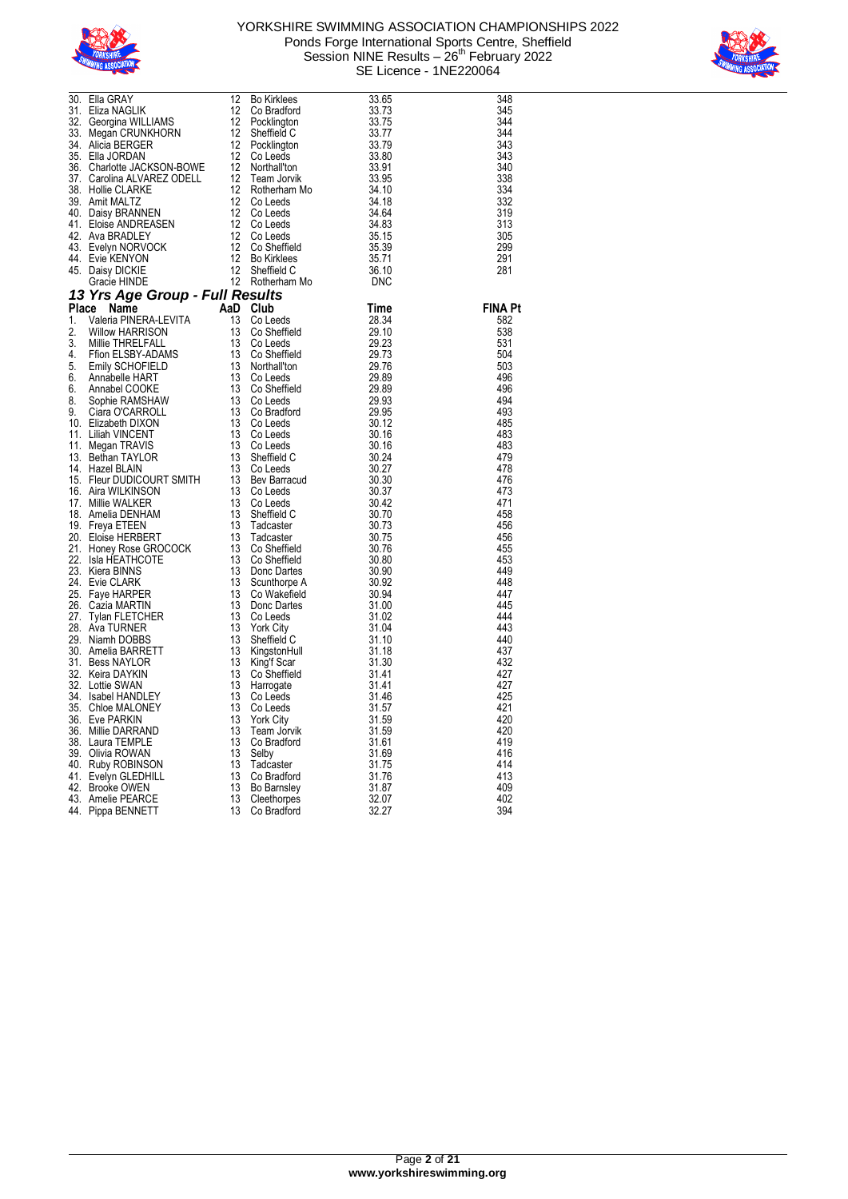



|                                                                                                                                                                                                                                                    | <b>Bo Kirklees</b>                                                                                                                                                                                                                                                                          | 33.65          | 348            |
|----------------------------------------------------------------------------------------------------------------------------------------------------------------------------------------------------------------------------------------------------|---------------------------------------------------------------------------------------------------------------------------------------------------------------------------------------------------------------------------------------------------------------------------------------------|----------------|----------------|
| 30. Ella GRAY 12<br>31. Eliza NAGLIK<br>32. Georgina WILLIAMS 12<br>32. Megan CRUNKHORN 12<br>34. Alicia BERGER 12<br>35. Ella JORDAN 12                                                                                                           | Co Bradford                                                                                                                                                                                                                                                                                 | 33.73          | 345            |
|                                                                                                                                                                                                                                                    | Pocklington                                                                                                                                                                                                                                                                                 | 33.75          | 344            |
|                                                                                                                                                                                                                                                    | Sheffield C                                                                                                                                                                                                                                                                                 | 33.77          | 344            |
| 34. Alicia BERGER<br>35. Ella JORDAN<br>36. Charlotte JACKSON-BOWE<br>37. Carolina ALVAREZ ODELL<br>37. Carolina ALVAREZ ODELL<br>38. Hollie CLARKE<br>39. Amit MALTZ<br>42. Ava BRADLEY<br>42. Ava BRADLEY<br>43. Evelyn NORVOCK<br>44. Evie KENY | Pocklington                                                                                                                                                                                                                                                                                 | 33.79          | 343            |
|                                                                                                                                                                                                                                                    | Co Leeds                                                                                                                                                                                                                                                                                    | 33.80          | 343            |
|                                                                                                                                                                                                                                                    | Northall'ton                                                                                                                                                                                                                                                                                | 33.91          | 340            |
|                                                                                                                                                                                                                                                    | Team Jorvik                                                                                                                                                                                                                                                                                 | 33.95          | 338            |
|                                                                                                                                                                                                                                                    | Rotherham Mo<br>Coloeds                                                                                                                                                                                                                                                                     | 34.10          | 334            |
|                                                                                                                                                                                                                                                    | Co Leeds                                                                                                                                                                                                                                                                                    | 34.18          | 332            |
|                                                                                                                                                                                                                                                    | Co Leeds                                                                                                                                                                                                                                                                                    | 34.64          | 319            |
|                                                                                                                                                                                                                                                    | Co Leeds                                                                                                                                                                                                                                                                                    | 34.83          | 313            |
|                                                                                                                                                                                                                                                    | Co Leeds                                                                                                                                                                                                                                                                                    | 35.15          | 305            |
|                                                                                                                                                                                                                                                    | Co Sheffield                                                                                                                                                                                                                                                                                | 35.39<br>35.71 | 299<br>291     |
|                                                                                                                                                                                                                                                    | Bo Kirkiees<br>Sheffield C<br>Rotherham Mo                                                                                                                                                                                                                                                  |                |                |
|                                                                                                                                                                                                                                                    |                                                                                                                                                                                                                                                                                             | 36.10<br>DNC   | 281            |
|                                                                                                                                                                                                                                                    |                                                                                                                                                                                                                                                                                             |                |                |
|                                                                                                                                                                                                                                                    |                                                                                                                                                                                                                                                                                             |                |                |
|                                                                                                                                                                                                                                                    | <b>Club</b><br>Co Leeds<br>Co Sheffield                                                                                                                                                                                                                                                     | Time           | <b>FINA Pt</b> |
|                                                                                                                                                                                                                                                    |                                                                                                                                                                                                                                                                                             | 28.34          | 582            |
|                                                                                                                                                                                                                                                    |                                                                                                                                                                                                                                                                                             | 29.10          | 538            |
|                                                                                                                                                                                                                                                    |                                                                                                                                                                                                                                                                                             | 29.23          | 531            |
|                                                                                                                                                                                                                                                    | Co Sheffield<br>Northall'ton                                                                                                                                                                                                                                                                | 29.73          | 504            |
|                                                                                                                                                                                                                                                    |                                                                                                                                                                                                                                                                                             | 29.76          | 503            |
|                                                                                                                                                                                                                                                    |                                                                                                                                                                                                                                                                                             | 29.89          | 496            |
|                                                                                                                                                                                                                                                    |                                                                                                                                                                                                                                                                                             | 29.89          | 496            |
|                                                                                                                                                                                                                                                    |                                                                                                                                                                                                                                                                                             | 29.93<br>29.95 | 494<br>493     |
|                                                                                                                                                                                                                                                    | un<br>Co Sheffield<br>Co Leeds<br>Co Bradford<br>Co Leed                                                                                                                                                                                                                                    | 30.12          | 485            |
|                                                                                                                                                                                                                                                    | orth<br>So Leeds<br>Co Deeds<br>Co Leeds<br>Co Bradford<br>Co Leeds<br>Leeds<br>Co Steeds<br>Co Leeds<br>Co Steeds<br>Co Steeds                                                                                                                                                             | 30.16          | 483            |
|                                                                                                                                                                                                                                                    |                                                                                                                                                                                                                                                                                             | 30.16          | 483            |
|                                                                                                                                                                                                                                                    |                                                                                                                                                                                                                                                                                             | 30.24          | 479            |
|                                                                                                                                                                                                                                                    |                                                                                                                                                                                                                                                                                             | 30.27          | 478            |
|                                                                                                                                                                                                                                                    | Bev Barracud<br>Calleede                                                                                                                                                                                                                                                                    | 30.30          | 476            |
|                                                                                                                                                                                                                                                    |                                                                                                                                                                                                                                                                                             | 30.37          | 473            |
|                                                                                                                                                                                                                                                    |                                                                                                                                                                                                                                                                                             | 30.42          | 471            |
|                                                                                                                                                                                                                                                    |                                                                                                                                                                                                                                                                                             | 30.70          | 458            |
|                                                                                                                                                                                                                                                    |                                                                                                                                                                                                                                                                                             | 30.73          | 456            |
|                                                                                                                                                                                                                                                    |                                                                                                                                                                                                                                                                                             | 30.75          | 456            |
|                                                                                                                                                                                                                                                    | Co Sheffield                                                                                                                                                                                                                                                                                | 30.76          | 455            |
|                                                                                                                                                                                                                                                    | Co Sheffield<br>Co Sheffield<br>Co Sheffield<br>Co Wakefield<br>Donc Dartes<br>Co Leeds<br>York City<br>Sheffield C<br>KingstonHull<br>King Scar<br>Co Sheffield<br>Co Leeds<br>Co Leeds<br>Co Leeds<br>Co Leeds<br>To Narright Scar<br>Co Sheffield<br>Co Leeds<br>Co Leeds<br>To Narright | 30.80          | 453            |
|                                                                                                                                                                                                                                                    |                                                                                                                                                                                                                                                                                             | 30.90          | 449            |
|                                                                                                                                                                                                                                                    |                                                                                                                                                                                                                                                                                             | 30.92          | 448            |
|                                                                                                                                                                                                                                                    |                                                                                                                                                                                                                                                                                             | 30.94          | 447            |
|                                                                                                                                                                                                                                                    |                                                                                                                                                                                                                                                                                             | 31.00          | 445            |
|                                                                                                                                                                                                                                                    |                                                                                                                                                                                                                                                                                             | 31.02          | 444            |
|                                                                                                                                                                                                                                                    |                                                                                                                                                                                                                                                                                             | 31.04          | 443            |
|                                                                                                                                                                                                                                                    |                                                                                                                                                                                                                                                                                             | 31.10          | 440<br>437     |
|                                                                                                                                                                                                                                                    |                                                                                                                                                                                                                                                                                             | 31.18<br>31.30 | 432            |
|                                                                                                                                                                                                                                                    |                                                                                                                                                                                                                                                                                             | 31.41          | 427            |
|                                                                                                                                                                                                                                                    |                                                                                                                                                                                                                                                                                             | 31.41          | 427            |
|                                                                                                                                                                                                                                                    |                                                                                                                                                                                                                                                                                             | 31.46          | 425            |
|                                                                                                                                                                                                                                                    |                                                                                                                                                                                                                                                                                             | 31.57          | 421            |
|                                                                                                                                                                                                                                                    |                                                                                                                                                                                                                                                                                             | 31.59          | 420            |
|                                                                                                                                                                                                                                                    | Team Jorvik<br>Co Bradford                                                                                                                                                                                                                                                                  | 31.59          | 420            |
|                                                                                                                                                                                                                                                    |                                                                                                                                                                                                                                                                                             | 31.61          | 419            |
|                                                                                                                                                                                                                                                    |                                                                                                                                                                                                                                                                                             | 31.69          | 416            |
|                                                                                                                                                                                                                                                    |                                                                                                                                                                                                                                                                                             | 31.75          | 414            |
|                                                                                                                                                                                                                                                    | Co Bradford                                                                                                                                                                                                                                                                                 | 31.76          | 413            |
|                                                                                                                                                                                                                                                    |                                                                                                                                                                                                                                                                                             | 31.87          | 409            |
|                                                                                                                                                                                                                                                    |                                                                                                                                                                                                                                                                                             | 32.07          | 402            |
| Control (Martin Control of Martin Control of Martin Control of Martin Control (Martin Control of Martin Control Control Control (Martin Control of Martin Control of Martin Control (Martin Control of Martin Control of Marti                     |                                                                                                                                                                                                                                                                                             | 32.27          | 394            |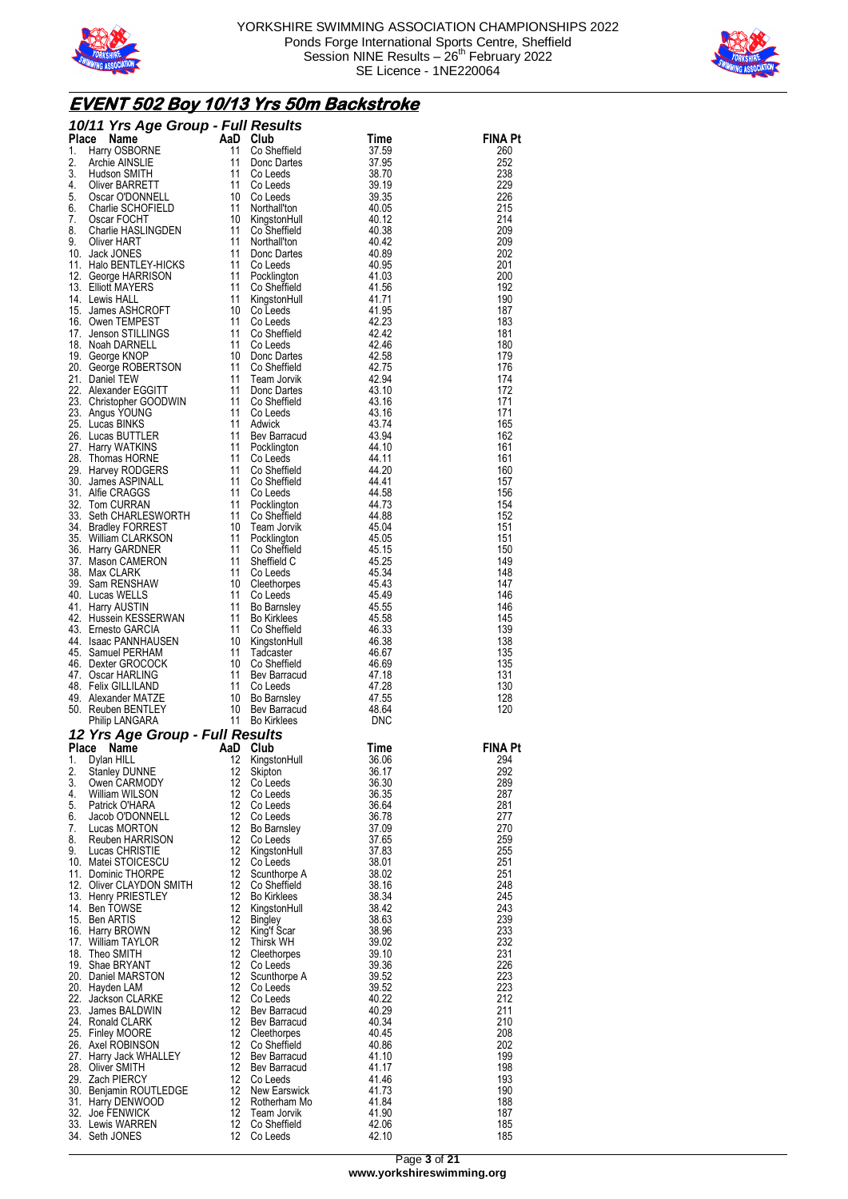



# **EVENT 502 Boy 10/13 Yrs 50m Backstroke**

|          | 10/11 Yrs Age Group - Full Results<br>10/11 Vrs Agree Group - Full Results<br>The Place Name<br>11 Alary OSBORNE<br>11 Colombia 4 And ANITH Colombia<br>2. Archievid ANITH<br>12 Archievid ANITH<br>2. Archievid ANITH<br>4. Dura BARRETT<br>4. Only BARRETT<br>4. Only BARRETT 11 Col |                        |                                                                                                               |                     |                       |
|----------|----------------------------------------------------------------------------------------------------------------------------------------------------------------------------------------------------------------------------------------------------------------------------------------|------------------------|---------------------------------------------------------------------------------------------------------------|---------------------|-----------------------|
|          |                                                                                                                                                                                                                                                                                        |                        |                                                                                                               | Time<br>37.59       | <b>FINA Pt</b><br>260 |
|          |                                                                                                                                                                                                                                                                                        |                        | Colorinum<br>Color Dartes<br>Coloreds<br>Coloreds<br>Coloreds<br>KingstonHull<br>Coloreffield<br>Coloreffield | 37.95               | 252                   |
|          |                                                                                                                                                                                                                                                                                        |                        |                                                                                                               | 38.70               | 238                   |
|          |                                                                                                                                                                                                                                                                                        |                        |                                                                                                               | -39.19<br>39.35     | 229<br>226            |
|          |                                                                                                                                                                                                                                                                                        |                        |                                                                                                               | 40.05               | 215                   |
|          |                                                                                                                                                                                                                                                                                        |                        |                                                                                                               | 40.12               | 214                   |
|          |                                                                                                                                                                                                                                                                                        |                        |                                                                                                               | 40.38               | 209                   |
|          |                                                                                                                                                                                                                                                                                        |                        |                                                                                                               | 40.42<br>40.89      | 209<br>202            |
|          |                                                                                                                                                                                                                                                                                        |                        |                                                                                                               | 40.95               | 201                   |
|          |                                                                                                                                                                                                                                                                                        |                        |                                                                                                               | 41.03               | 200                   |
|          |                                                                                                                                                                                                                                                                                        |                        |                                                                                                               | 41.56<br>41.71      | 192<br>190            |
|          |                                                                                                                                                                                                                                                                                        |                        |                                                                                                               | 41.95               | 187                   |
|          |                                                                                                                                                                                                                                                                                        |                        |                                                                                                               | 42.23               | 183                   |
|          |                                                                                                                                                                                                                                                                                        |                        |                                                                                                               | 42.42<br>42.46      | 181<br>180            |
|          |                                                                                                                                                                                                                                                                                        |                        |                                                                                                               | 42.58               | 179                   |
|          |                                                                                                                                                                                                                                                                                        |                        |                                                                                                               | 42.75               | 176                   |
|          |                                                                                                                                                                                                                                                                                        |                        |                                                                                                               | 42.94<br>43.10      | 174<br>172            |
|          |                                                                                                                                                                                                                                                                                        |                        |                                                                                                               | 43.16               | 171                   |
|          |                                                                                                                                                                                                                                                                                        |                        |                                                                                                               | 43.16               | 171                   |
|          |                                                                                                                                                                                                                                                                                        |                        |                                                                                                               | - 43.74             | 165                   |
|          |                                                                                                                                                                                                                                                                                        |                        |                                                                                                               | 43.94<br>44.10      | 162<br>161            |
|          |                                                                                                                                                                                                                                                                                        |                        |                                                                                                               | 44.11               | 161                   |
|          |                                                                                                                                                                                                                                                                                        |                        |                                                                                                               | 44.20               | 160                   |
|          |                                                                                                                                                                                                                                                                                        |                        |                                                                                                               | -44.41<br>44.58     | 157<br>156            |
|          |                                                                                                                                                                                                                                                                                        |                        |                                                                                                               | 44.73               | 154                   |
|          |                                                                                                                                                                                                                                                                                        |                        |                                                                                                               | 44.88               | 152                   |
|          |                                                                                                                                                                                                                                                                                        |                        |                                                                                                               | 45.04<br>45.05      | 151<br>151            |
|          |                                                                                                                                                                                                                                                                                        |                        |                                                                                                               | 45.15               | 150                   |
|          |                                                                                                                                                                                                                                                                                        |                        |                                                                                                               | 45.25               | 149                   |
|          |                                                                                                                                                                                                                                                                                        |                        |                                                                                                               | 45.34<br>45.43      | 148<br>147            |
|          |                                                                                                                                                                                                                                                                                        |                        | Co Shettieu<br>Team Jorvik<br>Pocklington<br>Co Sheffield C<br>Co Leeds<br>Cleethorpes<br>C∩ Leeds            | 45.49               | 146                   |
|          |                                                                                                                                                                                                                                                                                        |                        |                                                                                                               | 45.55               | 146                   |
|          |                                                                                                                                                                                                                                                                                        |                        |                                                                                                               | 45.58<br>46.33      | 145<br>139            |
|          |                                                                                                                                                                                                                                                                                        |                        |                                                                                                               | 46.38               | 138                   |
|          |                                                                                                                                                                                                                                                                                        |                        |                                                                                                               | 46.67               | 135                   |
|          |                                                                                                                                                                                                                                                                                        |                        |                                                                                                               | 46.69<br>47.18      | 135<br>131            |
|          |                                                                                                                                                                                                                                                                                        |                        |                                                                                                               | 47.28               | 130                   |
|          |                                                                                                                                                                                                                                                                                        |                        |                                                                                                               | 47.55               | 128<br>120            |
|          |                                                                                                                                                                                                                                                                                        |                        |                                                                                                               | 48.64<br><b>DNC</b> |                       |
|          | 12 Yrs Age Group - Full Results                                                                                                                                                                                                                                                        |                        |                                                                                                               |                     |                       |
| Place    | Name                                                                                                                                                                                                                                                                                   | AaD Club               |                                                                                                               | <b>Time</b>         | <b>FINA Pt</b>        |
| 1.<br>2. | Dylan HILL<br>Stanley DUNNE                                                                                                                                                                                                                                                            | 12                     | 12 KingstonHull<br>Skipton                                                                                    | 36.06<br>36.17      | 294<br>292            |
| 3.       | Owen CARMODY                                                                                                                                                                                                                                                                           | 12                     | Co Leeds                                                                                                      | 36.30               | 289                   |
| 4.       | William WILSON                                                                                                                                                                                                                                                                         |                        | 12 Co Leeds                                                                                                   | 36.35               | 287                   |
| 5.       | Patrick O'HARA                                                                                                                                                                                                                                                                         | 12                     | Co Leeds                                                                                                      | 36.64               | 281                   |
| 6.<br>7. | Jacob O'DONNELL<br>Lucas MORTON                                                                                                                                                                                                                                                        | 12                     | Co Leeds<br>12 Bo Barnsley                                                                                    | 36.78<br>37.09      | 277<br>270            |
| 8.       | Reuben HARRISON                                                                                                                                                                                                                                                                        | 12                     | Co Leeds                                                                                                      | 37.65               | 259                   |
| 9.       | Lucas CHRISTIE<br>10. Matei STOICESCU                                                                                                                                                                                                                                                  | 12                     | 12 KingstonHull<br>Co Leeds                                                                                   | 37.83<br>38.01      | 255<br>251            |
|          | 11. Dominic THORPE                                                                                                                                                                                                                                                                     | 12 <sup>12</sup>       | Scunthorpe A                                                                                                  | 38.02               | 251                   |
|          | 12. Oliver CLAYDON SMITH                                                                                                                                                                                                                                                               | 12                     | Co Sheffield                                                                                                  | 38.16               | 248                   |
|          | 13. Henry PRIESTLEY<br>14. Ben TOWSE                                                                                                                                                                                                                                                   | 12                     | 12 Bo Kirklees<br>KingstonHull                                                                                | 38.34<br>38.42      | 245<br>243            |
|          | 15. Ben ARTIS                                                                                                                                                                                                                                                                          | 12                     | <b>Bingley</b>                                                                                                | 38.63               | 239                   |
|          | 16. Harry BROWN                                                                                                                                                                                                                                                                        | 12                     | King'f Scar                                                                                                   | 38.96               | 233                   |
|          | 17 William TAYLOR<br>18. Theo SMITH                                                                                                                                                                                                                                                    | 12 <sup>°</sup><br>12  | <b>Thirsk WH</b><br>Cleethorpes                                                                               | 39.02<br>39.10      | 232<br>231            |
|          | 19. Shae BRYANT                                                                                                                                                                                                                                                                        |                        | 12 Co Leeds                                                                                                   | 39.36               | 226                   |
|          | 20. Daniel MARSTON                                                                                                                                                                                                                                                                     | 12 <sup>12</sup>       | Scunthorpe A                                                                                                  | 39.52               | 223                   |
|          | 20. Hayden LAM<br>22. Jackson CLARKE                                                                                                                                                                                                                                                   | 12                     | Co Leeds<br>12 Co Leeds                                                                                       | 39.52<br>40.22      | 223<br>212            |
|          | 23. James BALDWIN                                                                                                                                                                                                                                                                      |                        | 12 Bev Barracud                                                                                               | 40.29               | 211                   |
|          | 24. Ronald CLARK                                                                                                                                                                                                                                                                       | 12                     | Bev Barracud                                                                                                  | 40.34               | 210                   |
|          | 25. Finley MOORE<br>26. Axel ROBINSON                                                                                                                                                                                                                                                  | 12                     | Cleethorpes<br>12 Co Sheffield                                                                                | 40.45<br>40.86      | 208<br>202            |
|          | 27. Harry Jack WHALLEY                                                                                                                                                                                                                                                                 | 12                     | Bev Barracud                                                                                                  | 41.10               | 199                   |
|          | 28. Oliver SMITH                                                                                                                                                                                                                                                                       | 12                     | Bev Barracud                                                                                                  | 41.17               | 198                   |
|          | 29. Zach PIERCY<br>30. Benjamin ROUTLEDGE                                                                                                                                                                                                                                              | 12 <sup>12</sup><br>12 | Co Leeds<br>New Earswick                                                                                      | 41.46<br>41.73      | 193<br>190            |
|          | 31. Harry DENWOOD                                                                                                                                                                                                                                                                      | 12                     | Rotherham Mo                                                                                                  | 41.84               | 188                   |
|          | 32. Joe FENWICK<br>33. Lewis WARREN                                                                                                                                                                                                                                                    | 12 <sup>°</sup><br>12  | Team Jorvik<br>Co Sheffield                                                                                   | 41.90<br>42.06      | 187<br>185            |
|          | 34. Seth JONES                                                                                                                                                                                                                                                                         |                        | 12 Co Leeds                                                                                                   | 42.10               | 185                   |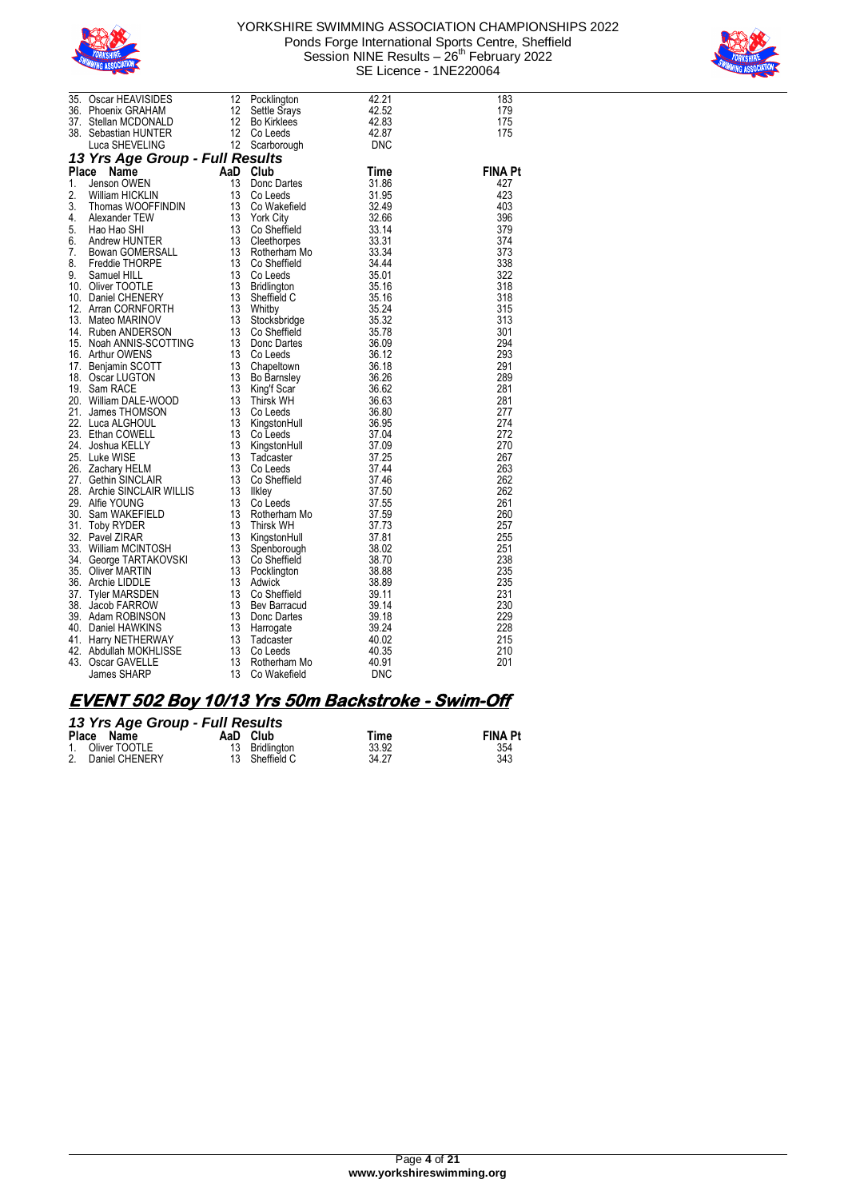



|                                                                                                                                                                                                                                                     |  | 183            |
|-----------------------------------------------------------------------------------------------------------------------------------------------------------------------------------------------------------------------------------------------------|--|----------------|
|                                                                                                                                                                                                                                                     |  | 179            |
|                                                                                                                                                                                                                                                     |  | 175            |
|                                                                                                                                                                                                                                                     |  | 175            |
|                                                                                                                                                                                                                                                     |  |                |
|                                                                                                                                                                                                                                                     |  |                |
|                                                                                                                                                                                                                                                     |  | <b>FINA Pt</b> |
|                                                                                                                                                                                                                                                     |  | 427            |
|                                                                                                                                                                                                                                                     |  | 423            |
|                                                                                                                                                                                                                                                     |  | 403            |
|                                                                                                                                                                                                                                                     |  | 396            |
|                                                                                                                                                                                                                                                     |  | 379            |
|                                                                                                                                                                                                                                                     |  | 374            |
|                                                                                                                                                                                                                                                     |  | 373            |
|                                                                                                                                                                                                                                                     |  | 338            |
|                                                                                                                                                                                                                                                     |  | 322            |
|                                                                                                                                                                                                                                                     |  | 318            |
|                                                                                                                                                                                                                                                     |  | 318            |
|                                                                                                                                                                                                                                                     |  | 315            |
|                                                                                                                                                                                                                                                     |  | 313            |
|                                                                                                                                                                                                                                                     |  | 301            |
|                                                                                                                                                                                                                                                     |  | 294            |
|                                                                                                                                                                                                                                                     |  | 293            |
|                                                                                                                                                                                                                                                     |  | 291            |
|                                                                                                                                                                                                                                                     |  | 289            |
|                                                                                                                                                                                                                                                     |  | 281            |
|                                                                                                                                                                                                                                                     |  | 281            |
|                                                                                                                                                                                                                                                     |  | 277            |
|                                                                                                                                                                                                                                                     |  | 274            |
|                                                                                                                                                                                                                                                     |  | 272            |
|                                                                                                                                                                                                                                                     |  | 270            |
|                                                                                                                                                                                                                                                     |  | 267            |
|                                                                                                                                                                                                                                                     |  | 263            |
|                                                                                                                                                                                                                                                     |  | 262<br>262     |
|                                                                                                                                                                                                                                                     |  | 261            |
|                                                                                                                                                                                                                                                     |  | 260            |
|                                                                                                                                                                                                                                                     |  | 257            |
|                                                                                                                                                                                                                                                     |  | 255            |
|                                                                                                                                                                                                                                                     |  | 251            |
|                                                                                                                                                                                                                                                     |  | 238            |
|                                                                                                                                                                                                                                                     |  | 235            |
|                                                                                                                                                                                                                                                     |  | 235            |
|                                                                                                                                                                                                                                                     |  | 231            |
|                                                                                                                                                                                                                                                     |  | 230            |
|                                                                                                                                                                                                                                                     |  | 229            |
|                                                                                                                                                                                                                                                     |  | 228            |
|                                                                                                                                                                                                                                                     |  | 215            |
|                                                                                                                                                                                                                                                     |  | 210            |
|                                                                                                                                                                                                                                                     |  | 201            |
|                                                                                                                                                                                                                                                     |  |                |
| 35. Oscar HEAVISIDES<br>26. Oscar HEAVISIDES<br>27. Selbs Says (22.52<br>28. Phoenix GRAHAM<br>27. Selbs Mays (22.52<br>28. Selbstian MCDONALD<br>27. Selbs Mays (22.52<br>28. Selbstian HUNTER<br>27. Selbstian HUNTER<br>27. Selbstian HUNTER<br> |  |                |

### **EVENT 502 Boy 10/13 Yrs 50m Backstroke - Swim-Off**

| 13 Yrs Age Group - Full Results |                |       |                |
|---------------------------------|----------------|-------|----------------|
| Place Name                      | AaD Club       | Time  | <b>FINA Pt</b> |
| 1. Oliver TOOTLE                | 13 Bridlington | 33.92 | 354            |
| 2. Daniel CHENERY               | 13 Sheffield C | 34.27 | 343            |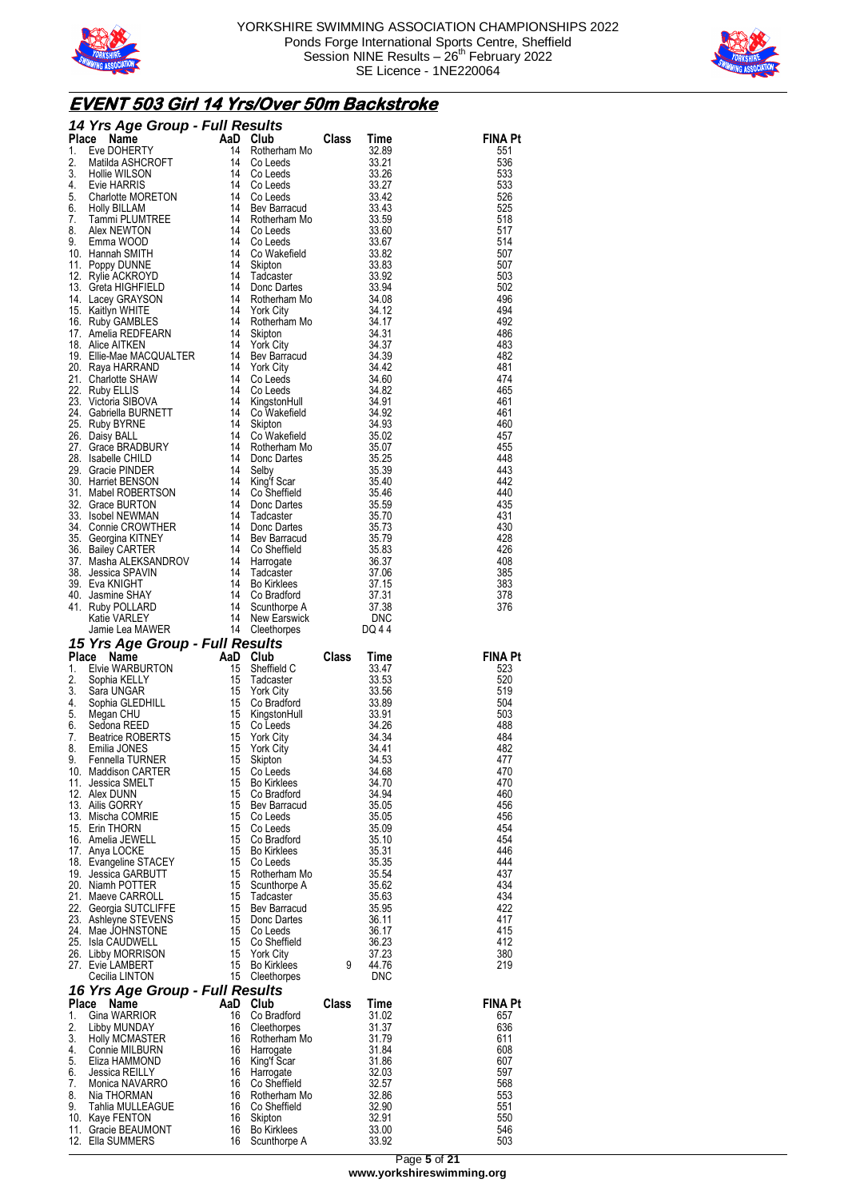



# **EVENT 503 Girl 14 Yrs/Over 50m Backstroke**

|          | 14 Yrs Age Group - Full Results                                                                                                                                                                                                                |          |                                                                                                                                                                                                                                                                      |              |                                                                                               |                |
|----------|------------------------------------------------------------------------------------------------------------------------------------------------------------------------------------------------------------------------------------------------|----------|----------------------------------------------------------------------------------------------------------------------------------------------------------------------------------------------------------------------------------------------------------------------|--------------|-----------------------------------------------------------------------------------------------|----------------|
|          |                                                                                                                                                                                                                                                |          |                                                                                                                                                                                                                                                                      | <b>Class</b> | Time                                                                                          | FINA Pt        |
|          |                                                                                                                                                                                                                                                |          | Rotherham Mo<br>Co Leeds<br>Co Leeds<br>Co Leeds<br>Co Leeds<br>Co Leeds<br>Co Leeds<br>Save Barracud<br>Rotherham Mo<br>Co Leeds<br>Co Leeds<br>Co Leeds<br>Co Leeds<br>Co Wakefield<br>Co Leeds<br>Co Wakefield<br>Co Wakefield<br>Tadcaster<br>Rotherham Mo<br>Yo |              |                                                                                               | 551<br>536     |
|          |                                                                                                                                                                                                                                                |          |                                                                                                                                                                                                                                                                      |              |                                                                                               | 533            |
|          |                                                                                                                                                                                                                                                |          |                                                                                                                                                                                                                                                                      |              |                                                                                               | 533            |
|          |                                                                                                                                                                                                                                                |          |                                                                                                                                                                                                                                                                      |              |                                                                                               | 526            |
|          |                                                                                                                                                                                                                                                |          |                                                                                                                                                                                                                                                                      |              |                                                                                               | 525            |
|          |                                                                                                                                                                                                                                                |          |                                                                                                                                                                                                                                                                      |              |                                                                                               | 518            |
|          |                                                                                                                                                                                                                                                |          |                                                                                                                                                                                                                                                                      |              |                                                                                               | 517            |
|          |                                                                                                                                                                                                                                                |          |                                                                                                                                                                                                                                                                      |              |                                                                                               | 514<br>507     |
|          |                                                                                                                                                                                                                                                |          |                                                                                                                                                                                                                                                                      |              |                                                                                               | 507            |
|          |                                                                                                                                                                                                                                                |          |                                                                                                                                                                                                                                                                      |              |                                                                                               | 503            |
|          |                                                                                                                                                                                                                                                |          |                                                                                                                                                                                                                                                                      |              |                                                                                               | 502            |
|          |                                                                                                                                                                                                                                                |          |                                                                                                                                                                                                                                                                      |              |                                                                                               | 496            |
|          |                                                                                                                                                                                                                                                |          |                                                                                                                                                                                                                                                                      |              |                                                                                               | 494            |
|          |                                                                                                                                                                                                                                                |          |                                                                                                                                                                                                                                                                      |              |                                                                                               | 492<br>486     |
|          |                                                                                                                                                                                                                                                |          |                                                                                                                                                                                                                                                                      |              |                                                                                               | 483            |
|          |                                                                                                                                                                                                                                                |          |                                                                                                                                                                                                                                                                      |              |                                                                                               | 482            |
|          |                                                                                                                                                                                                                                                |          |                                                                                                                                                                                                                                                                      |              |                                                                                               | 481            |
|          |                                                                                                                                                                                                                                                |          |                                                                                                                                                                                                                                                                      |              |                                                                                               | 474            |
|          |                                                                                                                                                                                                                                                |          |                                                                                                                                                                                                                                                                      |              |                                                                                               | 465            |
|          |                                                                                                                                                                                                                                                |          |                                                                                                                                                                                                                                                                      |              |                                                                                               | 461<br>461     |
|          |                                                                                                                                                                                                                                                |          |                                                                                                                                                                                                                                                                      |              |                                                                                               | 460            |
|          |                                                                                                                                                                                                                                                |          |                                                                                                                                                                                                                                                                      |              |                                                                                               | 457            |
|          |                                                                                                                                                                                                                                                |          |                                                                                                                                                                                                                                                                      |              |                                                                                               | 455            |
|          |                                                                                                                                                                                                                                                |          |                                                                                                                                                                                                                                                                      |              |                                                                                               | 448            |
|          |                                                                                                                                                                                                                                                |          |                                                                                                                                                                                                                                                                      |              |                                                                                               | 443            |
|          |                                                                                                                                                                                                                                                |          |                                                                                                                                                                                                                                                                      |              |                                                                                               | 442            |
|          |                                                                                                                                                                                                                                                |          |                                                                                                                                                                                                                                                                      |              |                                                                                               | 440            |
|          |                                                                                                                                                                                                                                                |          |                                                                                                                                                                                                                                                                      |              |                                                                                               | 435<br>431     |
|          |                                                                                                                                                                                                                                                |          |                                                                                                                                                                                                                                                                      |              |                                                                                               | 430            |
|          |                                                                                                                                                                                                                                                |          |                                                                                                                                                                                                                                                                      |              |                                                                                               | 428            |
|          |                                                                                                                                                                                                                                                |          |                                                                                                                                                                                                                                                                      |              |                                                                                               | 426            |
|          |                                                                                                                                                                                                                                                |          |                                                                                                                                                                                                                                                                      |              |                                                                                               | 408            |
|          |                                                                                                                                                                                                                                                |          |                                                                                                                                                                                                                                                                      |              |                                                                                               | 385            |
|          |                                                                                                                                                                                                                                                |          |                                                                                                                                                                                                                                                                      |              |                                                                                               | 383            |
|          |                                                                                                                                                                                                                                                |          |                                                                                                                                                                                                                                                                      |              |                                                                                               | 378<br>376     |
|          |                                                                                                                                                                                                                                                |          |                                                                                                                                                                                                                                                                      |              |                                                                                               |                |
|          |                                                                                                                                                                                                                                                |          |                                                                                                                                                                                                                                                                      |              |                                                                                               |                |
|          |                                                                                                                                                                                                                                                |          |                                                                                                                                                                                                                                                                      |              |                                                                                               |                |
|          |                                                                                                                                                                                                                                                |          |                                                                                                                                                                                                                                                                      |              |                                                                                               |                |
|          | 15 Yrs Age Group - Full Results<br>Place Name                                                                                                                                                                                                  | AaD Club |                                                                                                                                                                                                                                                                      |              | Time                                                                                          | <b>FINA Pt</b> |
| 1.       | 14 Yrs Age Group - Full Results<br>Nace Name (1988)<br>1. Eve DOHERTY AaD Club<br>1. Eve DOHERTY AaD Club<br>1. Eve DOHERTY 14 Co Leeds<br>1. Statilda ASHCROFT 14 Co Leeds<br>4. Evie HARRIS<br>5. Characte MORETON 14 Co Leeds<br>6. Holly B | 15       |                                                                                                                                                                                                                                                                      |              | 33.47                                                                                         | 523            |
| 2.       |                                                                                                                                                                                                                                                | 15       |                                                                                                                                                                                                                                                                      |              |                                                                                               | 520            |
| 3.       |                                                                                                                                                                                                                                                | 15       |                                                                                                                                                                                                                                                                      |              |                                                                                               | 519            |
| 4.       |                                                                                                                                                                                                                                                | - 15     |                                                                                                                                                                                                                                                                      |              |                                                                                               | 504            |
| 5.       |                                                                                                                                                                                                                                                | - 15     |                                                                                                                                                                                                                                                                      |              |                                                                                               | 503            |
| 6.<br>7. |                                                                                                                                                                                                                                                | 15<br>15 |                                                                                                                                                                                                                                                                      |              |                                                                                               | 488<br>484     |
| 8.       |                                                                                                                                                                                                                                                | 15       |                                                                                                                                                                                                                                                                      |              | $33.47$<br>$33.53$<br>$33.56$<br>$33.89$<br>$33.91$<br>$34.26$<br>$34.34$<br>$34.41$<br>34.41 | 482            |
|          | The Name<br>Comparison of American<br>Elvie WARBURTON<br>Sophia KELLY<br>Sara UNGAR<br>Megan CHU<br>Sedona REED<br>Beatrice ROBERTS<br>Emnella JONES<br>Fennella TURNER<br>9. Fennella TURNER                                                  | 15       | <b>SLITES</b><br>Club<br>Sheffield C<br>Sheffield C<br>Vork City<br>Co Bradford<br>KingstonHull<br>Co Leeds<br>York City<br>York City<br>Cuinton                                                                                                                     |              | 34.53                                                                                         | 477            |
|          | 10. Maddison CARTER                                                                                                                                                                                                                            | 15       | Skipton<br>Co Leeds                                                                                                                                                                                                                                                  |              | 34.68                                                                                         | 470            |
|          | 11. Jessica SMELT                                                                                                                                                                                                                              | 15       | <b>Bo Kirklees</b>                                                                                                                                                                                                                                                   |              | 34.70                                                                                         | 470            |
|          | 12. Alex DUNN                                                                                                                                                                                                                                  | 15       | Co Bradford                                                                                                                                                                                                                                                          |              | 34.94                                                                                         | 460            |
|          | 13. Ailis GORRY                                                                                                                                                                                                                                | 15       | Bev Barracud                                                                                                                                                                                                                                                         |              | 35.05                                                                                         | 456            |
|          | 13. Mischa COMRIE                                                                                                                                                                                                                              | 15<br>15 | Co Leeds                                                                                                                                                                                                                                                             |              | 35.05                                                                                         | 456<br>454     |
|          | 15. Erin THORN<br>16. Amelia JEWELL                                                                                                                                                                                                            | 15       | Co Leeds<br>Co Bradford                                                                                                                                                                                                                                              |              | 35.09<br>35.10                                                                                | 454            |
|          | 17. Anya LOCKE                                                                                                                                                                                                                                 | 15       | <b>Bo Kirklees</b>                                                                                                                                                                                                                                                   |              | 35.31                                                                                         | 446            |
|          | 18. Evangeline STACEY                                                                                                                                                                                                                          | 15       | Co Leeds                                                                                                                                                                                                                                                             |              | 35.35                                                                                         | 444            |
|          | 19. Jessica GARBUTT                                                                                                                                                                                                                            | 15       | Rotherham Mo                                                                                                                                                                                                                                                         |              | 35.54                                                                                         | 437            |
|          | 20. Niamh POTTER                                                                                                                                                                                                                               | 15       | Scunthorpe A                                                                                                                                                                                                                                                         |              | 35.62                                                                                         | 434            |
|          | 21. Maeve CARROLL                                                                                                                                                                                                                              | 15       | Tadcaster                                                                                                                                                                                                                                                            |              | 35.63                                                                                         | 434            |
|          | 22. Georgia SUTCLIFFE                                                                                                                                                                                                                          | 15<br>15 | Bev Barracud                                                                                                                                                                                                                                                         |              | 35.95                                                                                         | 422<br>417     |
|          | 23. Ashleyne STEVENS<br>24. Mae JOHNSTONE                                                                                                                                                                                                      | 15       | Donc Dartes<br>Co Leeds                                                                                                                                                                                                                                              |              | 36.11<br>36.17                                                                                | 415            |
|          | 25. Isla CAUDWELL                                                                                                                                                                                                                              | 15       | Co Sheffield                                                                                                                                                                                                                                                         |              | 36.23                                                                                         | 412            |
|          | 26. Libby MORRISON                                                                                                                                                                                                                             | 15       | <b>York City</b>                                                                                                                                                                                                                                                     |              | 37.23                                                                                         | 380            |
|          | 27. Evie LAMBERT                                                                                                                                                                                                                               | 15       | <b>Bo Kirklees</b>                                                                                                                                                                                                                                                   | 9            | 44.76                                                                                         | 219            |
|          | Cecilia LINTON                                                                                                                                                                                                                                 |          | 15 Cleethorpes                                                                                                                                                                                                                                                       |              | <b>DNC</b>                                                                                    |                |
|          | 16 Yrs Age Group - Full Results                                                                                                                                                                                                                |          |                                                                                                                                                                                                                                                                      |              |                                                                                               |                |
| Place    | Name                                                                                                                                                                                                                                           | AaD      | Club                                                                                                                                                                                                                                                                 | <b>Class</b> | Time                                                                                          | <b>FINA Pt</b> |
| 1.       | Gina WARRIOR                                                                                                                                                                                                                                   | 16       | Co Bradford                                                                                                                                                                                                                                                          |              | 31.02                                                                                         | 657            |
| 2.<br>3. | Libby MUNDAY                                                                                                                                                                                                                                   | 16<br>16 | Cleethorpes<br>Rotherham Mo                                                                                                                                                                                                                                          |              | 31.37<br>31.79                                                                                | 636<br>611     |
| 4.       | <b>Holly MCMASTER</b><br>Connie MILBURN                                                                                                                                                                                                        | 16       | Harrogate                                                                                                                                                                                                                                                            |              | 31.84                                                                                         | 608            |
| 5.       | Eliza HAMMOND                                                                                                                                                                                                                                  | 16       | King'f Scar                                                                                                                                                                                                                                                          |              | 31.86                                                                                         | 607            |
| 6.       | Jessica REILLY                                                                                                                                                                                                                                 | 16       | Harrogate                                                                                                                                                                                                                                                            |              | 32.03                                                                                         | 597            |
| 7.       | Monica NAVARRO                                                                                                                                                                                                                                 | 16       | Co Sheffield                                                                                                                                                                                                                                                         |              | 32.57                                                                                         | 568            |
| 8.       | Nia THORMAN                                                                                                                                                                                                                                    | 16       | Rotherham Mo                                                                                                                                                                                                                                                         |              | 32.86                                                                                         | 553            |
| 9.       | Tahlia MULLEAGUE                                                                                                                                                                                                                               | 16       | Co Sheffield                                                                                                                                                                                                                                                         |              | 32.90                                                                                         | 551            |
|          | 10. Kaye FENTON<br>11. Gracie BEAUMONT                                                                                                                                                                                                         | 16<br>16 | Skipton<br><b>Bo Kirklees</b>                                                                                                                                                                                                                                        |              | 32.91<br>33.00                                                                                | 550<br>546     |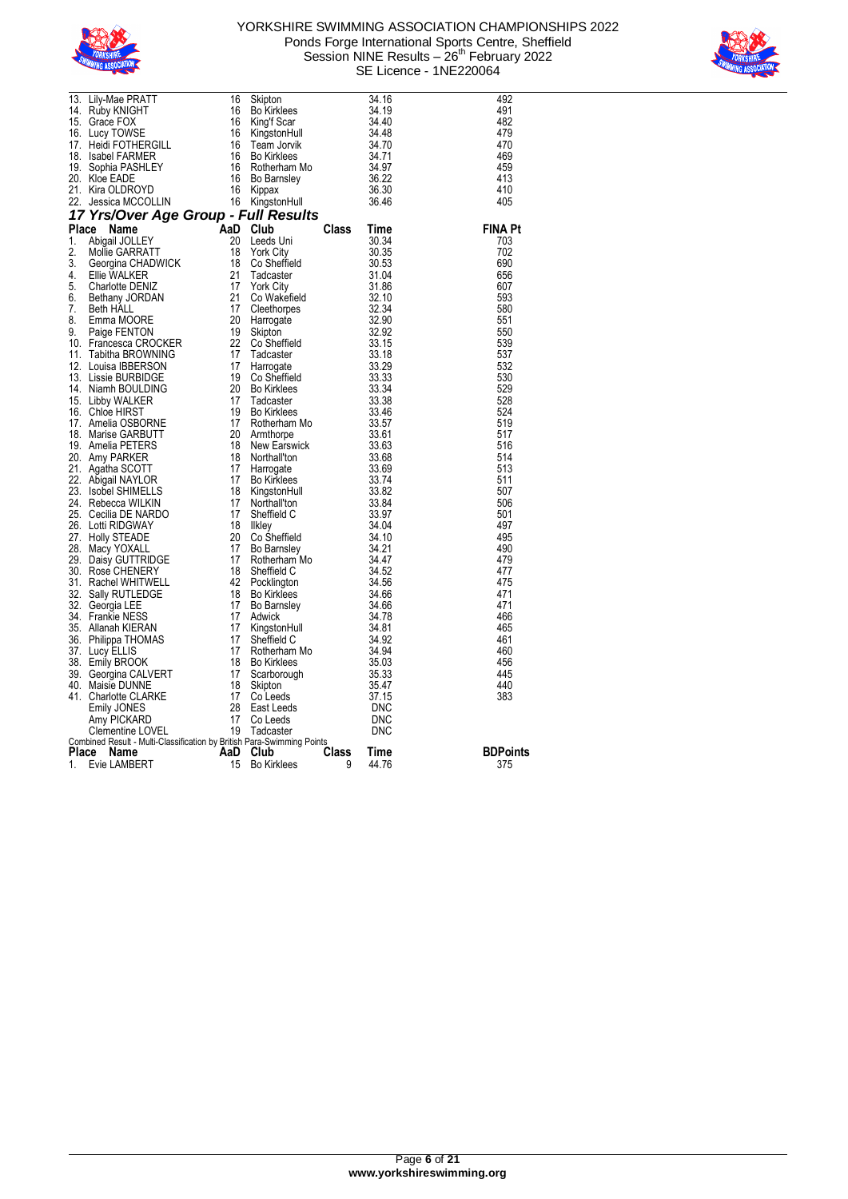



| 14.      | 13. Lily-Mae PRATT<br>Ruby KNIGHT                                      | 16<br>16                                                        | Skipton<br><b>Bo Kirklees</b>     |              | 34.16<br>34.19 | 492<br>491      |
|----------|------------------------------------------------------------------------|-----------------------------------------------------------------|-----------------------------------|--------------|----------------|-----------------|
|          | 15. Grace FOX                                                          | 16                                                              | King'f Scar                       |              | 34.40          | 482             |
|          | 16. Lucy TOWSE                                                         | 16                                                              | KingstonHull                      |              | 34.48          | 479             |
|          | 17. Heidi FOTHERGILL<br>18. Isabel FARMER                              | 16<br>16                                                        | Team Jorvik<br><b>Bo Kirklees</b> |              | 34.70<br>34.71 | 470<br>469      |
|          | 19. Sophia PASHLEY                                                     | 16                                                              | Rotherham Mo                      |              | 34.97          | 459             |
|          | 20. Kloe EADE                                                          | 16                                                              | <b>Bo Barnsley</b>                |              | 36.22          | 413             |
|          | 21. Kira OLDROYD                                                       | 16                                                              | Kippax                            |              | 36.30          | 410             |
|          | 22. Jessica MCCOLLIN                                                   |                                                                 | 16 KingstonHull                   |              | 36.46          | 405             |
|          | 17 Yrs/Over Age Group - Full Results                                   |                                                                 |                                   |              |                |                 |
|          | Place<br>Name                                                          | AaD Club                                                        |                                   | <b>Class</b> | Time           | <b>FINA Pt</b>  |
| 1.       | Abigail JOLLEY                                                         | 20                                                              | Leeds Uni                         |              | 30.34          | 703             |
| 2.       | Mollie GARRATT                                                         | 18                                                              | <b>York City</b>                  |              | 30.35          | 702             |
| 3.       | Georgina CHADWICK                                                      | 18                                                              | Co Sheffield                      |              | 30.53          | 690             |
| 4.<br>5. | Ellie WALKER                                                           | 21<br>17                                                        | Tadcaster                         |              | 31.04<br>31.86 | 656             |
| 6.       | Charlotte DENIZ                                                        | 21                                                              | <b>York City</b><br>Co Wakefield  |              | 32.10          | 607<br>593      |
| 7.       | Bethany JORDAN<br><b>Beth HALL</b>                                     | 17                                                              | Cleethorpes                       |              | 32.34          | 580             |
| 8.       | Emma MOORE                                                             | 20                                                              | Harrogate                         |              | 32.90          | 551             |
| 9.       | Paige FENTON                                                           | 19                                                              | Skipton                           |              | 32.92          | 550             |
|          | 10. Francesca CROCKER                                                  | 22                                                              | Co Sheffield                      |              | 33.15          | 539             |
|          | 11. Tabitha BROWNING                                                   | 17                                                              | Tadcaster                         |              | 33.18          | 537             |
|          | 12. Louisa IBBERSON                                                    | 17                                                              | Harrogate                         |              | 33.29          | 532             |
|          | 13. Lissie BURBIDGE                                                    | 19                                                              | Co Sheffield                      |              | 33.33          | 530             |
|          | 14. Niamh BOULDING<br>15. Libby WALKER                                 | 20<br>17                                                        | <b>Bo Kirklees</b><br>Tadcaster   |              | 33.34<br>33.38 | 529<br>528      |
|          | 16. Chloe HIRST                                                        | 19                                                              | <b>Bo Kirklees</b>                |              | 33.46          | 524             |
|          | 17. Amelia OSBORNE                                                     | 17                                                              | Rotherham Mo                      |              | 33.57          | 519             |
|          | 18. Marise GARBUTT                                                     | 20                                                              | Armthorpe                         |              | 33.61          | 517             |
|          | 19. Amelia PETERS                                                      | 18                                                              | New Earswick                      |              | 33.63          | 516             |
|          | 20. Amy PARKER                                                         | 18                                                              | Northall'ton                      |              | 33.68          | 514             |
|          | 21. Agatha SCOTT                                                       | 17                                                              | Harrogate                         |              | 33.69          | 513             |
|          | 22. Abigail NAYLOR                                                     | 17<br>18                                                        | Bo Kirklees                       |              | 33.74          | 511             |
|          | 23. Isobel SHIMELLS<br>24. Rebecca WILKIN                              | 17                                                              | KingstonHull<br>Northall'ton      |              | 33.82<br>33.84 | 507<br>506      |
|          | 25. Cecilia DE NARDO                                                   | 17                                                              | Sheffield C                       |              | 33.97          | 501             |
|          | 26. Lotti RIDGWAY                                                      | 18                                                              | likley                            |              | 34.04          | 497             |
|          | 27. Holly STEADE                                                       | 20                                                              | Co Sheffield                      |              | 34.10          | 495             |
|          | 28. Macy YOXALL                                                        | 17                                                              | <b>Bo Barnsley</b>                |              | 34.21          | 490             |
|          | 29. Daisy GUTTRIDGE                                                    | 17                                                              | Rotherham Mo                      |              | -34.47         | 479             |
|          | 30. Rose CHENERY                                                       | 18                                                              | Sheffield C                       |              | 34.52          | 477             |
|          | 31. Rachel WHITWELL                                                    | 42<br>18                                                        | Pocklington                       |              | 34.56          | 475<br>471      |
|          | 32. Sally RUTLEDGE<br>32. Georgia LEE                                  | 17                                                              | <b>Bo Kirklees</b><br>Bo Barnsley |              | 34.66<br>34.66 | 471             |
|          | 34. Frankie NESS                                                       | 17                                                              | Adwick                            |              | 34.78          | 466             |
|          | 35. Allanah KIERAN                                                     | 17                                                              | KingstonHull                      |              | 34.81          | 465             |
|          | 36. Philippa THOMAS                                                    | 17                                                              | Sheffield C                       |              | 34.92          | 461             |
|          | 37. Lucy ELLIS                                                         | 17                                                              | Rotherham Mo                      |              | 34.94          | 460             |
|          | 38. Emily BROOK                                                        | 18                                                              | <b>Bo Kirklees</b>                |              | 35.03          | 456             |
|          | 39 Georgina CALVERT                                                    | 17                                                              | Scarborough                       |              | 35.33          | 445             |
|          | 40. Maisie DUNNE                                                       | 18                                                              | Skipton                           |              | 35.47          | 440             |
|          | 41. Charlotte CLARKE                                                   |                                                                 | Co Leeds<br>East Leeds            |              | 37.15<br>DNC   | 383             |
|          | Emily JONES<br>Amy PICKARD                                             |                                                                 | Co Leeds                          |              | DNC            |                 |
|          | <b>Clementine LOVEL</b>                                                | $\begin{array}{c} 10 \\ 17 \\ 28 \\ 17 \\ 19 \end{array}$<br>19 | Tadcaster                         |              | <b>DNC</b>     |                 |
|          | Combined Result - Multi-Classification by British Para-Swimming Points |                                                                 |                                   |              |                |                 |
| Place    | Name                                                                   | $AaD_{15}$                                                      | Club                              | <b>Class</b> | Time           | <b>BDPoints</b> |
| 1.       | Evie LAMBERT                                                           | 15                                                              | <b>Bo Kirklees</b>                | 9            | 44.76          | 375             |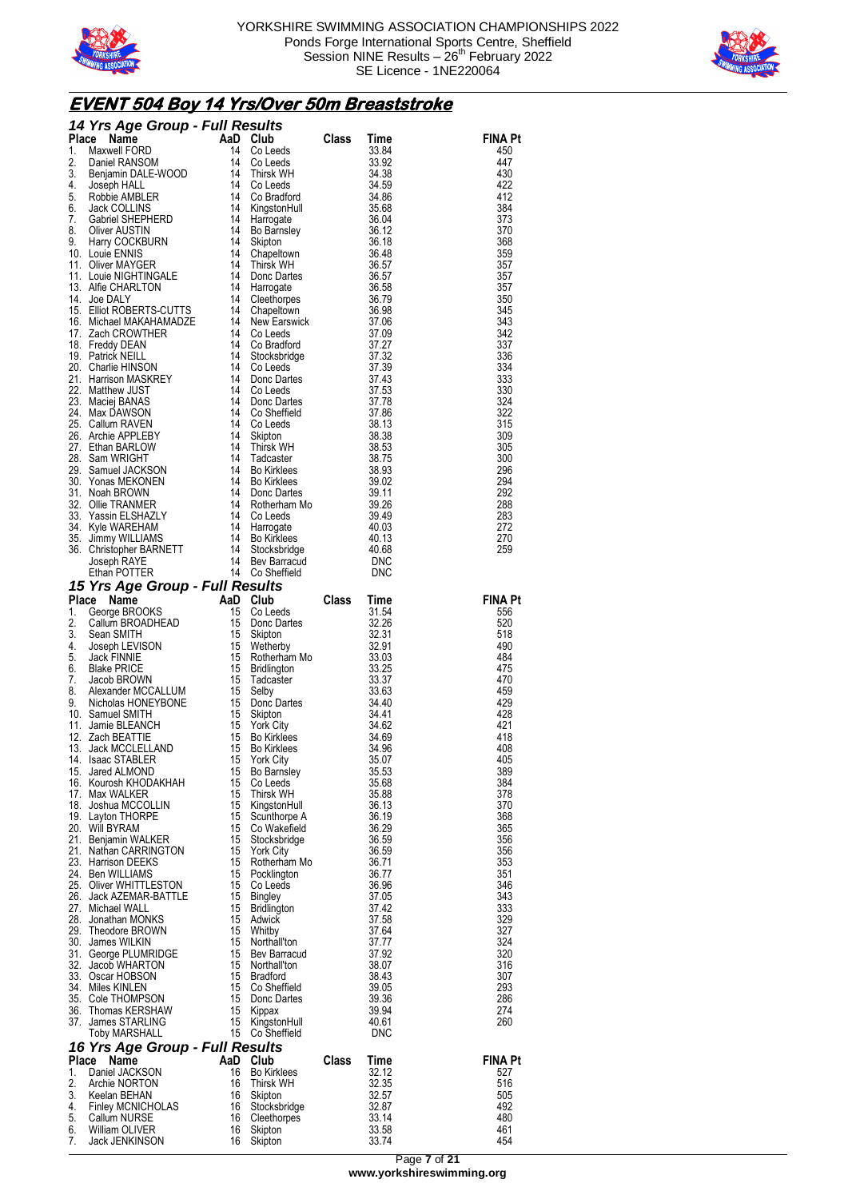



# **EVENT 504 Boy 14 Yrs/Over 50m Breaststroke**

|              | 14 Yrs Age Group - Full Results                                                                                                                                                                                                                 |                 |                                                                                                      |              |                                                                      |                       |
|--------------|-------------------------------------------------------------------------------------------------------------------------------------------------------------------------------------------------------------------------------------------------|-----------------|------------------------------------------------------------------------------------------------------|--------------|----------------------------------------------------------------------|-----------------------|
| <b>Place</b> | Name                                                                                                                                                                                                                                            | AaD             | Club                                                                                                 | <b>Class</b> | Time                                                                 | <b>FINA Pt</b>        |
| 1.<br>2.     | Maxwell FORD<br>Daniel RANSOM                                                                                                                                                                                                                   | 14<br>-14       | Co Leeds<br>Co Leeds                                                                                 |              | 33.84<br>33.92                                                       | 450<br>447            |
| 3.           | Daniel RANSOM<br>Benjamin DALE-WOOD 14<br>Joseph HALL<br>Robbie AMBLER 14<br>Jack COLLINS 14<br>14                                                                                                                                              |                 | Thirsk WH                                                                                            |              | 34.38                                                                | 430                   |
| 4.           |                                                                                                                                                                                                                                                 |                 | Co Leeds                                                                                             |              | 34.38<br>34.59                                                       | 422                   |
| 5.           |                                                                                                                                                                                                                                                 |                 | Co Bradford                                                                                          |              | 34.86                                                                | 412                   |
| 6.           |                                                                                                                                                                                                                                                 |                 | KingstonHull                                                                                         |              | 34.00<br>35.68<br>36.04                                              | 384                   |
| 7.<br>8.     | Jack COLLINS<br>Gabriel SHEPHERD<br>Oliver AUSTIN<br>Harry COCKBURN                                                                                                                                                                             | 14<br>14        | Harrogate                                                                                            |              |                                                                      | 373<br>370            |
| 9.           |                                                                                                                                                                                                                                                 | 14              | Bo Barnsley<br>Skipton                                                                               |              | 36.12<br>ی ہ ۔<br>36.18<br>36.48                                     | 368                   |
|              | 10. Louie ENNIS                                                                                                                                                                                                                                 | 14              | Chapeltown                                                                                           |              |                                                                      | 359                   |
|              | 11. Oliver MAYGER                                                                                                                                                                                                                               | 14              | Thirsk WH                                                                                            |              | 36.57                                                                | 357                   |
|              | 11. Louie NIGHTINGALE<br>13. Alfie CHARLTON<br>14. Jos DALY                                                                                                                                                                                     | 14              | Donc Dartes                                                                                          |              | 36.57<br>36.58<br>36.58<br>36.79<br>36.98<br>37.06                   | 357                   |
|              |                                                                                                                                                                                                                                                 | 14              | Harrogate                                                                                            |              |                                                                      | 357                   |
|              |                                                                                                                                                                                                                                                 |                 | Cleethorpes<br>Chapeltown<br>New Earswick                                                            |              |                                                                      | 350<br>345            |
|              |                                                                                                                                                                                                                                                 |                 |                                                                                                      |              |                                                                      | 343                   |
|              |                                                                                                                                                                                                                                                 |                 | Co Leeds                                                                                             |              | 37.09                                                                | 342                   |
|              |                                                                                                                                                                                                                                                 |                 | Co Bradford                                                                                          |              | رن.<br>37.27<br>37.32                                                | 337                   |
|              |                                                                                                                                                                                                                                                 |                 | Stocksbridge                                                                                         |              |                                                                      | 336                   |
|              |                                                                                                                                                                                                                                                 |                 | Co Leeds<br>Donc Dartes                                                                              |              | 37.39<br>37.43                                                       | 334<br>333            |
|              | 3. Alfie Christian Communication of the DALY<br>5. Elliot ROBERTS-CUTTS<br>6. Michael MAKAHAMADZE<br>7. Zach CROWTHER<br>7. Tach CROWTHER<br>9. Patrick NEILL<br>20. Charlie HINSON<br>21. Harrison MASKREY<br>21. Mathew JUST<br>23. Maciej BA |                 | Co Leeds                                                                                             |              | 37.53                                                                | 330                   |
|              |                                                                                                                                                                                                                                                 |                 | Donc Dartes<br>Co Sheffield                                                                          |              | 37.78                                                                | 324                   |
|              |                                                                                                                                                                                                                                                 |                 |                                                                                                      |              | 37.76<br>37.86<br>38.13                                              | 322                   |
|              |                                                                                                                                                                                                                                                 |                 | Co Leeds                                                                                             |              |                                                                      | 315                   |
|              |                                                                                                                                                                                                                                                 |                 | Co Leed<br>Skipton<br>Thirsk WH<br>Thinsaster                                                        |              | 38.38                                                                | 309<br>305            |
|              |                                                                                                                                                                                                                                                 |                 |                                                                                                      |              |                                                                      | 300                   |
|              | 26. Sam WINDOW<br>29. Samuel JACKSON<br>30. Yonas MEKONEN                                                                                                                                                                                       |                 | Bo Kirklees                                                                                          |              | 38.38<br>38.53<br>38.75<br>38.93<br>39.02<br>39.11<br>39.26<br>39.49 | 296                   |
|              |                                                                                                                                                                                                                                                 |                 | <b>Bo Kirklees</b>                                                                                   |              |                                                                      | 294                   |
|              | 31. Noah BROWN                                                                                                                                                                                                                                  | 14              | Donc Dartes                                                                                          |              |                                                                      | 292                   |
|              | 32. Ollie TRANMER                                                                                                                                                                                                                               |                 | Rotherham Mo                                                                                         |              |                                                                      | 288                   |
|              | 33. Yassin ELSHAZLY                                                                                                                                                                                                                             |                 |                                                                                                      |              | - 40.03                                                              | 283<br>272            |
|              |                                                                                                                                                                                                                                                 |                 | 14 Rothernam<br>14 Co Leeds<br>14 Harrogate<br>14 Bo Kirklee:<br>14 Stocksbrid<br><b>Bo Kirklees</b> |              | - 40.13                                                              | 270                   |
|              |                                                                                                                                                                                                                                                 |                 | Stocksbridge                                                                                         |              | - 40.68                                                              | 259                   |
|              | 33. Tassin LLCH<br>34. Kyle WAREHAM<br>35. Jimmy WILLIAMS<br>36. Christopher BARNETT 14<br>Joseph RAYE 14<br>14<br>14                                                                                                                           |                 | Bev Barracud                                                                                         |              | DNC                                                                  |                       |
|              | Ethan POTTER                                                                                                                                                                                                                                    |                 | 14 Co Sheffield                                                                                      |              | <b>DNC</b>                                                           |                       |
|              | 15 Yrs Age Group - Full Results                                                                                                                                                                                                                 |                 |                                                                                                      |              |                                                                      |                       |
| Place<br>1.  | Name<br>George BROOKS                                                                                                                                                                                                                           | AaD<br>15       | Club<br>Co Leeds                                                                                     | <b>Class</b> | Time<br>31.54                                                        | <b>FINA Pt</b><br>556 |
|              |                                                                                                                                                                                                                                                 | 15              |                                                                                                      |              |                                                                      | 520                   |
|              |                                                                                                                                                                                                                                                 |                 |                                                                                                      |              |                                                                      |                       |
| 2.<br>3.     | Callum BROADHEAD<br>Sean SMITH                                                                                                                                                                                                                  | 15              | Donc Dartes                                                                                          |              | 32.26                                                                | 518                   |
| 4.           |                                                                                                                                                                                                                                                 | 15              |                                                                                                      |              |                                                                      | 490                   |
| 5.           |                                                                                                                                                                                                                                                 | 15              |                                                                                                      |              |                                                                      | 484                   |
| 6.           | Joseph LEVISON<br>Jack FINNIE<br>Blake PRICE                                                                                                                                                                                                    | - 15            |                                                                                                      |              |                                                                      | 475                   |
| 7.           | Jacob BROWN                                                                                                                                                                                                                                     | - 15            |                                                                                                      |              | 32.26<br>32.31<br>32.91<br>33.03<br>33.25<br>33.37                   | 470                   |
| 8.<br>9.     |                                                                                                                                                                                                                                                 |                 | <b>Suite</b><br>Skipton<br>Rotherham Mo<br>Pridlington<br>Pridlington                                |              | 33.63                                                                | 459<br>429            |
|              | Alexander MCCALLUM 15<br>Nicholas HONEYBONE 15<br>10. Samuel SMITH                                                                                                                                                                              | 15              | Donc Dartes<br>Skipton                                                                               |              | 34.40<br>34.41                                                       | 428                   |
| 11.          | Jamie BLEANCH                                                                                                                                                                                                                                   |                 | <b>York City</b>                                                                                     |              | 34.62                                                                | 421                   |
|              | 12. Zach BEATTIE                                                                                                                                                                                                                                | $\frac{15}{15}$ | <b>Bo Kirklees</b>                                                                                   |              | -34.69                                                               | 418                   |
| 13.          | Jack MCCLELLAND                                                                                                                                                                                                                                 | 15              | <b>Bo Kirklees</b>                                                                                   |              | 34.96                                                                | 408                   |
|              | 14. Isaac STABLER<br>15. Jared ALMOND                                                                                                                                                                                                           | 15<br>15        | York City                                                                                            |              | 35.07                                                                | 405<br>389            |
|              | 16. Kourosh KHODAKHAH                                                                                                                                                                                                                           | 15              | Bo Barnsley<br>Co Leeds                                                                              |              | 35.53<br>35.68                                                       | 384                   |
|              | 17. Max WALKER                                                                                                                                                                                                                                  | 15              | <b>Thirsk WH</b>                                                                                     |              | 35.88                                                                | 378                   |
|              | 18. Joshua MCCOLLIN                                                                                                                                                                                                                             | 15              | KingstonHull                                                                                         |              | 36.13                                                                | 370                   |
|              | 19. Layton THORPE                                                                                                                                                                                                                               |                 | 15 Scunthorpe A                                                                                      |              | 36.19                                                                | 368                   |
|              | 20. Will BYRAM                                                                                                                                                                                                                                  | 15              | 15 Co Wakefield                                                                                      |              | 36.29<br>36.59                                                       | 365<br>356            |
|              | 21. Benjamin WALKER<br>21. Nathan CARRINGTON                                                                                                                                                                                                    | 15              | Stocksbridge<br><b>York City</b>                                                                     |              | 36.59                                                                | 356                   |
|              | 23 Harrison DEEKS                                                                                                                                                                                                                               |                 | 15 Rotherham Mo                                                                                      |              | 36.71                                                                | 353                   |
|              | 24. Ben WILLIAMS                                                                                                                                                                                                                                |                 | 15 Pocklington                                                                                       |              | 36.77                                                                | 351                   |
|              | 25. Oliver WHITTLESTON                                                                                                                                                                                                                          |                 | 15 Co Leeds                                                                                          |              | 36.96                                                                | 346                   |
|              | 26. Jack AZEMAR-BATTLE                                                                                                                                                                                                                          |                 | 15 Bingley                                                                                           |              | 37.05                                                                | 343                   |
|              | 27. Michael WALL<br>28. Jonathan MONKS                                                                                                                                                                                                          | 15              | 15 Bridlington<br>Adwick                                                                             |              | 37.42<br>37.58                                                       | 333<br>329            |
|              | 29. Theodore BROWN                                                                                                                                                                                                                              | 15              | Whitby                                                                                               |              | 37.64                                                                | 327                   |
|              | 30. James WILKIN                                                                                                                                                                                                                                |                 | 15 Northall'ton                                                                                      |              | 37.77                                                                | 324                   |
|              | 31. George PLUMRIDGE                                                                                                                                                                                                                            |                 | 15 Bev Barracud                                                                                      |              | 37.92                                                                | 320                   |
|              | 32. Jacob WHARTON                                                                                                                                                                                                                               |                 | 15 Northall'ton                                                                                      |              | 38.07                                                                | 316                   |
|              | 33 Oscar HOBSON<br>34. Miles KINLEN                                                                                                                                                                                                             |                 | 15 Bradford<br>15 Co Sheffield                                                                       |              | 38.43<br>39.05                                                       | 307<br>293            |
|              | 35. Cole THOMPSON                                                                                                                                                                                                                               |                 | 15 Donc Dartes                                                                                       |              | 39.36                                                                | 286                   |
|              | 36. Thomas KERSHAW                                                                                                                                                                                                                              |                 | 15 Kippax                                                                                            |              | 39.94                                                                | 274                   |
|              | 37. James STARLING                                                                                                                                                                                                                              |                 | 15 KingstonHull                                                                                      |              | 40.61                                                                | 260                   |
|              | Toby MARSHALL                                                                                                                                                                                                                                   |                 | 15 Co Sheffield                                                                                      |              | <b>DNC</b>                                                           |                       |
|              | 16 Yrs Age Group - Full Results<br>Name                                                                                                                                                                                                         |                 | AaD Club                                                                                             |              |                                                                      |                       |
| Place<br>1.  | Daniel JACKSON                                                                                                                                                                                                                                  | 16              | <b>Bo Kirklees</b>                                                                                   | <b>Class</b> | Time<br>32.12                                                        | <b>FINA Pt</b><br>527 |
| 2.           | Archie NORTON                                                                                                                                                                                                                                   | 16              | Thirsk WH                                                                                            |              | 32.35                                                                | 516                   |
| 3.           | Keelan BEHAN                                                                                                                                                                                                                                    | 16              | Skipton                                                                                              |              | 32.57                                                                | 505                   |
| 4.           | <b>Finley MCNICHOLAS</b>                                                                                                                                                                                                                        | 16              | Stocksbridge                                                                                         |              | 32.87                                                                | 492                   |
| 5.<br>6.     | Callum NURSE<br>William OLIVER                                                                                                                                                                                                                  | 16<br>16        | Cleethorpes<br>Skipton                                                                               |              | 33.14<br>33.58                                                       | 480<br>461            |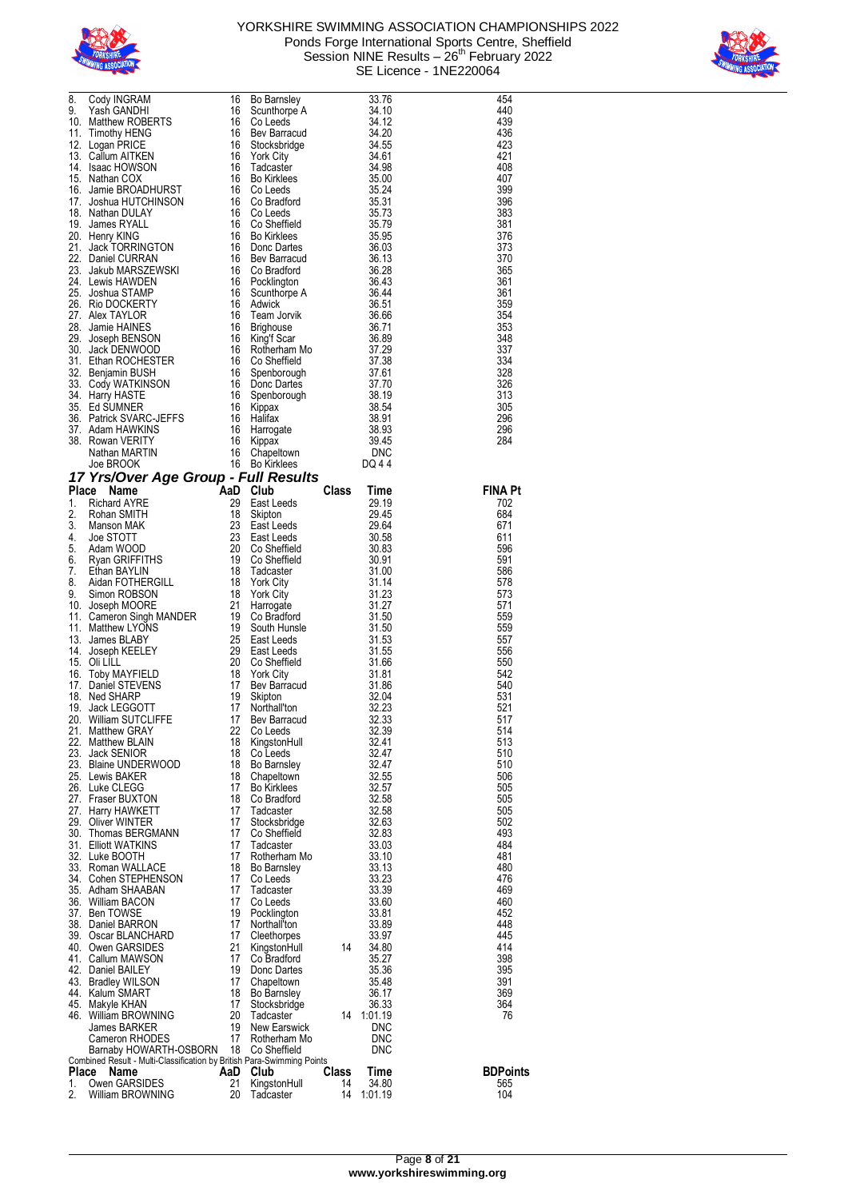



|              | 8. Cody INGRAM<br>16. Bo Bannsley<br>16. Mathew ROBERTS<br>16. Stanh GANDHI<br>10. Mathew ROBERTS<br>16. Go Leeds<br>16. Stocksbridge<br>12. Logan PRICE<br>16. Stocksbridge<br>12. Logan PRICE<br>16. Stocksbridge<br>16. Mathan DUAY<br>16. The Stoc           |          |                                  |       |                          | 454             |
|--------------|------------------------------------------------------------------------------------------------------------------------------------------------------------------------------------------------------------------------------------------------------------------|----------|----------------------------------|-------|--------------------------|-----------------|
|              |                                                                                                                                                                                                                                                                  |          |                                  |       |                          | 440<br>439      |
|              |                                                                                                                                                                                                                                                                  |          |                                  |       |                          | 436             |
|              |                                                                                                                                                                                                                                                                  |          |                                  |       |                          | 423             |
|              |                                                                                                                                                                                                                                                                  |          |                                  |       |                          | 421             |
|              |                                                                                                                                                                                                                                                                  |          |                                  |       |                          | 408<br>407      |
|              |                                                                                                                                                                                                                                                                  |          |                                  |       |                          | 399             |
|              |                                                                                                                                                                                                                                                                  |          |                                  |       |                          | 396             |
|              |                                                                                                                                                                                                                                                                  |          |                                  |       |                          | 383             |
|              |                                                                                                                                                                                                                                                                  |          |                                  |       |                          | 381<br>376      |
|              |                                                                                                                                                                                                                                                                  |          |                                  |       |                          | 373             |
|              |                                                                                                                                                                                                                                                                  |          |                                  |       |                          | 370             |
|              |                                                                                                                                                                                                                                                                  |          |                                  |       |                          | 365<br>361      |
|              |                                                                                                                                                                                                                                                                  |          |                                  |       |                          | 361             |
|              |                                                                                                                                                                                                                                                                  |          |                                  |       |                          | 359             |
|              |                                                                                                                                                                                                                                                                  |          |                                  |       |                          | 354             |
|              |                                                                                                                                                                                                                                                                  |          |                                  |       |                          | 353<br>348      |
|              |                                                                                                                                                                                                                                                                  |          |                                  |       |                          | 337             |
|              |                                                                                                                                                                                                                                                                  |          |                                  |       |                          | 334             |
|              |                                                                                                                                                                                                                                                                  |          |                                  |       |                          | 328             |
|              |                                                                                                                                                                                                                                                                  |          |                                  |       |                          | 326<br>313      |
|              |                                                                                                                                                                                                                                                                  |          |                                  |       |                          | 305             |
|              |                                                                                                                                                                                                                                                                  |          |                                  |       |                          | 296             |
|              |                                                                                                                                                                                                                                                                  |          |                                  |       |                          | 296             |
|              |                                                                                                                                                                                                                                                                  |          |                                  |       |                          | 284             |
|              |                                                                                                                                                                                                                                                                  |          |                                  |       |                          |                 |
|              |                                                                                                                                                                                                                                                                  |          |                                  |       |                          |                 |
|              | Value RAOK<br>16 BolKirkless<br>16 BolKirkless<br>16 BolKirkless<br>16 BolKirkless<br>16 BolKirkless<br>16 BolKirkless<br>16 BolKirkless<br>20 44<br>16 BolKirkless<br>20 16<br>20 17<br>20 45<br>21 Exham SMITH<br>18 Skipton<br>20 21 East Leeds<br>20 46<br>2 |          |                                  |       |                          | <b>FINA Pt</b>  |
|              |                                                                                                                                                                                                                                                                  |          |                                  |       |                          | 702<br>684      |
|              |                                                                                                                                                                                                                                                                  |          |                                  |       |                          | 671             |
|              |                                                                                                                                                                                                                                                                  |          |                                  |       |                          | 611             |
|              |                                                                                                                                                                                                                                                                  |          |                                  |       |                          | 596             |
|              |                                                                                                                                                                                                                                                                  |          |                                  |       |                          | 591<br>586      |
|              |                                                                                                                                                                                                                                                                  |          |                                  |       |                          | 578             |
|              |                                                                                                                                                                                                                                                                  |          |                                  |       |                          | 573             |
|              |                                                                                                                                                                                                                                                                  |          |                                  |       |                          | 571<br>559      |
|              |                                                                                                                                                                                                                                                                  |          |                                  |       |                          | 559             |
|              |                                                                                                                                                                                                                                                                  |          |                                  |       |                          | 557             |
|              |                                                                                                                                                                                                                                                                  |          |                                  |       |                          | 556             |
|              |                                                                                                                                                                                                                                                                  |          |                                  |       |                          | 550<br>542      |
|              |                                                                                                                                                                                                                                                                  |          |                                  |       |                          | 540             |
|              |                                                                                                                                                                                                                                                                  |          |                                  |       |                          | 531             |
|              |                                                                                                                                                                                                                                                                  |          |                                  |       |                          | 521<br>517      |
|              | 21. Matthew GRAY 22                                                                                                                                                                                                                                              |          | Co Leeds                         |       | 32.39                    | 514             |
|              | 22. Matthew BLAIN                                                                                                                                                                                                                                                | 18       | KingstonHull                     |       | 32.41                    | 513             |
| 23.          | Jack SENIOR                                                                                                                                                                                                                                                      | 18       | Co Leeds                         |       | 32.47                    | 510             |
|              | 23. Blaine UNDERWOOD<br>25. Lewis BAKER                                                                                                                                                                                                                          | 18<br>18 | <b>Bo Barnsley</b><br>Chapeltown |       | 32.47<br>32.55           | 510<br>506      |
|              | 26. Luke CLEGG                                                                                                                                                                                                                                                   | 17       | <b>Bo Kirklees</b>               |       | 32.57                    | 505             |
|              | 27. Fraser BUXTON                                                                                                                                                                                                                                                | 18       | Co Bradford                      |       | 32.58                    | 505             |
|              | 27. Harry HAWKETT<br>29. Oliver WINTER                                                                                                                                                                                                                           | 17<br>17 | Tadcaster<br>Stocksbridge        |       | 32.58<br>32.63           | 505<br>502      |
|              | 30. Thomas BERGMANN                                                                                                                                                                                                                                              | 17       | Co Sheffield                     |       | 32.83                    | 493             |
|              | 31. Elliott WATKINS                                                                                                                                                                                                                                              | 17       | Tadcaster                        |       | 33.03                    | 484             |
|              | 32. Luke BOOTH                                                                                                                                                                                                                                                   | 17       | Rotherham Mo                     |       | 33.10                    | 481             |
|              | 33. Roman WALLACE<br>34. Cohen STEPHENSON                                                                                                                                                                                                                        | 18<br>17 | <b>Bo Barnsley</b><br>Co Leeds   |       | 33.13<br>33.23           | 480<br>476      |
|              | 35. Adham SHAABAN                                                                                                                                                                                                                                                | 17       | Tadcaster                        |       | 33.39                    | 469             |
|              | 36. William BACON                                                                                                                                                                                                                                                | 17       | Co Leeds                         |       | 33.60                    | 460             |
|              | 37. Ben TOWSE<br>38. Daniel BARRON                                                                                                                                                                                                                               | 19<br>17 | Pocklington<br>Northall'ton      |       | 33.81<br>33.89           | 452<br>448      |
|              | 39. Oscar BLANCHARD                                                                                                                                                                                                                                              | 17       | Cleethorpes                      |       | 33.97                    | 445             |
|              | 40. Owen GARSIDES                                                                                                                                                                                                                                                | 21       | KingstonHull                     | 14    | 34.80                    | 414             |
|              | 41. Callum MAWSON                                                                                                                                                                                                                                                | 17       | Co Bradford                      |       | 35.27                    | 398             |
|              | 42. Daniel BAILEY<br>43. Bradley WILSON                                                                                                                                                                                                                          | 19<br>17 | Donc Dartes<br>Chapeltown        |       | 35.36<br>35.48           | 395<br>391      |
|              | 44. Kalum SMART                                                                                                                                                                                                                                                  | 18       | <b>Bo Barnsley</b>               |       | 36.17                    | 369             |
|              | 45. Makyle KHAN                                                                                                                                                                                                                                                  | 17       | Stocksbridge                     |       | 36.33                    | 364             |
|              | 46. William BROWNING                                                                                                                                                                                                                                             | 20       | Tadcaster                        | 14    | 1:01.19                  | 76              |
|              | <b>James BARKER</b><br>Cameron RHODES                                                                                                                                                                                                                            | 19<br>17 | New Earswick<br>Rotherham Mo     |       | <b>DNC</b><br><b>DNC</b> |                 |
|              | Barnaby HOWARTH-OSBORN                                                                                                                                                                                                                                           | 18       | Co Sheffield                     |       | <b>DNC</b>               |                 |
| <b>Place</b> | Combined Result - Multi-Classification by British Para-Swimming Points<br>Name                                                                                                                                                                                   | AaD      | Club                             | Class | Time                     | <b>BDPoints</b> |
| 1.           | Owen GARSIDES                                                                                                                                                                                                                                                    | 21       | KingstonHull                     | 14    | 34.80                    | 565             |
| 2.           | William BROWNING                                                                                                                                                                                                                                                 | 20       | Tadcaster                        | 14    | 1:01.19                  | 104             |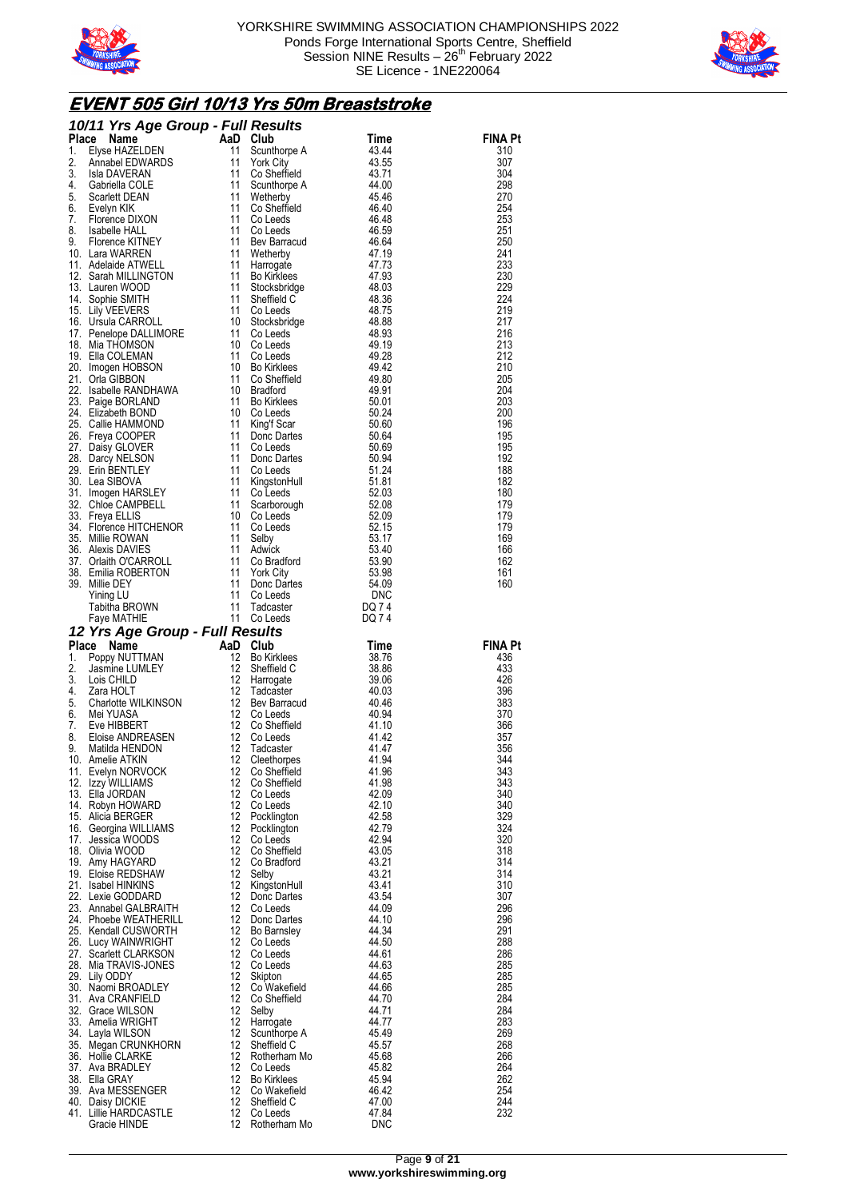



# **EVENT 505 Girl 10/13 Yrs 50m Breaststroke**

| 10/11 Yrs Age Group - Full Results                                                                                                                                                                                                                                                                 |          |                                                                                                                                            |                         |                       |
|----------------------------------------------------------------------------------------------------------------------------------------------------------------------------------------------------------------------------------------------------------------------------------------------------|----------|--------------------------------------------------------------------------------------------------------------------------------------------|-------------------------|-----------------------|
|                                                                                                                                                                                                                                                                                                    |          |                                                                                                                                            |                         | <b>FINA Pt</b><br>310 |
|                                                                                                                                                                                                                                                                                                    |          |                                                                                                                                            |                         | 307                   |
|                                                                                                                                                                                                                                                                                                    |          |                                                                                                                                            |                         | 304                   |
|                                                                                                                                                                                                                                                                                                    |          |                                                                                                                                            |                         | 298                   |
|                                                                                                                                                                                                                                                                                                    |          |                                                                                                                                            |                         | 270<br>254            |
|                                                                                                                                                                                                                                                                                                    |          |                                                                                                                                            |                         | 253                   |
|                                                                                                                                                                                                                                                                                                    |          |                                                                                                                                            |                         | 251                   |
|                                                                                                                                                                                                                                                                                                    |          |                                                                                                                                            |                         | 250                   |
|                                                                                                                                                                                                                                                                                                    |          |                                                                                                                                            |                         | 241<br>233            |
|                                                                                                                                                                                                                                                                                                    |          |                                                                                                                                            |                         | 230                   |
|                                                                                                                                                                                                                                                                                                    |          |                                                                                                                                            |                         | 229                   |
|                                                                                                                                                                                                                                                                                                    |          |                                                                                                                                            |                         | 224<br>219            |
|                                                                                                                                                                                                                                                                                                    |          |                                                                                                                                            |                         | 217                   |
|                                                                                                                                                                                                                                                                                                    |          |                                                                                                                                            |                         | 216                   |
|                                                                                                                                                                                                                                                                                                    |          |                                                                                                                                            |                         | 213                   |
|                                                                                                                                                                                                                                                                                                    |          |                                                                                                                                            |                         | 212<br>210            |
|                                                                                                                                                                                                                                                                                                    |          |                                                                                                                                            |                         | 205                   |
|                                                                                                                                                                                                                                                                                                    |          |                                                                                                                                            |                         | 204                   |
|                                                                                                                                                                                                                                                                                                    |          |                                                                                                                                            |                         | 203<br>200            |
|                                                                                                                                                                                                                                                                                                    |          |                                                                                                                                            |                         | 196                   |
|                                                                                                                                                                                                                                                                                                    |          |                                                                                                                                            |                         | 195                   |
|                                                                                                                                                                                                                                                                                                    |          |                                                                                                                                            |                         | 195                   |
|                                                                                                                                                                                                                                                                                                    |          |                                                                                                                                            |                         | 192<br>188            |
|                                                                                                                                                                                                                                                                                                    |          |                                                                                                                                            |                         | 182                   |
|                                                                                                                                                                                                                                                                                                    |          |                                                                                                                                            |                         | 180                   |
|                                                                                                                                                                                                                                                                                                    |          |                                                                                                                                            |                         | 179                   |
|                                                                                                                                                                                                                                                                                                    |          |                                                                                                                                            |                         | 179<br>179            |
|                                                                                                                                                                                                                                                                                                    |          |                                                                                                                                            |                         | 169                   |
|                                                                                                                                                                                                                                                                                                    |          |                                                                                                                                            |                         | 166                   |
|                                                                                                                                                                                                                                                                                                    |          |                                                                                                                                            |                         | 162<br>161            |
|                                                                                                                                                                                                                                                                                                    |          |                                                                                                                                            |                         | 160                   |
|                                                                                                                                                                                                                                                                                                    |          |                                                                                                                                            |                         |                       |
|                                                                                                                                                                                                                                                                                                    |          |                                                                                                                                            |                         |                       |
|                                                                                                                                                                                                                                                                                                    |          |                                                                                                                                            |                         |                       |
|                                                                                                                                                                                                                                                                                                    |          |                                                                                                                                            |                         |                       |
|                                                                                                                                                                                                                                                                                                    |          |                                                                                                                                            |                         | <b>FINA Pt</b>        |
| 10/11 Vrs Age Group - Full Results<br>10/11 Vrs Age Group - Full Results<br>11 Southwear Three Manney and Sunday Time<br>11 Southweak 43.45<br>11 Southweak 44.48<br>4. Gabrella COLE 11 View Sheffield<br>6. Gabrella COLE 11 Southweak 4                                                         |          |                                                                                                                                            | Time<br>38.76           | 436                   |
|                                                                                                                                                                                                                                                                                                    |          |                                                                                                                                            |                         | 433                   |
|                                                                                                                                                                                                                                                                                                    |          |                                                                                                                                            | ی دی<br>38.86<br>39.06  | 426                   |
|                                                                                                                                                                                                                                                                                                    |          |                                                                                                                                            | 40.03<br>- 40.46        | 396<br>383            |
|                                                                                                                                                                                                                                                                                                    |          | <b>BSUITS</b><br><b>Club</b><br>Bo Kirklees<br>Sheffield C<br>Harrogate<br>Tadcaster<br>Bev Barracud<br>Collected<br>Collected<br>Co Leeds | 40.94                   | 370                   |
|                                                                                                                                                                                                                                                                                                    |          |                                                                                                                                            |                         | 366                   |
|                                                                                                                                                                                                                                                                                                    |          | Co Leeds                                                                                                                                   | 41.10<br>41.42<br>41.47 | 357<br>356            |
| Faye MATHIE<br><b>12 Yrs Age Group - Full Results<br/> Place Name LUMLEY<br/> 1. Poppy NUTTMAN<br/> 1. Poppy NUTTMAN<br/> 1. Stars HOLIT<br/> 1. Stars HOLIT<br/> 1. Lois CHILD<br/> 1. Consequence 12 Talcaster<br/> 5. Charlotte WILKINSON<br/> 6. Mei YUASA<br/> 7. Eve</b><br>10. Amelie ATKIN |          | Co Sheffield<br>Co Leeds<br>Tadcaster<br>12 Cleethorpes                                                                                    | 41.94                   | 344                   |
| 11. Evelyn NORVOCK                                                                                                                                                                                                                                                                                 | 12       | Co Sheffield                                                                                                                               | 41.96                   | 343                   |
| 12. Izzy WILLIAMS                                                                                                                                                                                                                                                                                  | 12       | Co Sheffield                                                                                                                               | 41.98                   | 343                   |
| 13. Ella JORDAN<br>14. Robyn HOWARD                                                                                                                                                                                                                                                                | 12       | Co Leeds<br>12 Co Leeds                                                                                                                    | 42.09<br>42.10          | 340<br>340            |
| 15. Alicia BERGER                                                                                                                                                                                                                                                                                  | 12       | Pocklington                                                                                                                                | 42.58                   | 329                   |
| 16. Georgina WILLIAMS                                                                                                                                                                                                                                                                              |          | 12 Pocklington                                                                                                                             | 42.79                   | 324                   |
| 17. Jessica WOODS                                                                                                                                                                                                                                                                                  | 12<br>12 | Co Leeds                                                                                                                                   | 42.94                   | 320                   |
| 18. Olivia WOOD<br>19. Amy HAGYARD                                                                                                                                                                                                                                                                 | 12       | Co Sheffield<br>Co Bradford                                                                                                                | 43.05<br>43.21          | 318<br>314            |
| 19. Eloise REDSHAW                                                                                                                                                                                                                                                                                 | 12       | Selby                                                                                                                                      | 43.21                   | 314                   |
| 21. Isabel HINKINS                                                                                                                                                                                                                                                                                 | 12       | KingstonHull                                                                                                                               | 43.41                   | 310                   |
| 22. Lexie GODDARD<br>23. Annabel GALBRAITH                                                                                                                                                                                                                                                         | 12       | Donc Dartes<br>12 Co Leeds                                                                                                                 | 43.54<br>44.09          | 307<br>296            |
| 24. Phoebe WEATHERILL                                                                                                                                                                                                                                                                              | 12       | Donc Dartes                                                                                                                                | 44.10                   | 296                   |
| 25. Kendall CUSWORTH                                                                                                                                                                                                                                                                               |          | 12 Bo Barnsley                                                                                                                             | 44.34                   | 291                   |
| 26. Lucy WAINWRIGHT                                                                                                                                                                                                                                                                                |          | 12 Co Leeds                                                                                                                                | 44.50<br>44.61          | 288<br>286            |
| 27. Scarlett CLARKSON<br>28. Mia TRAVIS-JONES                                                                                                                                                                                                                                                      | 12       | 12 Co Leeds<br>Co Leeds                                                                                                                    | 44.63                   | 285                   |
| 29. Lily ODDY                                                                                                                                                                                                                                                                                      | 12       | Skipton                                                                                                                                    | 44.65                   | 285                   |
| 30. Naomi BROADLEY                                                                                                                                                                                                                                                                                 | 12<br>12 | Co Wakefield<br>Co Sheffield                                                                                                               | 44.66<br>44.70          | 285                   |
| 31. Ava CRANFIELD<br>32. Grace WILSON                                                                                                                                                                                                                                                              | 12       | Selby                                                                                                                                      | 44.71                   | 284<br>284            |
| 33. Amelia WRIGHT                                                                                                                                                                                                                                                                                  | 12       | Harrogate                                                                                                                                  | 44.77                   | 283                   |
| 34. Layla WILSON                                                                                                                                                                                                                                                                                   | 12       | Scunthorpe A                                                                                                                               | 45.49                   | 269                   |
| 35. Megan CRUNKHORN<br>36. Hollie CLARKE                                                                                                                                                                                                                                                           | 12<br>12 | Sheffield C<br>Rotherham Mo                                                                                                                | 45.57<br>45.68          | 268<br>266            |
| 37. Ava BRADLEY                                                                                                                                                                                                                                                                                    |          | 12 Co Leeds                                                                                                                                | 45.82                   | 264                   |
| 38. Ella GRAY                                                                                                                                                                                                                                                                                      |          | 12 Bo Kirklees                                                                                                                             | 45.94                   | 262                   |
| 39. Ava MESSENGER                                                                                                                                                                                                                                                                                  | 12<br>12 | Co Wakefield                                                                                                                               | 46.42<br>47.00          | 254<br>244            |
| 40. Daisy DICKIE<br>41. Lillie HARDCASTLE<br>Gracie HINDE                                                                                                                                                                                                                                          | 12<br>12 | Sheffield C<br>Co Leeds<br>Rotherham Mo                                                                                                    | 47.84<br><b>DNC</b>     | 232                   |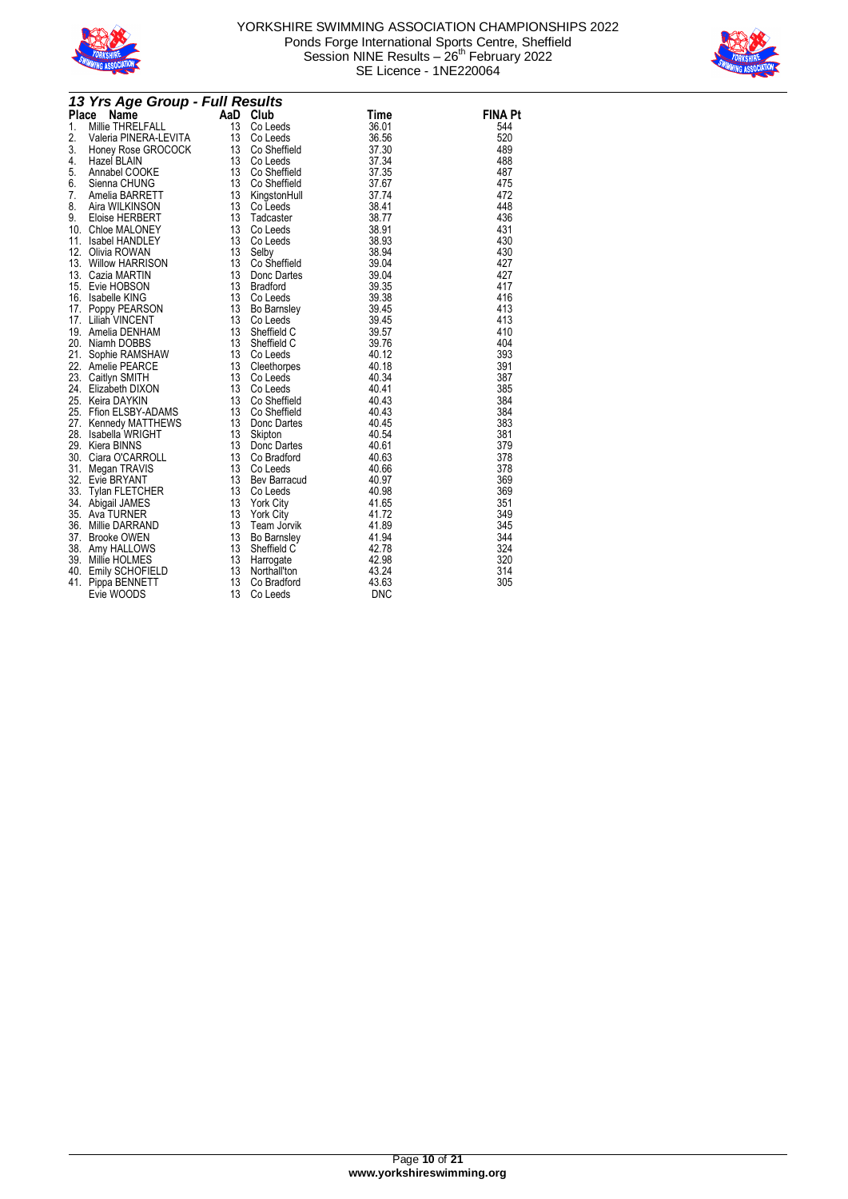



|                  | 13 Yrs Age Group - Full Results                                                                                                                                                                                                                         |    |                                               |                                                                                                                                                                      |                |
|------------------|---------------------------------------------------------------------------------------------------------------------------------------------------------------------------------------------------------------------------------------------------------|----|-----------------------------------------------|----------------------------------------------------------------------------------------------------------------------------------------------------------------------|----------------|
|                  | Place<br><b>Name</b>                                                                                                                                                                                                                                    |    | AaD Club                                      | <b>Time</b>                                                                                                                                                          | <b>FINA Pt</b> |
| 1.               | Millie THRELFALL                                                                                                                                                                                                                                        | 13 | Co Leeds                                      | 36.01                                                                                                                                                                | 544            |
| $\overline{2}$ . | Valeria PINERA-LEVITA 13                                                                                                                                                                                                                                |    | Co Leeds                                      | 36.56                                                                                                                                                                | 520            |
| 3.               |                                                                                                                                                                                                                                                         |    |                                               | 37.30                                                                                                                                                                | 489            |
| 4.               |                                                                                                                                                                                                                                                         |    |                                               | 37.34                                                                                                                                                                | 488            |
| 5.               |                                                                                                                                                                                                                                                         |    | Co Sheffield                                  | 37.35                                                                                                                                                                | 487            |
| 6.               | France Records<br>Hazel BLAIN<br>Hazel BLAIN<br>Annabel COOKE<br>Sienna CHUNG<br>Amelia BARRETT<br>The Cooke Cooke Cooke<br>The Cooke Cooke<br>The Cooke Cooke<br>The Cooke Cooke<br>The Cooke Cooke<br>The Cooke Cooke<br>The Cooke Cooke<br>The Cooke |    |                                               | 37.67                                                                                                                                                                | 475            |
|                  | o Seinia Chronic<br>7. Amelia BARRETT<br>8. Aira WILKINSON<br>9. Eloise HERBERT<br>10. Chloe MALONEY                                                                                                                                                    | 13 | KingstonHull                                  | 37.74                                                                                                                                                                | 472            |
|                  |                                                                                                                                                                                                                                                         | 13 | Co Leeds                                      | $38.41$<br>$38.77$<br>$38.91$<br>Co Leeds<br>Tadcaster 38.77<br>Co Leeds 38.91<br>Co Leeds 38.93<br>Selby 38.94<br>Co Sheffield 39.04<br>Co Sheffield 39.04<br>29.94 | 448            |
|                  |                                                                                                                                                                                                                                                         | 13 |                                               |                                                                                                                                                                      | 436            |
|                  |                                                                                                                                                                                                                                                         | 13 |                                               |                                                                                                                                                                      | 431            |
|                  | 11. Isabel HANDLEY                                                                                                                                                                                                                                      | 13 |                                               |                                                                                                                                                                      | 430            |
| 12.              | Olivia ROWAN                                                                                                                                                                                                                                            | 13 |                                               |                                                                                                                                                                      | 430            |
|                  | 13.   Willow HARRISON<br>13.   Cazia MARTIN                                                                                                                                                                                                             | 13 |                                               |                                                                                                                                                                      | 427            |
|                  |                                                                                                                                                                                                                                                         | 13 |                                               |                                                                                                                                                                      | 427            |
|                  | 15. Evie HOBSON                                                                                                                                                                                                                                         | 13 | <b>Co</b> Stremere<br>Donc Dartes<br>Bradford | $39.35$<br>$39.38$<br>$39.45$                                                                                                                                        | 417            |
|                  | 16. Isabelle KING                                                                                                                                                                                                                                       | 13 | Co Leeds                                      |                                                                                                                                                                      | 416            |
|                  |                                                                                                                                                                                                                                                         | 13 |                                               |                                                                                                                                                                      | 413            |
|                  | <b>10. ISBN 9768</b><br>17. Liliah VINCENT<br>19. Liliah VINCENT<br>19. Amelia DENHAM<br>20. Niamh DOBBS                                                                                                                                                | 13 | Co Leeds<br>Bo Barnsley<br>Co Leeds           | $\begin{array}{c} 39.45 \\ 39.57 \\ 39.76 \end{array}$                                                                                                               | 413            |
|                  |                                                                                                                                                                                                                                                         | 13 |                                               |                                                                                                                                                                      | 410            |
|                  |                                                                                                                                                                                                                                                         | 13 |                                               |                                                                                                                                                                      | 404            |
| 21.              | Sophie RAMSHAW                                                                                                                                                                                                                                          | 13 | Sheffield C<br>Sheffield C<br>Co Leeds        | 40.12                                                                                                                                                                | 393            |
|                  | 22. Amelie PEARCE<br>23. Caitlyn SMITH<br>24. Elizabeth DIXON<br>25. Keira DAYKIN<br>25. Ffion ELSBY-ADAMS                                                                                                                                              | 13 | Cleethorpes<br>Co Leeds                       | 40.18<br>40.18<br>40.34                                                                                                                                              | 391            |
|                  |                                                                                                                                                                                                                                                         | 13 |                                               |                                                                                                                                                                      | 387            |
|                  |                                                                                                                                                                                                                                                         | 13 | Co Leeds                                      | 40.41                                                                                                                                                                | 385            |
|                  |                                                                                                                                                                                                                                                         | 13 | Co Sheffield                                  | 40.43                                                                                                                                                                | 384            |
|                  |                                                                                                                                                                                                                                                         | 13 | Co Sheffield                                  | 40.43                                                                                                                                                                | 384            |
|                  | 27. Kennedy MATTHEWS<br>28. Isabella WRIGHT<br>29. Kiera BINNS<br>31. Megan TPANIC                                                                                                                                                                      | 13 | Donc Dartes                                   | 40.45                                                                                                                                                                | 383            |
|                  |                                                                                                                                                                                                                                                         | 13 | Skipton                                       | 40.54                                                                                                                                                                | 381            |
|                  |                                                                                                                                                                                                                                                         | 13 | Donc Dartes                                   | 40.61                                                                                                                                                                | 379            |
|                  |                                                                                                                                                                                                                                                         | 13 | Co Bradford                                   | 40.63                                                                                                                                                                | 378            |
| 31.              | Megan TRAVIS                                                                                                                                                                                                                                            | 13 | Co Leeds                                      | 40.66<br>40.97                                                                                                                                                       | 378            |
|                  | 32. Evie BRYANT                                                                                                                                                                                                                                         | 13 | Bev Barracud                                  |                                                                                                                                                                      | 369            |
|                  | 32. Evie District.<br>33. Tylan FLETCHER<br>24. Ahigail JAMES                                                                                                                                                                                           | 13 | Co Leeds                                      | 40.98                                                                                                                                                                | 369            |
|                  |                                                                                                                                                                                                                                                         | 13 | York City                                     | 41.65                                                                                                                                                                | 351            |
|                  | 35. Ava TURNER                                                                                                                                                                                                                                          | 13 | York City<br>Team Jorvik                      | 41.72                                                                                                                                                                | 349            |
|                  | 36. Millie DARRAND                                                                                                                                                                                                                                      | 13 |                                               | 41.89                                                                                                                                                                | 345            |
|                  | 37. Brooke OWEN                                                                                                                                                                                                                                         | 13 | Bo Barnsley                                   | 41.94                                                                                                                                                                | 344            |
|                  | 38. Amy HALLOWS                                                                                                                                                                                                                                         | 13 | Sheffield C                                   | 42.78                                                                                                                                                                | 324            |
|                  | 39. Millie HOLMES                                                                                                                                                                                                                                       | 13 | Harrogate                                     | 42.98                                                                                                                                                                | 320            |
|                  | 40. Emily SCHOFIELD                                                                                                                                                                                                                                     | 13 | Northall'ton                                  | 43.24                                                                                                                                                                | 314            |
|                  | 41. Pippa BENNETT                                                                                                                                                                                                                                       | 13 | Co Bradford                                   | 43.63                                                                                                                                                                | 305            |
|                  | Evie WOODS                                                                                                                                                                                                                                              | 13 | Co Leeds                                      | <b>DNC</b>                                                                                                                                                           |                |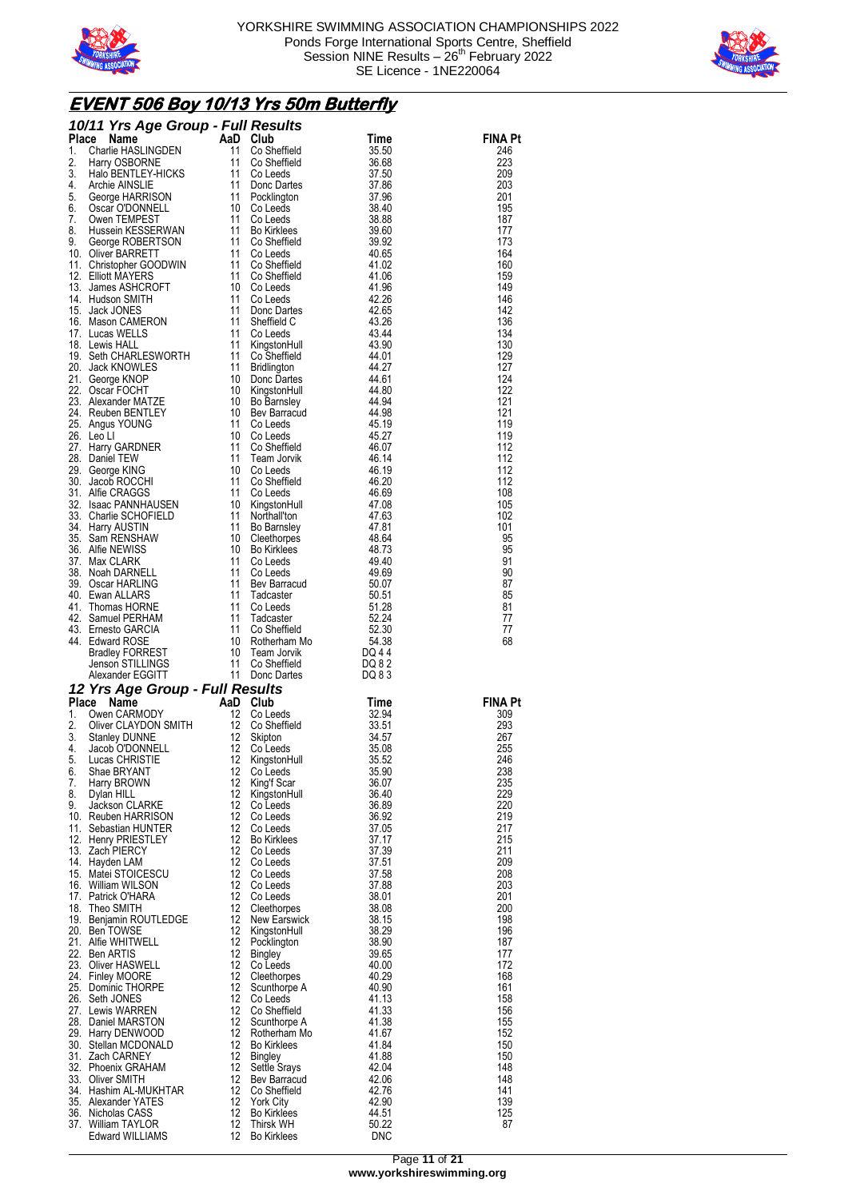



# **EVENT 506 Boy 10/13 Yrs 50m Butterfly**

|                      | 10/11 Yrs Age Group - Full Results                                                                                                                                                                                                                        |                |                                                                 |                                           |                       |
|----------------------|-----------------------------------------------------------------------------------------------------------------------------------------------------------------------------------------------------------------------------------------------------------|----------------|-----------------------------------------------------------------|-------------------------------------------|-----------------------|
|                      |                                                                                                                                                                                                                                                           |                |                                                                 |                                           | <b>FINA Pt</b><br>246 |
|                      |                                                                                                                                                                                                                                                           |                |                                                                 |                                           | 223                   |
|                      |                                                                                                                                                                                                                                                           |                |                                                                 |                                           | 209                   |
|                      |                                                                                                                                                                                                                                                           |                |                                                                 |                                           | 203<br>201            |
|                      |                                                                                                                                                                                                                                                           |                |                                                                 |                                           | 195                   |
|                      |                                                                                                                                                                                                                                                           |                |                                                                 |                                           | 187                   |
|                      |                                                                                                                                                                                                                                                           |                |                                                                 |                                           | 177<br>173            |
|                      |                                                                                                                                                                                                                                                           |                |                                                                 |                                           | 164                   |
|                      |                                                                                                                                                                                                                                                           |                |                                                                 |                                           | 160                   |
|                      |                                                                                                                                                                                                                                                           |                |                                                                 |                                           | 159<br>149            |
|                      |                                                                                                                                                                                                                                                           |                |                                                                 |                                           | 146                   |
|                      |                                                                                                                                                                                                                                                           |                |                                                                 |                                           | 142                   |
|                      |                                                                                                                                                                                                                                                           |                |                                                                 |                                           | 136                   |
|                      |                                                                                                                                                                                                                                                           |                |                                                                 |                                           | 134<br>130            |
|                      |                                                                                                                                                                                                                                                           |                |                                                                 |                                           | 129                   |
|                      |                                                                                                                                                                                                                                                           |                |                                                                 |                                           | 127                   |
|                      |                                                                                                                                                                                                                                                           |                |                                                                 |                                           | 124<br>122            |
|                      |                                                                                                                                                                                                                                                           |                |                                                                 |                                           | 121                   |
|                      |                                                                                                                                                                                                                                                           |                |                                                                 |                                           | 121                   |
|                      |                                                                                                                                                                                                                                                           |                |                                                                 |                                           | 119<br>119            |
|                      |                                                                                                                                                                                                                                                           |                |                                                                 |                                           | 112                   |
|                      |                                                                                                                                                                                                                                                           |                |                                                                 |                                           | 112                   |
|                      |                                                                                                                                                                                                                                                           |                |                                                                 |                                           | 112                   |
|                      |                                                                                                                                                                                                                                                           |                |                                                                 |                                           | 112<br>108            |
|                      |                                                                                                                                                                                                                                                           |                |                                                                 |                                           | 105                   |
|                      |                                                                                                                                                                                                                                                           |                |                                                                 |                                           | 102                   |
|                      |                                                                                                                                                                                                                                                           |                |                                                                 |                                           | 101<br>95             |
|                      |                                                                                                                                                                                                                                                           |                |                                                                 |                                           | 95                    |
|                      |                                                                                                                                                                                                                                                           |                |                                                                 |                                           | 91                    |
|                      |                                                                                                                                                                                                                                                           |                |                                                                 |                                           | 90                    |
|                      |                                                                                                                                                                                                                                                           |                |                                                                 |                                           | 87<br>85              |
|                      |                                                                                                                                                                                                                                                           |                |                                                                 |                                           | 81                    |
|                      |                                                                                                                                                                                                                                                           |                |                                                                 |                                           | 77                    |
|                      |                                                                                                                                                                                                                                                           |                |                                                                 |                                           | 77<br>68              |
|                      |                                                                                                                                                                                                                                                           |                |                                                                 |                                           |                       |
|                      |                                                                                                                                                                                                                                                           |                |                                                                 |                                           |                       |
|                      |                                                                                                                                                                                                                                                           |                |                                                                 |                                           |                       |
|                      |                                                                                                                                                                                                                                                           |                |                                                                 |                                           |                       |
|                      | 12 Yrs Age Group - Full Results                                                                                                                                                                                                                           |                |                                                                 |                                           |                       |
|                      | 10/11 Vrs Agre Group - Full Results<br>10/11 Vrs Agre Group - Full Results<br>11 Charles HALINGUEN<br>11 Co Sheffield<br>11 Co Sheffield<br>4. Archie ANLINGUEN<br>5. George HARRISON<br>5. George HARRISON<br>5. George HARRISON<br>6. George H<br>Place | AaD Club       |                                                                 | Time                                      | <b>FINA Pt</b>        |
|                      |                                                                                                                                                                                                                                                           |                |                                                                 | 32.94                                     | 309<br>293            |
|                      |                                                                                                                                                                                                                                                           |                |                                                                 |                                           | 267                   |
| 1.<br>2.<br>3.<br>4. | <b>COMPRESS THE CONSUMING THE CONSUMING THE CONSUMING SERVICE AND SERVE AND SERVE AND SERVE ALL ON SERVE AND SERVE AND SERVE AND SERVE AND SERVE AND SERVE AND SERVE AND SERVE AND SERVE A SERVE AND SERVE A SERVE A SERVE AND S</b>                      |                | SUITS<br>Club<br>Co Leeds<br>Co Sheffield<br>Skipton<br>Cinedas | 24.94<br>33.51<br>34.57<br>35.02<br>35.08 | 255                   |
|                      | 5. Lucas CHRISTIE<br>Shae BRYANT                                                                                                                                                                                                                          | 12             | 12 KingstonHull<br>Co Leeds                                     | 35.52<br>35.90                            | 246<br>238            |
|                      | 7. Harry BROWN                                                                                                                                                                                                                                            | 12             | King'f Scar                                                     | 36.07                                     | 235                   |
|                      | 8. Dylan HILL                                                                                                                                                                                                                                             | 12             | KingstonHull                                                    | 36.40                                     | 229                   |
|                      | Jackson CLARKE                                                                                                                                                                                                                                            | 12<br>12       | Co Leeds                                                        | 36.89                                     | 220                   |
| 6.<br>9.             | 10. Reuben HARRISON<br>11. Sebastian HUNTER                                                                                                                                                                                                               |                | Co Leeds<br>12 Co Leeds                                         | 36.92<br>37.05                            | 219<br>217            |
|                      | 12. Henry PRIESTLEY                                                                                                                                                                                                                                       | 12             | <b>Bo Kirklees</b>                                              | 37.17                                     | 215                   |
|                      | 13. Zach PIERCY                                                                                                                                                                                                                                           | 12             | Co Leeds                                                        | 37.39                                     | 211                   |
|                      | 14. Hayden LAM<br>15. Matei STOICESCU                                                                                                                                                                                                                     | 12<br>12       | Co Leeds<br>Co Leeds                                            | 37.51<br>37.58                            | 209<br>208            |
|                      | 16. William WILSON                                                                                                                                                                                                                                        | 12             | Co Leeds                                                        | 37.88                                     | 203                   |
|                      | 17. Patrick O'HARA                                                                                                                                                                                                                                        | 12             | Co Leeds                                                        | 38.01                                     | 201                   |
|                      | 18. Theo SMITH<br>19. Benjamin ROUTLEDGE                                                                                                                                                                                                                  | 12<br>12       | Cleethorpes<br>New Earswick                                     | 38.08<br>38.15                            | 200<br>198            |
|                      | 20. Ben TOWSE                                                                                                                                                                                                                                             | 12             | KingstonHull                                                    | 38.29                                     | 196                   |
|                      | 21. Alfie WHITWELL                                                                                                                                                                                                                                        | 12             | Pocklington                                                     | 38.90                                     | 187                   |
|                      | 22. Ben ARTIS                                                                                                                                                                                                                                             | 12             | <b>Bingley</b>                                                  | 39.65                                     | 177                   |
|                      | 23. Oliver HASWELL<br>24. Finley MOORE                                                                                                                                                                                                                    | 12<br>12       | Co Leeds<br>Cleethorpes                                         | 40.00<br>40.29                            | 172<br>168            |
|                      | 25. Dominic THORPE                                                                                                                                                                                                                                        | 12             | Scunthorpe A                                                    | 40.90                                     | 161                   |
|                      | 26. Seth JONES                                                                                                                                                                                                                                            | 12             | Co Leeds                                                        | 41.13                                     | 158                   |
|                      | 27.   Lewis WARREN<br>28. Daniel MARSTON                                                                                                                                                                                                                  | 12<br>12       | Co Sheffield<br>Scunthorpe A                                    | 41.33<br>41.38                            | 156<br>155            |
|                      | 29. Harry DENWOOD                                                                                                                                                                                                                                         | 12             | Rotherham Mo                                                    | 41.67                                     | 152                   |
|                      | 30. Stellan MCDONALD                                                                                                                                                                                                                                      | 12             | <b>Bo Kirklees</b>                                              | 41.84                                     | 150                   |
|                      | 31. Zach CARNEY<br>32. Phoenix GRAHAM                                                                                                                                                                                                                     | 12<br>12       | <b>Bingley</b><br>Settle Srays                                  | 41.88<br>42.04                            | 150<br>148            |
|                      | 33. Oliver SMITH                                                                                                                                                                                                                                          | 12             | Bev Barracud                                                    | 42.06                                     | 148                   |
|                      | 34.   Hashim AL-MUKHTAR                                                                                                                                                                                                                                   | 12             | Co Sheffield                                                    | 42.76                                     | 141                   |
|                      | 35. Alexander YATES                                                                                                                                                                                                                                       | 12             | York City                                                       | 42.90                                     | 139                   |
|                      | 36. Nicholas CASS<br>37. William TAYLOR<br>Edward WILLIAMS                                                                                                                                                                                                | 12<br>12<br>12 | <b>Bo Kirklees</b><br>Thirsk WH<br><b>Bo Kirklees</b>           | 44.51<br>50.22<br><b>DNC</b>              | 125<br>87             |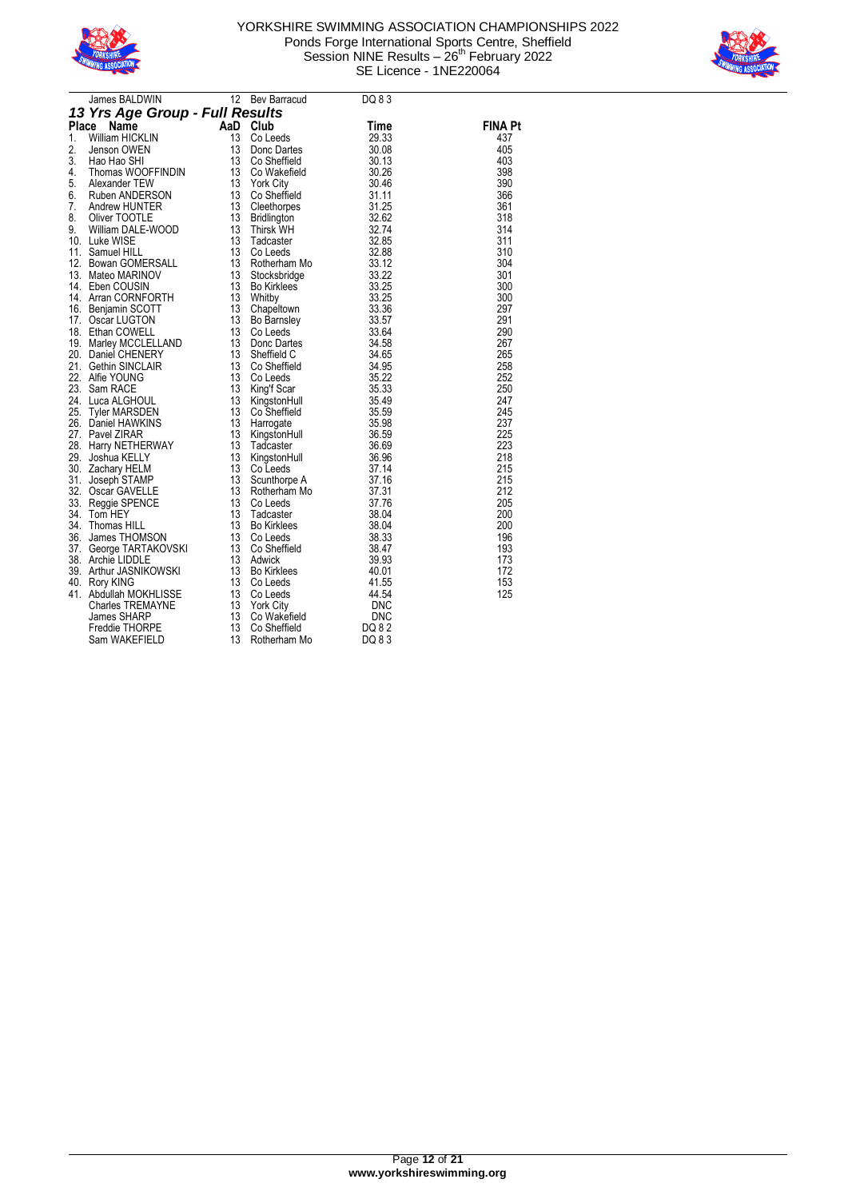



|       | James BALDWIN                                                            | 12  | Bev Barracud       | DQ 83      |                |
|-------|--------------------------------------------------------------------------|-----|--------------------|------------|----------------|
|       | 13 Yrs Age Group - Full Results                                          |     |                    |            |                |
| Place | Name                                                                     | AaD | Club               | Time       | <b>FINA Pt</b> |
| 1.    | William HICKLIN                                                          | 13  | Co Leeds           | 29.33      | 437            |
| 2.    | Jenson OWEN                                                              | 13  | Donc Dartes        | 30.08      | 405            |
| 3.    | Hao Hao SHI                                                              | 13  | Co Sheffield       | 30.13      | 403            |
| 4.    | Thomas WOOFFINDIN                                                        | 13  | Co Wakefield       | 30.26      | 398            |
| 5.    | Alexander TEW                                                            | 13  | York City          | 30.46      | 390            |
| 6.    | Ruben ANDERSON                                                           | 13  | Co Sheffield       | 31.11      | 366            |
| 7.    | Andrew HUNTER                                                            | 13  | Cleethorpes        | 31.25      | 361            |
| 8.    | Oliver TOOTLE                                                            | 13  | Bridlington        | 32.62      | 318            |
| 9.    | William DALE-WOOD                                                        | 13  | Thirsk WH          | 32.74      | 314            |
|       | 10. Luke WISE                                                            | 13  | Tadcaster          | 32.85      | 311            |
| 11.   | Samuel HILL                                                              | 13  | Co Leeds           | 32.88      | 310            |
|       |                                                                          | 13  | Rotherham Mo       | 33.12      | 304            |
|       | 11. Samu <del>er m.</del><br>12. Bowan GOMERSALL<br>13. Meton MARINOV    | 13  | Stocksbridge       | 33.22      | 301            |
|       | 14. Eben COUSIN                                                          | 13  | <b>Bo Kirklees</b> | 33.25      | 300            |
|       | 14. Arran CORNFORTH                                                      | 13  | Whitby             | 33.25      | 300            |
|       | 16. Benjamin SCOTT                                                       | 13  | Chapeltown         | 33.36      | 297            |
| 17.   | Oscar LUGTON                                                             | 13  | Bo Barnsley        | 33.57      | 291            |
|       | 18. Ethan COWELL                                                         | 13  | Co Leeds           | 33.64      | 290            |
|       | 19. Marley MCCLELLAND                                                    | 13  | Donc Dartes        | 34.58      | 267            |
|       | 20. Daniel CHENERY                                                       | 13  | Sheffield C        | 34.65      | 265            |
|       | 21. Gethin SINCLAIR                                                      | 13  | Co Sheffield       | 34.95      | 258            |
| 22.   | Alfie YOUNG                                                              | 13  | Co Leeds           | 35.22      | 252            |
|       | 23. Sam RACE                                                             | 13  | King'f Scar        | 35.33      | 250            |
|       | 24. Luca ALGHOUL<br>25. Tyler MARSDEN<br>26. Daniel HAWKINS              | 13  | KingstonHull       | 35.49      | 247            |
|       |                                                                          | 13  | Co Sheffield       | 35.59      | 245            |
|       |                                                                          | 13  | Harrogate          | 35.98      | 237            |
| 27.   | Pavel ZIRAR                                                              | 13  | KingstonHull       | 36.59      | 225            |
|       | 28. Harry NETHERWAY                                                      | 13  | Tadcaster          | 36.69      | 223            |
| 29.   | Joshua KELLY                                                             | 13  | KingstonHull       | 36.96      | 218            |
|       | 30. Zachary HELM                                                         | 13  | Co Leeds           | 37.14      | 215            |
| 31.   |                                                                          | 13  | Scunthorpe A       | 37.16      | 215            |
|       | 32. Oscar GAVELLE                                                        | 13  | Rotherham Mo       | 37.31      | 212            |
| 33.   | <b>Luciary HELM<br/>Joseph STAMP<br/>Oscar GAVELLE<br/>Reggie SPENOT</b> | 13  | Co Leeds           | 37.76      | 205            |
| 34.   | Tom HEY                                                                  | 13  | Tadcaster          | 38.04      | 200            |
| 34.   | Thomas HILL                                                              | 13  | Bo Kirklees        | 38.04      | 200            |
| 36.   | James THOMSON                                                            | 13  | Co Leeds           | 38.33      | 196            |
|       | 37. George TARTAKOVSKI                                                   | 13  | Co Sheffield       | 38.47      | 193            |
|       | 38. Archie LIDDLE                                                        | 13  | Adwick             | 39.93      | 173            |
|       | 39. Arthur JASNIKOWSKI                                                   | 13  | <b>Bo Kirklees</b> | 40.01      | 172            |
| 40.   | <b>Rory KING</b>                                                         | 13  | Co Leeds           | 41.55      | 153            |
|       | 41. Abdullah MOKHLISSE                                                   | 13  | Co Leeds           | 44.54      | 125            |
|       | Charles TREMAYNE                                                         | 13  | <b>York City</b>   | <b>DNC</b> |                |
|       | James SHARP                                                              | 13  | Co Wakefield       | DNC        |                |
|       | Freddie THORPE                                                           | 13  | Co Sheffield       | DQ 82      |                |
|       | Sam WAKEFIELD                                                            | 13  | Rotherham Mo       | DQ 83      |                |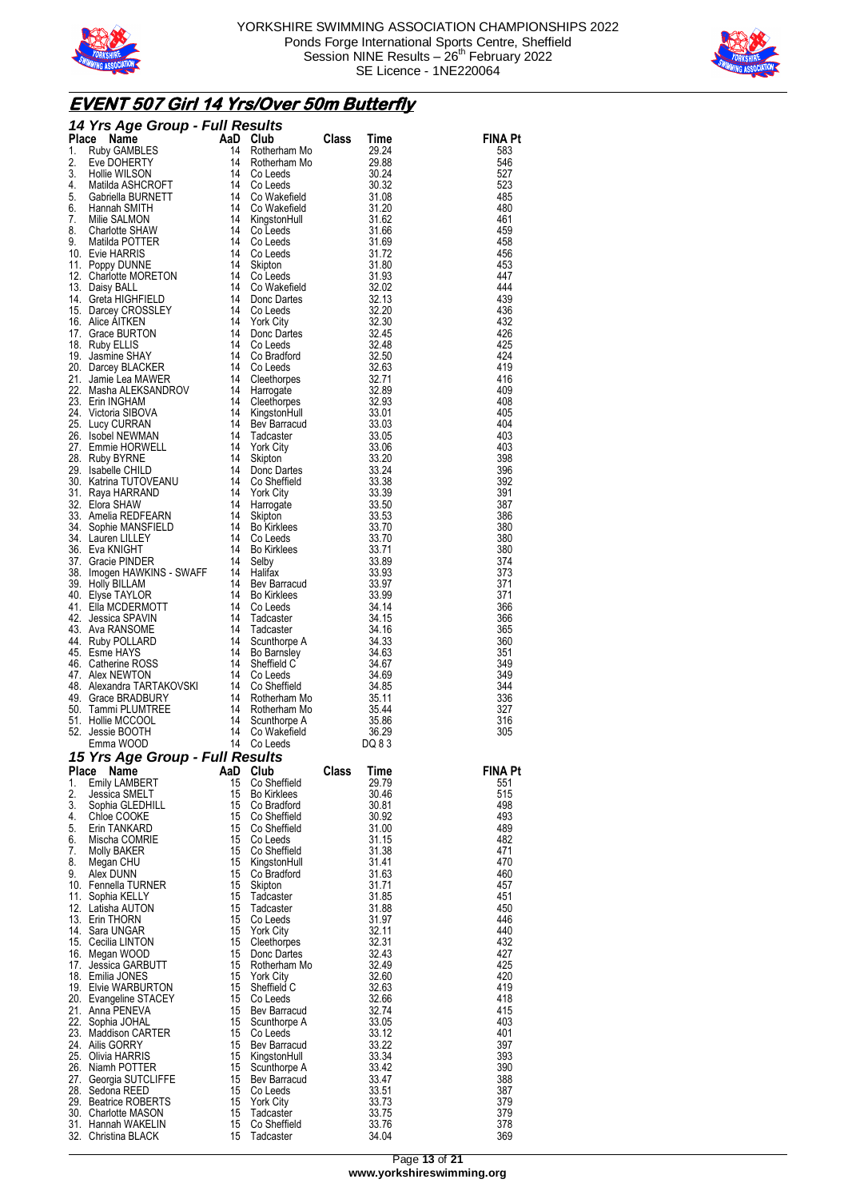



### **EVENT 507 Girl 14 Yrs/Over 50m Butterfly**

|          | 14 Vrs Agre Group - Full Results<br>14 Vrs Agre Group - Tell Results<br>1. Ruby CAMBLES<br>2. Eve DOHERTY 14 Rohenham Mo<br>2. Eve DOHERTY 14 Rohenham Mo<br>2. Eve DOHERTY 14 Rohenham Mo<br>2. Eve DOHERTY 14 Collects<br>4. Mailuda ASHCR |          |                                   |       |                |                       |
|----------|----------------------------------------------------------------------------------------------------------------------------------------------------------------------------------------------------------------------------------------------|----------|-----------------------------------|-------|----------------|-----------------------|
|          |                                                                                                                                                                                                                                              |          |                                   |       |                | <b>FINA Pt</b><br>583 |
|          |                                                                                                                                                                                                                                              |          |                                   |       |                | 546                   |
|          |                                                                                                                                                                                                                                              |          |                                   |       |                | 527                   |
|          |                                                                                                                                                                                                                                              |          |                                   |       |                | 523<br>485            |
|          |                                                                                                                                                                                                                                              |          |                                   |       |                | 480                   |
|          |                                                                                                                                                                                                                                              |          |                                   |       |                | 461                   |
|          |                                                                                                                                                                                                                                              |          |                                   |       |                | 459                   |
|          |                                                                                                                                                                                                                                              |          |                                   |       |                | 458<br>456            |
|          |                                                                                                                                                                                                                                              |          |                                   |       |                | 453                   |
|          |                                                                                                                                                                                                                                              |          |                                   |       |                | 447                   |
|          |                                                                                                                                                                                                                                              |          |                                   |       |                | 444<br>439            |
|          |                                                                                                                                                                                                                                              |          |                                   |       |                | 436                   |
|          |                                                                                                                                                                                                                                              |          |                                   |       |                | 432                   |
|          |                                                                                                                                                                                                                                              |          |                                   |       |                | 426<br>425            |
|          |                                                                                                                                                                                                                                              |          |                                   |       |                | 424                   |
|          |                                                                                                                                                                                                                                              |          |                                   |       |                | 419                   |
|          |                                                                                                                                                                                                                                              |          |                                   |       |                | 416                   |
|          |                                                                                                                                                                                                                                              |          |                                   |       |                | 409<br>408            |
|          |                                                                                                                                                                                                                                              |          |                                   |       |                | 405                   |
|          |                                                                                                                                                                                                                                              |          |                                   |       |                | 404                   |
|          |                                                                                                                                                                                                                                              |          |                                   |       |                | 403<br>403            |
|          |                                                                                                                                                                                                                                              |          |                                   |       |                | 398                   |
|          |                                                                                                                                                                                                                                              |          |                                   |       |                | 396                   |
|          |                                                                                                                                                                                                                                              |          |                                   |       |                | 392<br>391            |
|          |                                                                                                                                                                                                                                              |          |                                   |       |                | 387                   |
|          |                                                                                                                                                                                                                                              |          |                                   |       |                | 386                   |
|          |                                                                                                                                                                                                                                              |          |                                   |       |                | 380                   |
|          |                                                                                                                                                                                                                                              |          |                                   |       |                | 380<br>380            |
|          |                                                                                                                                                                                                                                              |          |                                   |       |                | 374                   |
|          |                                                                                                                                                                                                                                              |          |                                   |       |                | 373                   |
|          |                                                                                                                                                                                                                                              |          |                                   |       |                | 371<br>371            |
|          |                                                                                                                                                                                                                                              |          |                                   |       |                | 366                   |
|          |                                                                                                                                                                                                                                              |          |                                   |       |                | 366                   |
|          |                                                                                                                                                                                                                                              |          |                                   |       |                | 365<br>360            |
|          |                                                                                                                                                                                                                                              |          |                                   |       |                | 351                   |
|          |                                                                                                                                                                                                                                              |          |                                   |       |                | 349                   |
|          |                                                                                                                                                                                                                                              |          |                                   |       |                | 349<br>344            |
|          |                                                                                                                                                                                                                                              |          |                                   |       |                | 336                   |
|          |                                                                                                                                                                                                                                              |          |                                   |       |                | 327                   |
|          |                                                                                                                                                                                                                                              |          |                                   |       |                | 316                   |
|          |                                                                                                                                                                                                                                              |          |                                   |       |                | 305                   |
|          | 15 Yrs Age Group - Full Results                                                                                                                                                                                                              |          |                                   |       |                |                       |
|          | Place Name                                                                                                                                                                                                                                   | AaD Club |                                   | Class | Time           | <b>FINA Pt</b>        |
| 1.       | <b>Emily LAMBERT</b>                                                                                                                                                                                                                         | 15       | Co Sheffield                      |       | 29.79          | 551<br>515            |
| 2.<br>3. | Jessica SMELT<br>Sophia GLEDHILL                                                                                                                                                                                                             | 15<br>15 | <b>Bo Kirklees</b><br>Co Bradford |       | 30.46<br>30.81 | 498                   |
| 4.       | Chloe COOKE                                                                                                                                                                                                                                  | 15       | Co Sheffield                      |       | 30.92          | 493                   |
| 5.       | Erin TANKARD                                                                                                                                                                                                                                 | 15       | Co Sheffield                      |       | 31.00          | 489                   |
| 6.<br>7. | Mischa COMRIE<br>Molly BAKER                                                                                                                                                                                                                 | 15<br>15 | Co Leeds<br>Co Sheffield          |       | 31.15<br>31.38 | 482<br>471            |
| 8.       | Megan CHU                                                                                                                                                                                                                                    | 15       | KingstonHull                      |       | 31.41          | 470                   |
| 9.       | Alex DUNN                                                                                                                                                                                                                                    | 15       | Co Bradford                       |       | 31.63          | 460                   |
|          | 10. Fennella TURNER<br>11. Sophia KELLY                                                                                                                                                                                                      | 15<br>15 | Skipton<br>Tadcaster              |       | 31.71<br>31.85 | 457<br>451            |
|          | 12. Latisha AUTON                                                                                                                                                                                                                            | 15       | Tadcaster                         |       | 31.88          | 450                   |
|          | 13. Erin THORN                                                                                                                                                                                                                               | 15       | Co Leeds                          |       | 31.97          | 446                   |
|          | 14. Sara UNGAR                                                                                                                                                                                                                               | 15<br>15 | <b>York City</b>                  |       | 32.11<br>32.31 | 440<br>432            |
|          | 15. Cecilia LINTON<br>16. Megan WOOD                                                                                                                                                                                                         | 15       | Cleethorpes<br>Donc Dartes        |       | 32.43          | 427                   |
|          | 17.   Jessica GARBUTT                                                                                                                                                                                                                        | 15       | Rotherham Mo                      |       | 32.49          | 425                   |
|          | 18. Emilia JONES                                                                                                                                                                                                                             | 15       | York City                         |       | 32.60          | 420                   |
|          | 19. Elvie WARBURTON<br>20. Evangeline STACEY                                                                                                                                                                                                 | 15<br>15 | Sheffield C<br>Co Leeds           |       | 32.63<br>32.66 | 419<br>418            |
|          | 21. Anna PENEVA                                                                                                                                                                                                                              | 15       | Bev Barracud                      |       | 32.74          | 415                   |
|          | 22. Sophia JOHAL                                                                                                                                                                                                                             | 15       | Scunthorpe A                      |       | 33.05          | 403                   |
|          | 23. Maddison CARTER<br>24. Ailis GORRY                                                                                                                                                                                                       | 15<br>15 | Co Leeds<br>Bev Barracud          |       | 33.12<br>33.22 | 401<br>397            |
|          | 25. Olivia HARRIS                                                                                                                                                                                                                            | 15       | KingstonHull                      |       | 33.34          | 393                   |
|          | 26. Niamh POTTER                                                                                                                                                                                                                             | 15       | Scunthorpe A                      |       | 33.42          | 390                   |
|          | 27. Georgia SUTCLIFFE<br>28. Sedona REED                                                                                                                                                                                                     | 15<br>15 | Bev Barracud<br>Co Leeds          |       | 33.47<br>33.51 | 388<br>387            |
|          | 29. Beatrice ROBERTS                                                                                                                                                                                                                         | 15       | <b>York City</b>                  |       | 33.73          | 379                   |
|          | 30. Charlotte MASON                                                                                                                                                                                                                          | 15       | Tadcaster                         |       | 33.75          | 379                   |
|          | 31. Hannah WAKELIN<br>32.   Christina BLACK                                                                                                                                                                                                  | 15<br>15 | Co Sheffield<br>Tadcaster         |       | 33.76<br>34.04 | 378<br>369            |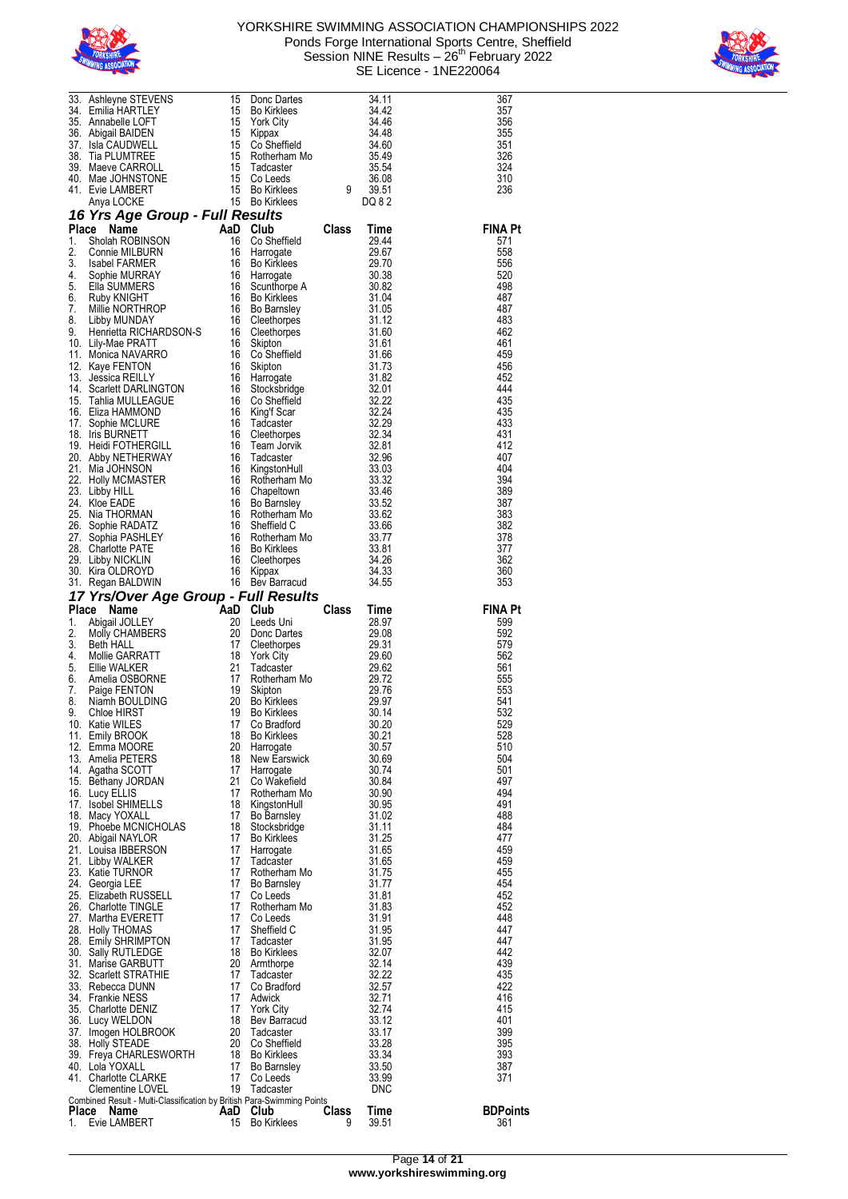



| Place    | Name<br>Evie LAMBERT                                                                                                                                                                                                                         | 15       | AaD Club<br><b>Bo Kirklees</b>                                                                                  | <b>Class</b><br>9 | Time<br>39.51       | <b>BDPoints</b><br>361 |
|----------|----------------------------------------------------------------------------------------------------------------------------------------------------------------------------------------------------------------------------------------------|----------|-----------------------------------------------------------------------------------------------------------------|-------------------|---------------------|------------------------|
|          | Combined Result - Multi-Classification by British Para-Swimming Points                                                                                                                                                                       |          |                                                                                                                 |                   |                     |                        |
|          | 41 Charlotte CLARKE<br>Clementine LOVEL                                                                                                                                                                                                      | 19       | Co Leeds<br>Tadcaster                                                                                           |                   | 33.99<br><b>DNC</b> | 371                    |
|          | 40. Lola YOXALL                                                                                                                                                                                                                              | 17<br>17 | Bo Barnsley                                                                                                     |                   | 33.50               | 387                    |
|          | 39. Freya CHARLESWORTH                                                                                                                                                                                                                       | 18       | <b>Bo Kirklees</b>                                                                                              |                   | 33.34               | 393                    |
|          | 37. Imogen HOLBROOK<br>38. Holly STEADE                                                                                                                                                                                                      | 20<br>20 | Tadcaster<br>Co Sheffield                                                                                       |                   | 33.17<br>33.28      | 399<br>395             |
|          | 36. Lucy WELDON                                                                                                                                                                                                                              | 18       | Bev Barracud                                                                                                    |                   | 33.12               | 401                    |
|          | 35. Charlotte DENIZ                                                                                                                                                                                                                          | 17       | <b>York City</b>                                                                                                |                   | 32.74               | 415                    |
|          | 33. Rebecca DUNN<br>34. Frankie NESS                                                                                                                                                                                                         | 17<br>17 | Co Bradford<br>Adwick                                                                                           |                   | 32.57<br>32.71      | 422<br>416             |
|          | 32. Scarlett STRATHIE                                                                                                                                                                                                                        | 17       | Tadcaster                                                                                                       |                   | 32.22               | 435                    |
|          | 30. Sally RUTLEDGE<br>31. Marise GARBUTT                                                                                                                                                                                                     | 18<br>20 | <b>Bo Kirklees</b><br>Armthorpe                                                                                 |                   | 32.07<br>32.14      | 442<br>439             |
|          | 28. Emily SHRIMPTON                                                                                                                                                                                                                          | 17       | Tadcaster                                                                                                       |                   | 31.95               | 447                    |
|          | 28. Holly THOMAS                                                                                                                                                                                                                             | 17       | Sheffield C                                                                                                     |                   | 31.95               | 447                    |
|          | 26. Charlotte TINGLE<br>27. Martha EVERETT                                                                                                                                                                                                   | 17<br>17 | Rotherham Mo<br>Co Leeds                                                                                        |                   | 31.83<br>31.91      | 452<br>448             |
|          | 25. Elizabeth RUSSELL                                                                                                                                                                                                                        | 17       | Co Leeds                                                                                                        |                   | 31.81               | 452                    |
|          | 24. Georgia LEE                                                                                                                                                                                                                              | 17       | <b>Bo Barnsley</b>                                                                                              |                   | 31.77               | 454                    |
|          | 21. Libby WALKER<br>23. Katie TURNOR                                                                                                                                                                                                         | 17<br>17 | Tadcaster<br>Rotherham Mo                                                                                       |                   | 31.65<br>31.75      | 459<br>455             |
|          | 21. Louisa IBBERSON                                                                                                                                                                                                                          | 17       | Harrogate                                                                                                       |                   | 31.65               | 459                    |
|          | 20. Abigail NAYLOR                                                                                                                                                                                                                           | 17       | <b>Bo Kirklees</b>                                                                                              |                   | 31.25               | 477                    |
|          | 18. Macy YOXALL<br>19. Phoebe MCNICHOLAS                                                                                                                                                                                                     | 17<br>18 | <b>Bo Barnsley</b><br>Stocksbridge                                                                              |                   | 31.02<br>31.11      | 488<br>484             |
|          | 17. Isobel SHIMELLS                                                                                                                                                                                                                          | 18       | KingstonHull                                                                                                    |                   | 30.95               | 491                    |
|          | 16. Lucy ELLIS                                                                                                                                                                                                                               | 17       | Rotherham Mo                                                                                                    |                   | 30.90               | 494                    |
|          | 14. Agatha SCOTT<br>15. Bethany JORDAN                                                                                                                                                                                                       | 17<br>21 | Harrogate<br>Co Wakefield                                                                                       |                   | 30.74<br>30.84      | 501<br>497             |
|          | 13. Amelia PETERS                                                                                                                                                                                                                            | 18       | New Earswick                                                                                                    |                   | 30.69               | 504                    |
|          | 12. Emma MOORE                                                                                                                                                                                                                               | 20       | Harrogate                                                                                                       |                   | 30.57               | 510                    |
|          | 10. Katie WILES<br>11. Emily BROOK                                                                                                                                                                                                           | 18       | 17 Co Bradford<br><b>Bo Kirklees</b>                                                                            |                   | 30.20<br>30.21      | 529<br>528             |
| 9.       | Chloe HIRST                                                                                                                                                                                                                                  | 19       | <b>Bo Kirklees</b>                                                                                              |                   | 30.14               | 532                    |
| 8.       | Niamh BOULDING                                                                                                                                                                                                                               | 20       | Bo Kirklees                                                                                                     |                   | 29.97               | 541                    |
| 6.<br>7. | Ellie WALINE<br>Paige FENTON                                                                                                                                                                                                                 | 17<br>19 | Rotherham Mo<br>Skipton                                                                                         |                   | 29.72<br>29.76      | 555<br>553             |
| 5.       | Ellie WALKER                                                                                                                                                                                                                                 | 21       | Tadcaster                                                                                                       |                   | 29.62               | 561                    |
| 4.       | Mollie GARRATT<br>Filie WALKER                                                                                                                                                                                                               | 18       | Donc Dartes<br>Cleethorpes<br>The City                                                                          |                   | 29.60               | 562                    |
| 2.<br>3. |                                                                                                                                                                                                                                              |          | 20 Donc Dartes                                                                                                  |                   | 29.08<br>29.31      | 592<br>579             |
| 1.       | Ce Name Taal Club<br>Abigail JOLLEY 20 Leeds<br>Molly CHAMBERS 20 Donc I<br>Beth HALL 17 Cleath                                                                                                                                              |          | Leeds Uni                                                                                                       |                   | 28.97               | 599                    |
|          | Place                                                                                                                                                                                                                                        |          |                                                                                                                 | Class             | Time                | <b>FINA Pt</b>         |
|          | 17 Yrs/Over Age Group - Full Results                                                                                                                                                                                                         |          |                                                                                                                 |                   |                     |                        |
|          |                                                                                                                                                                                                                                              | 16       | Bo Kirklees<br>Cleethorpes<br>Kippax<br>Bey Barracud<br>16 Bev Barracud                                         |                   | 34.33<br>34.55      | 360<br>353             |
|          |                                                                                                                                                                                                                                              | 16       |                                                                                                                 |                   | 34.26               | 362                    |
|          |                                                                                                                                                                                                                                              |          | 16 Rotherham Mo<br>16 Bo Kirklees                                                                               |                   | 33.77<br>33.81      | 378<br>377             |
|          |                                                                                                                                                                                                                                              |          | 16 Sheffield C                                                                                                  |                   | 33.66               | 382                    |
|          |                                                                                                                                                                                                                                              |          | 16 Rotherham Mo                                                                                                 |                   | 33.62               | 383                    |
|          |                                                                                                                                                                                                                                              | 16       | Bo Barnsley                                                                                                     |                   | 33.52               | 387                    |
|          | 18. Iris BURNETT<br>19. Heidi FOTHERGILL<br>20. Abby NETHERWAY<br>21. Mia JOHNSON<br>22. Holly MCMASTER<br>23. Libby HILL<br>24. Kloe EADE<br>25. Nia THORMAN<br>26. Sophie RADATZ<br>26. Sophie RADATZ                                      |          | 10<br>16 Kingstonnum<br>16 Rotherham Mo<br>10 Chapeltown                                                        |                   | 33.32<br>33.46      | 394<br>389             |
|          |                                                                                                                                                                                                                                              |          |                                                                                                                 |                   | 33.03               | 404                    |
|          |                                                                                                                                                                                                                                              | 16       | Tadcaster                                                                                                       |                   | 32.81<br>32.96      | 407                    |
|          | 18. Iris BURNETT                                                                                                                                                                                                                             | 16<br>16 | Cleethorpes<br>Team Jorvik                                                                                      |                   | 32.34               | 431<br>412             |
|          |                                                                                                                                                                                                                                              | 16       | Tadcaster                                                                                                       |                   | 32.29               | 433                    |
|          | 10. Lily-Mae PRATT<br>11. Monica NAVARRO<br>12. Kaye FENTON<br>13. Jessica REILLY<br>14. Scarlett DARLINGTON<br>15. Tahlia MULLEAGUE<br>16. Eliza HAMMOND<br>17. Sophie MCLURE<br>17. Sophie MCLURE<br>17. Sophie MCLURE<br>18. Iris BURNETT |          | 16 Skipton<br>16 Co Sheffield<br>16 Skipton<br>16 Harrogate<br>16 Co Sheffield<br>16 Kingf Scar<br>16 Tadcaster |                   | 32.24               | 435                    |
|          |                                                                                                                                                                                                                                              |          |                                                                                                                 |                   | 32.01<br>32.22      | 444<br>435             |
|          |                                                                                                                                                                                                                                              |          |                                                                                                                 |                   | 31.82               | 452                    |
|          |                                                                                                                                                                                                                                              |          |                                                                                                                 |                   | 31.73               | 456                    |
|          |                                                                                                                                                                                                                                              | 16       | Skipton                                                                                                         |                   | 31.61<br>31.66      | 461<br>459             |
| 9.       | Henrietta RICHARDSON-S                                                                                                                                                                                                                       |          |                                                                                                                 |                   | 31.60               | 462                    |
| 8.       | Libby MUNDAY                                                                                                                                                                                                                                 |          | 16 Bo Barnsley<br>16 Cleethorpes<br>16 Cleethorpes<br>16 Cleithor                                               |                   | 31.12               | 483                    |
| 6.<br>7. |                                                                                                                                                                                                                                              | 16       |                                                                                                                 |                   | 31.04<br>31.05      | 487<br>487             |
| 5.       |                                                                                                                                                                                                                                              | 16       | Harrogate<br>Scunthorpe A<br><u>Do Kirklees</u>                                                                 |                   | 30.82               | 498                    |
| 4.       | Ce Name<br>Sholah ROBINSON<br>Connie MILBURN<br>Isabel FARMER<br>Shophe MURRAY<br>Ella SUMMERS<br>Ruby KNIGHT<br>Millie NORTHROP<br>Libby MUNDAY                                                                                             |          | 16 Harrogate                                                                                                    |                   | 30.38               | 520                    |
| 2.<br>3. |                                                                                                                                                                                                                                              |          | 16 Bo Kirklees                                                                                                  |                   | 29.67<br>29.70      | 558<br>556             |
| 1.       |                                                                                                                                                                                                                                              |          | 16 Co Sheffield<br>16 Harrogate                                                                                 |                   | 29.44               | 571                    |
| Place    | Name                                                                                                                                                                                                                                         |          | AaD Club                                                                                                        | <b>Class</b>      | Time                | <b>FINA Pt</b>         |
|          | 16 Yrs Age Group - Full Results                                                                                                                                                                                                              |          |                                                                                                                 |                   |                     |                        |
|          |                                                                                                                                                                                                                                              |          | 15 Bo Kirklees<br>15 Bo Kirklees<br>15 Bo Kirklees                                                              |                   | 39.51<br>DQ 82      | 236                    |
|          | 33. Ashleyne STEVENS<br>34. Emilia HARTLEY<br>35. Annabelle LOFT<br>36. Abigail BAIDEN<br>37. Isla CAUDIVELL<br>37. Isla CAUDIVELE<br>39. Maeve CARROLL<br>40. Mae JOHNSTONE<br>41. Evie LAMBERT<br>Anya LOCKE                               |          | Corn<br>Co Sheffield<br>Rotherham Mo<br>T⊲dcaster<br>T⊸dcaster<br>9<br>15 Co Leeds                              |                   | 36.08               | 310                    |
|          |                                                                                                                                                                                                                                              | 15<br>15 |                                                                                                                 |                   | 35.49<br>35.54      | 326<br>324             |
|          |                                                                                                                                                                                                                                              | 15       |                                                                                                                 |                   | 34.60               | 351                    |
|          |                                                                                                                                                                                                                                              |          | Bo Kirklees<br>York City<br>Kippax<br>Co Sheffield<br>15 Kippax                                                 |                   | 34.48               | 355                    |
|          |                                                                                                                                                                                                                                              | 15<br>15 |                                                                                                                 |                   | 34.42<br>34.46      | 357<br>356             |
|          |                                                                                                                                                                                                                                              | 15       | Donc Dartes                                                                                                     |                   | 34.11               | 367                    |
|          |                                                                                                                                                                                                                                              |          |                                                                                                                 |                   |                     |                        |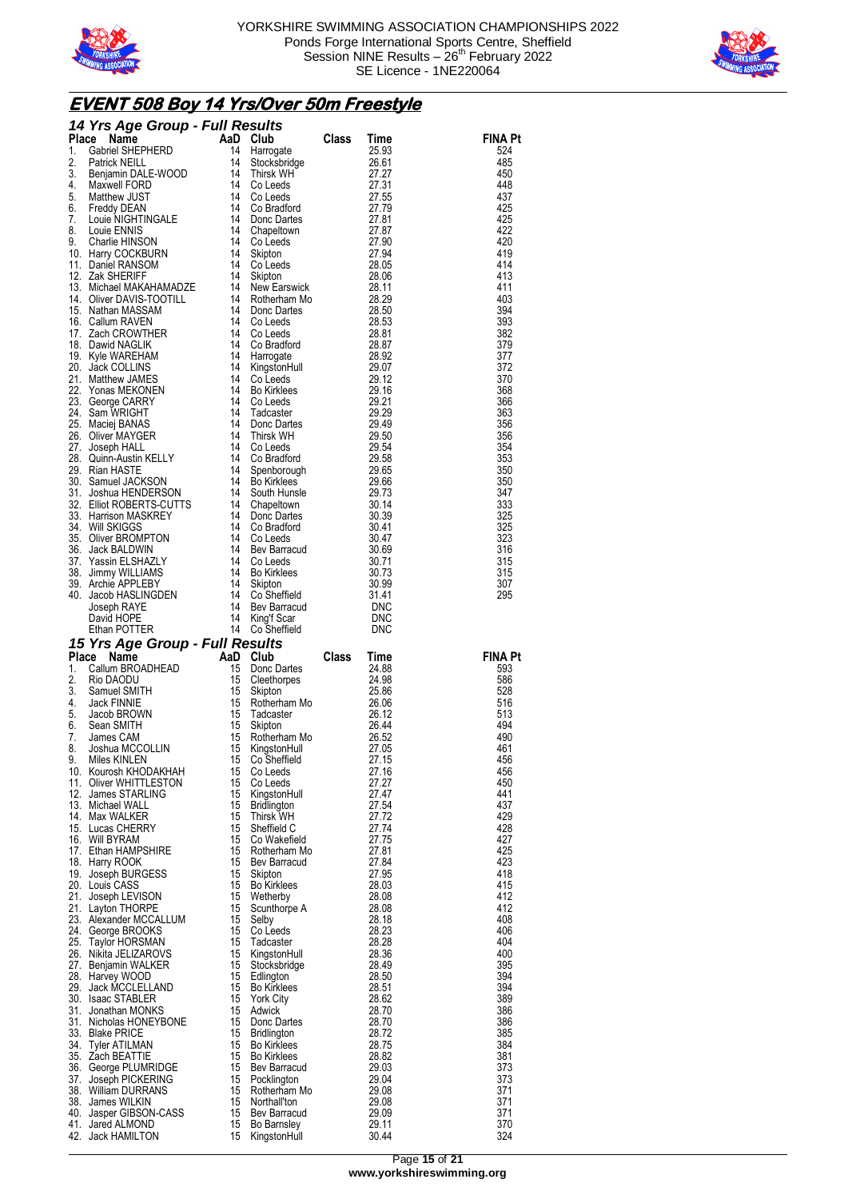



# **EVENT 508 Boy 14 Yrs/Over 50m Freestyle**

|          | 14 Yrs Age Group - Full Results                                                                                                                                                                                                                             |    |                                                                                                                                                                                                                                                         |                         |                       |
|----------|-------------------------------------------------------------------------------------------------------------------------------------------------------------------------------------------------------------------------------------------------------------|----|---------------------------------------------------------------------------------------------------------------------------------------------------------------------------------------------------------------------------------------------------------|-------------------------|-----------------------|
|          |                                                                                                                                                                                                                                                             |    | Club<br>Harrogate Class                                                                                                                                                                                                                                 |                         | <b>FINA Pt</b><br>524 |
|          |                                                                                                                                                                                                                                                             |    |                                                                                                                                                                                                                                                         |                         | 485                   |
|          |                                                                                                                                                                                                                                                             |    |                                                                                                                                                                                                                                                         |                         | 450                   |
|          |                                                                                                                                                                                                                                                             |    |                                                                                                                                                                                                                                                         |                         | 448                   |
|          |                                                                                                                                                                                                                                                             |    |                                                                                                                                                                                                                                                         |                         | 437                   |
|          |                                                                                                                                                                                                                                                             |    |                                                                                                                                                                                                                                                         |                         | 425<br>425            |
|          |                                                                                                                                                                                                                                                             |    |                                                                                                                                                                                                                                                         |                         | 422                   |
|          |                                                                                                                                                                                                                                                             |    |                                                                                                                                                                                                                                                         |                         | 420                   |
|          |                                                                                                                                                                                                                                                             |    |                                                                                                                                                                                                                                                         |                         | 419                   |
|          |                                                                                                                                                                                                                                                             |    |                                                                                                                                                                                                                                                         |                         | 414                   |
|          |                                                                                                                                                                                                                                                             |    |                                                                                                                                                                                                                                                         |                         | 413<br>411            |
|          |                                                                                                                                                                                                                                                             |    |                                                                                                                                                                                                                                                         |                         | 403                   |
|          |                                                                                                                                                                                                                                                             |    |                                                                                                                                                                                                                                                         |                         | 394                   |
|          |                                                                                                                                                                                                                                                             |    |                                                                                                                                                                                                                                                         |                         | 393                   |
|          |                                                                                                                                                                                                                                                             |    |                                                                                                                                                                                                                                                         |                         | 382                   |
|          |                                                                                                                                                                                                                                                             |    |                                                                                                                                                                                                                                                         |                         | 379                   |
|          |                                                                                                                                                                                                                                                             |    |                                                                                                                                                                                                                                                         |                         | 377<br>372            |
|          |                                                                                                                                                                                                                                                             |    |                                                                                                                                                                                                                                                         |                         | 370                   |
|          |                                                                                                                                                                                                                                                             |    |                                                                                                                                                                                                                                                         |                         | 368                   |
|          |                                                                                                                                                                                                                                                             |    |                                                                                                                                                                                                                                                         |                         | 366                   |
|          |                                                                                                                                                                                                                                                             |    |                                                                                                                                                                                                                                                         |                         | 363                   |
|          |                                                                                                                                                                                                                                                             |    |                                                                                                                                                                                                                                                         |                         | 356<br>356            |
|          |                                                                                                                                                                                                                                                             |    |                                                                                                                                                                                                                                                         |                         | 354                   |
|          |                                                                                                                                                                                                                                                             |    |                                                                                                                                                                                                                                                         |                         | 353                   |
|          |                                                                                                                                                                                                                                                             |    |                                                                                                                                                                                                                                                         |                         | 350                   |
|          |                                                                                                                                                                                                                                                             |    |                                                                                                                                                                                                                                                         |                         | 350                   |
|          |                                                                                                                                                                                                                                                             |    |                                                                                                                                                                                                                                                         |                         | 347                   |
|          |                                                                                                                                                                                                                                                             |    |                                                                                                                                                                                                                                                         |                         | 333<br>325            |
|          |                                                                                                                                                                                                                                                             |    |                                                                                                                                                                                                                                                         |                         | 325                   |
|          |                                                                                                                                                                                                                                                             |    |                                                                                                                                                                                                                                                         |                         | 323                   |
|          |                                                                                                                                                                                                                                                             |    |                                                                                                                                                                                                                                                         |                         | 316                   |
|          |                                                                                                                                                                                                                                                             |    |                                                                                                                                                                                                                                                         |                         | 315                   |
|          |                                                                                                                                                                                                                                                             |    |                                                                                                                                                                                                                                                         |                         | 315<br>307            |
|          |                                                                                                                                                                                                                                                             |    |                                                                                                                                                                                                                                                         |                         | 295                   |
|          |                                                                                                                                                                                                                                                             |    |                                                                                                                                                                                                                                                         |                         |                       |
|          |                                                                                                                                                                                                                                                             |    |                                                                                                                                                                                                                                                         |                         |                       |
|          |                                                                                                                                                                                                                                                             |    |                                                                                                                                                                                                                                                         |                         |                       |
|          |                                                                                                                                                                                                                                                             |    |                                                                                                                                                                                                                                                         |                         |                       |
|          | 15 Yrs Age Group - Full Results                                                                                                                                                                                                                             |    |                                                                                                                                                                                                                                                         |                         |                       |
|          | 14 Yrs Age Group - Full Results<br>Place Name<br>14 Yackethe Riep-HEPHERD<br>2. Gabriel SHEPHERD<br>2. Gamini DAI-E-WOOD<br>2. Feridity HUST 14 Stockshotte<br>4. Maxwell FORD 14 Collectes<br>4. Maxwell FORD 14 Collectes<br>5. Freddy DEAN<br>Place Name |    |                                                                                                                                                                                                                                                         |                         | <b>FINA Pt</b>        |
| 1.       |                                                                                                                                                                                                                                                             |    |                                                                                                                                                                                                                                                         |                         | 593                   |
| 2.<br>3. |                                                                                                                                                                                                                                                             |    |                                                                                                                                                                                                                                                         |                         | 586<br>528            |
| 4.       |                                                                                                                                                                                                                                                             |    |                                                                                                                                                                                                                                                         |                         | 516                   |
| 5.       |                                                                                                                                                                                                                                                             |    |                                                                                                                                                                                                                                                         |                         | 513                   |
| 6.       |                                                                                                                                                                                                                                                             |    |                                                                                                                                                                                                                                                         |                         | 494                   |
| 7.<br>8. |                                                                                                                                                                                                                                                             |    |                                                                                                                                                                                                                                                         |                         | 490<br>461            |
|          | <b>The Same CONSUMER SERVICE SERVICE SERVICE SERVICE SERVICE SERVICE SERVICE SERVICE SERVICE SERVICE SERVICE SERVICE SERVICE SERVICE SERVICE SERVICE SERVICE SERVICE SERVICE SERVICE SERVICE SERVICE SERVICE SERVICE SERVICE SER</b><br>9. Miles KINLEN     |    | <b>STREAD STREAD STREAD STREAD STREAD STREAD STREAD STREAD STREAD STREAD STREAD STREAD STREAD STREAD STREAD STREAD STREAD STREAD STREAD STREAD STREAD STREAD STREAD STREAD STREAD STREAD STREAD STREAD STREAD STREAD STREAD STRE</b><br>15 Co Sheffield | 27.15                   | 456                   |
|          | 10. Kourosh KHODAKHAH                                                                                                                                                                                                                                       |    | 15 Co Leeds                                                                                                                                                                                                                                             | 27.16                   | 456                   |
|          | 11. Oliver WHITTLESTON                                                                                                                                                                                                                                      |    | 15 Co Leeds                                                                                                                                                                                                                                             | 27.27                   | 450                   |
|          | 12. James STARLING                                                                                                                                                                                                                                          |    | 15 KingstonHull                                                                                                                                                                                                                                         | 27.47                   | 441                   |
|          | 13. Michael WALL<br>14. Max WALKER                                                                                                                                                                                                                          | 15 | 15 Bridlington<br>Thirsk WH                                                                                                                                                                                                                             |                         | 437<br>429            |
|          | 15. Lucas CHERRY                                                                                                                                                                                                                                            | 15 | Sheffield C                                                                                                                                                                                                                                             | 27.54<br>27.72<br>27.74 | 428                   |
|          | 16. Will BYRAM                                                                                                                                                                                                                                              |    | 15 Co Wakefield                                                                                                                                                                                                                                         |                         | 427                   |
|          | 17. Ethan HAMPSHIRE                                                                                                                                                                                                                                         |    | 15 Rotherham Mo                                                                                                                                                                                                                                         |                         | 425                   |
|          | 18. Harry ROOK                                                                                                                                                                                                                                              |    | 15 Bev Barracud                                                                                                                                                                                                                                         | 27.75<br>27.81<br>27.84 | 423                   |
|          | 19. Joseph BURGESS<br>20. Louis CASS                                                                                                                                                                                                                        |    | 15 Skipton<br>15 Bo Kirklees                                                                                                                                                                                                                            |                         | 418<br>415            |
|          | 21. Joseph LEVISON                                                                                                                                                                                                                                          |    | 15 Wetherby                                                                                                                                                                                                                                             | 27.95<br>28.03<br>28.08 | 412                   |
|          | 21. Layton THORPE                                                                                                                                                                                                                                           |    | 15 Scunthorpe A                                                                                                                                                                                                                                         |                         | 412                   |
|          | 23. Alexander MCCALLUM                                                                                                                                                                                                                                      | 15 | Selby                                                                                                                                                                                                                                                   | 28.08<br>28.18          | 408                   |
|          | 24. George BROOKS                                                                                                                                                                                                                                           |    | 15 Co Leeds                                                                                                                                                                                                                                             | 28.23                   | 406                   |
|          | 25. Taylor HORSMAN<br>26. Nikita JELIZAROVS                                                                                                                                                                                                                 |    | 15 Tadcaster                                                                                                                                                                                                                                            |                         | 404<br>400            |
|          | 27. Benjamin WALKER                                                                                                                                                                                                                                         |    | 15 KingstonHull<br>15 Stocksbridge                                                                                                                                                                                                                      | 28.28<br>28.36<br>28.49 | 395                   |
|          | 28. Harvey WOOD                                                                                                                                                                                                                                             |    | 15 Edlington                                                                                                                                                                                                                                            |                         | 394                   |
|          | 29. Jack MCCLELLAND                                                                                                                                                                                                                                         |    | 15 Bo Kirklees                                                                                                                                                                                                                                          | 28.50<br>28.51          | 394                   |
|          | 30. Isaac STABLER                                                                                                                                                                                                                                           |    | 15 York City                                                                                                                                                                                                                                            | 28.62                   | 389                   |
|          | 31. Jonathan MONKS<br>31. Nicholas HONEYBONE                                                                                                                                                                                                                |    | 15 Adwick<br>15 Donc Dartes                                                                                                                                                                                                                             |                         | 386<br>386            |
|          | 33. Blake PRICE                                                                                                                                                                                                                                             |    | 15 Bridlington                                                                                                                                                                                                                                          | 28.70<br>28.72          | 385                   |
|          | 34. Tyler ATILMAN                                                                                                                                                                                                                                           |    | 15 Bo Kirklees                                                                                                                                                                                                                                          |                         | 384                   |
|          | 35. Zach BEATTIE                                                                                                                                                                                                                                            |    | 15 Bo Kirklees                                                                                                                                                                                                                                          | 28.75<br>28.82          | 381                   |
|          | 36. George PLUMRIDGE                                                                                                                                                                                                                                        |    | 15 Bev Barracud                                                                                                                                                                                                                                         | 29.03                   | 373                   |
|          | 37. Joseph PICKERING<br>38. William DURRANS                                                                                                                                                                                                                 |    |                                                                                                                                                                                                                                                         |                         | 373<br>371            |
|          | 38. James WILKIN                                                                                                                                                                                                                                            |    |                                                                                                                                                                                                                                                         |                         | 371                   |
|          | 40. Jasper GIBSON-CASS<br>41. Jared ALMOND                                                                                                                                                                                                                  |    | 15 Pocklington<br>15 Rotherham Mo<br>15 Northall'ton<br>16 Bev Barracud<br>15 Bo Barnsley<br>16 Kingston-Hull<br>16 Conserved 29.01<br>16 Conserved 29.11<br>16 Conserved 29.11                                                                         |                         | 371<br>370            |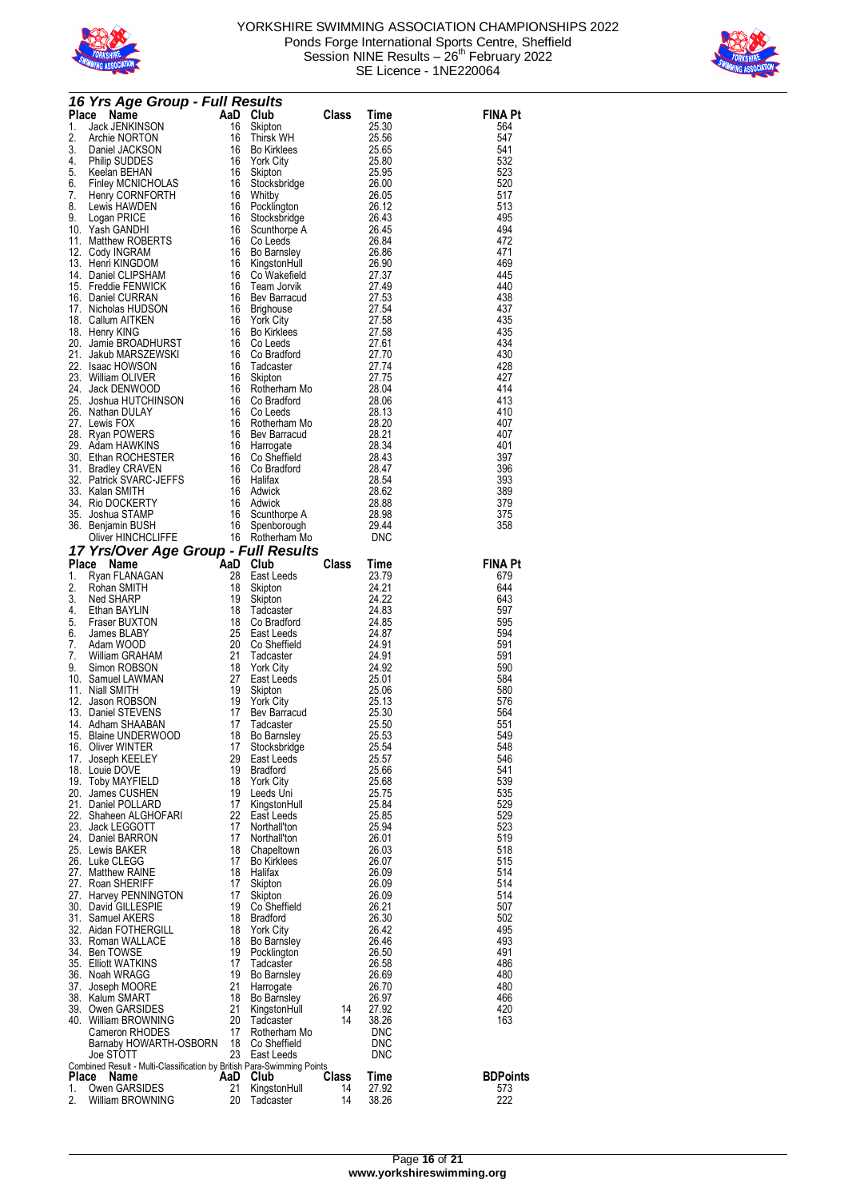



|              | 16 Yrs Age Group - Full Results                                        |          |                                      |              |                          |                 |
|--------------|------------------------------------------------------------------------|----------|--------------------------------------|--------------|--------------------------|-----------------|
| Place        | Name                                                                   | AaD      | Club                                 | Class        | Time                     | <b>FINA Pt</b>  |
| 1.<br>2.     | Jack JENKINSON<br>Archie NORTON                                        | 16<br>16 | Skipton<br>Thirsk WH                 |              | 25.30<br>25.56           | 564<br>547      |
| 3.           | Daniel JACKSON                                                         | 16       | <b>Bo Kirklees</b>                   |              | 25.65                    | 541             |
| 4.           | <b>Philip SUDDES</b>                                                   | 16       | <b>York City</b>                     |              | 25.80                    | 532             |
| 5.           | Keelan BEHAN                                                           | 16       | Skipton                              |              | 25.95                    | 523             |
| 6.           | <b>Finley MCNICHOLAS</b>                                               | 16       | Stocksbridge                         |              | 26.00                    | 520             |
| 7.           | Henry CORNFORTH                                                        | 16       | Whitby                               |              | 26.05                    | 517             |
| 8.           | Lewis HAWDEN                                                           | 16       | Pocklington                          |              | 26.12                    | 513             |
| 9.<br>10.    | Logan PRICE<br>Yash GANDHI                                             | 16<br>16 | Stocksbridge                         |              | 26.43<br>26.45           | 495<br>494      |
| 11.          | Matthew ROBERTS                                                        | 16       | Scunthorpe A<br>Co Leeds             |              | 26.84                    | 472             |
| 12.          | Cody INGRAM                                                            | 16       | Bo Barnsley                          |              | 26.86                    | 471             |
| 13.          | Henri KINGDOM                                                          | 16       | KingstonHull                         |              | 26.90                    | 469             |
| 14.          | Daniel CLIPSHAM                                                        | 16       | Co Wakefield                         |              | 27.37                    | 445             |
| 15.          | <b>Freddie FENWICK</b>                                                 | 16       | Team Jorvik                          |              | 27.49                    | 440             |
| 16.          | Daniel CURRAN                                                          | 16       | Bev Barracud                         |              | 27.53                    | 438             |
| 17.<br>18.   | Nicholas HUDSON<br>Callum AITKEN                                       | 16<br>16 | <b>Brighouse</b><br><b>York City</b> |              | 27.54<br>27.58           | 437<br>435      |
| 18.          | Henry KING                                                             | 16       | <b>Bo Kirklees</b>                   |              | 27.58                    | 435             |
| 20.          | Jamie BROADHURST                                                       | 16       | Co Leeds                             |              | 27.61                    | 434             |
| 21.          | Jakub MARSZEWSKI                                                       | 16       | Co Bradford                          |              | 27.70                    | 430             |
| 22.          | <b>Isaac HOWSON</b>                                                    | 16       | Tadcaster                            |              | 27.74                    | 428             |
| 23.          | William OLIVER                                                         | 16       | Skipton                              |              | 27.75                    | 427             |
| 24.<br>25.   | Jack DENWOOD                                                           | 16<br>16 | Rotherham Mo                         |              | 28.04                    | 414<br>413      |
| 26.          | Joshua HUTCHINSON<br>Nathan DULAY                                      | 16       | Co Bradford<br>Co Leeds              |              | 28.06<br>28.13           | 410             |
| 27.          | Lewis FOX                                                              | 16       | Rotherham Mo                         |              | 28.20                    | 407             |
|              | 28. Ryan POWERS                                                        | 16       | Bev Barracud                         |              | 28.21                    | 407             |
| 29.          | Adam HAWKINS                                                           | 16       | Harrogate                            |              | 28.34                    | 401             |
|              | 30. Ethan ROCHESTER                                                    | 16       | Co Sheffield                         |              | 28.43                    | 397             |
| 31.          | <b>Bradley CRAVEN</b>                                                  | 16       | Co Bradford                          |              | 28.47                    | 396             |
| 32.          | Patrick SVARC-JEFFS<br>33. Kalan SMITH                                 | 16<br>16 | Halifax<br>Adwick                    |              | 28.54<br>28.62           | 393<br>389      |
|              | 34. Rio DOCKERTY                                                       | 16       | Adwick                               |              | 28.88                    | 379             |
| 35.          | Joshua STAMP                                                           | 16       | Scunthorpe A                         |              | 28.98                    | 375             |
|              | 36. Benjamin BUSH                                                      | 16       | Spenborough                          |              | 29.44                    | 358             |
|              | Oliver HINCHCLIFFE                                                     |          | 16 Rotherham Mo                      |              | DNC                      |                 |
|              | 17 Yrs/Over Age Group - Full Results                                   |          |                                      |              |                          |                 |
| Place        | Name                                                                   | AaD      | Club                                 | <b>Class</b> | Time                     | <b>FINA Pt</b>  |
| 1.           | Ryan FLANAGAN                                                          | 28       | East Leeds                           |              | 23.79                    | 679             |
| 2.           | Rohan SMITH                                                            | 18       | Skipton                              |              | 24.21                    | 644<br>643      |
|              |                                                                        |          |                                      |              |                          |                 |
| 3.           | Ned SHARP                                                              | 19       | Skipton                              |              | 24.22                    |                 |
| 4.           | Ethan BAYLIN                                                           | 18       | Tadcaster                            |              | 24.83                    | 597             |
| 5.           | <b>Fraser BUXTON</b>                                                   | 18<br>25 | Co Bradford                          |              | 24.85                    | 595             |
| 6.<br>7.     | James BLABY<br>Adam WOOD                                               | 20       | East Leeds<br>Co Sheffield           |              | 24.87<br>24.91           | 594<br>591      |
| 7.           | William GRAHAM                                                         | 21       | Tadcaster                            |              | 24.91                    | 591             |
| 9.           | Simon ROBSON                                                           | 18       | York City                            |              | 24.92                    | 590             |
| 10.          | Samuel LAWMAN                                                          | 27       | East Leeds                           |              | 25.01                    | 584             |
| 11.          | Niall SMITH                                                            | 19       | Skipton                              |              | 25.06                    | 580             |
| 12.<br>13.   | Jason ROBSON                                                           | 19<br>17 | <b>York City</b>                     |              | 25.13                    | 576<br>564      |
|              | Daniel STEVENS<br>14 Adham SHAABAN                                     | 17       | Bev Barracud<br>Tadcaster            |              | 25.30<br>25.50           | 551             |
|              | 15. Blaine UNDERWOOD                                                   | 18       | Bo Barnsley                          |              |                          | 549             |
|              | 16. Oliver WINTER                                                      | 17       | Stocksbridge                         |              | 25.53<br>25.54           | 548             |
|              | 17. Joseph KEELEY                                                      | 29       | East Leeds                           |              | 25.57                    | 546             |
|              | 18. Louie DOVE                                                         | 19       | <b>Bradford</b>                      |              | 25.66                    | 541             |
|              | 19. Toby MAYFIELD                                                      |          | 18 York City                         |              | 25.68                    | 539             |
|              | 20. James CUSHEN<br>21. Daniel POLLARD                                 | 17       | 19 Leeds Uni<br>KingstonHull         |              | 25.75<br>25.84           | 535<br>529      |
|              | 22. Shaheen ALGHOFARI                                                  | 22       | East Leeds                           |              | 25.85                    | 529             |
|              | 23. Jack LEGGOTT                                                       | 17       | Northall'ton                         |              | 25.94                    | 523             |
|              | 24. Daniel BARRON                                                      | 17       | Northall'ton                         |              | 26.01                    | 519             |
|              | 25. Lewis BAKER                                                        | 18       | Chapeltown                           |              | 26.03                    | 518             |
|              | 26. Luke CLEGG                                                         | 17       | <b>Bo Kirklees</b>                   |              | 26.07                    | 515             |
|              | 27. Matthew RAINE                                                      | 18<br>17 | Halifax                              |              | 26.09                    | 514             |
|              | 27. Roan SHERIFF                                                       | 17       | Skipton<br>Skipton                   |              | 26.09<br>26.09           | 514<br>514      |
|              | 27. Harvey PENNINGTON<br>30. David GILLESPIE                           | 19       | Co Sheffield                         |              | 26.21                    | 507             |
|              | 31. Samuel AKERS                                                       |          | 18 Bradford                          |              | 26.30                    | 502             |
|              | 32. Aidan FOTHERGILL                                                   |          | 18 York City                         |              | 26.42                    | 495             |
|              | 33. Roman WALLACE                                                      | 18       | Bo Barnsley                          |              | 26.46                    | 493             |
|              | 34. Ben TOWSE<br>35. Elliott WATKINS                                   | 19<br>17 | Pocklington<br>Tadcaster             |              | 26.50<br>26.58           | 491<br>486      |
|              | 36. Noah WRAGG                                                         | 19       | <b>Bo Barnsley</b>                   |              | 26.69                    | 480             |
|              | 37. Joseph MOORE                                                       | 21       | Harrogate                            |              | 26.70                    | 480             |
|              | 38. Kalum SMART                                                        | 18       | Bo Barnsley                          |              | 26.97                    | 466             |
|              | 39. Owen GARSIDES                                                      | 21       | KingstonHull                         | 14           | 27.92                    | 420             |
|              | 40. William BROWNING                                                   | 20       | Tadcaster                            | 14           | 38.26                    | 163             |
|              | Cameron RHODES                                                         | 17       | Rotherham Mo                         |              | <b>DNC</b>               |                 |
|              | Barnaby HOWARTH-OSBORN<br>Joe STOTT                                    | 18<br>23 | Co Sheffield<br>East Leeds           |              | <b>DNC</b><br><b>DNC</b> |                 |
|              | Combined Result - Multi-Classification by British Para-Swimming Points |          |                                      |              |                          |                 |
| <b>Place</b> | Name                                                                   | AaD      | Club                                 | Class        | Time                     | <b>BDPoints</b> |
| 1.<br>2.     | Owen GARSIDES<br>William BROWNING                                      | 21<br>20 | KingstonHull<br>Tadcaster            | 14<br>14     | 27.92<br>38.26           | 573<br>222      |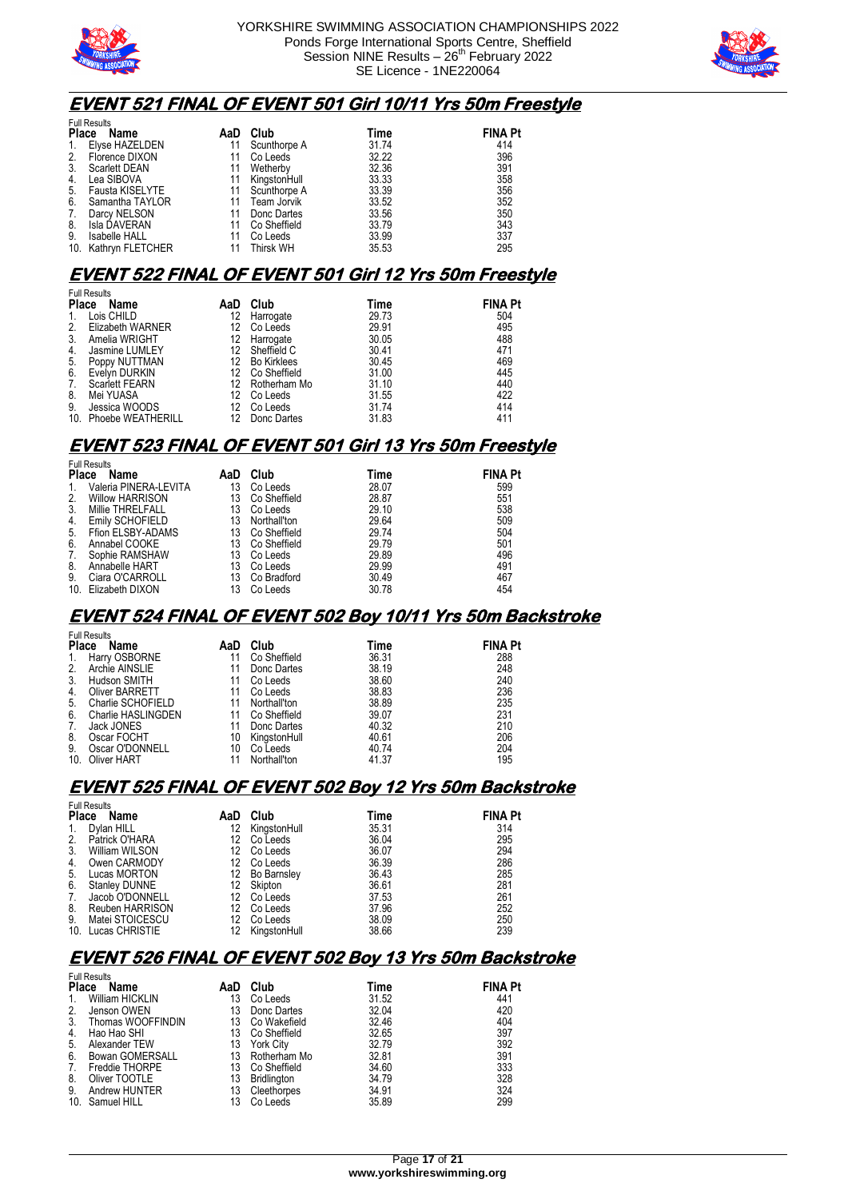



#### **EVENT 521 FINAL OF EVENT 501 Girl 10/11 Yrs 50m Freestyle**

|              | <b>Full Results</b>  |     |              |       |                |  |  |
|--------------|----------------------|-----|--------------|-------|----------------|--|--|
| <b>Place</b> | Name                 | AaD | Club         | Time  | <b>FINA Pt</b> |  |  |
| 1.           | Elyse HAZELDEN       | 11  | Scunthorpe A | 31.74 | 414            |  |  |
| 2.           | Florence DIXON       | 11  | Co Leeds     | 32.22 | 396            |  |  |
| 3.           | <b>Scarlett DEAN</b> | 11  | Wetherby     | 32.36 | 391            |  |  |
| 4.           | Lea SIBOVA           | 11  | KingstonHull | 33.33 | 358            |  |  |
| 5.           | Fausta KISELYTE      | 11  | Scunthorpe A | 33.39 | 356            |  |  |
| 6.           | Samantha TAYLOR      | 11  | Team Jorvik  | 33.52 | 352            |  |  |
| 7.           | Darcy NELSON         | 11  | Donc Dartes  | 33.56 | 350            |  |  |
| 8.           | Isla DAVERAN         | 11  | Co Sheffield | 33.79 | 343            |  |  |
| 9.           | Isabelle HALL        | 11  | Co Leeds     | 33.99 | 337            |  |  |
|              | 10. Kathryn FLETCHER | 11  | Thirsk WH    | 35.53 | 295            |  |  |

#### **EVENT 522 FINAL OF EVENT 501 Girl 12 Yrs 50m Freestyle**

|              | <b>Full Results</b>   |     |                    |       |                |  |  |  |
|--------------|-----------------------|-----|--------------------|-------|----------------|--|--|--|
| <b>Place</b> | Name                  | AaD | Club               | Time  | <b>FINA Pt</b> |  |  |  |
| 1.           | Lois CHILD            | 12  | Harrogate          | 29.73 | 504            |  |  |  |
| 2.           | Elizabeth WARNER      | 12  | Co Leeds           | 29.91 | 495            |  |  |  |
| 3.           | Amelia WRIGHT         | 12  | Harrogate          | 30.05 | 488            |  |  |  |
| 4.           | Jasmine LUMLEY        | 12  | Sheffield C        | 30.41 | 471            |  |  |  |
| 5.           | Poppy NUTTMAN         | 12  | <b>Bo Kirklees</b> | 30.45 | 469            |  |  |  |
| 6.           | Evelyn DURKIN         | 12  | Co Sheffield       | 31.00 | 445            |  |  |  |
| 7.           | <b>Scarlett FEARN</b> | 12  | Rotherham Mo       | 31.10 | 440            |  |  |  |
| 8.           | Mei YUASA             | 12  | Co Leeds           | 31.55 | 422            |  |  |  |
| 9.           | Jessica WOODS         | 12  | Co Leeds           | 31.74 | 414            |  |  |  |
|              | 10. Phoebe WEATHERILL | 12  | Donc Dartes        | 31.83 | 411            |  |  |  |

#### **EVENT 523 FINAL OF EVENT 501 Girl 13 Yrs 50m Freestyle**

|              | <b>Full Results</b>    |     |              |       |                |  |  |  |
|--------------|------------------------|-----|--------------|-------|----------------|--|--|--|
| <b>Place</b> | Name                   | AaD | Club         | Time  | <b>FINA Pt</b> |  |  |  |
| 1.           | Valeria PINERA-LEVITA  | 13  | Co Leeds     | 28.07 | 599            |  |  |  |
| 2.           | <b>Willow HARRISON</b> | 13  | Co Sheffield | 28.87 | 551            |  |  |  |
| 3.           | Millie THRELFALL       | 13  | Co Leeds     | 29.10 | 538            |  |  |  |
| 4.           | Emily SCHOFIELD        | 13  | Northall'ton | 29.64 | 509            |  |  |  |
| 5.           | Ffion ELSBY-ADAMS      | 13  | Co Sheffield | 29.74 | 504            |  |  |  |
| 6.           | Annabel COOKE          | 13. | Co Sheffield | 29.79 | 501            |  |  |  |
| 7.           | Sophie RAMSHAW         | 13  | Co Leeds     | 29.89 | 496            |  |  |  |
| 8.           | Annabelle HART         | 13  | Co Leeds     | 29.99 | 491            |  |  |  |
| 9.           | Ciara O'CARROLL        | 13  | Co Bradford  | 30.49 | 467            |  |  |  |
|              | 10. Elizabeth DIXON    |     | Co Leeds     | 30.78 | 454            |  |  |  |

#### **EVENT 524 FINAL OF EVENT 502 Boy 10/11 Yrs 50m Backstroke**

|              | <b>Full Results</b> |     |              |       |                |  |  |
|--------------|---------------------|-----|--------------|-------|----------------|--|--|
| <b>Place</b> | Name                | AaD | Club         | Time  | <b>FINA Pt</b> |  |  |
| 1.           | Harry OSBORNE       |     | Co Sheffield | 36.31 | 288            |  |  |
| 2.           | Archie AINSLIE      |     | Donc Dartes  | 38.19 | 248            |  |  |
| 3.           | Hudson SMITH        |     | Co Leeds     | 38.60 | 240            |  |  |
| 4.           | Oliver BARRETT      |     | Co Leeds     | 38.83 | 236            |  |  |
| 5.           | Charlie SCHOFIELD   | 11  | Northall'ton | 38.89 | 235            |  |  |
| 6.           | Charlie HASLINGDEN  |     | Co Sheffield | 39.07 | 231            |  |  |
| 7.           | Jack JONES          |     | Donc Dartes  | 40.32 | 210            |  |  |
| 8.           | Oscar FOCHT         | 10  | KingstonHull | 40.61 | 206            |  |  |
| 9.           | Oscar O'DONNELL     | 10  | Co Leeds     | 40.74 | 204            |  |  |
|              | 10. Oliver HART     |     | Northall'ton | 41.37 | 195            |  |  |

#### **EVENT 525 FINAL OF EVENT 502 Boy 12 Yrs 50m Backstroke**

|              | <b>Full Results</b>    |     |                    |       |                |  |  |  |
|--------------|------------------------|-----|--------------------|-------|----------------|--|--|--|
| <b>Place</b> | Name                   | AaD | Club               | Time  | <b>FINA Pt</b> |  |  |  |
| 1.           | Dylan HILL             | 12  | KingstonHull       | 35.31 | 314            |  |  |  |
| 2.           | Patrick O'HARA         | 12  | Co Leeds           | 36.04 | 295            |  |  |  |
| 3.           | William WILSON         | 12  | Co Leeds           | 36.07 | 294            |  |  |  |
| 4.           | Owen CARMODY           | 12  | Co Leeds           | 36.39 | 286            |  |  |  |
| 5.           | Lucas MORTON           | 12  | <b>Bo Barnsley</b> | 36.43 | 285            |  |  |  |
| 6.           | <b>Stanley DUNNE</b>   | 12  | Skipton            | 36.61 | 281            |  |  |  |
| 7.           | Jacob O'DONNELL        | 12  | Co Leeds           | 37.53 | 261            |  |  |  |
| 8.           | <b>Reuben HARRISON</b> | 12  | Co Leeds           | 37.96 | 252            |  |  |  |
| 9.           | Matei STOICESCU        | 12  | Co Leeds           | 38.09 | 250            |  |  |  |
| 10.          | Lucas CHRISTIE         | 12  | KingstonHull       | 38.66 | 239            |  |  |  |

#### **EVENT 526 FINAL OF EVENT 502 Boy 13 Yrs 50m Backstroke**

| <b>Full Results</b>    |                                                                                                      |                    |                                                              |                |  |  |
|------------------------|------------------------------------------------------------------------------------------------------|--------------------|--------------------------------------------------------------|----------------|--|--|
| Name                   | AaD                                                                                                  | Club               | Time                                                         | <b>FINA Pt</b> |  |  |
| <b>William HICKLIN</b> | 13                                                                                                   | Co Leeds           | 31.52                                                        | 441            |  |  |
|                        | 13                                                                                                   | Donc Dartes        | 32.04                                                        | 420            |  |  |
|                        | 13                                                                                                   |                    | 32.46                                                        | 404            |  |  |
|                        | 13                                                                                                   |                    | 32.65                                                        | 397            |  |  |
| Alexander TEW          |                                                                                                      |                    | 32.79                                                        | 392            |  |  |
| <b>Bowan GOMERSALL</b> | 13                                                                                                   |                    | 32.81                                                        | 391            |  |  |
|                        | 13                                                                                                   | Co Sheffield       | 34.60                                                        | 333            |  |  |
| Oliver TOOTLE          | 13                                                                                                   | <b>Bridlington</b> | 34.79                                                        | 328            |  |  |
| Andrew HUNTER          | 13                                                                                                   | Cleethorpes        | 34.91                                                        | 324            |  |  |
|                        | 13                                                                                                   | Co Leeds           | 35.89                                                        | 299            |  |  |
|                        | <b>Place</b><br>Jenson OWEN<br>Thomas WOOFFINDIN<br>Hao Hao SHI<br>Freddie THORPE<br>10. Samuel HILL |                    | Co Wakefield<br>Co Sheffield<br>13 York City<br>Rotherham Mo |                |  |  |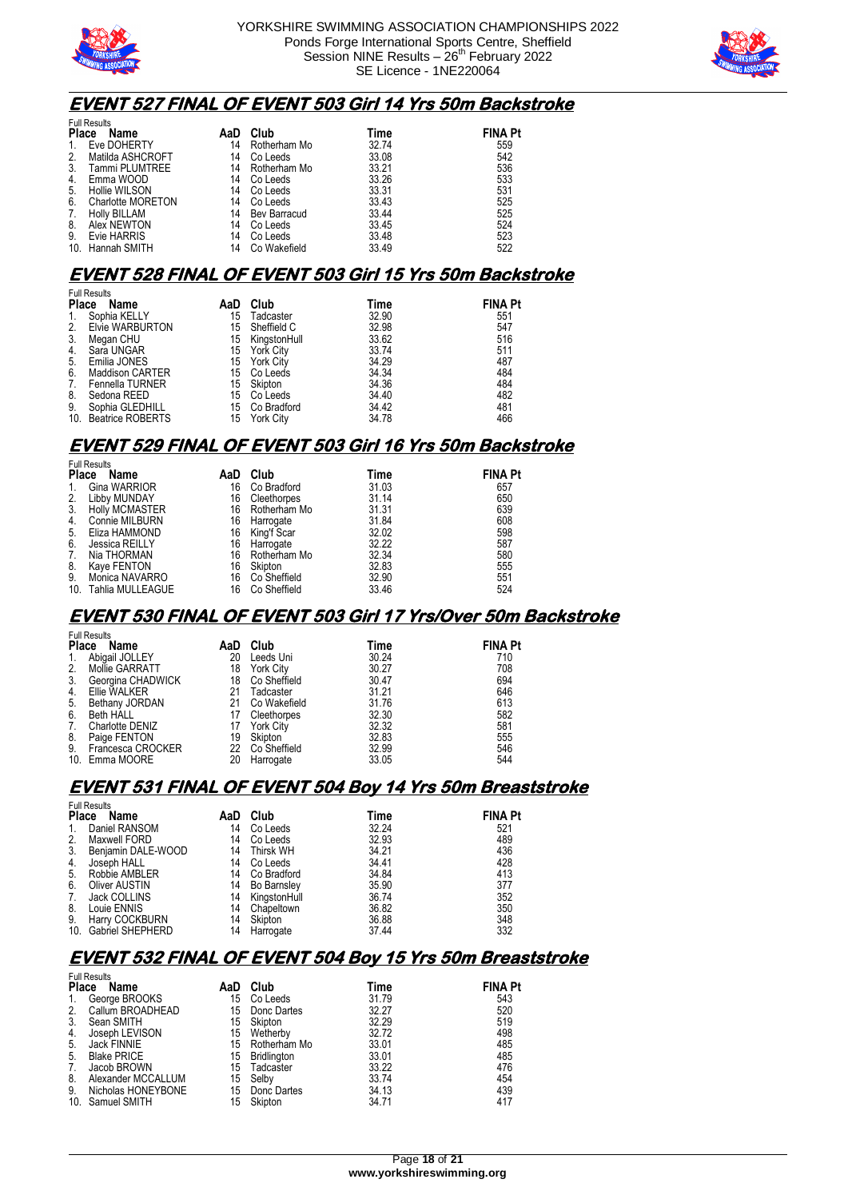



#### **EVENT 527 FINAL OF EVENT 503 Girl 14 Yrs 50m Backstroke**

|                 | <b>Full Results</b> |     |              |       |                |  |  |
|-----------------|---------------------|-----|--------------|-------|----------------|--|--|
| <b>Place</b>    | Name                | AaD | Club         | Time  | <b>FINA Pt</b> |  |  |
| $\mathbf{1}$ .  | Eve DOHERTY         | 14  | Rotherham Mo | 32.74 | 559            |  |  |
| 2.              | Matilda ASHCROFT    | 14  | Co Leeds     | 33.08 | 542            |  |  |
| 3.              | Tammi PLUMTREE      | 14  | Rotherham Mo | 33.21 | 536            |  |  |
| 4.              | Emma WOOD           | 14  | Co Leeds     | 33.26 | 533            |  |  |
| 5.              | Hollie WILSON       | 14  | Co Leeds     | 33.31 | 531            |  |  |
| 6.              | Charlotte MORETON   | 14  | Co Leeds     | 33.43 | 525            |  |  |
| 7.              | <b>Holly BILLAM</b> | 14  | Bev Barracud | 33.44 | 525            |  |  |
| 8.              | Alex NEWTON         | 14  | Co Leeds     | 33.45 | 524            |  |  |
| 9.              | Evie HARRIS         | 14  | Co Leeds     | 33.48 | 523            |  |  |
| 10 <sub>1</sub> | Hannah SMITH        | 14  | Co Wakefield | 33.49 | 522            |  |  |

#### **EVENT 528 FINAL OF EVENT 503 Girl 15 Yrs 50m Backstroke**

|       | <b>Full Results</b>    |     |                  |       |                |  |  |
|-------|------------------------|-----|------------------|-------|----------------|--|--|
| Place | Name                   | AaD | Club             | Time  | <b>FINA Pt</b> |  |  |
| 1.    | Sophia KELLY           | 15  | Tadcaster        | 32.90 | 551            |  |  |
| 2.    | Elvie WARBURTON        | 15  | Sheffield C      | 32.98 | 547            |  |  |
| 3.    | Megan CHU              | 15  | KinastonHull     | 33.62 | 516            |  |  |
| 4.    | Sara UNGAR             | 15  | York City        | 33.74 | 511            |  |  |
| 5.    | Emilia JONES           | 15  | <b>York City</b> | 34.29 | 487            |  |  |
| 6.    | <b>Maddison CARTER</b> | 15  | Co Leeds         | 34.34 | 484            |  |  |
| 7.    | Fennella TURNER        | 15  | Skipton          | 34.36 | 484            |  |  |
| 8.    | Sedona REED            | 15  | Co Leeds         | 34.40 | 482            |  |  |
| 9.    | Sophia GLEDHILL        | 15  | Co Bradford      | 34.42 | 481            |  |  |
|       | 10. Beatrice ROBERTS   | 15  | <b>York City</b> | 34.78 | 466            |  |  |

### **EVENT 529 FINAL OF EVENT 503 Girl 16 Yrs 50m Backstroke**

|              | <b>Full Results</b>   |     |                 |       |                |
|--------------|-----------------------|-----|-----------------|-------|----------------|
| <b>Place</b> | Name                  | AaD | Club            | Time  | <b>FINA Pt</b> |
| 1.           | Gina WARRIOR          | 16  | Co Bradford     | 31.03 | 657            |
| 2.           | Libby MUNDAY          | 16  | Cleethorpes     | 31.14 | 650            |
| 3.           | <b>Holly MCMASTER</b> |     | 16 Rotherham Mo | 31.31 | 639            |
| 4.           | Connie MILBURN        | 16  | Harrogate       | 31.84 | 608            |
| 5.           | Eliza HAMMOND         | 16  | King'f Scar     | 32.02 | 598            |
| 6.           | Jessica REILLY        | 16  | Harrogate       | 32.22 | 587            |
| 7.           | Nia THORMAN           |     | 16 Rotherham Mo | 32.34 | 580            |
| 8.           | Kaye FENTON           | 16  | Skipton         | 32.83 | 555            |
| 9.           | Monica NAVARRO        | 16  | Co Sheffield    | 32.90 | 551            |
|              | 10. Tahlia MULLEAGUE  | 16  | Co Sheffield    | 33.46 | 524            |

#### **EVENT 530 FINAL OF EVENT 503 Girl 17 Yrs/Over 50m Backstroke**

|              | <b>Full Results</b> |     |                  |       |                |
|--------------|---------------------|-----|------------------|-------|----------------|
| <b>Place</b> | Name                | AaD | Club             | Time  | <b>FINA Pt</b> |
| 1.           | Abigail JOLLEY      | 20  | Leeds Uni        | 30.24 | 710            |
| 2.           | Mollie GARRATT      | 18  | <b>York City</b> | 30.27 | 708            |
| 3.           | Georgina CHADWICK   | 18  | Co Sheffield     | 30.47 | 694            |
| 4.           | Ellie WALKER        | 21  | Tadcaster        | 31.21 | 646            |
| 5.           | Bethany JORDAN      | 21  | Co Wakefield     | 31.76 | 613            |
| 6.           | Beth HALL           |     | Cleethorpes      | 32.30 | 582            |
| 7.           | Charlotte DENIZ     |     | York City        | 32.32 | 581            |
| 8.           | Paige FENTON        | 19  | Skipton          | 32.83 | 555            |
| 9.           | Francesca CROCKER   |     | 22 Co Sheffield  | 32.99 | 546            |
|              | 10. Emma MOORE      | 20  | Harrogate        | 33.05 | 544            |

#### **EVENT 531 FINAL OF EVENT 504 Boy 14 Yrs 50m Breaststroke**

|              | <b>Full Results</b>     |     |              |       |                |  |  |
|--------------|-------------------------|-----|--------------|-------|----------------|--|--|
| <b>Place</b> | Name                    | AaD | Club         | Time  | <b>FINA Pt</b> |  |  |
| 1.           | Daniel RANSOM           | 14  | Co Leeds     | 32.24 | 521            |  |  |
| 2.           | Maxwell FORD            | 14  | Co Leeds     | 32.93 | 489            |  |  |
| 3.           | Benjamin DALE-WOOD      | 14  | Thirsk WH    | 34.21 | 436            |  |  |
| 4.           | Joseph HALL             | 14  | Co Leeds     | 34.41 | 428            |  |  |
| 5.           | Robbie AMBLER           | 14  | Co Bradford  | 34.84 | 413            |  |  |
| 6.           | Oliver AUSTIN           | 14  | Bo Barnsley  | 35.90 | 377            |  |  |
| 7.           | Jack COLLINS            | 14  | KingstonHull | 36.74 | 352            |  |  |
| 8.           | Louie ENNIS             | 14  | Chapeltown   | 36.82 | 350            |  |  |
| 9.           | Harry COCKBURN          | 14  | Skipton      | 36.88 | 348            |  |  |
| 10.          | <b>Gabriel SHEPHERD</b> | 14  | Harrogate    | 37.44 | 332            |  |  |

#### **EVENT 532 FINAL OF EVENT 504 Boy 15 Yrs 50m Breaststroke**

|              | <b>Full Results</b> |     |                 |       |                |
|--------------|---------------------|-----|-----------------|-------|----------------|
| <b>Place</b> | Name                | AaD | Club            | Time  | <b>FINA Pt</b> |
| 1.           | George BROOKS       | 15  | Co Leeds        | 31.79 | 543            |
| 2.           | Callum BROADHEAD    | 15  | Donc Dartes     | 32.27 | 520            |
| 3.           | Sean SMITH          | 15  | Skipton         | 32.29 | 519            |
| 4.           | Joseph LEVISON      | 15  | Wetherby        | 32.72 | 498            |
| 5.           | Jack FINNIE         |     | 15 Rotherham Mo | 33.01 | 485            |
| 5.           | <b>Blake PRICE</b>  | 15  | Bridlington     | 33.01 | 485            |
| 7.           | Jacob BROWN         | 15  | Tadcaster       | 33.22 | 476            |
| 8.           | Alexander MCCALLUM  | 15  | Selby           | 33.74 | 454            |
| 9.           | Nicholas HONEYBONE  |     | 15 Donc Dartes  | 34.13 | 439            |
|              | 10. Samuel SMITH    | 15  | Skipton         | 34.71 | 417            |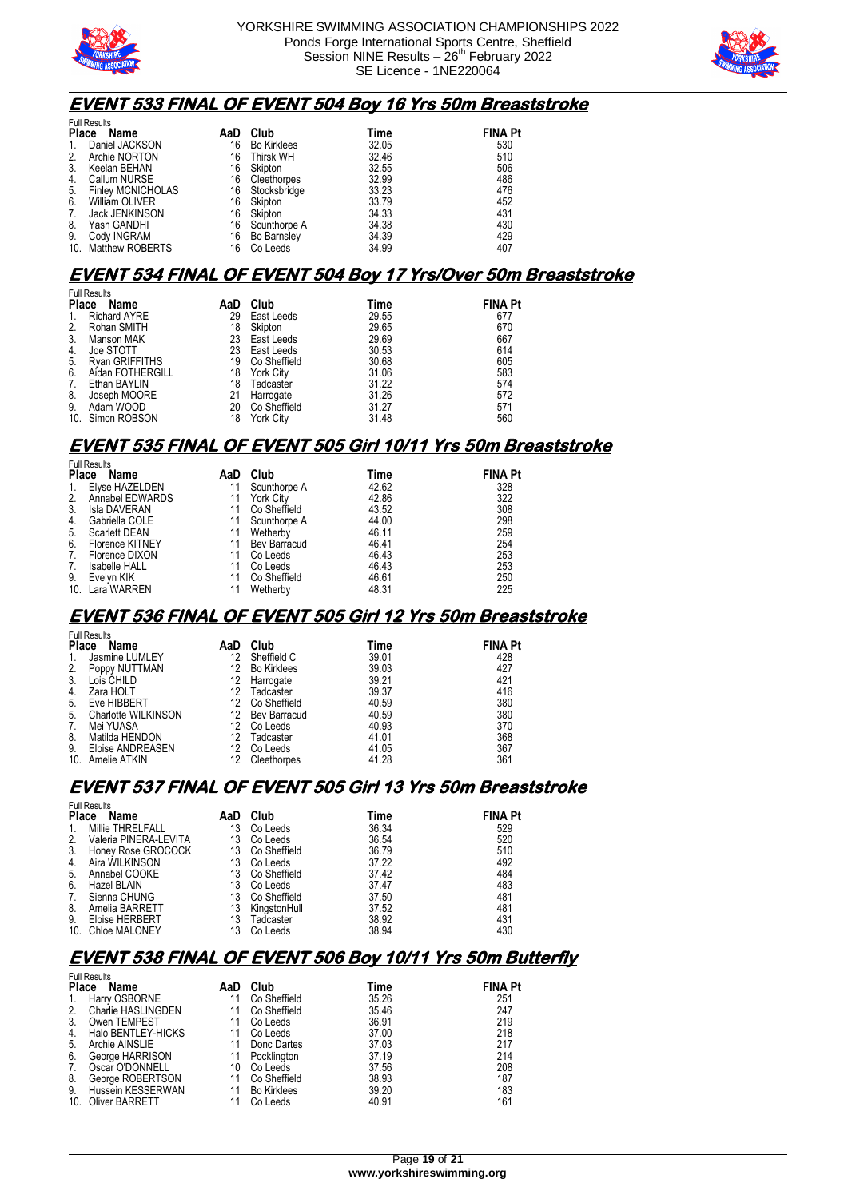



#### **EVENT 533 FINAL OF EVENT 504 Boy 16 Yrs 50m Breaststroke**

|                          | AaD                                                                        |                    |                                      | <b>FINA Pt</b> |
|--------------------------|----------------------------------------------------------------------------|--------------------|--------------------------------------|----------------|
| Daniel JACKSON           | 16                                                                         | <b>Bo Kirklees</b> | 32.05                                | 530            |
| Archie NORTON            | 16                                                                         | <b>Thirsk WH</b>   | 32.46                                | 510            |
| Keelan BEHAN             | 16                                                                         | Skipton            | 32.55                                | 506            |
| Callum NURSE             | 16                                                                         | Cleethorpes        | 32.99                                | 486            |
| <b>Finley MCNICHOLAS</b> | 16                                                                         |                    | 33.23                                | 476            |
| William OLIVER           | 16                                                                         | Skipton            | 33.79                                | 452            |
|                          | 16                                                                         | Skipton            | 34.33                                | 431            |
| Yash GANDHI              | 16                                                                         |                    | 34.38                                | 430            |
| Cody INGRAM              | 16                                                                         | <b>Bo Barnsley</b> | 34.39                                | 429            |
|                          | 16                                                                         | Co Leeds           | 34.99                                | 407            |
|                          | <b>Full Results</b><br>Place Name<br>Jack JENKINSON<br>10. Matthew ROBERTS |                    | Club<br>Stocksbridge<br>Scunthorpe A | Time           |

#### **EVENT 534 FINAL OF EVENT 504 Boy 17 Yrs/Over 50m Breaststroke**

|       | <b>Full Results</b> |     |              |       |                |  |  |
|-------|---------------------|-----|--------------|-------|----------------|--|--|
| Place | Name                | AaD | Club         | Time  | <b>FINA Pt</b> |  |  |
| 1.    | <b>Richard AYRE</b> | 29  | East Leeds   | 29.55 | 677            |  |  |
| 2.    | Rohan SMITH         | 18  | Skipton      | 29.65 | 670            |  |  |
| 3.    | Manson MAK          | 23  | East Leeds   | 29.69 | 667            |  |  |
| 4.    | Joe STOTT           | 23  | East Leeds   | 30.53 | 614            |  |  |
| 5.    | Rvan GRIFFITHS      | 19  | Co Sheffield | 30.68 | 605            |  |  |
| 6.    | Aidan FOTHERGILL    | 18  | York City    | 31.06 | 583            |  |  |
| 7.    | Ethan BAYLIN        | 18  | Tadcaster    | 31.22 | 574            |  |  |
| 8.    | Joseph MOORE        | 21  | Harrogate    | 31.26 | 572            |  |  |
| 9.    | Adam WOOD           | 20  | Co Sheffield | 31.27 | 571            |  |  |
|       | 10. Simon ROBSON    | 18  | York City    | 31.48 | 560            |  |  |

### **EVENT 535 FINAL OF EVENT 505 Girl 10/11 Yrs 50m Breaststroke**

|              | <b>Full Results</b>    |     |                  |       |                |
|--------------|------------------------|-----|------------------|-------|----------------|
| <b>Place</b> | Name                   | AaD | Club             | Time  | <b>FINA Pt</b> |
| 1.           | Elyse HAZELDEN         | 11  | Scunthorpe A     | 42.62 | 328            |
| 2.           | Annabel EDWARDS        | 11  | <b>York City</b> | 42.86 | 322            |
| 3.           | <b>Isla DAVERAN</b>    | 11  | Co Sheffield     | 43.52 | 308            |
| 4.           | Gabriella COLE         | 11  | Scunthorpe A     | 44.00 | 298            |
| 5.           | <b>Scarlett DEAN</b>   | 11  | Wetherby         | 46.11 | 259            |
| 6.           | <b>Florence KITNEY</b> | 11  | Bev Barracud     | 46.41 | 254            |
| 7.           | Florence DIXON         | 11  | Co Leeds         | 46.43 | 253            |
| 7.           | <b>Isabelle HALL</b>   | 11  | Co Leeds         | 46.43 | 253            |
| 9.           | Evelyn KIK             | 11  | Co Sheffield     | 46.61 | 250            |
|              | 10. Lara WARREN        | 11  | Wetherby         | 48.31 | 225            |

#### **EVENT 536 FINAL OF EVENT 505 Girl 12 Yrs 50m Breaststroke**

| AaD                                                                                                                                                                                                                    |                    |                      | <b>FINA Pt</b> |
|------------------------------------------------------------------------------------------------------------------------------------------------------------------------------------------------------------------------|--------------------|----------------------|----------------|
| 12                                                                                                                                                                                                                     | Sheffield C        | 39.01                | 428            |
| 12                                                                                                                                                                                                                     | <b>Bo Kirklees</b> | 39.03                | 427            |
| 12                                                                                                                                                                                                                     | Harrogate          | 39.21                | 421            |
| 12                                                                                                                                                                                                                     | Tadcaster          | 39.37                | 416            |
| 12                                                                                                                                                                                                                     | Co Sheffield       | 40.59                | 380            |
| 12                                                                                                                                                                                                                     |                    | 40.59                | 380            |
| 12                                                                                                                                                                                                                     | Co Leeds           | 40.93                | 370            |
| 12                                                                                                                                                                                                                     | Tadcaster          | 41.01                | 368            |
| 12                                                                                                                                                                                                                     | Co Leeds           | 41.05                | 367            |
|                                                                                                                                                                                                                        | Cleethorpes        | 41.28                | 361            |
| <b>Full Results</b><br><b>Place</b><br>Name<br>Jasmine LUMLEY<br>Poppy NUTTMAN<br>Lois CHILD<br>Zara HOLT<br>Eve HIBBERT<br>Charlotte WILKINSON<br>Mei YUASA<br>Matilda HENDON<br>Eloise ANDREASEN<br>10. Amelie ATKIN |                    | Club<br>Bev Barracud | Time           |

#### **EVENT 537 FINAL OF EVENT 505 Girl 13 Yrs 50m Breaststroke**

|                 | <b>Full Results</b>   |     |              |       |                |  |  |
|-----------------|-----------------------|-----|--------------|-------|----------------|--|--|
| <b>Place</b>    | Name                  | AaD | Club         | Time  | <b>FINA Pt</b> |  |  |
|                 | Millie THRELFALL      | 13  | Co Leeds     | 36.34 | 529            |  |  |
| 2.              | Valeria PINERA-LEVITA | 13  | Co Leeds     | 36.54 | 520            |  |  |
| 3.              | Honey Rose GROCOCK    | 13  | Co Sheffield | 36.79 | 510            |  |  |
| 4.              | Aira WILKINSON        | 13  | Co Leeds     | 37.22 | 492            |  |  |
| 5.              | Annabel COOKE         | 13  | Co Sheffield | 37.42 | 484            |  |  |
| 6.              | Hazel BLAIN           | 13  | Co Leeds     | 37.47 | 483            |  |  |
| 7.              | Sienna CHUNG          | 13  | Co Sheffield | 37.50 | 481            |  |  |
| 8.              | Amelia BARRETT        | 13  | KingstonHull | 37.52 | 481            |  |  |
| 9.              | Eloise HERBERT        | 13  | Tadcaster    | 38.92 | 431            |  |  |
| 10 <sub>1</sub> | Chloe MALONEY         | 13  | Co Leeds     | 38.94 | 430            |  |  |

# **EVENT 538 FINAL OF EVENT 506 Boy 10/11 Yrs 50m Butterfly**

| Name             | AaD                                                                                                                                                                                              | Club               | Time     | <b>FINA Pt</b> |
|------------------|--------------------------------------------------------------------------------------------------------------------------------------------------------------------------------------------------|--------------------|----------|----------------|
|                  | 11                                                                                                                                                                                               | Co Sheffield       | 35.26    | 251            |
|                  | 11                                                                                                                                                                                               | Co Sheffield       | 35.46    | 247            |
|                  | 11                                                                                                                                                                                               | Co Leeds           | 36.91    | 219            |
|                  | 11                                                                                                                                                                                               | Co Leeds           | 37.00    | 218            |
|                  | 11                                                                                                                                                                                               | Donc Dartes        | 37.03    | 217            |
|                  | 11                                                                                                                                                                                               | Pocklington        | 37.19    | 214            |
| Oscar O'DONNELL  | 10                                                                                                                                                                                               |                    | 37.56    | 208            |
| George ROBERTSON | 11                                                                                                                                                                                               | Co Sheffield       | 38.93    | 187            |
|                  | 11                                                                                                                                                                                               | <b>Bo Kirklees</b> | 39.20    | 183            |
|                  |                                                                                                                                                                                                  | Co Leeds           | 40.91    | 161            |
|                  | <b>Full Results</b><br><b>Place</b><br>Harry OSBORNE<br>Charlie HASLINGDEN<br>Owen TEMPEST<br>Halo BENTLEY-HICKS<br>Archie AINSLIE<br>George HARRISON<br>Hussein KESSERWAN<br>10. Oliver BARRETT |                    | Co Leeds |                |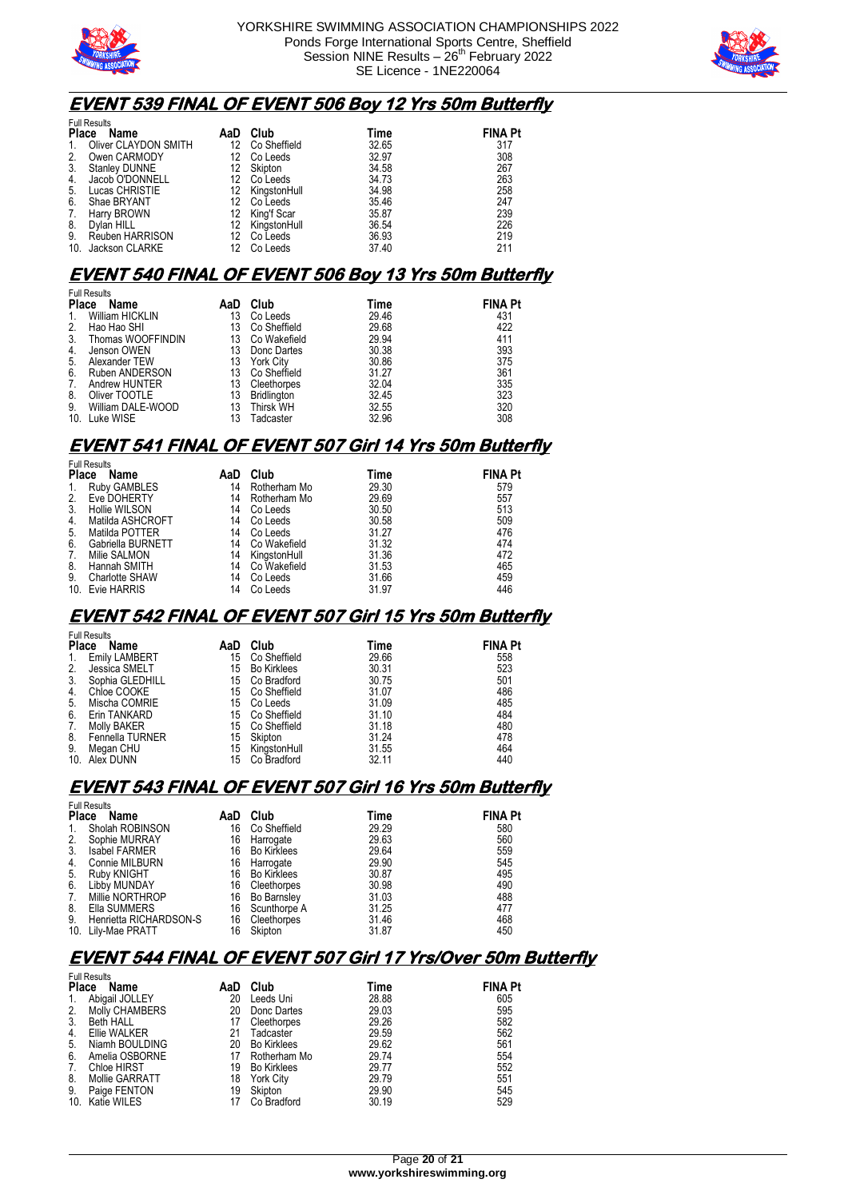



#### **EVENT 539 FINAL OF EVENT 506 Boy 12 Yrs 50m Butterfly**

|              | <b>Full Results</b>  |     |              |       |                |  |  |
|--------------|----------------------|-----|--------------|-------|----------------|--|--|
| <b>Place</b> | Name                 | AaD | Club         | Time  | <b>FINA Pt</b> |  |  |
| 1.           | Oliver CLAYDON SMITH | 12  | Co Sheffield | 32.65 | 317            |  |  |
| 2.           | Owen CARMODY         | 12  | Co Leeds     | 32.97 | 308            |  |  |
| 3.           | <b>Stanley DUNNE</b> | 12  | Skipton      | 34.58 | 267            |  |  |
| 4.           | Jacob O'DONNELL      | 12  | Co Leeds     | 34.73 | 263            |  |  |
| 5.           | Lucas CHRISTIE       | 12  | KingstonHull | 34.98 | 258            |  |  |
| 6.           | Shae BRYANT          | 12  | Co Leeds     | 35.46 | 247            |  |  |
| 7.           | Harry BROWN          | 12  | King'f Scar  | 35.87 | 239            |  |  |
| 8.           | Dylan HILL           | 12  | KingstonHull | 36.54 | 226            |  |  |
| 9.           | Reuben HARRISON      | 12  | Co Leeds     | 36.93 | 219            |  |  |
| 10.          | Jackson CLARKE       | 12  | Co Leeds     | 37.40 | 211            |  |  |

#### **EVENT 540 FINAL OF EVENT 506 Boy 13 Yrs 50m Butterfly**

|              | <b>Full Results</b>    |     |              |       |                |  |  |  |
|--------------|------------------------|-----|--------------|-------|----------------|--|--|--|
| <b>Place</b> | Name                   | AaD | Club         | Time  | <b>FINA Pt</b> |  |  |  |
| 1.           | <b>William HICKLIN</b> | 13  | Co Leeds     | 29.46 | 431            |  |  |  |
| 2.           | Hao Hao SHI            | 13  | Co Sheffield | 29.68 | 422            |  |  |  |
| 3.           | Thomas WOOFFINDIN      | 13  | Co Wakefield | 29.94 | 411            |  |  |  |
| 4.           | Jenson OWEN            | 13  | Donc Dartes  | 30.38 | 393            |  |  |  |
| 5.           | Alexander TEW          | 13  | York City    | 30.86 | 375            |  |  |  |
| 6.           | Ruben ANDERSON         | 13  | Co Sheffield | 31.27 | 361            |  |  |  |
| 7.           | Andrew HUNTER          | 13  | Cleethorpes  | 32.04 | 335            |  |  |  |
| 8.           | Oliver TOOTLE          | 13  | Bridlington  | 32.45 | 323            |  |  |  |
| 9.           | William DALE-WOOD      | 13  | Thirsk WH    | 32.55 | 320            |  |  |  |
| 10.          | Luke WISE              | 13  | Tadcaster    | 32.96 | 308            |  |  |  |

# **EVENT 541 FINAL OF EVENT 507 Girl 14 Yrs 50m Butterfly**

|                | <b>Full Results</b> |     |              |       |                |  |  |  |
|----------------|---------------------|-----|--------------|-------|----------------|--|--|--|
| <b>Place</b>   | Name                | AaD | Club         | Time  | <b>FINA Pt</b> |  |  |  |
| 1.             | Ruby GAMBLES        | 14  | Rotherham Mo | 29.30 | 579            |  |  |  |
| 2.             | Eve DOHERTY         | 14  | Rotherham Mo | 29.69 | 557            |  |  |  |
| 3.             | Hollie WILSON       | 14  | Co Leeds     | 30.50 | 513            |  |  |  |
| 4.             | Matilda ASHCROFT    | 14  | Co Leeds     | 30.58 | 509            |  |  |  |
| 5.             | Matilda POTTER      | 14  | Co Leeds     | 31.27 | 476            |  |  |  |
| 6.             | Gabriella BURNETT   | 14  | Co Wakefield | 31.32 | 474            |  |  |  |
| 7 <sub>1</sub> | Milie SALMON        | 14  | KingstonHull | 31.36 | 472            |  |  |  |
| 8.             | Hannah SMITH        | 14  | Co Wakefield | 31.53 | 465            |  |  |  |
| 9.             | Charlotte SHAW      | 14  | Co Leeds     | 31.66 | 459            |  |  |  |
|                | 10. Evie HARRIS     | 14  | Co Leeds     | 31.97 | 446            |  |  |  |

### **EVENT 542 FINAL OF EVENT 507 Girl 15 Yrs 50m Butterfly**

|              | <b>Full Results</b>    |     |              |       |                |
|--------------|------------------------|-----|--------------|-------|----------------|
| <b>Place</b> | Name                   | AaD | Club         | Time  | <b>FINA Pt</b> |
| 1.           | <b>Emily LAMBERT</b>   | 15  | Co Sheffield | 29.66 | 558            |
| 2.           | Jessica SMELT          | 15  | Bo Kirklees  | 30.31 | 523            |
| 3.           | Sophia GLEDHILL        | 15  | Co Bradford  | 30.75 | 501            |
| 4.           | Chloe COOKE            | 15  | Co Sheffield | 31.07 | 486            |
| 5.           | Mischa COMRIE          | 15  | Co Leeds     | 31.09 | 485            |
| 6.           | Erin TANKARD           | 15  | Co Sheffield | 31.10 | 484            |
| 7.           | Molly BAKER            | 15  | Co Sheffield | 31.18 | 480            |
| 8.           | <b>Fennella TURNER</b> | 15  | Skipton      | 31.24 | 478            |
| 9.           | Megan CHU              | 15  | KingstonHull | 31.55 | 464            |
|              | 10. Alex DUNN          | 15  | Co Bradford  | 32.11 | 440            |

#### **EVENT 543 FINAL OF EVENT 507 Girl 16 Yrs 50m Butterfly**

|              | <b>Full Results</b>    |     |                    |       |                |  |  |  |
|--------------|------------------------|-----|--------------------|-------|----------------|--|--|--|
| <b>Place</b> | Name                   | AaD | Club               | Time  | <b>FINA Pt</b> |  |  |  |
|              | Sholah ROBINSON        | 16  | Co Sheffield       | 29.29 | 580            |  |  |  |
| 2.           | Sophie MURRAY          | 16  | Harrogate          | 29.63 | 560            |  |  |  |
| 3.           | <b>Isabel FARMER</b>   | 16  | <b>Bo Kirklees</b> | 29.64 | 559            |  |  |  |
| 4.           | Connie MILBURN         | 16  | Harrogate          | 29.90 | 545            |  |  |  |
| 5.           | Ruby KNIGHT            | 16  | Bo Kirklees        | 30.87 | 495            |  |  |  |
| 6.           | Libby MUNDAY           | 16  | Cleethorpes        | 30.98 | 490            |  |  |  |
| 7.           | Millie NORTHROP        | 16  | <b>Bo Barnsley</b> | 31.03 | 488            |  |  |  |
| 8.           | Ella SUMMERS           | 16  | Scunthorpe A       | 31.25 | 477            |  |  |  |
| 9.           | Henrietta RICHARDSON-S | 16  | Cleethorpes        | 31.46 | 468            |  |  |  |
|              | 10. Lily-Mae PRATT     | 16  | Skipton            | 31.87 | 450            |  |  |  |

# **EVENT 544 FINAL OF EVENT 507 Girl 17 Yrs/Over 50m Butterfly**

|              | <b>Full Results</b> |     |                    |       |                |
|--------------|---------------------|-----|--------------------|-------|----------------|
| <b>Place</b> | Name                | AaD | Club               | Time  | <b>FINA Pt</b> |
| 1.           | Abigail JOLLEY      | 20  | Leeds Uni          | 28.88 | 605            |
| 2.           | Molly CHAMBERS      | 20  | Donc Dartes        | 29.03 | 595            |
| 3.           | Beth HALL           | 17  | Cleethorpes        | 29.26 | 582            |
| 4.           | Ellie WALKER        | 21  | Tadcaster          | 29.59 | 562            |
| 5.           | Niamh BOULDING      | 20  | <b>Bo Kirklees</b> | 29.62 | 561            |
| 6.           | Amelia OSBORNE      | 17  | Rotherham Mo       | 29.74 | 554            |
| 7.           | Chloe HIRST         | 19  | Bo Kirklees        | 29.77 | 552            |
| 8.           | Mollie GARRATT      | 18  | <b>York City</b>   | 29.79 | 551            |
| 9.           | Paige FENTON        | 19  | Skipton            | 29.90 | 545            |
|              | 10. Katie WILES     |     | Co Bradford        | 30.19 | 529            |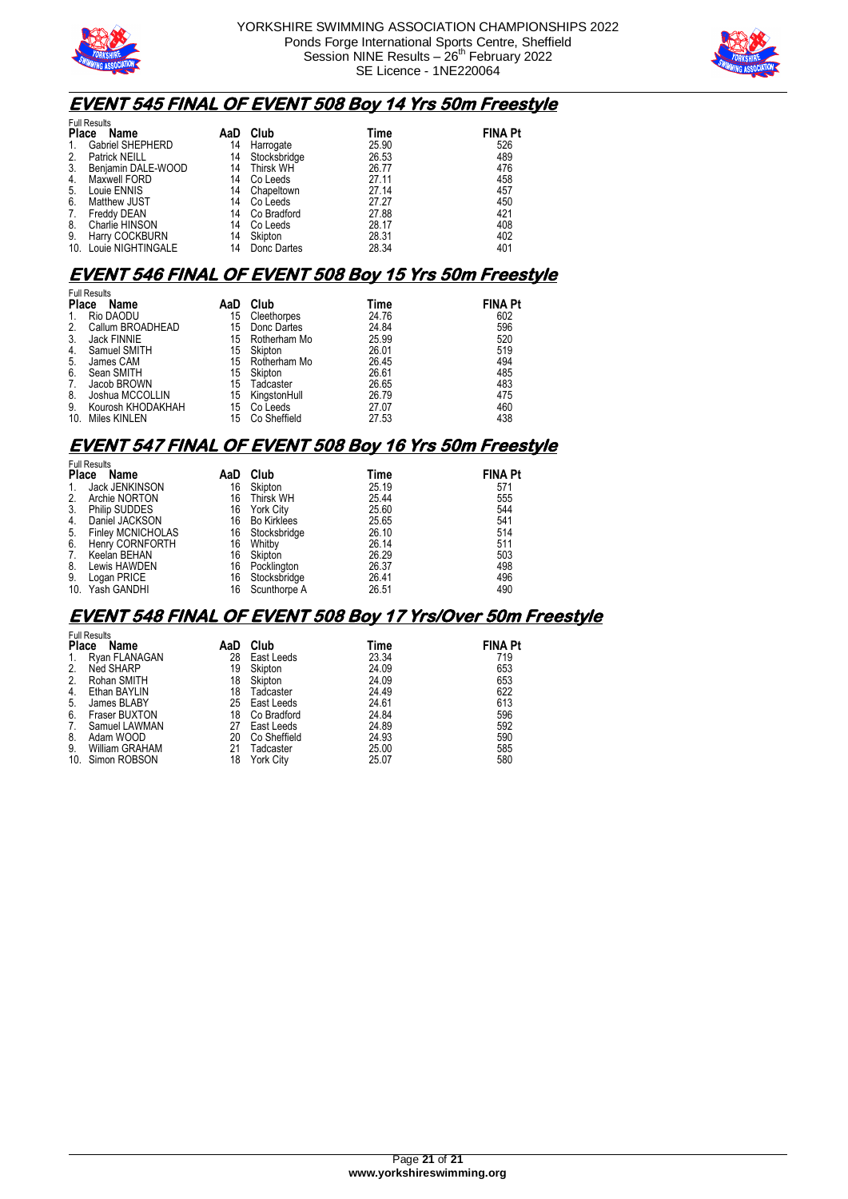



# **EVENT 545 FINAL OF EVENT 508 Boy 14 Yrs 50m Freestyle**

|              | <b>Full Results</b>   |     |              |       |                |  |  |  |
|--------------|-----------------------|-----|--------------|-------|----------------|--|--|--|
| <b>Place</b> | Name                  | AaD | Club         | Time  | <b>FINA Pt</b> |  |  |  |
| 1.           | Gabriel SHEPHERD      | 14  | Harrogate    | 25.90 | 526            |  |  |  |
| 2.           | Patrick NEILL         | 14  | Stocksbridge | 26.53 | 489            |  |  |  |
| 3.           | Benjamin DALE-WOOD    | 14  | Thirsk WH    | 26.77 | 476            |  |  |  |
| 4.           | Maxwell FORD          | 14  | Co Leeds     | 27.11 | 458            |  |  |  |
| 5.           | Louie ENNIS           | 14  | Chapeltown   | 27.14 | 457            |  |  |  |
| 6.           | Matthew JUST          | 14  | Co Leeds     | 27.27 | 450            |  |  |  |
| 7.           | Freddy DEAN           | 14  | Co Bradford  | 27.88 | 421            |  |  |  |
| 8.           | Charlie HINSON        | 14  | Co Leeds     | 28.17 | 408            |  |  |  |
| 9.           | Harry COCKBURN        | 14  | Skipton      | 28.31 | 402            |  |  |  |
|              | 10. Louie NIGHTINGALE | 14  | Donc Dartes  | 28.34 | 401            |  |  |  |

### **EVENT 546 FINAL OF EVENT 508 Boy 15 Yrs 50m Freestyle**

|                 | <b>Full Results</b> |     |              |       |                |  |  |  |
|-----------------|---------------------|-----|--------------|-------|----------------|--|--|--|
| <b>Place</b>    | Name                | AaD | Club         | Time  | <b>FINA Pt</b> |  |  |  |
| 1.              | Rio DAODU           | 15  | Cleethorpes  | 24.76 | 602            |  |  |  |
| 2.              | Callum BROADHEAD    | 15  | Donc Dartes  | 24.84 | 596            |  |  |  |
| 3.              | Jack FINNIE         | 15  | Rotherham Mo | 25.99 | 520            |  |  |  |
| 4.              | Samuel SMITH        | 15  | Skipton      | 26.01 | 519            |  |  |  |
| 5.              | James CAM           | 15  | Rotherham Mo | 26.45 | 494            |  |  |  |
| 6.              | Sean SMITH          | 15  | Skipton      | 26.61 | 485            |  |  |  |
| 7.              | Jacob BROWN         | 15  | Tadcaster    | 26.65 | 483            |  |  |  |
| 8.              | Joshua MCCOLLIN     | 15  | KingstonHull | 26.79 | 475            |  |  |  |
| 9.              | Kourosh KHODAKHAH   | 15  | Co Leeds     | 27.07 | 460            |  |  |  |
| 10 <sub>1</sub> | Miles KINLEN        | 15  | Co Sheffield | 27.53 | 438            |  |  |  |

#### **EVENT 547 FINAL OF EVENT 508 Boy 16 Yrs 50m Freestyle**

|              | <b>Full Results</b>      |     |              |       |                |  |  |  |
|--------------|--------------------------|-----|--------------|-------|----------------|--|--|--|
| <b>Place</b> | Name                     | AaD | Club         | Time  | <b>FINA Pt</b> |  |  |  |
| 1.           | Jack JENKINSON           | 16  | Skipton      | 25.19 | 571            |  |  |  |
| 2.           | Archie NORTON            | 16  | Thirsk WH    | 25.44 | 555            |  |  |  |
| 3.           | <b>Philip SUDDES</b>     | 16  | York City    | 25.60 | 544            |  |  |  |
| 4.           | Daniel JACKSON           | 16  | Bo Kirklees  | 25.65 | 541            |  |  |  |
| 5.           | <b>Finley MCNICHOLAS</b> | 16  | Stocksbridge | 26.10 | 514            |  |  |  |
| 6.           | Henry CORNFORTH          | 16  | Whitby       | 26.14 | 511            |  |  |  |
| 7.           | Keelan BEHAN             | 16  | Skipton      | 26.29 | 503            |  |  |  |
| 8.           | Lewis HAWDEN             | 16  | Pocklington  | 26.37 | 498            |  |  |  |
| 9.           | Logan PRICE              | 16  | Stocksbridge | 26.41 | 496            |  |  |  |
|              | 10. Yash GANDHI          | 16  | Scunthorpe A | 26.51 | 490            |  |  |  |

#### **EVENT 548 FINAL OF EVENT 508 Boy 17 Yrs/Over 50m Freestyle**

| <b>Full Results</b>  |                                  |              |       |                |  |  |  |
|----------------------|----------------------------------|--------------|-------|----------------|--|--|--|
| Name                 | AaD                              | Club         | Time  | <b>FINA Pt</b> |  |  |  |
| Ryan FLANAGAN        | 28                               | East Leeds   | 23.34 | 719            |  |  |  |
| Ned SHARP            | 19                               | Skipton      | 24.09 | 653            |  |  |  |
| Rohan SMITH          | 18                               | Skipton      | 24.09 | 653            |  |  |  |
| Ethan BAYLIN         | 18                               | Tadcaster    | 24.49 | 622            |  |  |  |
| James BLABY          | 25                               | East Leeds   | 24.61 | 613            |  |  |  |
| <b>Fraser BUXTON</b> | 18                               | Co Bradford  | 24.84 | 596            |  |  |  |
| Samuel LAWMAN        | 27                               | East Leeds   | 24.89 | 592            |  |  |  |
| Adam WOOD            | 20                               | Co Sheffield |       | 590            |  |  |  |
| William GRAHAM       | 21                               | Tadcaster    | 25.00 | 585            |  |  |  |
|                      | 18                               | York City    | 25.07 | 580            |  |  |  |
|                      | <b>Place</b><br>10. Simon ROBSON |              |       | 24.93          |  |  |  |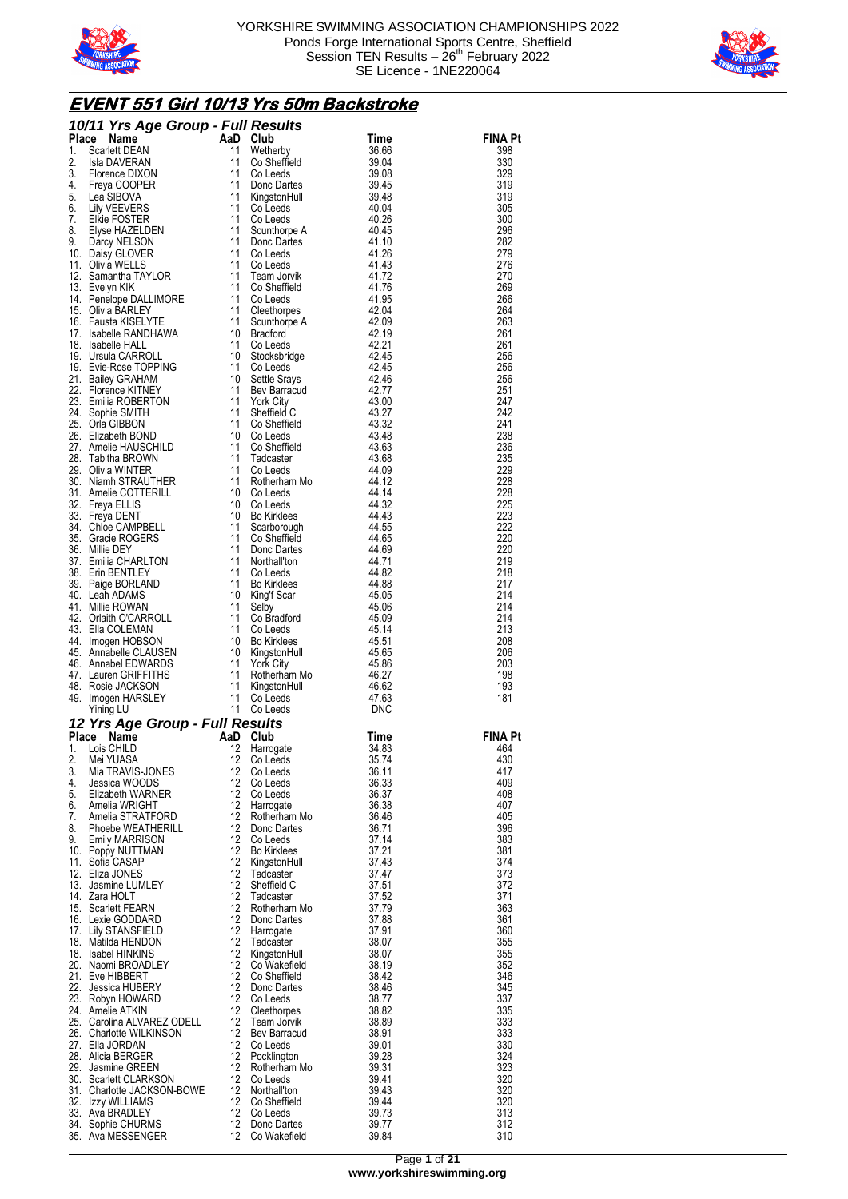



# **EVENT 551 Girl 10/13 Yrs 50m Backstroke**

|             | 10/11 Yrs Age Group - Full Results<br><b>10/11 Yrs Age Group - Full Res<br/> Place Name AaD Club<br/> 1. Scarlet DEAN 11 Wether<br/> 3. Florence DIXON 11 Co Sh<br/> 3. Florence DIXON 11 Co Lee<br/> 4. Freya COOPER 11 Donc 1<br/> 5. Lea SIBOVA<br/> 5. Lei VEEVERS 11 Co Lee<br/> 7. Elkie FOSTER </b> |            |                                                                                                    |                         |                       |
|-------------|------------------------------------------------------------------------------------------------------------------------------------------------------------------------------------------------------------------------------------------------------------------------------------------------------------|------------|----------------------------------------------------------------------------------------------------|-------------------------|-----------------------|
|             |                                                                                                                                                                                                                                                                                                            |            |                                                                                                    | Time<br>36.66           | <b>FINA Pt</b><br>398 |
|             |                                                                                                                                                                                                                                                                                                            |            | Wetherby<br>Co Sheffield                                                                           | 39.04                   | 330                   |
|             |                                                                                                                                                                                                                                                                                                            |            | Co Leeds                                                                                           | $\frac{39.08}{39.45}$   | 329                   |
|             |                                                                                                                                                                                                                                                                                                            |            |                                                                                                    |                         | 319                   |
|             |                                                                                                                                                                                                                                                                                                            |            | Co Leeds<br>Donc Dartes<br>KingstonHull<br>Co Leeds<br>Co Leeds                                    | 39.48<br>40.04          | 319<br>305            |
|             |                                                                                                                                                                                                                                                                                                            |            | Co Leeds                                                                                           | - 40.26                 | 300                   |
|             |                                                                                                                                                                                                                                                                                                            |            | Co Leeux<br>Scunthorpe A<br>Donc Dartes<br>Co Leeds                                                | 40.45                   | 296                   |
|             |                                                                                                                                                                                                                                                                                                            |            |                                                                                                    | 41.10<br>- 41.26        | 282<br>279            |
|             |                                                                                                                                                                                                                                                                                                            |            | Co Leeds                                                                                           | 41.43                   | 276                   |
|             |                                                                                                                                                                                                                                                                                                            |            |                                                                                                    | 41.72                   | 270                   |
|             | 13. Evelyn KIK<br>12. Samahrina HAYLOR<br>14. Evelyn Kir<br>14. Penelope DALLIMORE<br>15. Olivia BARLEY<br>16. Fausta KISELYTE<br>17. Isabelle HALL<br>19. Ursula CARROLL<br>19. Ursula CARROLL<br>19. Evie-Rose TOPPING<br>21. Bailey GRAHAM<br>22. Florence KITNEY<br>24. Sophi                          | 11         | Team Jorvik<br>Co Sheffield                                                                        | 41.76                   | 269                   |
|             |                                                                                                                                                                                                                                                                                                            | - 11<br>11 | Co Leeds                                                                                           | 41.95<br>42.04          | 266<br>264            |
|             |                                                                                                                                                                                                                                                                                                            | 11         | Cleethorpes<br>Scunthorpe A<br>Bradford                                                            | 42.09                   | 263                   |
|             |                                                                                                                                                                                                                                                                                                            | 10         | <b>Bradford</b>                                                                                    | 42.19                   | 261                   |
|             |                                                                                                                                                                                                                                                                                                            | 11<br>10   | Co Leeds                                                                                           | - 42.21<br>- 42.45      | 261<br>256            |
|             |                                                                                                                                                                                                                                                                                                            | 11         | Stocksbridge<br>Co Leeds                                                                           | - 42.45                 | 256                   |
|             |                                                                                                                                                                                                                                                                                                            | 10         | Co Leeus<br>Setv Baracud<br>Bev Baracud<br>York City<br>Sheffield Co Leeds<br>Co Leeds             | 42.46                   | 256                   |
|             |                                                                                                                                                                                                                                                                                                            | 11         |                                                                                                    | - 42.77                 | 251                   |
|             |                                                                                                                                                                                                                                                                                                            | 11<br>11   |                                                                                                    | 43.00<br>43.27          | 247<br>242            |
|             |                                                                                                                                                                                                                                                                                                            | 11         |                                                                                                    | - 43.32                 | 241                   |
|             |                                                                                                                                                                                                                                                                                                            | 10         | Co Leeds                                                                                           | 43.48                   | 238                   |
|             |                                                                                                                                                                                                                                                                                                            | 11         | Co Sheffield<br>Tacharta                                                                           | 43.63                   | 236                   |
|             |                                                                                                                                                                                                                                                                                                            | 11<br>11   | Tadcaster<br>Co Leeds                                                                              | 43.68<br>44.09          | 235<br>229            |
|             |                                                                                                                                                                                                                                                                                                            | 11         | Rotherham Mo                                                                                       | - 44.12                 | 228                   |
|             |                                                                                                                                                                                                                                                                                                            | 10         | Co Leeds                                                                                           | 44.14                   | 228                   |
|             |                                                                                                                                                                                                                                                                                                            | 10<br>10   | Co Leeds                                                                                           | 44.32<br>44.43          | 225<br>223            |
|             |                                                                                                                                                                                                                                                                                                            | 11         | <b>Bo Kirklees</b><br>Scarborough                                                                  | - 44.55                 | 222                   |
|             |                                                                                                                                                                                                                                                                                                            | 11         | Co Sheffield                                                                                       | - 44.65                 | 220                   |
|             |                                                                                                                                                                                                                                                                                                            | 11         | Donc Dartes                                                                                        | 44.69                   | 220                   |
|             |                                                                                                                                                                                                                                                                                                            | 11<br>11   | Northall'ton<br>Co Leeds                                                                           | - 44.71<br>44.82        | 219<br>218            |
|             |                                                                                                                                                                                                                                                                                                            | 11         | Bo Kirklees                                                                                        | 44.88                   | 217                   |
|             |                                                                                                                                                                                                                                                                                                            | 10         | King'f Scar                                                                                        | - 45.05                 | 214                   |
|             |                                                                                                                                                                                                                                                                                                            | 11         | Selby                                                                                              | 45.06                   | 214                   |
|             |                                                                                                                                                                                                                                                                                                            | 11<br>11   | Co Bradford<br>Co Loode<br>Co Leeds                                                                | 45.09<br>45.14          | 214<br>213            |
|             |                                                                                                                                                                                                                                                                                                            | 10         |                                                                                                    | 45.51                   | 208                   |
|             |                                                                                                                                                                                                                                                                                                            | 10         |                                                                                                    | 45.65                   | 206                   |
|             |                                                                                                                                                                                                                                                                                                            | -11<br>-11 |                                                                                                    | 45.86<br>46.27          | 203<br>198            |
|             |                                                                                                                                                                                                                                                                                                            | 11         |                                                                                                    | 46.62                   | 193                   |
|             |                                                                                                                                                                                                                                                                                                            | 11         |                                                                                                    | 47.63                   | 181                   |
|             | 29. Tablima BROWIN<br>29. Olivia WINTER<br>30. Niamh STRAUTHER<br>31. Amelie COTTERILL<br>32. Freya ELLIS<br>32. Freya ELLIS<br>34. Chloe CAMPBELL<br>35. Gracie ROGERS<br>36. Millie DCHARLTON<br>38. Erin BENTLEY<br>39. Erin BENTLEY<br>39. Paige<br>Yining LU                                          |            | 3o Knn.<br>KingstonHun<br>York City<br>Rotherham Mo<br>KingstonHull<br>VingstonHull<br>11 Co Leeds | DNC                     |                       |
|             | 12 Yrs Age Group - Full Results                                                                                                                                                                                                                                                                            |            |                                                                                                    |                         |                       |
| Place<br>1. | Name<br>Lois CHILD                                                                                                                                                                                                                                                                                         | AaD<br>12  | Club<br>Harrogate                                                                                  | Time<br>34.83           | <b>FINA Pt</b><br>464 |
| 2.          | Mei YUASA                                                                                                                                                                                                                                                                                                  |            | 12 Co Leeds                                                                                        | 35.74                   | 430                   |
| 3.          | Mia TRAVIS-JONES                                                                                                                                                                                                                                                                                           | 12         | Co Leeds                                                                                           | 36.11                   | 417                   |
| 4.<br>5.    | Jessica WOODS<br>Elizabeth WARNER                                                                                                                                                                                                                                                                          | 12<br>12   | Co Leeds<br>Co Leeds                                                                               | 36.33<br>36.37          | 409<br>408            |
| 6.          | Amelia WRIGHT                                                                                                                                                                                                                                                                                              | 12         | Harrogate                                                                                          | 36.38                   | 407                   |
| 7.          | Amelia STRATFORD                                                                                                                                                                                                                                                                                           | 12         | Rotherham Mo                                                                                       | 36.46                   | 405                   |
| 8.          | Phoebe WEATHERILL                                                                                                                                                                                                                                                                                          | 12<br>12   | Donc Dartes                                                                                        | 36.71                   | 396                   |
| 9.          | <b>Emily MARRISON</b><br>10. Poppy NUTTMAN                                                                                                                                                                                                                                                                 | 12         | Co Leeds<br><b>Bo Kirklees</b>                                                                     | 37.14<br>37.21          | 383<br>381            |
|             | 11. Sofia CASAP                                                                                                                                                                                                                                                                                            | 12         | KingstonHull                                                                                       | 37.43                   | 374                   |
|             | 12. Eliza JONES                                                                                                                                                                                                                                                                                            | 12         | Tadcaster                                                                                          | 37.47                   | 373                   |
|             | 13. Jasmine LUMLEY<br>14. Zara HOLT                                                                                                                                                                                                                                                                        | 12<br>12   | Sheffield C<br>Tadcaster                                                                           | 37.51<br>37.52          | 372<br>371            |
|             | 15. Scarlett FEARN                                                                                                                                                                                                                                                                                         | 12         | Rotherham Mo                                                                                       | 37.79                   | 363                   |
|             | 16. Lexie GODDARD                                                                                                                                                                                                                                                                                          | 12         | Donc Dartes                                                                                        | 37.88                   | 361                   |
|             | 17. Lily STANSFIELD                                                                                                                                                                                                                                                                                        | 12         | Harrogate                                                                                          | 37.91                   | 360                   |
|             | 18. Matilda HENDON<br>18. Isabel HINKINS                                                                                                                                                                                                                                                                   | 12<br>12   | Tadcaster<br>KingstonHull                                                                          | 38.07<br>38.07          | 355<br>355            |
|             | 20. Naomi BROADLEY                                                                                                                                                                                                                                                                                         | 12         | Co Wakefield                                                                                       | 38.19                   | 352                   |
|             |                                                                                                                                                                                                                                                                                                            |            |                                                                                                    |                         | 346                   |
|             | 21. Eve HIBBERT                                                                                                                                                                                                                                                                                            | 12         | Co Sheffield                                                                                       | 38.42                   |                       |
|             | 22. Jessica HUBERY                                                                                                                                                                                                                                                                                         | 12         | Donc Dartes                                                                                        | 38.46                   | 345                   |
|             | 23. Robyn HOWARD                                                                                                                                                                                                                                                                                           | 12         | Co Leeds                                                                                           | 38.77                   | 337                   |
|             | 24. Amelie ATKIN<br>25. Carolina ALVAREZ ODELL                                                                                                                                                                                                                                                             | 12<br>12   | Cleethorpes<br>Team Jorvik                                                                         | 38.82<br>38.89          | 335<br>333            |
|             | 26. Charlotte WILKINSON                                                                                                                                                                                                                                                                                    | 12         | Bev Barracud                                                                                       | 38.91                   | 333                   |
|             | 27. Ella JORDAN                                                                                                                                                                                                                                                                                            | 12         | Co Leeds                                                                                           | 39.01                   | 330                   |
|             | 28. Alicia BERGER<br>29. Jasmine GREEN                                                                                                                                                                                                                                                                     | 12<br>12   | Pocklington<br>Rotherham Mo                                                                        | 39.28<br>39.31          | 324<br>323            |
|             | 30. Scarlett CLARKSON                                                                                                                                                                                                                                                                                      | 12         | Co Leeds                                                                                           | 39.41                   | 320                   |
|             | 31. Charlotte JACKSON-BOWE                                                                                                                                                                                                                                                                                 | 12         | Northall'ton                                                                                       | 39.43                   | 320                   |
|             | 32. Izzy WILLIAMS                                                                                                                                                                                                                                                                                          | 12         | Co Sheffield                                                                                       | 39.44                   | 320                   |
|             | 33. Ava BRADLEY<br>34. Sophie CHURMS<br>35. Ava MESSENGER                                                                                                                                                                                                                                                  | 12<br>12   | 12 Co Leeds<br>Donc Dartes<br>Co Wakefield                                                         | 39.73<br>39.77<br>39.84 | 313<br>312<br>310     |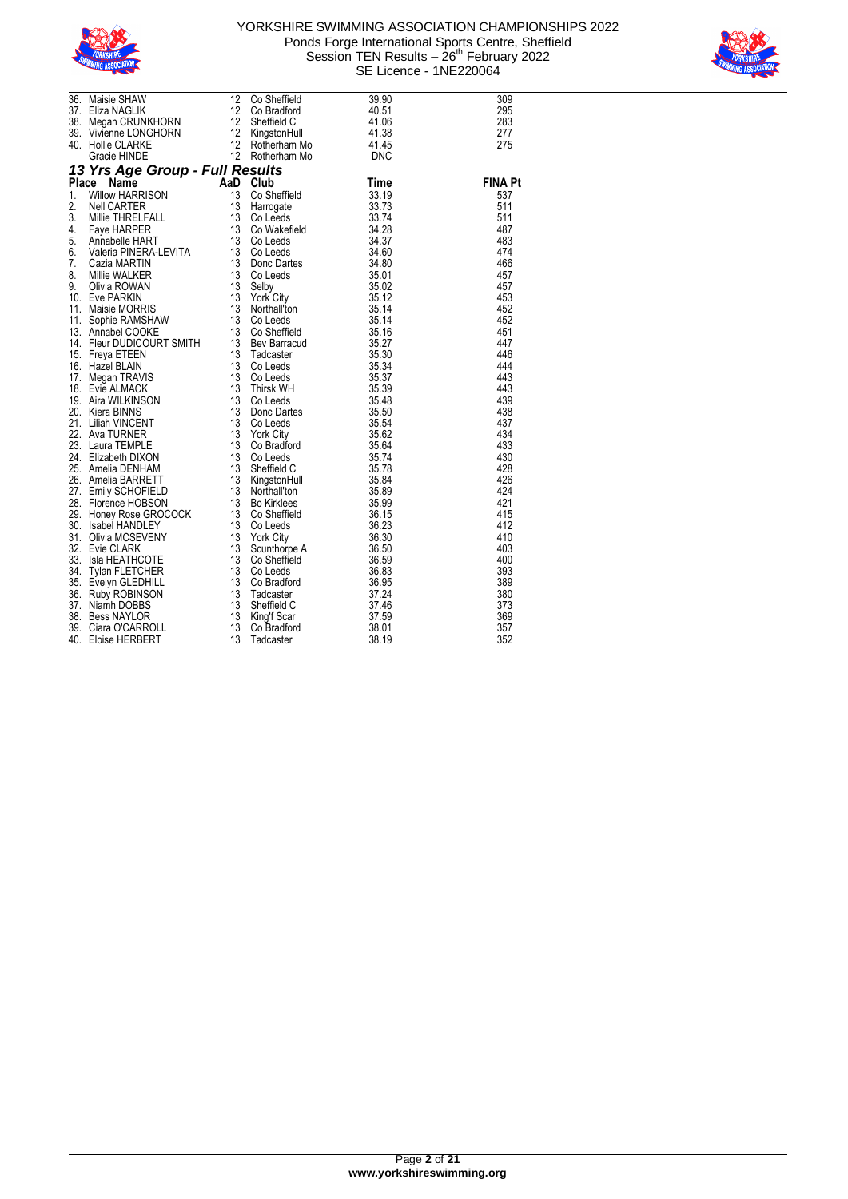



| 36. Maisie SHAW 12 Co Sheffield<br>37. Eliza NAGLIK 12 Co Bradford<br>38. Megan CRUNKHORN 12 Sheffield C<br>39. Vivienne LONGHORN 12 KingstonHull<br>40. Hollie CLARKE 12 Rotherham Mo<br>Gracie HINDE                                                                                               |    | Co Sheffield<br>Co Bradford<br>Sheffield C                                                                                                                                                                                                                           | 39.90          | 309            |
|------------------------------------------------------------------------------------------------------------------------------------------------------------------------------------------------------------------------------------------------------------------------------------------------------|----|----------------------------------------------------------------------------------------------------------------------------------------------------------------------------------------------------------------------------------------------------------------------|----------------|----------------|
|                                                                                                                                                                                                                                                                                                      |    |                                                                                                                                                                                                                                                                      | 40.51          | 295            |
|                                                                                                                                                                                                                                                                                                      |    |                                                                                                                                                                                                                                                                      | 40.51<br>41.06 | 283            |
|                                                                                                                                                                                                                                                                                                      |    |                                                                                                                                                                                                                                                                      |                | 277            |
|                                                                                                                                                                                                                                                                                                      |    |                                                                                                                                                                                                                                                                      |                | 275            |
|                                                                                                                                                                                                                                                                                                      |    |                                                                                                                                                                                                                                                                      |                |                |
|                                                                                                                                                                                                                                                                                                      |    | Sheffield C<br>KingstonHull 41.35<br>Rotherham Mo 41.45<br>DNC DNC                                                                                                                                                                                                   |                |                |
| 13 Yrs Age Group - Full Results                                                                                                                                                                                                                                                                      |    |                                                                                                                                                                                                                                                                      |                |                |
|                                                                                                                                                                                                                                                                                                      |    |                                                                                                                                                                                                                                                                      |                | <b>FINA Pt</b> |
|                                                                                                                                                                                                                                                                                                      |    |                                                                                                                                                                                                                                                                      |                | 537            |
|                                                                                                                                                                                                                                                                                                      |    |                                                                                                                                                                                                                                                                      |                | 511            |
|                                                                                                                                                                                                                                                                                                      |    |                                                                                                                                                                                                                                                                      |                | 511            |
|                                                                                                                                                                                                                                                                                                      |    |                                                                                                                                                                                                                                                                      |                | 487            |
|                                                                                                                                                                                                                                                                                                      |    |                                                                                                                                                                                                                                                                      |                | 483            |
|                                                                                                                                                                                                                                                                                                      |    |                                                                                                                                                                                                                                                                      |                | 474            |
|                                                                                                                                                                                                                                                                                                      |    |                                                                                                                                                                                                                                                                      |                | 466            |
|                                                                                                                                                                                                                                                                                                      |    |                                                                                                                                                                                                                                                                      |                | 457            |
|                                                                                                                                                                                                                                                                                                      |    |                                                                                                                                                                                                                                                                      |                | 457            |
|                                                                                                                                                                                                                                                                                                      |    |                                                                                                                                                                                                                                                                      |                | 453            |
|                                                                                                                                                                                                                                                                                                      |    |                                                                                                                                                                                                                                                                      |                | 452            |
|                                                                                                                                                                                                                                                                                                      |    |                                                                                                                                                                                                                                                                      |                | 452            |
|                                                                                                                                                                                                                                                                                                      |    |                                                                                                                                                                                                                                                                      |                | 451            |
|                                                                                                                                                                                                                                                                                                      |    |                                                                                                                                                                                                                                                                      |                | 447            |
|                                                                                                                                                                                                                                                                                                      |    |                                                                                                                                                                                                                                                                      |                | 446            |
|                                                                                                                                                                                                                                                                                                      |    |                                                                                                                                                                                                                                                                      |                | 444            |
|                                                                                                                                                                                                                                                                                                      |    |                                                                                                                                                                                                                                                                      |                | 443            |
|                                                                                                                                                                                                                                                                                                      |    |                                                                                                                                                                                                                                                                      |                | 443            |
|                                                                                                                                                                                                                                                                                                      |    |                                                                                                                                                                                                                                                                      |                | 439            |
|                                                                                                                                                                                                                                                                                                      |    |                                                                                                                                                                                                                                                                      |                | 438            |
|                                                                                                                                                                                                                                                                                                      |    |                                                                                                                                                                                                                                                                      |                | 437            |
|                                                                                                                                                                                                                                                                                                      |    |                                                                                                                                                                                                                                                                      |                |                |
|                                                                                                                                                                                                                                                                                                      |    |                                                                                                                                                                                                                                                                      |                | 434            |
|                                                                                                                                                                                                                                                                                                      |    |                                                                                                                                                                                                                                                                      |                | 433            |
|                                                                                                                                                                                                                                                                                                      |    |                                                                                                                                                                                                                                                                      |                | 430            |
|                                                                                                                                                                                                                                                                                                      |    |                                                                                                                                                                                                                                                                      |                | 428            |
|                                                                                                                                                                                                                                                                                                      |    |                                                                                                                                                                                                                                                                      |                | 426            |
|                                                                                                                                                                                                                                                                                                      |    |                                                                                                                                                                                                                                                                      |                | 424            |
|                                                                                                                                                                                                                                                                                                      |    |                                                                                                                                                                                                                                                                      |                | 421            |
|                                                                                                                                                                                                                                                                                                      |    |                                                                                                                                                                                                                                                                      |                | 415            |
|                                                                                                                                                                                                                                                                                                      |    |                                                                                                                                                                                                                                                                      |                | 412            |
|                                                                                                                                                                                                                                                                                                      |    |                                                                                                                                                                                                                                                                      |                | 410            |
|                                                                                                                                                                                                                                                                                                      |    |                                                                                                                                                                                                                                                                      |                | 403            |
|                                                                                                                                                                                                                                                                                                      |    |                                                                                                                                                                                                                                                                      |                | 400            |
|                                                                                                                                                                                                                                                                                                      |    |                                                                                                                                                                                                                                                                      |                | 393            |
|                                                                                                                                                                                                                                                                                                      |    |                                                                                                                                                                                                                                                                      |                | 389            |
|                                                                                                                                                                                                                                                                                                      |    |                                                                                                                                                                                                                                                                      |                | 380            |
|                                                                                                                                                                                                                                                                                                      |    |                                                                                                                                                                                                                                                                      |                | 373            |
|                                                                                                                                                                                                                                                                                                      |    |                                                                                                                                                                                                                                                                      |                | 369            |
| 40. Holie CARKNE<br>162 Norman Mo<br>178 Norman Mo<br>178 Norman Mo<br>178 Norman Mo<br>178 Norman Mo<br>178 Norman Mo<br>178 Norman Mo<br>178 Norman Mo<br>178 Norman Mo<br>178 Norman Mo<br>182 Coleeds<br>183 Norman Mo<br>182 Coleeds<br>183 Norman Mo<br>38. Bess NAYLOR<br>39. Ciara O'CARROLL |    | 36.15<br>York City<br>Scunthorpe A<br>Co Sheffield<br>Co Leeds<br>Co Leeds<br>Co Bradford<br>Tadcaster<br>Tadcaster<br>Sheffield C<br>Singf Scar<br>Sheffield C<br>Sheffield C<br>Tadcaster<br>37.24<br>Sheffield C<br>Xingf Scar<br>Co Rradford<br>Tadcaster<br>She |                | 357            |
| 40. Eloise HERBERT                                                                                                                                                                                                                                                                                   | 13 | Tadcaster                                                                                                                                                                                                                                                            | 38.19          | 352            |
|                                                                                                                                                                                                                                                                                                      |    |                                                                                                                                                                                                                                                                      |                |                |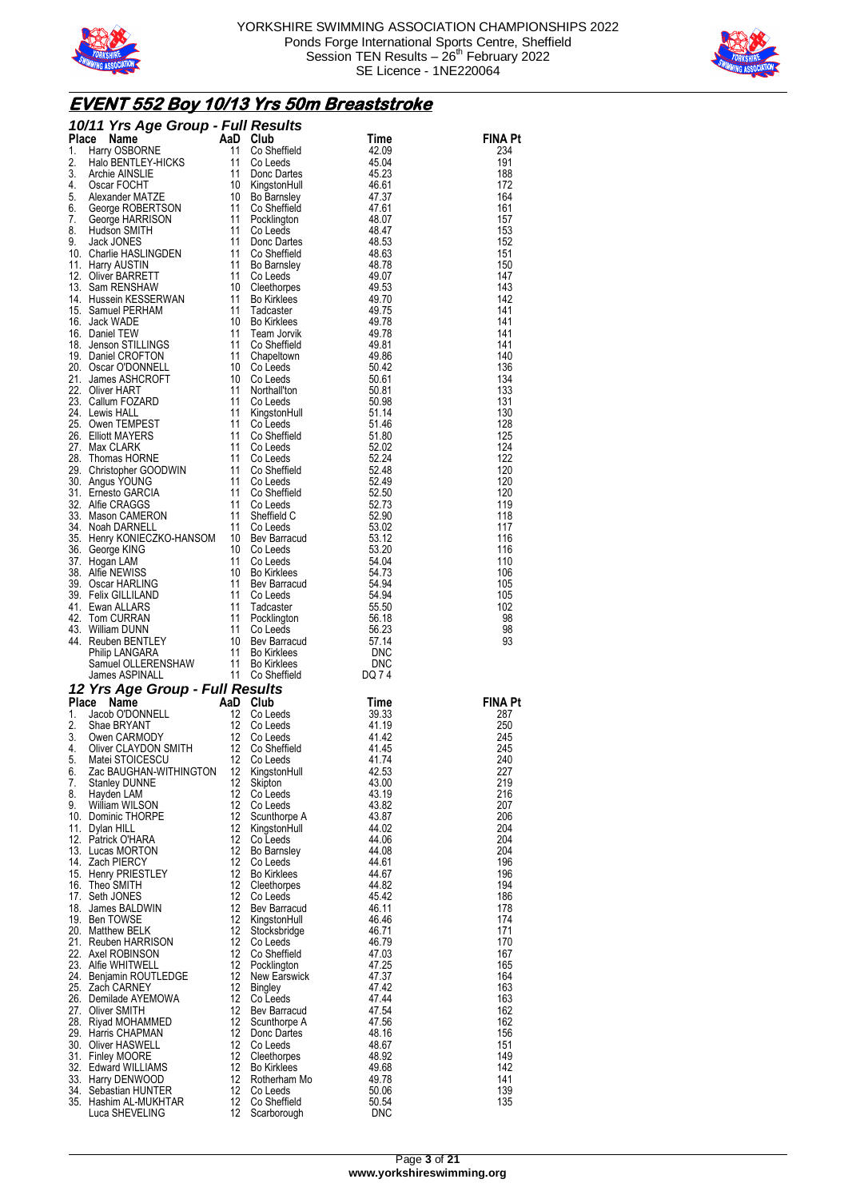



# **EVENT 552 Boy 10/13 Yrs 50m Breaststroke**

|          | 10/11 Yrs Age Group - Full Results<br>10 Art Harsen Kenter<br>1. Harry OSBORNE (1947 - Full Results<br>11 Art Harry OSBORNE<br>11 Harry OSBORNE 11 Co Sheffield<br>2. Halo BENTLEY-HICKS<br>2. Halo BENTLEY-HICKS<br>5. Accorder MATES 11 Don Dates<br>4. Oscar FOCHT<br>6. George R |          |                                                                                |                    |                       |
|----------|--------------------------------------------------------------------------------------------------------------------------------------------------------------------------------------------------------------------------------------------------------------------------------------|----------|--------------------------------------------------------------------------------|--------------------|-----------------------|
|          |                                                                                                                                                                                                                                                                                      |          |                                                                                |                    | <b>FINA Pt</b><br>234 |
|          |                                                                                                                                                                                                                                                                                      |          |                                                                                |                    | 191                   |
|          |                                                                                                                                                                                                                                                                                      |          |                                                                                |                    | 188                   |
|          |                                                                                                                                                                                                                                                                                      |          |                                                                                |                    | 172<br>164            |
|          |                                                                                                                                                                                                                                                                                      |          |                                                                                |                    | 161                   |
|          |                                                                                                                                                                                                                                                                                      |          |                                                                                |                    | 157                   |
|          |                                                                                                                                                                                                                                                                                      |          |                                                                                |                    | 153                   |
|          |                                                                                                                                                                                                                                                                                      |          |                                                                                |                    | 152<br>151            |
|          |                                                                                                                                                                                                                                                                                      |          |                                                                                |                    | 150                   |
|          |                                                                                                                                                                                                                                                                                      |          |                                                                                |                    | 147                   |
|          |                                                                                                                                                                                                                                                                                      |          |                                                                                |                    | 143<br>142            |
|          |                                                                                                                                                                                                                                                                                      |          |                                                                                |                    | 141                   |
|          |                                                                                                                                                                                                                                                                                      |          |                                                                                |                    | 141                   |
|          |                                                                                                                                                                                                                                                                                      |          |                                                                                |                    | 141<br>141            |
|          |                                                                                                                                                                                                                                                                                      |          |                                                                                |                    | 140                   |
|          |                                                                                                                                                                                                                                                                                      |          |                                                                                |                    | 136                   |
|          |                                                                                                                                                                                                                                                                                      |          |                                                                                |                    | 134<br>133            |
|          |                                                                                                                                                                                                                                                                                      |          |                                                                                |                    | 131                   |
|          |                                                                                                                                                                                                                                                                                      |          |                                                                                |                    | 130                   |
|          |                                                                                                                                                                                                                                                                                      |          |                                                                                |                    | 128<br>125            |
|          |                                                                                                                                                                                                                                                                                      |          |                                                                                |                    | 124                   |
|          |                                                                                                                                                                                                                                                                                      |          |                                                                                |                    | 122                   |
|          |                                                                                                                                                                                                                                                                                      |          |                                                                                |                    | 120<br>120            |
|          |                                                                                                                                                                                                                                                                                      |          |                                                                                |                    | 120                   |
|          |                                                                                                                                                                                                                                                                                      |          |                                                                                |                    | 119                   |
|          |                                                                                                                                                                                                                                                                                      |          |                                                                                |                    | 118<br>117            |
|          |                                                                                                                                                                                                                                                                                      |          |                                                                                |                    | 116                   |
|          |                                                                                                                                                                                                                                                                                      |          |                                                                                |                    | 116                   |
|          |                                                                                                                                                                                                                                                                                      |          |                                                                                |                    | 110<br>106            |
|          |                                                                                                                                                                                                                                                                                      |          |                                                                                |                    | 105                   |
|          |                                                                                                                                                                                                                                                                                      |          |                                                                                |                    | 105                   |
|          |                                                                                                                                                                                                                                                                                      |          |                                                                                |                    | 102<br>98             |
|          |                                                                                                                                                                                                                                                                                      |          |                                                                                |                    | 98                    |
|          |                                                                                                                                                                                                                                                                                      |          |                                                                                |                    | 93                    |
|          |                                                                                                                                                                                                                                                                                      |          |                                                                                |                    |                       |
|          |                                                                                                                                                                                                                                                                                      |          |                                                                                |                    |                       |
|          | 12 Yrs Age Group - Full Results                                                                                                                                                                                                                                                      |          |                                                                                |                    |                       |
| Place    | Ce Name AaD Club<br>Jacob O'DONNELL 12 Co Leeds<br>Shae BRYANT 12 Co Leeds<br>Owen CARMODY 12 Co Leeds<br>Oliver CLAYDON SMITH 12 Co Sheffie                                                                                                                                         |          | <b>scults<br/>Club</b><br>Co Leeds<br>Co Leeds<br>Co Sheffield<br>Co Sheffield | Time               | <b>FINA Pt</b>        |
| 1.<br>2. |                                                                                                                                                                                                                                                                                      |          |                                                                                | $39.33$<br>$41.19$ | 287<br>250            |
| 3.       |                                                                                                                                                                                                                                                                                      |          |                                                                                | 41.42              | 245                   |
| 4.       |                                                                                                                                                                                                                                                                                      |          |                                                                                | 41.45              | 245                   |
| 6.       | 5. Matei STOICESCU<br>Zac BAUGHAN-WITHINGTON                                                                                                                                                                                                                                         | 12       | 12 Co Leeds<br>KingstonHull                                                    | 41.74<br>42.53     | 240<br>227            |
|          | 7. Stanley DUNNE                                                                                                                                                                                                                                                                     | 12       | Skipton                                                                        | 43.00              | 219                   |
|          | 8. Hayden LAM                                                                                                                                                                                                                                                                        | 12       | Co Leeds                                                                       | 43.19              | 216                   |
|          | 9. William WILSON<br>10. Dominic THORPE                                                                                                                                                                                                                                              | 12<br>12 | Co Leeds<br>Scunthorpe A                                                       | 43.82<br>43.87     | 207<br>206            |
|          | 11. Dylan HILL                                                                                                                                                                                                                                                                       | 12       | KingstonHull                                                                   | 44.02              | 204                   |
|          | 12. Patrick O'HARA                                                                                                                                                                                                                                                                   | 12       | Co Leeds                                                                       | 44.06              | 204                   |
|          | 13. Lucas MORTON<br>14. Zach PIERCY                                                                                                                                                                                                                                                  | 12<br>12 | Bo Barnsley<br>Co Leeds                                                        | 44.08<br>44.61     | 204<br>196            |
|          | 15. Henry PRIESTLEY                                                                                                                                                                                                                                                                  | 12       | <b>Bo Kirklees</b>                                                             | 44.67              | 196                   |
|          | 16. Theo SMITH                                                                                                                                                                                                                                                                       | 12       | Cleethorpes                                                                    | 44.82              | 194                   |
|          | 17. Seth JONES<br>18. James BALDWIN                                                                                                                                                                                                                                                  | 12<br>12 | Co Leeds<br>Bev Barracud                                                       | 45.42<br>46.11     | 186<br>178            |
|          | 19. Ben TOWSE                                                                                                                                                                                                                                                                        | 12       | KingstonHull                                                                   | 46.46              | 174                   |
|          | 20. Matthew BELK                                                                                                                                                                                                                                                                     | 12       | Stocksbridge                                                                   | 46.71              | 171                   |
|          | 21. Reuben HARRISON<br>22. Axel ROBINSON                                                                                                                                                                                                                                             | 12<br>12 | Co Leeds<br>Co Sheffield                                                       | 46.79<br>47.03     | 170<br>167            |
|          | 23. Alfie WHITWELL                                                                                                                                                                                                                                                                   | 12       | Pocklington                                                                    | 47.25              | 165                   |
|          | 24. Benjamin ROUTLEDGE                                                                                                                                                                                                                                                               | 12       | New Earswick                                                                   | 47.37              | 164                   |
|          | 25. Zach CARNEY<br>26. Demilade AYEMOWA                                                                                                                                                                                                                                              | 12<br>12 | <b>Bingley</b><br>Co Leeds                                                     | 47.42<br>47.44     | 163<br>163            |
|          | 27. Oliver SMITH                                                                                                                                                                                                                                                                     | 12       | Bev Barracud                                                                   | 47.54              | 162                   |
|          | 28. Riyad MOHAMMED                                                                                                                                                                                                                                                                   | 12       | Scunthorpe A                                                                   | 47.56              | 162                   |
|          | 29. Harris CHAPMAN<br>30. Oliver HASWELL                                                                                                                                                                                                                                             | 12       | Donc Dartes<br>12 Co Leeds                                                     | 48.16<br>48.67     | 156<br>151            |
|          | 31. Finley MOORE                                                                                                                                                                                                                                                                     | 12       | Cleethorpes                                                                    | 48.92              | 149                   |
|          | 32. Edward WILLIAMS                                                                                                                                                                                                                                                                  | 12       | <b>Bo Kirklees</b>                                                             | 49.68              | 142                   |
|          | 33. Harry DENWOOD<br>34. Sebastian HUNTER                                                                                                                                                                                                                                            | 12       | 12 Rotherham Mo<br>Co Leeds                                                    | 49.78<br>50.06     | 141<br>139            |
|          | 35. Hashim AL-MUKHTAR                                                                                                                                                                                                                                                                | 12       | Co Sheffield                                                                   | 50.54              | 135                   |
|          | Luca SHEVELING                                                                                                                                                                                                                                                                       | 12       | Scarborough                                                                    | DNC                |                       |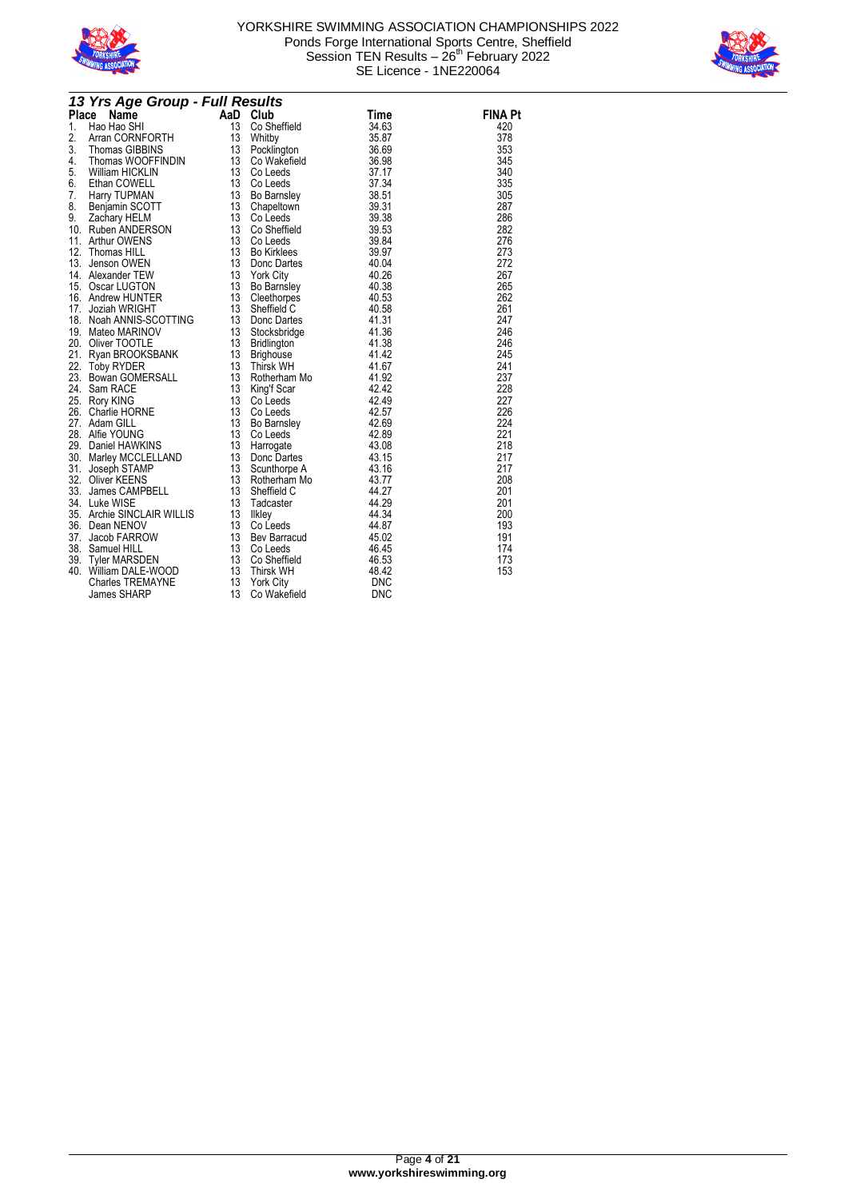



|       | 13 Yrs Age Group - Full Results                                                                                                                                                                                                                        |    |                                        |                             |                |
|-------|--------------------------------------------------------------------------------------------------------------------------------------------------------------------------------------------------------------------------------------------------------|----|----------------------------------------|-----------------------------|----------------|
| Place | Name                                                                                                                                                                                                                                                   |    | AaD Club                               | Time                        | <b>FINA Pt</b> |
| 1.    | Hao Hao SHI                                                                                                                                                                                                                                            | 13 | Co Sheffield                           | 34.63                       | 420            |
| 2.    | Arran CORNFORTH                                                                                                                                                                                                                                        | 13 | Whitby                                 | 35.87                       | 378            |
| 3.    | Thomas GIBBINS<br>Thomas WOOFFINDIN 13<br>William HICKLIN 13<br>Ethan COWELL 13<br>Harry TUPMAN 13                                                                                                                                                     |    | Pocklington                            | 36.69                       | 353            |
| 4.    |                                                                                                                                                                                                                                                        |    | Co Wakefield                           | 36.98                       | 345            |
| 5.    |                                                                                                                                                                                                                                                        |    | Co Leeds                               | 37.17                       | 340            |
|       |                                                                                                                                                                                                                                                        |    | Co Leeds                               | 37.34                       | 335            |
|       |                                                                                                                                                                                                                                                        |    |                                        | 38.51                       | 305            |
|       |                                                                                                                                                                                                                                                        |    | Bo Barnsley<br>Chapeltown              | 39.31                       | 287            |
|       |                                                                                                                                                                                                                                                        |    | Co Leeds                               | 39.38                       | 286            |
|       |                                                                                                                                                                                                                                                        |    | Co Sheffield                           | 39.53                       | 282            |
|       |                                                                                                                                                                                                                                                        |    | Co Leeds                               | 39.84                       | 276            |
|       |                                                                                                                                                                                                                                                        |    | Bo Kirklees                            | 39.97                       | 273            |
|       |                                                                                                                                                                                                                                                        |    | Donc Dartes                            | 40.04                       | 272            |
|       |                                                                                                                                                                                                                                                        |    | York City                              | 40.26                       | 267            |
|       |                                                                                                                                                                                                                                                        |    | Bo Barnsley                            | 40.38                       | 265            |
|       | 16. Andrew HUNTER                                                                                                                                                                                                                                      | 13 | Cleethorpes                            | 40.53                       | 262            |
|       |                                                                                                                                                                                                                                                        | 13 | Sheffield C                            | 40.58                       | 261            |
|       |                                                                                                                                                                                                                                                        | 13 | Donc Dartes                            |                             | 247            |
|       | 17. Joziah WRIGHT<br>18. Noah ANNIS-SCOTTING<br>19. Mateo MARINOV                                                                                                                                                                                      | 13 | Stocksbridge                           | 41 31<br>41 36<br>41 38     | 246            |
|       | 20. Oliver TOOTLE                                                                                                                                                                                                                                      | 13 | <b>Bridlington</b>                     |                             | 246            |
| 21.   | Ryan BROOKSBANK                                                                                                                                                                                                                                        | 13 | Brighouse                              | 41.42                       | 245            |
|       | 21. Kyan BROUNSBANK<br>23. Toby RYDER<br>23. Bowan GOMERSALL<br>24. Sam RACE<br>25. Rory KING<br>25. Rory KING<br>26. Charlie HORNE<br>27. Adam GILL<br>27. Adam GILL<br>28. Alfie YOUNG<br>29. Daniel HAWKINS<br>29. Daniel HAWKINS<br>29. Daniel HAW |    | <b>Thirsk WH</b>                       | 41.67<br>41.92              | 241            |
|       |                                                                                                                                                                                                                                                        |    | Rotherham Mo<br>$\frac{41.32}{242.42}$ |                             | 237            |
|       |                                                                                                                                                                                                                                                        |    |                                        |                             | 228            |
|       |                                                                                                                                                                                                                                                        |    | Co Leeds                               |                             | 227            |
|       |                                                                                                                                                                                                                                                        |    | Co Leeds                               | 42.49<br>42.57              | 226            |
|       |                                                                                                                                                                                                                                                        |    | Bo Barnsley                            | 42.69                       | 224            |
|       |                                                                                                                                                                                                                                                        |    | Co Leeds                               |                             | 221            |
|       |                                                                                                                                                                                                                                                        |    | Harrogate                              | $42.$<br>$43.08$<br>$43.08$ | 218            |
|       |                                                                                                                                                                                                                                                        |    | Donc Dartes                            | 43.15                       | 217            |
|       |                                                                                                                                                                                                                                                        |    | Scunthorpe A                           | 43.16<br>43.77              | 217            |
|       |                                                                                                                                                                                                                                                        |    | Rotherham Mo                           |                             | 208            |
|       |                                                                                                                                                                                                                                                        |    | Sheffield C                            | 44.27                       | 201            |
|       |                                                                                                                                                                                                                                                        |    | Tadcaster                              | 44.29                       | 201            |
|       |                                                                                                                                                                                                                                                        |    | <b>Ilkley</b>                          | 44.34                       | 200            |
|       |                                                                                                                                                                                                                                                        |    | Co Leeds                               | 44.87                       | 193            |
|       |                                                                                                                                                                                                                                                        |    | Bev Barracud                           | 45.02                       | 191            |
|       | 32. University CAMINUM<br>33. Janes CAMINUM<br>35. Archie SINCLAIR WILLIS<br>36. Dean NENOV<br>27 Jacob FARROW 13<br>13<br>13                                                                                                                          |    | Co Leeds                               | 46.45                       | 174            |
|       | 39. Tyler MARSDEN                                                                                                                                                                                                                                      |    | Co Sheffield                           | 46.53                       | 173            |
| 40.   | William DALE-WOOD                                                                                                                                                                                                                                      | 13 | Thirsk WH                              | 48.42                       | 153            |
|       | Charles TREMAYNE                                                                                                                                                                                                                                       | 13 | York City                              | <b>DNC</b>                  |                |
|       | James SHARP                                                                                                                                                                                                                                            | 13 | Co Wakefield                           | <b>DNC</b>                  |                |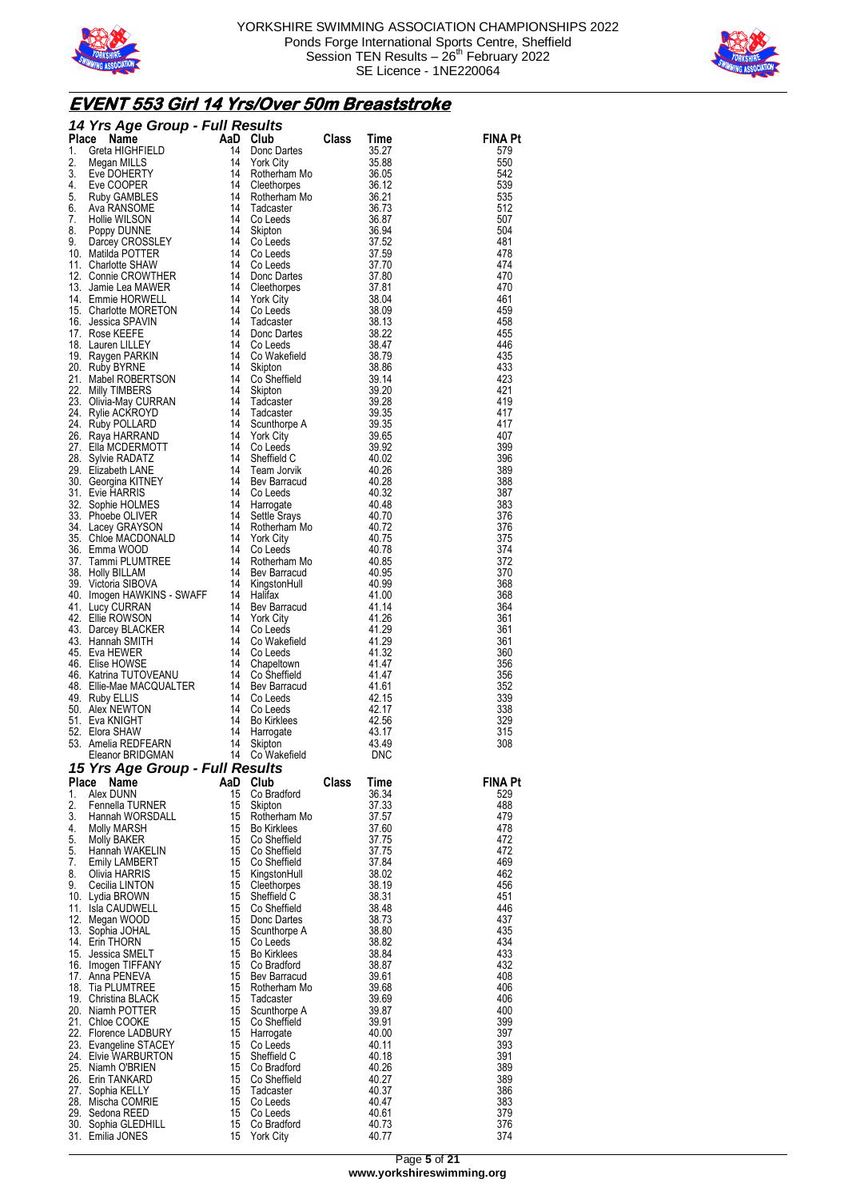



# **EVENT 553 Girl 14 Yrs/Over 50m Breaststroke**

|          | 14 Yrs Age Group - Full Results<br>174 Yrs Agre Group - Full Results<br>19 Yrs Agre Group - Full Results<br>19 Rece Name<br>1. Greta HiGHIFIELD 44 Donc Dates<br>2. Mean Mill ISO 44 Donc Dates<br>2. Mean Mill ISO 44 Donc Dates<br>4. Eve COOPER 14 Reduced and Reduced and |          |                                 |              |                |                |
|----------|-------------------------------------------------------------------------------------------------------------------------------------------------------------------------------------------------------------------------------------------------------------------------------|----------|---------------------------------|--------------|----------------|----------------|
|          |                                                                                                                                                                                                                                                                               |          |                                 |              |                | <b>FINA Pt</b> |
|          |                                                                                                                                                                                                                                                                               |          |                                 |              |                | 579            |
|          |                                                                                                                                                                                                                                                                               |          |                                 |              |                | 550<br>542     |
|          |                                                                                                                                                                                                                                                                               |          |                                 |              |                | 539            |
|          |                                                                                                                                                                                                                                                                               |          |                                 |              |                | 535            |
|          |                                                                                                                                                                                                                                                                               |          |                                 |              |                | 512            |
|          |                                                                                                                                                                                                                                                                               |          |                                 |              |                | 507            |
|          |                                                                                                                                                                                                                                                                               |          |                                 |              |                | 504            |
|          |                                                                                                                                                                                                                                                                               |          |                                 |              |                | 481<br>478     |
|          |                                                                                                                                                                                                                                                                               |          |                                 |              |                | 474            |
|          |                                                                                                                                                                                                                                                                               |          |                                 |              |                | 470            |
|          |                                                                                                                                                                                                                                                                               |          |                                 |              |                | 470            |
|          |                                                                                                                                                                                                                                                                               |          |                                 |              |                | 461            |
|          |                                                                                                                                                                                                                                                                               |          |                                 |              |                | 459            |
|          |                                                                                                                                                                                                                                                                               |          |                                 |              |                | 458            |
|          |                                                                                                                                                                                                                                                                               |          |                                 |              |                | 455<br>446     |
|          |                                                                                                                                                                                                                                                                               |          |                                 |              |                | 435            |
|          |                                                                                                                                                                                                                                                                               |          |                                 |              |                | 433            |
|          |                                                                                                                                                                                                                                                                               |          |                                 |              |                | 423            |
|          |                                                                                                                                                                                                                                                                               |          |                                 |              |                | 421            |
|          |                                                                                                                                                                                                                                                                               |          |                                 |              |                | 419            |
|          |                                                                                                                                                                                                                                                                               |          |                                 |              |                | 417            |
|          |                                                                                                                                                                                                                                                                               |          |                                 |              |                | 417            |
|          |                                                                                                                                                                                                                                                                               |          |                                 |              |                | 407<br>399     |
|          |                                                                                                                                                                                                                                                                               |          |                                 |              |                | 396            |
|          |                                                                                                                                                                                                                                                                               |          |                                 |              |                | 389            |
|          |                                                                                                                                                                                                                                                                               |          |                                 |              |                | 388            |
|          |                                                                                                                                                                                                                                                                               |          |                                 |              |                | 387            |
|          |                                                                                                                                                                                                                                                                               |          |                                 |              |                | 383            |
|          |                                                                                                                                                                                                                                                                               |          |                                 |              |                | 376            |
|          |                                                                                                                                                                                                                                                                               |          |                                 |              |                | 376            |
|          |                                                                                                                                                                                                                                                                               |          |                                 |              |                | 375            |
|          |                                                                                                                                                                                                                                                                               |          |                                 |              |                | 374<br>372     |
|          |                                                                                                                                                                                                                                                                               |          |                                 |              |                | 370            |
|          |                                                                                                                                                                                                                                                                               |          |                                 |              |                | 368            |
|          |                                                                                                                                                                                                                                                                               |          |                                 |              |                | 368            |
|          |                                                                                                                                                                                                                                                                               |          |                                 |              |                | 364            |
|          |                                                                                                                                                                                                                                                                               |          |                                 |              |                | 361            |
|          |                                                                                                                                                                                                                                                                               |          |                                 |              |                | 361            |
|          |                                                                                                                                                                                                                                                                               |          |                                 |              |                | 361            |
|          |                                                                                                                                                                                                                                                                               |          |                                 |              |                | 360            |
|          |                                                                                                                                                                                                                                                                               |          |                                 |              |                | 356<br>356     |
|          |                                                                                                                                                                                                                                                                               |          |                                 |              |                | 352            |
|          |                                                                                                                                                                                                                                                                               |          |                                 |              |                | 339            |
|          |                                                                                                                                                                                                                                                                               |          |                                 |              |                | 338            |
|          |                                                                                                                                                                                                                                                                               |          |                                 |              |                | 329            |
|          |                                                                                                                                                                                                                                                                               |          |                                 |              |                | 315            |
|          |                                                                                                                                                                                                                                                                               |          |                                 |              |                | 308            |
|          |                                                                                                                                                                                                                                                                               |          |                                 |              |                |                |
|          | 15 Yrs Age Group - Full Results                                                                                                                                                                                                                                               |          |                                 |              |                |                |
| Place    | Name                                                                                                                                                                                                                                                                          | AaD Club |                                 | <b>Class</b> | Time           | <b>FINA Pt</b> |
| 1.<br>2. | Alex DUNN<br>Fennella TURNER                                                                                                                                                                                                                                                  | 15<br>15 | Co Bradford<br>Skipton          |              | 36.34<br>37.33 | 529<br>488     |
| 3.       | Hannah WORSDALL                                                                                                                                                                                                                                                               | 15       | Rotherham Mo                    |              | 37.57          | 479            |
| 4.       | Molly MARSH                                                                                                                                                                                                                                                                   | 15       | <b>Bo Kirklees</b>              |              | 37.60          | 478            |
| 5.       | Molly BAKER                                                                                                                                                                                                                                                                   | 15       | Co Sheffield                    |              | 37.75          | 472            |
| 5.       | Hannah WAKELIN                                                                                                                                                                                                                                                                | 15       | Co Sheffield                    |              | 37.75          | 472            |
| 7.       | <b>Emily LAMBERT</b>                                                                                                                                                                                                                                                          | 15       | Co Sheffield                    |              | 37.84          | 469            |
| 8.       | Olivia HARRIS                                                                                                                                                                                                                                                                 | 15       | KingstonHull                    |              | 38.02          | 462            |
| 9.       | Cecilia LINTON                                                                                                                                                                                                                                                                | 15       | Cleethorpes                     |              | 38.19          | 456            |
|          | 10. Lydia BROWN                                                                                                                                                                                                                                                               | 15<br>15 | Sheffield C<br>Co Sheffield     |              | 38.31<br>38.48 | 451<br>446     |
|          | 11. Isla CAUDWELL<br>12. Megan WOOD                                                                                                                                                                                                                                           | 15       | Donc Dartes                     |              | 38.73          | 437            |
|          | 13. Sophia JOHAL                                                                                                                                                                                                                                                              | 15       | Scunthorpe A                    |              | 38.80          | 435            |
|          | 14. Erin THORN                                                                                                                                                                                                                                                                | 15       | Co Leeds                        |              | 38.82          | 434            |
|          | 15. Jessica SMELT                                                                                                                                                                                                                                                             | 15       | <b>Bo Kirklees</b>              |              | 38.84          | 433            |
|          | 16. Imogen TIFFANY                                                                                                                                                                                                                                                            | 15       | Co Bradford                     |              | 38.87          | 432            |
|          | 17. Anna PENEVA                                                                                                                                                                                                                                                               | 15       | Bev Barracud                    |              | 39.61          | 408            |
|          | 18. Tia PLUMTREE                                                                                                                                                                                                                                                              | 15       | Rotherham Mo                    |              | 39.68          | 406            |
|          | 19. Christina BLACK                                                                                                                                                                                                                                                           | 15       | Tadcaster                       |              | 39.69          | 406            |
|          | 20. Niamh POTTER                                                                                                                                                                                                                                                              | 15<br>15 | Scunthorpe A                    |              | 39.87          | 400            |
|          | 21. Chloe COOKE<br>22. Florence LADBURY                                                                                                                                                                                                                                       | 15       | Co Sheffield<br>Harrogate       |              | 39.91<br>40.00 | 399<br>397     |
|          | 23. Evangeline STACEY                                                                                                                                                                                                                                                         | 15       | Co Leeds                        |              | 40.11          | 393            |
|          | 24. Elvie WARBURTON                                                                                                                                                                                                                                                           | 15       | Sheffield C                     |              | 40.18          | 391            |
|          | 25. Niamh O'BRIEN                                                                                                                                                                                                                                                             | 15       | Co Bradford                     |              | 40.26          | 389            |
|          | 26. Erin TANKARD                                                                                                                                                                                                                                                              | 15       | Co Sheffield                    |              | 40.27          | 389            |
|          | 27. Sophia KELLY                                                                                                                                                                                                                                                              | 15       | Tadcaster                       |              | 40.37          | 386            |
|          | 28. Mischa COMRIE                                                                                                                                                                                                                                                             | 15       | Co Leeds                        |              | 40.47          | 383            |
|          | 29. Sedona REED                                                                                                                                                                                                                                                               | 15       | Co Leeds                        |              | 40.61          | 379            |
|          | 30. Sophia GLEDHILL<br>31. Emilia JONES                                                                                                                                                                                                                                       | 15<br>15 | Co Bradford<br><b>York City</b> |              | 40.73<br>40.77 | 376<br>374     |
|          |                                                                                                                                                                                                                                                                               |          |                                 |              |                |                |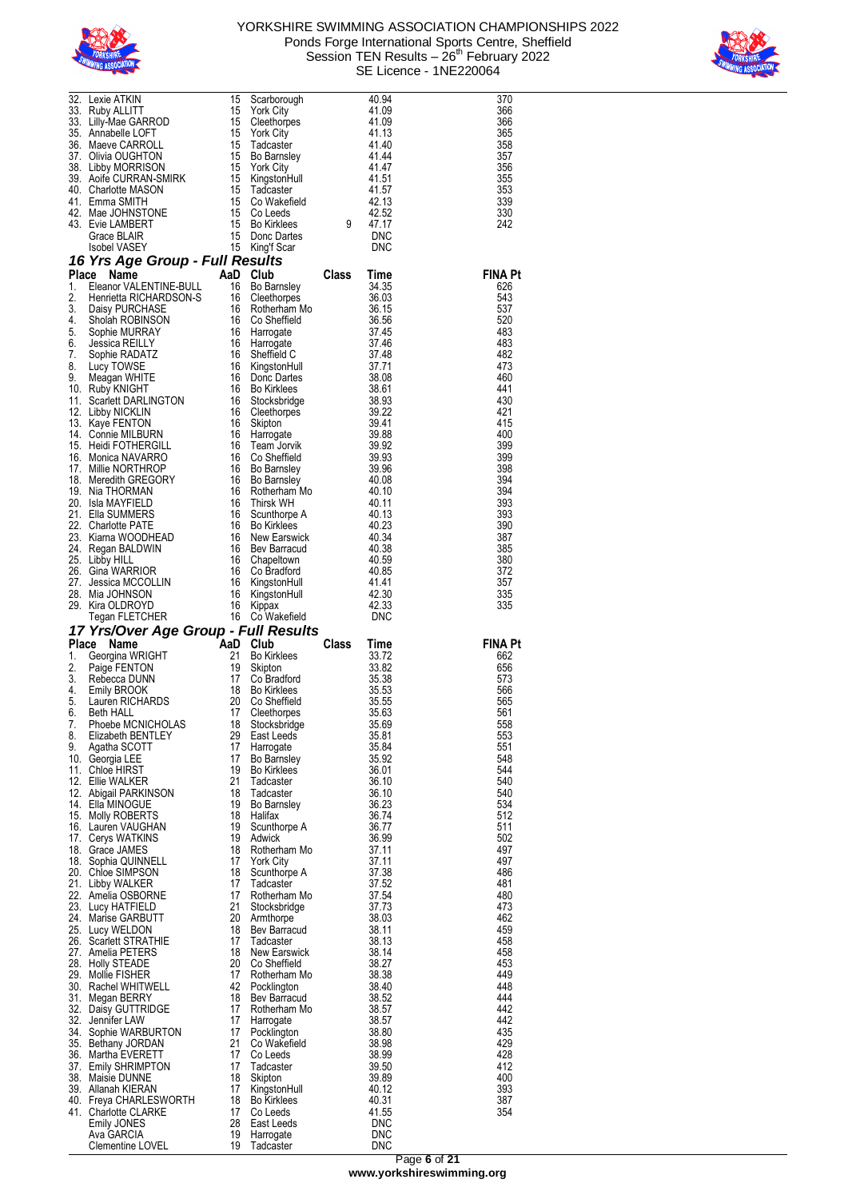



|          | 32. Lexie ATKIN                                        | 15       | Scarborough                        |              | 40.94                    | 370            |
|----------|--------------------------------------------------------|----------|------------------------------------|--------------|--------------------------|----------------|
|          | 33. Ruby ALLITT<br>33 Lilly-Mae GARROD                 | 15<br>15 | <b>York City</b><br>Cleethorpes    |              | 41.09<br>41.09           | 366<br>366     |
|          | 35. Annabelle LOFT                                     | 15       | <b>York City</b>                   |              | 41.13                    | 365            |
|          | 36. Maeve CARROLL                                      | 15       | Tadcaster                          |              | 41.40<br>41.44           | 358            |
|          | 37. Olivia OUGHTON<br>38. Libby MORRISON               | 15<br>15 | Bo Barnsley<br><b>York City</b>    |              | 41.47                    | 357<br>356     |
|          | 39. Aoife CURRAN-SMIRK                                 | 15       | KingstonHull                       |              | 41.51                    | 355            |
|          | 40. Charlotte MASON                                    | 15       | Tadcaster                          |              | 41.57                    | 353            |
|          | 41. Emma SMITH<br>42. Mae JOHNSTONE                    | 15<br>15 | Co Wakefield<br>Co Leeds           |              | 42.13<br>42.52           | 339<br>330     |
|          | 43. Evie LAMBERT                                       | 15       | <b>Bo Kirklees</b>                 | 9            | 47.17                    | 242            |
|          | Grace BLAIR                                            | 15       | Donc Dartes                        |              | <b>DNC</b>               |                |
|          | <b>Isobel VASEY</b><br>16 Yrs Age Group - Full Results |          | 15 King'f Scar                     |              | <b>DNC</b>               |                |
| Place    | Name                                                   |          | AaD Club                           | <b>Class</b> | Time                     | <b>FINA Pt</b> |
| 1.       | Eleanor VALENTINE-BULL                                 | 16       | <b>Bo Barnsley</b>                 |              | 34.35                    | 626            |
| 2.<br>3. | Henrietta RICHARDSON-S<br>Daisy PURCHASE               | 16<br>16 | Cleethorpes<br>Rotherham Mo        |              | 36.03<br>36.15           | 543<br>537     |
| 4.       | Sholah ROBINSON                                        |          | 16 Co Sheffield                    |              | 36.56                    | 520            |
| 5.       | Sophie MURRAY                                          | 16       | Harrogate                          |              | 37.45                    | 483            |
| 6.<br>7. | Jessica REILLY<br>Sophie RADATZ                        | 16<br>16 | Harrogate<br>Sheffield C           |              | 37.45<br>37.46<br>37.48  | 483<br>482     |
| 8.       | Lucy TOWSE                                             | 16       | KingstonHull                       |              | 37.71                    | 473            |
| 9.       | Meagan WHITE                                           | 16       | Donc Dartes                        |              | 38.08                    | 460            |
| 11.      | 10. Ruby KNIGHT<br>Scarlett DARLINGTON                 | 16<br>16 | <b>Bo Kirklees</b><br>Stocksbridge |              | 38.61<br>38.93           | 441<br>430     |
|          | 12. Libby NICKLIN                                      | 16       | Stocksbridge<br>Cleethorpes        |              | 39.22                    | 421            |
|          | 13. Kaye FENTON                                        | 16<br>16 | Skipton                            |              | 39.41<br>39.88           | 415<br>400     |
|          | 14. Connie MILBURN<br>15. Heidi FOTHERGILL             | 16       | Harrogate<br>Team Jorvik           |              |                          | 399            |
|          | 16. Monica NAVARRO                                     | 16       | Co Sheffield                       |              | 39.92<br>39.92<br>39.93  | 399            |
|          | 17. Millie NORTHROP<br>18. Meredith GREGORY            | 16<br>16 | <b>Bo Barnsley</b>                 |              | 39.96<br>40.08           | 398<br>394     |
|          | 19. Nia THORMAN                                        | 16       | Bo Barnsley<br>Rotherham Mo        |              | 40.10                    | 394            |
|          | 20. Isla MAYFIELD                                      | 16       | Thirsk WH                          |              | 40.11                    | 393            |
|          | 21. Ella SUMMERS<br>22. Charlotte PATE                 | 16<br>16 | Scunthorpe A<br><b>Bo Kirklees</b> |              | - 40.13<br>- 40.23       | 393<br>390     |
|          | 23. Kiarna WOODHEAD                                    | 16       | New Earswick                       |              | 40.34                    | 387            |
|          | 24. Regan BALDWIN                                      |          | 16 Bev Barracud                    |              | 40.38                    | 385            |
|          | 25. Libby HILL<br>26. Gina WARRIOR                     | 16<br>16 | Chapeltown<br>Co Bradford          |              | 40.59<br>40.85           | 380<br>372     |
|          | 27. Jessica MCCOLLIN                                   | 16       | KingstonHull                       |              | 41.41                    | 357            |
|          | 28. Mia JOHNSON<br>29. Kira OLDROYD                    | 16<br>16 | KingstonHull                       |              | 42.30<br>42.33           | 335<br>335     |
|          | Tegan FLETCHER                                         |          | Kippax<br>16 Co Wakefield          |              | <b>DNC</b>               |                |
|          |                                                        |          |                                    |              |                          |                |
|          | 17 Yrs/Over Age Group - Full Results                   |          |                                    |              |                          |                |
|          | Place Name                                             |          |                                    | <b>Class</b> | Time                     | <b>FINA Pt</b> |
| 1.<br>2. | Georgina WRIGHT<br>Paige FENTON                        | 21<br>19 | Aap Club<br><b>Bo Kirklees</b>     |              | 33.72<br>33.82           | 662<br>656     |
| 3.       | Rebecca DUNN                                           | 17       | Skipton<br>Co Bradford             |              | 35.38                    | 573            |
| 4.       | <b>Emily BROOK</b>                                     | 18       | <b>Bo Kirklees</b>                 |              | 35.53                    | 566            |
| 5.<br>6. | Lauren RICHARDS<br><b>Beth HALL</b>                    | 20<br>17 | Co Sheffield<br>Cleethorpes        |              | 35.55<br>35.63           | 565<br>561     |
| 7.       | Phoebe MCNICHOLAS                                      | 18       | Stocksbridge                       |              | 35.69                    | 558            |
| 8.<br>9. | Elizabeth BENTLEY<br>Agatha SCOTT                      | 29<br>17 | East Leeds                         |              | 35.81<br>35.84           | 553<br>551     |
|          | 10. Georgia LEE                                        | 17       | Harrogate<br>Bo Barnsley           |              | 35.92                    | 548            |
|          | 11. Chloe HIRST                                        | 19       | <b>Bo Kirklees</b>                 |              | 36.01                    | 544            |
|          | 12. Ellie WALKER<br>12. Abigail PARKINSON              | 21<br>18 | Tadcaster<br>Tadcaster             |              | 36.10<br>36.10           | 540<br>540     |
|          | 14. Ella MINOGUE                                       | 19       | Bo Barnsley                        |              | 36.23                    | 534            |
|          | 15. Molly ROBERTS<br>16. Lauren VAUGHAN                | 18<br>19 | Halifax<br>Scunthorpe A            |              | 36.74<br>36.77           | 512<br>511     |
|          | 17. Cerys WATKINS                                      | 19       | Adwick                             |              | 36.99                    | 502            |
|          | 18. Grace JAMES                                        | 18       | Rotherham Mo                       |              | 37.11                    | 497            |
|          | 18. Sophia QUINNELL<br>20. Chloe SIMPSON               | 17<br>18 | <b>York City</b><br>Scunthorpe A   |              | 37.11<br>37.38           | 497<br>486     |
|          | 21. Libby WALKER                                       | 17       | Tadcaster                          |              | 37.52                    | 481            |
|          | 22. Amelia OSBORNE<br>23. Lucy HATFIELD                | 17<br>21 | Rotherham Mo<br>Stocksbridge       |              | 37.54<br>37.73           | 480<br>473     |
|          | 24. Marise GARBUTT                                     | 20       | Armthorpe                          |              | 38.03                    | 462            |
|          | 25. Lucy WELDON                                        | 18       | Bev Barracud                       |              | 38.11                    | 459            |
|          | 26. Scarlett STRATHIE<br>27. Amelia PETERS             | 17<br>18 | Tadcaster<br>New Earswick          |              | 38.13<br>38.14           | 458<br>458     |
|          | 28. Holly STEADE                                       | 20       | Co Sheffield                       |              | 38.27                    | 453            |
|          | 29. Mollie FISHER<br>30. Rachel WHITWELL               | 17<br>42 | Rotherham Mo<br>Pocklington        |              | 38.38<br>38.40           | 449<br>448     |
|          | 31. Megan BERRY                                        | 18       | Bev Barracud                       |              | 38.52                    | 444            |
|          | 32. Daisy GUTTRIDGE                                    | 17<br>17 | Rotherham Mo                       |              | 38.57                    | 442            |
|          | 32. Jennifer LAW<br>34. Sophie WARBURTON               | 17       | Harrogate<br>Pocklington           |              | 38.57<br>38.80           | 442<br>435     |
|          | 35. Bethany JORDAN                                     | 21       | Co Wakefield                       |              | 38.98                    | 429            |
|          | 36. Martha EVERETT<br>37. Emily SHRIMPTON              | 17<br>17 | Co Leeds<br>Tadcaster              |              | 38.99<br>39.50           | 428<br>412     |
|          | 38. Maisie DUNNE                                       | 18       | Skipton                            |              | 39.89                    | 400            |
|          | 39. Allanah KIERAN                                     | 17<br>18 | KingstonHull                       |              | 40.12                    | 393            |
|          | 40. Freya CHARLESWORTH<br>41. Charlotte CLARKE         | 17       | <b>Bo Kirklees</b><br>Co Leeds     |              | 40.31<br>41.55           | 387<br>354     |
|          | <b>Emily JONES</b><br>Ava GARCIA                       | 28<br>19 | East Leeds<br>Harrogate            |              | <b>DNC</b><br><b>DNC</b> |                |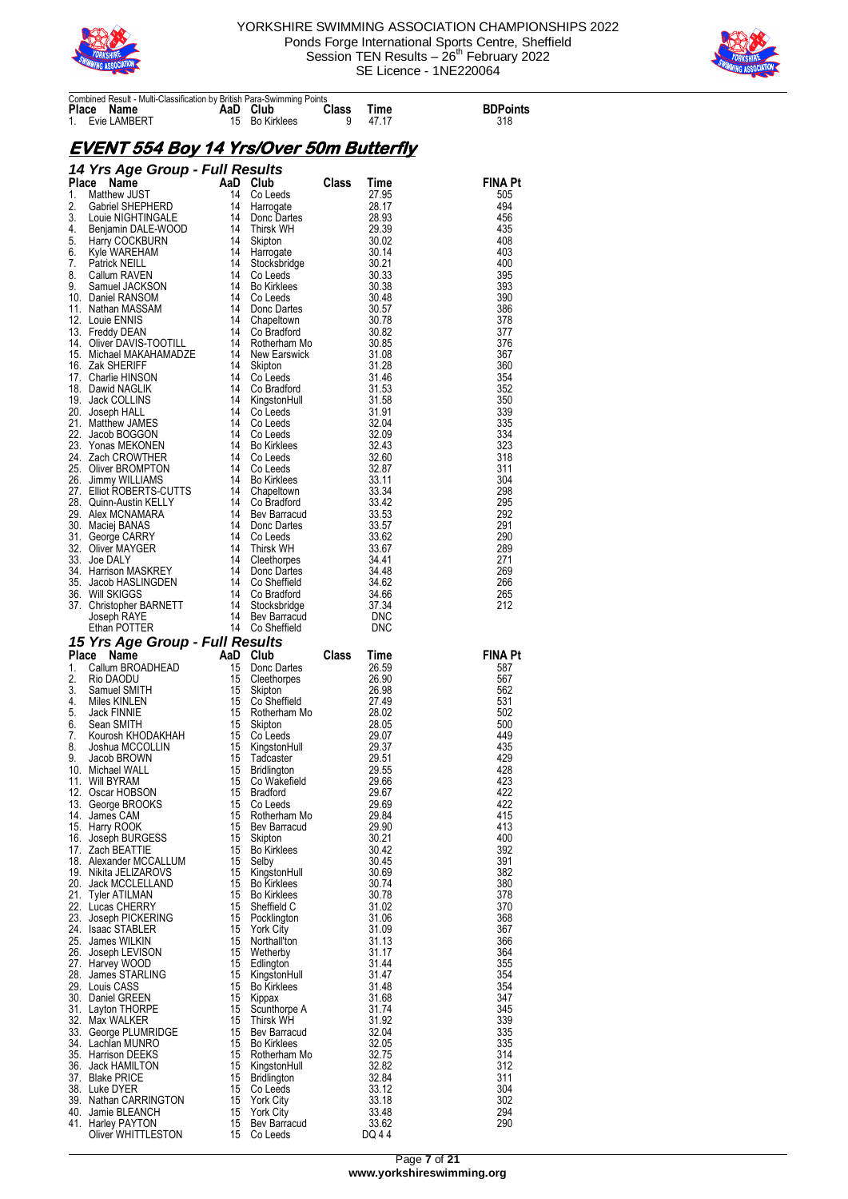



| <b>Place</b><br>1. | Combined Result - Multi-Classification by British Para-Swimming Points<br>Name<br>Evie LAMBERT | AaD Club<br>15 | <b>Bo Kirklees</b>                 | Class<br>9   | Time<br>47.17       | <b>BDPoints</b><br>318 |
|--------------------|------------------------------------------------------------------------------------------------|----------------|------------------------------------|--------------|---------------------|------------------------|
|                    | <b>EVENT 554 Boy 14 Yrs/Over 50m Butterfly</b>                                                 |                |                                    |              |                     |                        |
|                    | 14 Yrs Age Group - Full Results                                                                |                |                                    |              |                     |                        |
| Place              | Name                                                                                           |                | AaD Club                           | Class        | Time                | <b>FINA Pt</b>         |
| 1.                 | <b>Matthew JUST</b>                                                                            | 14             | Co Leeds                           |              | 27.95               | 505                    |
| 2.<br>3.           | Gabriel SHEPHERD<br>Louie NIGHTINGALE                                                          | 14<br>14       | Harrogate                          |              | 28.17<br>28.93      | 494<br>456             |
| 4.                 | Benjamin DALE-WOOD                                                                             | 14             | Donc Dartes<br>Thirsk WH           |              | 29.39               | 435                    |
| 5.                 | Harry COCKBURN                                                                                 | 14             | Skipton                            |              | 30.02               | 408                    |
| 6.                 | Kyle WAREHAM                                                                                   | 14             | Harrogate                          |              | 30.14               | 403                    |
| 7.                 | <b>Patrick NEILL</b>                                                                           | 14             | Stocksbridge                       |              | 30.21               | 400                    |
| 8.<br>9.           | Callum RAVEN                                                                                   | 14<br>14       | Co Leeds                           |              | 30.33               | 395                    |
|                    | Samuel JACKSON<br>10. Daniel RANSOM                                                            | 14             | <b>Bo Kirklees</b><br>Co Leeds     |              | 30.38<br>30.48      | 393<br>390             |
|                    | 11. Nathan MASSAM                                                                              | 14             | Donc Dartes                        |              | 30.57               | 386                    |
|                    | 12. Louie ENNIS                                                                                | 14             | Chapeltown                         |              | 30.78               | 378                    |
|                    | 13. Freddy DEAN                                                                                | 14             | Co Bradford                        |              | 30.82               | 377                    |
| 14.                | Oliver DAVIS-TOOTILL                                                                           | 14             | Rotherham Mo                       |              | 30.85               | 376                    |
| 15.                | Michael MAKAHAMADZE                                                                            | 14<br>14       | New Earswick                       |              | 31.08<br>31.28      | 367                    |
|                    | 16. Zak SHERIFF<br>17 Charlie HINSON                                                           | 14             | Skipton<br>Co Leeds                |              | 31.46               | 360<br>354             |
|                    | 18. Dawid NAGLIK                                                                               | 14             | Co Bradford                        |              | 31.53               | 352                    |
|                    | 19. Jack COLLINS                                                                               | 14             | KingstonHull                       |              | 31.58               | 350                    |
|                    | 20. Joseph HALL                                                                                | 14             | Co Leeds                           |              | 31.91               | 339                    |
|                    | 21. Matthew JAMES                                                                              | 14             | Co Leeds                           |              | 32.04               | 335                    |
|                    | 22. Jacob BOGGON                                                                               | 14             | Co Leeds                           |              | 32.09               | 334                    |
|                    | 23. Yonas MEKONEN<br>24. Zach CROWTHER                                                         | 14<br>14       | <b>Bo Kirklees</b><br>Co Leeds     |              | 32.43<br>32.60      | 323<br>318             |
|                    | 25. Oliver BROMPTON                                                                            | 14             | Co Leeds                           |              | 32.87               | 311                    |
|                    | 26. Jimmy WILLIAMS                                                                             | 14             | <b>Bo Kirklees</b>                 |              | 33.11               | 304                    |
|                    | 27. Elliot ROBERTS-CUTTS                                                                       | 14             | Chapeltown                         |              | 33.34               | 298                    |
|                    | 28. Quinn-Austin KELLY                                                                         | 14             | Co Bradford                        |              | 33.42               | 295                    |
|                    | 29. Alex MCNAMARA                                                                              | 14             | Bev Barracud                       |              | 33.53               | 292                    |
| 31.                | 30. Maciej BANAS                                                                               | 14<br>14       | Donc Dartes<br>Co Leeds            |              | 33.57<br>33.62      | 291<br>290             |
|                    | George CARRY<br>32. Oliver MAYGER                                                              | 14             | Thirsk WH                          |              | 33.67               | 289                    |
|                    | 33. Joe DALY                                                                                   | 14             | Cleethorpes                        |              | 34.41               | 271                    |
|                    | 34. Harrison MASKREY                                                                           | 14             | Donc Dartes                        |              | 34.48               | 269                    |
|                    | 35. Jacob HASLINGDEN                                                                           | 14             | Co Sheffield                       |              | 34.62               | 266                    |
|                    | 36. Will SKIGGS                                                                                | 14             | Co Bradford                        |              | 34.66               | 265                    |
|                    | 37. Christopher BARNETT<br>Joseph RAYE                                                         | 14<br>14       | Stocksbridge<br>Bev Barracud       |              | 37.34<br><b>DNC</b> | 212                    |
|                    | Ethan POTTER                                                                                   |                | 14 Co Sheffield                    |              | DNC                 |                        |
|                    | 15 Yrs Age Group - Full Results                                                                |                |                                    |              |                     |                        |
| Place              | Name                                                                                           | AaD            | Club                               | <b>Class</b> | Time                | <b>FINA Pt</b>         |
| 1.                 | Callum BROADHEAD                                                                               | 15             | Donc Dartes                        |              | 26.59               | 587                    |
| 2.                 | Rio DAODU                                                                                      | 15             | Cleethorpes                        |              | 26.90               | 567                    |
| 3.                 | Samuel SMITH                                                                                   | 15             | Skipton                            |              | 26.98               | 562                    |
| 4.<br>5.           | Miles KINLEN<br>Jack FINNIE                                                                    | 15<br>15       | Co Sheffield<br>Rotherham Mo       |              | 27.49<br>28.02      | 531<br>502             |
| 6.                 | Sean SMITH                                                                                     | 15             | Skipton                            |              | 28.05               | 500                    |
| 7.                 | Kourosh KHODAKHAH                                                                              | 15             | Co Leeds                           |              | 29.07               | 449                    |
| 8.                 | Joshua MCCOLLIN                                                                                | 15             | KingstonHull                       |              | 29.37               | 435                    |
| 9.                 | Jacob BROWN                                                                                    | 15             | Tadcaster                          |              | 29.51               | 429                    |
|                    | 10. Michael WALL                                                                               | 15             | <b>Bridlington</b>                 |              | 29.55               | 428                    |
|                    | 11. Will BYRAM<br>12. Oscar HOBSON                                                             | 15<br>15       | Co Wakefield<br><b>Bradford</b>    |              | 29.66<br>29.67      | 423<br>422             |
|                    | 13. George BROOKS                                                                              | 15             | Co Leeds                           |              | 29.69               | 422                    |
|                    | 14. James CAM                                                                                  | 15             | Rotherham Mo                       |              | 29.84               | 415                    |
|                    | 15. Harry ROOK                                                                                 | 15             | Bev Barracud                       |              | 29.90               | 413                    |
| 16.                | Joseph BURGESS                                                                                 | 15             | Skipton                            |              | 30.21               | 400                    |
| 17.                | Zach BEATTIE                                                                                   | 15             | <b>Bo Kirklees</b>                 |              | 30.42               | 392                    |
|                    | 18. Alexander MCCALLUM<br>19. Nikita JELIZAROVS                                                | 15<br>15       | Selby<br>KingstonHull              |              | 30.45<br>30.69      | 391<br>382             |
|                    | 20. Jack MCCLELLAND                                                                            | 15             | <b>Bo Kirklees</b>                 |              | 30.74               | 380                    |
|                    | 21. Tyler ATILMAN                                                                              | 15             | <b>Bo Kirklees</b>                 |              | 30.78               | 378                    |
|                    | 22. Lucas CHERRY                                                                               | 15             | Sheffield C                        |              | 31.02               | 370                    |
|                    | 23. Joseph PICKERING                                                                           |                | 15 Pocklington                     |              | 31.06               | 368                    |
|                    | 24. Isaac STABLER                                                                              | 15             | <b>York City</b>                   |              | 31.09               | 367                    |
|                    | 25. James WILKIN                                                                               | 15             | Northall'ton                       |              | 31.13               | 366                    |
|                    | 26. Joseph LEVISON<br>27. Harvey WOOD                                                          | 15<br>15       | Wetherby<br>Edlington              |              | 31.17<br>31.44      | 364<br>355             |
| 28.                | James STARLING                                                                                 | 15             | KingstonHull                       |              | 31.47               | 354                    |
|                    | 29. Louis CASS                                                                                 | 15             | <b>Bo Kirklees</b>                 |              | 31.48               | 354                    |
|                    | 30. Daniel GREEN                                                                               | 15             | Kippax                             |              | 31.68               | 347                    |
|                    | 31. Layton THORPE                                                                              | 15             | Scunthorpe A                       |              | 31.74               | 345                    |
|                    | 32. Max WALKER                                                                                 | 15             | <b>Thirsk WH</b>                   |              | 31.92               | 339                    |
|                    | 33. George PLUMRIDGE                                                                           | 15             | Bev Barracud                       |              | 32.04               | 335                    |
|                    | 34. Lachlan MUNRO<br>35. Harrison DEEKS                                                        | 15<br>15       | <b>Bo Kirklees</b><br>Rotherham Mo |              | 32.05<br>32.75      | 335<br>314             |
|                    | 36. Jack HAMILTON                                                                              | 15             | KingstonHull                       |              | 32.82               | 312                    |
|                    | 37. Blake PRICE                                                                                | 15             | <b>Bridlington</b>                 |              | 32.84               | 311                    |
|                    | 38. Luke DYER                                                                                  | 15             | Co Leeds                           |              | 33.12               | 304                    |
|                    | 39. Nathan CARRINGTON                                                                          | 15             | <b>York City</b>                   |              | 33.18               | 302                    |
|                    | 40. Jamie BLEANCH                                                                              | 15             | York City                          |              | 33.48               | 294                    |
|                    | 41. Harley PAYTON<br>Oliver WHITTLESTON                                                        | 15<br>15       | Bev Barracud<br>Co Leeds           |              | 33.62<br>DQ 44      | 290                    |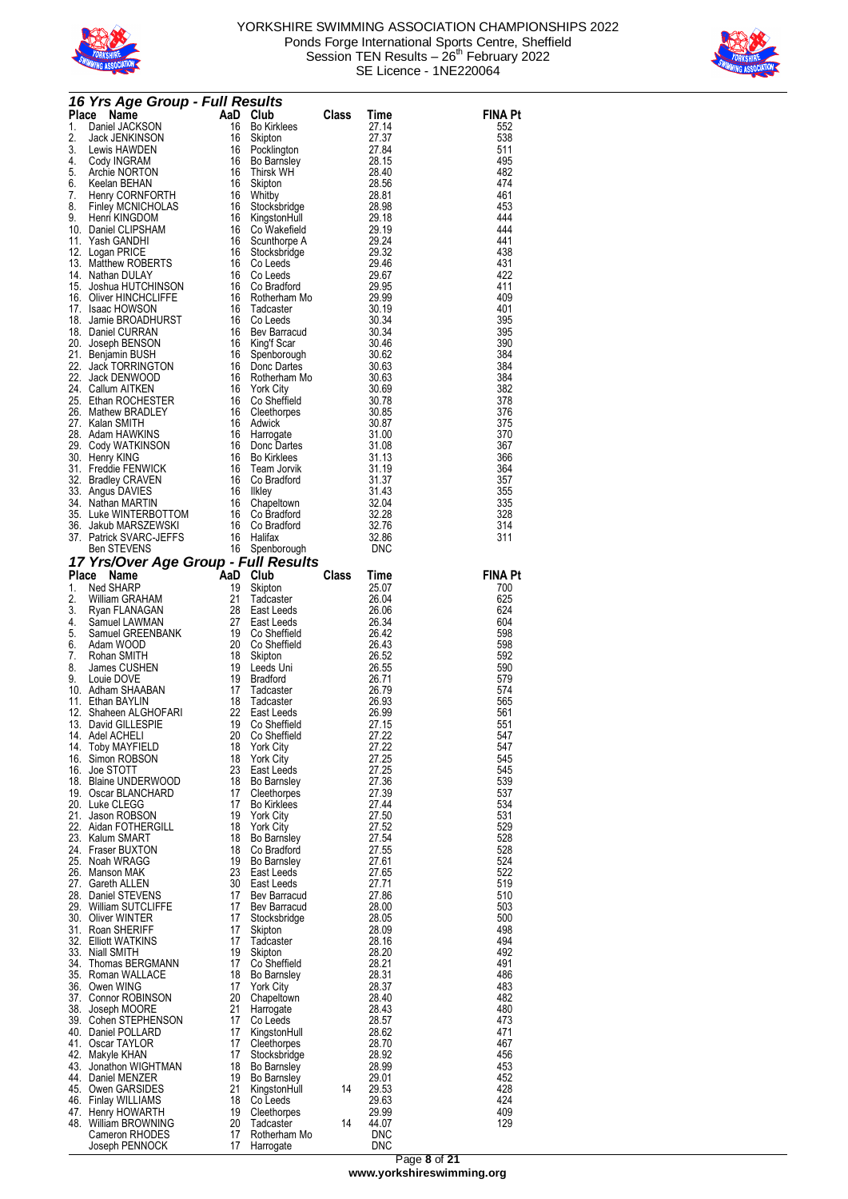



|              | 16 Yrs Age Group - Full Results               |          |                                 |              |                     |                |
|--------------|-----------------------------------------------|----------|---------------------------------|--------------|---------------------|----------------|
| <b>Place</b> | Name                                          | AaD      | Club                            | <b>Class</b> | Time                | <b>FINA Pt</b> |
| 1.<br>2.     | Daniel JACKSON<br>Jack JENKINSON              | 16<br>16 | <b>Bo Kirklees</b><br>Skipton   |              | 27.14<br>27.37      | 552<br>538     |
| 3.           | Lewis HAWDEN                                  | 16       | Pocklington                     |              | 27.84               | 511            |
| 4.           | Cody INGRAM                                   | 16       | Bo Barnsley                     |              | 28.15               | 495            |
| 5.           | Archie NORTON                                 | 16       | Thirsk WH                       |              | 28.40               | 482            |
| 6.           | Keelan BEHAN                                  | 16       | Skipton                         |              | 28.56               | 474            |
| 7.<br>8.     | Henry CORNFORTH<br><b>Finley MCNICHOLAS</b>   | 16<br>16 | Whitby<br>Stocksbridge          |              | 28.81<br>28.98      | 461<br>453     |
| 9.           | Henri KINGDOM                                 | 16       | KingstonHull                    |              | 29.18               | 444            |
|              | 10. Daniel CLIPSHAM                           | 16       | Co Wakefield                    |              | 29.19               | 444            |
| 11.          | Yash GANDHI                                   | 16       | Scunthorpe A                    |              | 29.24               | 441            |
| 12.          | Logan PRICE                                   | 16       | Stocksbridge                    |              | 29.32               | 438            |
| 13.<br>14.   | <b>Matthew ROBERTS</b><br>Nathan DULAY        | 16<br>16 | Co Leeds<br>Co Leeds            |              | 29.46<br>29.67      | 431<br>422     |
| 15.          | Joshua HUTCHINSON                             | 16       | Co Bradford                     |              | 29.95               | 411            |
| 16.          | Oliver HINCHCLIFFE                            | 16       | Rotherham Mo                    |              | 29.99               | 409            |
| 17.          | <b>Isaac HOWSON</b>                           | 16       | Tadcaster                       |              | 30.19               | 401            |
| 18.          | Jamie BROADHURST                              | 16       | Co Leeds                        |              | 30.34               | 395            |
| 18.<br>20.   | Daniel CURRAN<br>Joseph BENSON                | 16<br>16 | Bev Barracud<br>King'f Scar     |              | 30.34<br>30.46      | 395<br>390     |
|              | 21. Benjamin BUSH                             | 16       | Spenborough                     |              | 30.62               | 384            |
| 22.          | Jack TORRINGTON                               | 16       | Donc Dartes                     |              | 30.63               | 384            |
| 22.          | Jack DENWOOD                                  | 16       | Rotherham Mo                    |              | 30.63               | 384            |
| 24.          | Callum AITKEN                                 | 16       | <b>York City</b>                |              | 30.69               | 382            |
| 25.<br>26.   | Ethan ROCHESTER<br>Mathew BRADLEY             | 16<br>16 | Co Sheffield<br>Cleethorpes     |              | 30.78<br>30.85      | 378<br>376     |
| 27.          | Kalan SMITH                                   | 16       | Adwick                          |              | 30.87               | 375            |
| 28.          | Adam HAWKINS                                  | 16       | Harrogate                       |              | 31.00               | 370            |
| 29.          | Cody WATKINSON                                | 16       | Donc Dartes                     |              | 31.08               | 367            |
|              | 30. Henry KING                                | 16       | <b>Bo Kirklees</b>              |              | 31.13               | 366            |
|              | 31. Freddie FENWICK<br>32. Bradley CRAVEN     | 16<br>16 | Team Jorvik<br>Co Bradford      |              | 31.19<br>31.37      | 364<br>357     |
|              | 33. Angus DAVIES                              | 16       | Ilkley                          |              | 31.43               | 355            |
|              | 34. Nathan MARTIN                             | 16       | Chapeltown                      |              | 32.04               | 335            |
|              | 35. Luke WINTERBOTTOM                         | 16       | Co Bradford                     |              | 32.28               | 328            |
| 36.          | Jakub MARSZEWSKI                              | 16       | Co Bradford                     |              | 32.76               | 314            |
|              | 37. Patrick SVARC-JEFFS<br><b>Ben STEVENS</b> | 16       | Halifax<br>16 Spenborough       |              | 32.86<br><b>DNC</b> | 311            |
|              | 17 Yrs/Over Age Group - Full Results          |          |                                 |              |                     |                |
| <b>Place</b> | Name                                          | AaD      | Club                            | <b>Class</b> | Time                | <b>FINA Pt</b> |
| 1.           | Ned SHARP                                     | 19       | Skipton                         |              | 25.07               | 700            |
| 2.           | William GRAHAM                                | 21       | Tadcaster                       |              | 26.04               | 625            |
| 3.           | Ryan FLANAGAN                                 | 28       | East Leeds                      |              | 26.06               | 624            |
| 4.           | Samuel LAWMAN                                 | 27       | East Leeds                      |              | 26.34               | 604            |
| 5.<br>6.     | Samuel GREENBANK<br>Adam WOOD                 | 19<br>20 | Co Sheffield<br>Co Sheffield    |              | 26.42<br>26.43      | 598<br>598     |
| 7.           | Rohan SMITH                                   | 18       | Skipton                         |              | 26.52               | 592            |
| 8.           | James CUSHEN                                  | 19       | Leeds Uni                       |              | 26.55               | 590            |
| 9.           | Louie DOVE                                    | 19       | <b>Bradford</b>                 |              | 26.71               | 579            |
| 11.          | 10. Adham SHAABAN<br>Ethan BAYLIN             | 17<br>18 | Tadcaster<br>Tadcaster          |              | 26.79<br>26.93      | 574<br>565     |
| 12.          | Shaheen ALGHOFARI                             | 22       | East Leeds                      |              | 26.99               | 561            |
| 13.          | David GILLESPIE                               | 19       | Co Sheffield                    |              | 27.15               | 551            |
|              | 14. Adel ACHELI                               | 20       | Co Sheffield                    |              | 27.22               | 547            |
|              | 14. Toby MAYFIELD                             | 18       | <b>York City</b>                |              | 27.22               | 547            |
|              | 16. Simon ROBSON<br>16. Joe STOTT             | 18<br>23 | <b>York City</b><br>East Leeds  |              | 27.25<br>27.25      | 545<br>545     |
|              | 18. Blaine UNDERWOOD                          | 18       | Bo Barnsley                     |              | 27.36               | 539            |
|              | 19. Oscar BLANCHARD                           | 17       | Cleethorpes                     |              | 27.39               | 537            |
|              | 20. Luke CLEGG                                | 17       | <b>Bo Kirklees</b>              |              | 27.44               | 534            |
|              | 21. Jason ROBSON                              | 19       | <b>York City</b>                |              | 27.50               | 531            |
|              | 22. Aidan FOTHERGILL<br>23. Kalum SMART       | 18       | 18 York City<br>Bo Barnsley     |              | 27.52<br>27.54      | 529<br>528     |
|              | 24. Fraser BUXTON                             | 18       | Co Bradford                     |              | 27.55               | 528            |
|              | 25. Noah WRAGG                                |          | 19 Bo Barnsley                  |              | 27.61               | 524            |
|              | 26. Manson MAK                                | 23       | East Leeds                      |              | 27.65               | 522            |
|              | 27. Gareth ALLEN                              |          | 30 East Leeds                   |              | 27.71               | 519            |
|              | 28. Daniel STEVENS<br>29. William SUTCLIFFE   | 17       | 17 Bev Barracud<br>Bev Barracud |              | 27.86<br>28.00      | 510<br>503     |
|              | 30. Oliver WINTER                             | 17       | Stocksbridge                    |              | 28.05               | 500            |
|              | 31. Roan SHERIFF                              | 17       | Skipton                         |              | 28.09               | 498            |
|              | 32. Elliott WATKINS                           | 17       | Tadcaster                       |              | 28.16               | 494            |
|              | 33. Niall SMITH                               | 19       | Skipton                         |              | 28.20               | 492            |
|              | 34. Thomas BERGMANN<br>35. Roman WALLACE      | 17<br>18 | Co Sheffield<br>Bo Barnsley     |              | 28.21<br>28.31      | 491<br>486     |
|              | 36. Owen WING                                 | 17       | <b>York City</b>                |              | 28.37               | 483            |
|              | 37. Connor ROBINSON                           |          | 20 Chapeltown                   |              | 28.40               | 482            |
|              | 38. Joseph MOORE                              | 21       | Harrogate                       |              | 28.43               | 480            |
|              | 39. Cohen STEPHENSON                          | 17       | Co Leeds                        |              | 28.57               | 473            |
|              | 40. Daniel POLLARD<br>41. Oscar TAYLOR        | 17<br>17 | KingstonHull<br>Cleethorpes     |              | 28.62<br>28.70      | 471<br>467     |
|              | 42. Makyle KHAN                               | 17       | Stocksbridge                    |              | 28.92               | 456            |
|              | 43. Jonathon WIGHTMAN                         |          | 18 Bo Barnsley                  |              | 28.99               | 453            |
|              | 44 Daniel MENZER                              | 19       | Bo Barnsley                     |              | 29.01               | 452            |
|              | 45. Owen GARSIDES                             | 21<br>18 | KingstonHull                    | 14           | 29.53<br>29.63      | 428<br>424     |
|              | 46. Finlay WILLIAMS<br>47. Henry HOWARTH      | 19       | Co Leeds<br>Cleethorpes         |              | 29.99               | 409            |
|              | 48. William BROWNING                          | 20       | Tadcaster                       | 14           | 44.07               | 129            |
|              | Cameron RHODES                                | 17       | Rotherham Mo                    |              | <b>DNC</b>          |                |
|              | Joseph PENNOCK                                | 17       | Harrogate                       |              | <b>DNC</b>          |                |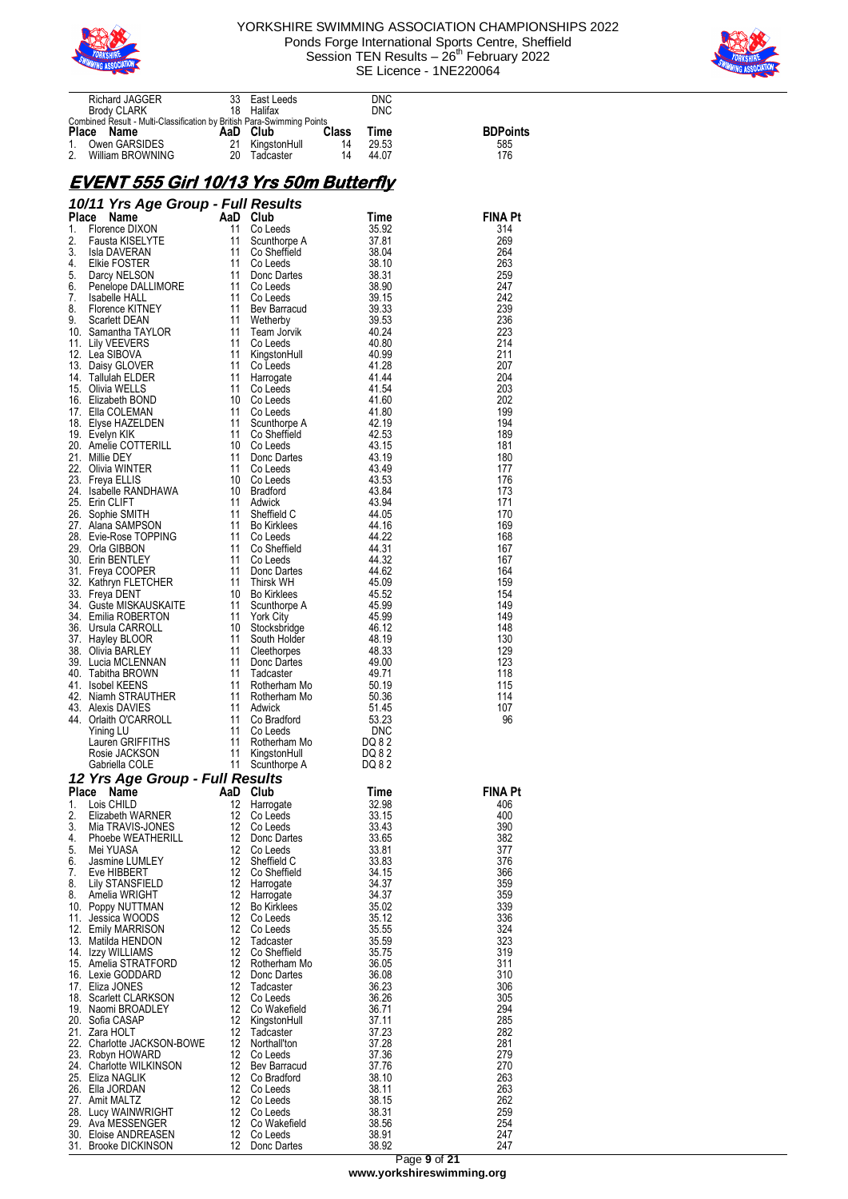



| Richard JAGGER                                                                               | 33       | East Leeds                         | <b>DNC</b>     |                        |
|----------------------------------------------------------------------------------------------|----------|------------------------------------|----------------|------------------------|
| <b>Brody CLARK</b><br>Combined Result - Multi-Classification by British Para-Swimming Points | 18       | Halifax                            | <b>DNC</b>     |                        |
| <b>AaD</b> Club<br>Place<br>Name<br>1.<br>Owen GARSIDES                                      | 21       | <b>Class</b><br>14<br>KingstonHull | Time<br>29.53  | <b>BDPoints</b><br>585 |
| William BROWNING<br>2.                                                                       | 20       | 14<br>Tadcaster                    | 44.07          | 176                    |
| <u>EVENT 555 Girl 10/13 Yrs 50m Butterfly</u>                                                |          |                                    |                |                        |
|                                                                                              |          |                                    |                |                        |
| 10/11 Yrs Age Group - Full Results<br>Place Name                                             |          | AaD Club                           | Time           | <b>FINA Pt</b>         |
| 1.<br>Florence DIXON                                                                         | 11       | Co Leeds                           | 35.92          | 314                    |
| 2.<br>Fausta KISELYTE<br>3.<br>Isla DAVERAN                                                  | 11<br>11 | Scunthorpe A<br>Co Sheffield       | 37.81<br>38.04 | 269<br>264             |
| 4.<br>Elkie FOSTER                                                                           | 11       | Co Leeds                           | 38.10          | 263                    |
| 5.<br>Darcy NELSON<br>6.<br>Penelope DALLIMORE                                               | 11<br>11 | Donc Dartes<br>Co Leeds            | 38.31<br>38.90 | 259<br>247             |
| 7.<br>Isabelle HALL                                                                          | 11       | Co Leeds                           | 39.15          | 242                    |
| 8.<br>Florence KITNEY<br>9.<br>Scarlett DEAN                                                 | 11<br>11 | Bev Barracud<br>Wetherby           | 39.33<br>39.53 | 239<br>236             |
| 10. Samantha TAYLOR                                                                          | 11       | Team Jorvik                        | 40.24          | 223                    |
| 11. Lily VEEVERS<br>12. Lea SIBOVA                                                           | 11<br>11 | Co Leeds<br>KingstonHull           | 40.80<br>40.99 | 214<br>211             |
| 13. Daisy GLOVER                                                                             | 11       | Co Leeds                           | 41.28          | 207                    |
| 14. Tallulah ELDER<br>15. Olivia WELLS                                                       | 11<br>11 | Harrogate<br>Co Leeds              | 41.44<br>41.54 | 204<br>203             |
| 16. Elizabeth BOND                                                                           | 10       | Co Leeds                           | 41.60          | 202                    |
| 17. Ella COLEMAN<br>18. Elyse HAZELDEN                                                       | 11<br>11 | Co Leeds<br>Scunthorpe A           | 41.80<br>42.19 | 199<br>194             |
| 19. Evelyn KIK                                                                               | 11       | Co Sheffield                       | 42.53          | 189                    |
| 20. Amelie COTTERILL<br>21. Millie DEY                                                       | 10<br>11 | Co Leeds<br>Donc Dartes            | 43.15<br>43.19 | 181<br>180             |
| 22. Olivia WINTER                                                                            | 11       | Co Leeds                           | 43.49          | 177                    |
| 23. Freya ELLIS<br>24. Isabelle RANDHAWA                                                     | 10<br>10 | Co Leeds<br>Bradford               | 43.53<br>43.84 | 176<br>173             |
| 25. Erin CLIFT                                                                               | 11       | Adwick                             | 43.94          | 171                    |
| 26. Sophie SMITH<br>27. Alana SAMPSON                                                        | 11<br>11 | Sheffield C<br><b>Bo Kirklees</b>  | 44.05<br>44.16 | 170<br>169             |
| 28. Evie-Rose TOPPING                                                                        | 11       | Co Leeds                           | 44.22          | 168                    |
| 29. Orla GIBBON<br>30. Erin BENTLEY                                                          | 11<br>11 | Co Sheffield<br>Co Leeds           | 44.31<br>44.32 | 167<br>167             |
| 31. Freya COOPER                                                                             | 11<br>11 | Donc Dartes                        | 44.62          | 164                    |
| 32. Kathryn FLETCHER<br>33. Freya DENT                                                       | 10       | Thirsk WH<br>Bo Kirklees           | 45.09<br>45.52 | 159<br>154             |
| 34. Guste MISKAUSKAITE                                                                       | 11<br>11 | Scunthorpe A                       | 45.99<br>45.99 | 149<br>149             |
| 34. Emilia ROBERTON<br>36. Ursula CARROLL                                                    | 10       | <b>York City</b><br>Stocksbridge   | 46.12          | 148                    |
| 37. Hayley BLOOR<br>38. Olivia BARLEY                                                        | 11<br>11 | South Holder                       | 48.19<br>48.33 | 130<br>129             |
| 39. Lucia MCLENNAN                                                                           | 11       | Cleethorpes<br>Donc Dartes         | 49.00          | 123                    |
| 40. Tabitha BROWN<br>41. Isobel KEENS                                                        | 11<br>11 | Tadcaster<br>Rotherham Mo          | 49.71<br>50.19 | 118<br>115             |
| 42. Niamh STRAUTHER                                                                          | 11       | Rotherham Mo                       | 50.36          | 114                    |
| 43. Alexis DAVIES<br>44. Orlaith O'CARROLL                                                   | 11<br>11 | Adwick<br>Co Bradford              | 51.45<br>53.23 | 107<br>96              |
| Yining LU                                                                                    | 11       | Co Leeds                           | <b>DNC</b>     |                        |
| Lauren GRIFFITHS<br>Rosie JACKSON                                                            | 11<br>11 | Rotherham Mo<br>KingstonHull       | DQ 82<br>DQ 82 |                        |
| Gabriella COLE                                                                               | 11       | Scunthorpe A                       | DQ 82          |                        |
| 12 Yrs Age Group - Full Results<br>Name<br>Place                                             |          | AaD Club                           | Time           | <b>FINA Pt</b>         |
| 1.<br>Lois CHILD                                                                             | 12       | Harrogate                          | 32.98          | 406                    |
| 2.<br>Elizabeth WARNER<br>3.<br>Mia TRAVIS-JONES                                             | 12<br>12 | Co Leeds<br>Co Leeds               | 33.15<br>33.43 | 400<br>390             |
| 4.<br>Phoebe WEATHERILL                                                                      | 12       | Donc Dartes                        | 33.65          | 382                    |
| 5.<br>Mei YUASA<br>6.<br>Jasmine LUMLEY                                                      | 12<br>12 | Co Leeds<br>Sheffield C            | 33.81<br>33.83 | 377<br>376             |
| 7.<br>Eve HIBBERT                                                                            | 12       | Co Sheffield                       | 34.15          | 366                    |
| 8.<br>Lily STANSFIELD<br>8.<br>Amelia WRIGHT                                                 | 12<br>12 | Harrogate<br>Harrogate             | 34.37<br>34.37 | 359<br>359             |
| 10. Poppy NUTTMAN                                                                            | 12       | <b>Bo Kirklees</b>                 | 35.02          | 339                    |
| 11. Jessica WOODS<br>12. Emily MARRISON                                                      | 12<br>12 | Co Leeds<br>Co Leeds               | 35.12<br>35.55 | 336<br>324             |
| 13. Matilda HENDON                                                                           | 12       | Tadcaster                          | 35.59          | 323                    |
| 14. Izzy WILLIAMS<br>15. Amelia STRATFORD                                                    | 12<br>12 | Co Sheffield<br>Rotherham Mo       | 35.75<br>36.05 | 319<br>311             |
| 16. Lexie GODDARD                                                                            | 12       | Donc Dartes                        | 36.08          | 310                    |
| 17. Eliza JONES<br>18. Scarlett CLARKSON                                                     | 12<br>12 | Tadcaster<br>Co Leeds              | 36.23<br>36.26 | 306<br>305             |
| 19. Naomi BROADLEY                                                                           | 12       | Co Wakefield                       | 36.71          | 294                    |
| 20. Sofia CASAP<br>21. Zara HOLT                                                             | 12<br>12 | KingstonHull<br>Tadcaster          | 37.11<br>37.23 | 285<br>282             |
| 22. Charlotte JACKSON-BOWE                                                                   | 12       | Northall'ton                       | 37.28          | 281                    |
| 23. Robyn HOWARD<br>24. Charlotte WILKINSON                                                  | 12<br>12 | Co Leeds<br>Bev Barracud           | 37.36<br>37.76 | 279<br>270             |
| 25. Eliza NAGLIK                                                                             | 12<br>12 | Co Bradford                        | 38.10<br>38.11 | 263                    |
| 26. Ella JORDAN<br>27. Amit MALTZ                                                            | 12       | Co Leeds<br>Co Leeds               | 38.15          | 263<br>262             |
| 28. Lucy WAINWRIGHT                                                                          | 12       | Co Leeds                           | 38.31          | 259                    |
| 29. Ava MESSENGER<br>30. Eloise ANDREASEN                                                    | 12<br>12 | Co Wakefield<br>Co Leeds           | 38.56<br>38.91 | 254<br>247             |

31. Brooke DICKINSON 12 Donc Dartes 38.92 247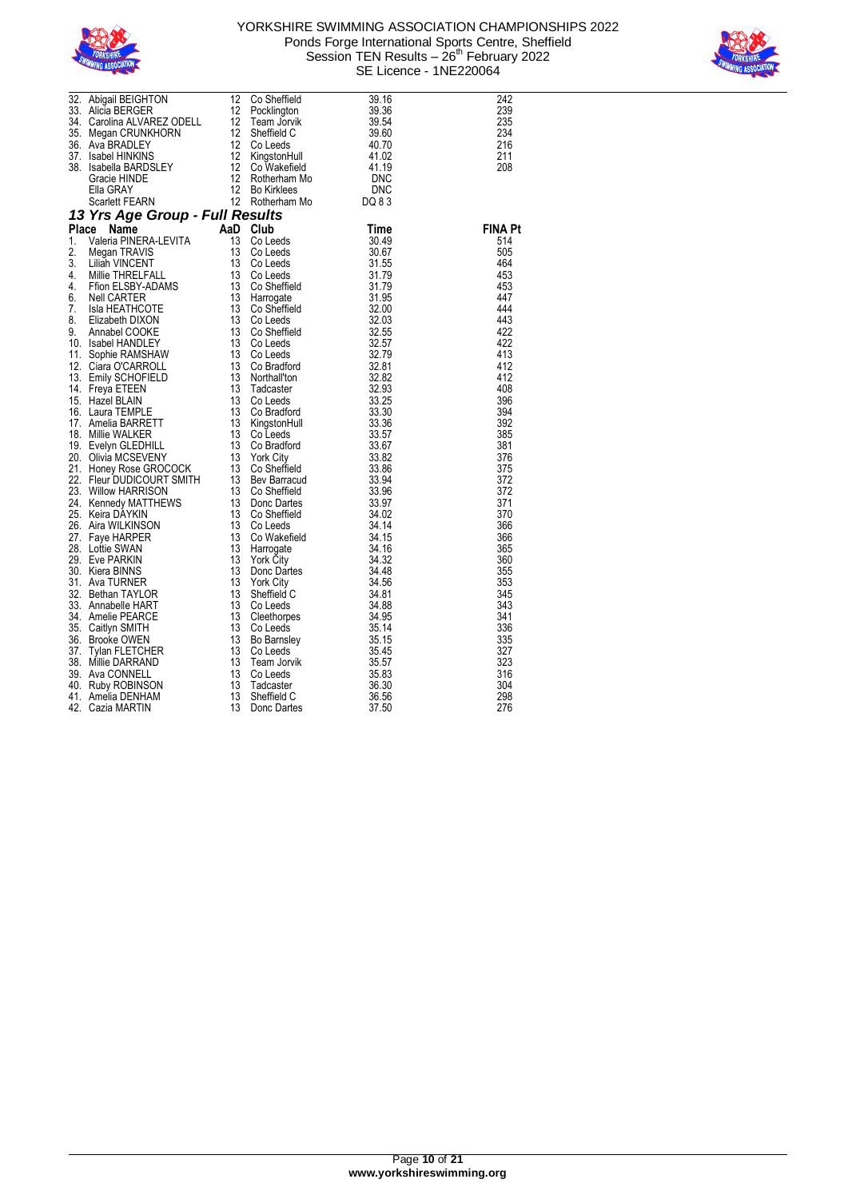



|                                                                                                                                                                                                                                          |  | 242            |
|------------------------------------------------------------------------------------------------------------------------------------------------------------------------------------------------------------------------------------------|--|----------------|
|                                                                                                                                                                                                                                          |  | 239            |
|                                                                                                                                                                                                                                          |  | 235            |
|                                                                                                                                                                                                                                          |  | 234            |
|                                                                                                                                                                                                                                          |  | 216            |
|                                                                                                                                                                                                                                          |  | 211            |
|                                                                                                                                                                                                                                          |  | 208            |
|                                                                                                                                                                                                                                          |  |                |
|                                                                                                                                                                                                                                          |  |                |
|                                                                                                                                                                                                                                          |  |                |
| 32. Abigail BEIGHTON 12 Co Sheffield 39.16<br>33. Alicia BERGER 12 Pocklington 39.36<br>34. Carolina ALVAREZ ODELL 12 Team Jorvik 39.54<br>35. Megan CRUNKHORN 12 Sheffield C 39.60<br>36. Ava BRADLEY 12 Co Leeds 41.02<br>37. Isabel H |  |                |
| 13 Yrs Age Group - Full Results                                                                                                                                                                                                          |  |                |
|                                                                                                                                                                                                                                          |  | <b>FINA Pt</b> |
|                                                                                                                                                                                                                                          |  | 514            |
|                                                                                                                                                                                                                                          |  | 505            |
|                                                                                                                                                                                                                                          |  | 464            |
|                                                                                                                                                                                                                                          |  | 453            |
|                                                                                                                                                                                                                                          |  | 453            |
|                                                                                                                                                                                                                                          |  | 447            |
|                                                                                                                                                                                                                                          |  | 444            |
|                                                                                                                                                                                                                                          |  | 443            |
|                                                                                                                                                                                                                                          |  | 422            |
|                                                                                                                                                                                                                                          |  | 422            |
|                                                                                                                                                                                                                                          |  | 413            |
|                                                                                                                                                                                                                                          |  | 412            |
|                                                                                                                                                                                                                                          |  | 412            |
|                                                                                                                                                                                                                                          |  | 408            |
|                                                                                                                                                                                                                                          |  | 396            |
|                                                                                                                                                                                                                                          |  | 394            |
|                                                                                                                                                                                                                                          |  | 392            |
|                                                                                                                                                                                                                                          |  | 385            |
|                                                                                                                                                                                                                                          |  | 381            |
|                                                                                                                                                                                                                                          |  | 376            |
|                                                                                                                                                                                                                                          |  | 375            |
|                                                                                                                                                                                                                                          |  |                |
|                                                                                                                                                                                                                                          |  | 372            |
|                                                                                                                                                                                                                                          |  | 372            |
|                                                                                                                                                                                                                                          |  | 371            |
|                                                                                                                                                                                                                                          |  | 370            |
|                                                                                                                                                                                                                                          |  | 366            |
|                                                                                                                                                                                                                                          |  | 366            |
|                                                                                                                                                                                                                                          |  | 365            |
|                                                                                                                                                                                                                                          |  | 360            |
|                                                                                                                                                                                                                                          |  | 355            |
|                                                                                                                                                                                                                                          |  | 353            |
|                                                                                                                                                                                                                                          |  | 345            |
|                                                                                                                                                                                                                                          |  | 343            |
|                                                                                                                                                                                                                                          |  | 341            |
|                                                                                                                                                                                                                                          |  | 336            |
|                                                                                                                                                                                                                                          |  | 335            |
|                                                                                                                                                                                                                                          |  | 327            |
|                                                                                                                                                                                                                                          |  | 323            |
|                                                                                                                                                                                                                                          |  | 316            |
|                                                                                                                                                                                                                                          |  | 304            |
|                                                                                                                                                                                                                                          |  | 298            |
| Lie Grow The Control of the Control of the Control of the Control of the Control of the Control Capital Research Phine Research 2008 3<br>13 Coleeds 30.67<br>14 Valeria Phince And Club (1891/1898)<br>14 Coleeds 30.67<br>4. Millie    |  | 276            |
|                                                                                                                                                                                                                                          |  |                |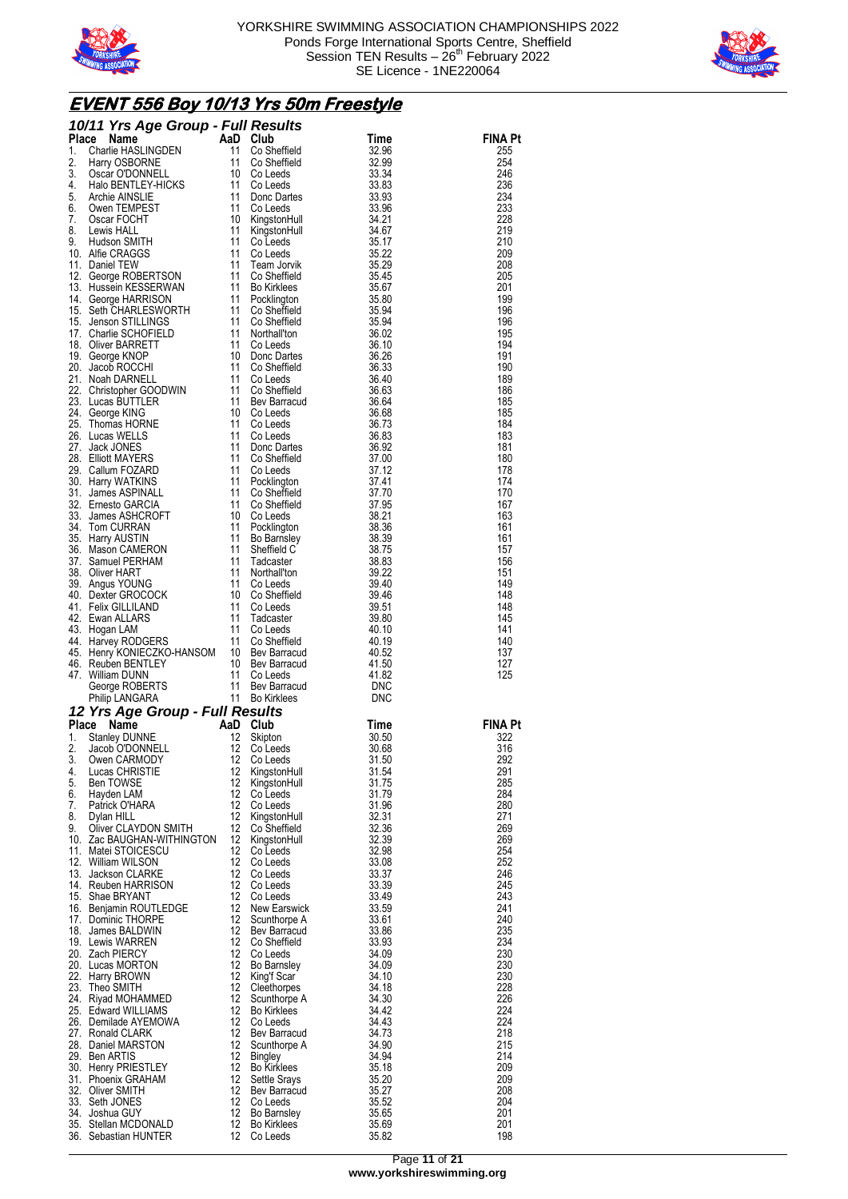



# **EVENT 556 Boy 10/13 Yrs 50m Freestyle**

|          | 10/11 Yrs Age Group - Full Results                                                                                                                                                                                                                                   |                        |                                |                |                       |
|----------|----------------------------------------------------------------------------------------------------------------------------------------------------------------------------------------------------------------------------------------------------------------------|------------------------|--------------------------------|----------------|-----------------------|
|          |                                                                                                                                                                                                                                                                      |                        |                                |                | <b>FINA Pt</b><br>255 |
|          |                                                                                                                                                                                                                                                                      |                        |                                |                | 254                   |
|          |                                                                                                                                                                                                                                                                      |                        |                                |                | 246                   |
|          |                                                                                                                                                                                                                                                                      |                        |                                |                | 236                   |
|          |                                                                                                                                                                                                                                                                      |                        |                                |                | 234                   |
|          |                                                                                                                                                                                                                                                                      |                        |                                |                | 233<br>228            |
|          |                                                                                                                                                                                                                                                                      |                        |                                |                | 219                   |
|          |                                                                                                                                                                                                                                                                      |                        |                                |                | 210                   |
|          |                                                                                                                                                                                                                                                                      |                        |                                |                | 209                   |
|          |                                                                                                                                                                                                                                                                      |                        |                                |                | 208                   |
|          |                                                                                                                                                                                                                                                                      |                        |                                |                | 205<br>201            |
|          |                                                                                                                                                                                                                                                                      |                        |                                |                | 199                   |
|          |                                                                                                                                                                                                                                                                      |                        |                                |                | 196                   |
|          |                                                                                                                                                                                                                                                                      |                        |                                |                | 196                   |
|          |                                                                                                                                                                                                                                                                      |                        |                                |                | 195                   |
|          |                                                                                                                                                                                                                                                                      |                        |                                |                | 194<br>191            |
|          |                                                                                                                                                                                                                                                                      |                        |                                |                | 190                   |
|          |                                                                                                                                                                                                                                                                      |                        |                                |                | 189                   |
|          |                                                                                                                                                                                                                                                                      |                        |                                |                | 186                   |
|          |                                                                                                                                                                                                                                                                      |                        |                                |                | 185<br>185            |
|          |                                                                                                                                                                                                                                                                      |                        |                                |                | 184                   |
|          |                                                                                                                                                                                                                                                                      |                        |                                |                | 183                   |
|          |                                                                                                                                                                                                                                                                      |                        |                                |                | 181                   |
|          |                                                                                                                                                                                                                                                                      |                        |                                |                | 180                   |
|          |                                                                                                                                                                                                                                                                      |                        |                                |                | 178                   |
|          |                                                                                                                                                                                                                                                                      |                        |                                |                | 174<br>170            |
|          |                                                                                                                                                                                                                                                                      |                        |                                |                | 167                   |
|          |                                                                                                                                                                                                                                                                      |                        |                                |                | 163                   |
|          |                                                                                                                                                                                                                                                                      |                        |                                |                | 161                   |
|          |                                                                                                                                                                                                                                                                      |                        |                                |                | 161                   |
|          |                                                                                                                                                                                                                                                                      |                        |                                |                | 157<br>156            |
|          |                                                                                                                                                                                                                                                                      |                        |                                |                | 151                   |
|          |                                                                                                                                                                                                                                                                      |                        |                                |                | 149                   |
|          |                                                                                                                                                                                                                                                                      |                        |                                |                | 148                   |
|          |                                                                                                                                                                                                                                                                      |                        |                                |                | 148<br>145            |
|          |                                                                                                                                                                                                                                                                      |                        |                                |                | 141                   |
|          |                                                                                                                                                                                                                                                                      |                        |                                |                |                       |
|          |                                                                                                                                                                                                                                                                      |                        |                                |                | 140                   |
|          |                                                                                                                                                                                                                                                                      |                        |                                |                | 137                   |
|          |                                                                                                                                                                                                                                                                      |                        |                                |                | 127                   |
|          |                                                                                                                                                                                                                                                                      |                        |                                |                | 125                   |
|          |                                                                                                                                                                                                                                                                      |                        |                                |                |                       |
|          |                                                                                                                                                                                                                                                                      |                        |                                |                |                       |
|          | 12 Yrs Age Group - Full Results<br>Place Name                                                                                                                                                                                                                        |                        |                                | Time           | <b>FINA Pt</b>        |
| 1.       | 10/11 Vrs Agre Group - Full Results<br>Place Name HANUNCOEN<br>2. Hany OSBORNE 11 Co Sheffield<br>2. Hany OSBORNE 11 Co Sheffield<br>2. Hany OSBORNE 11 Co Sheffield<br>3. Joseph ANUNCOEN<br>4. Halo BENTLEY-HICKS 10 Co Leeds<br>5. Over F<br><b>Stanley DUNNE</b> |                        | Skipton                        | 30.50          | 322                   |
| 2.       | E<br><b>AaD Club</b><br>12 Skipto<br>12 Co Lee<br>Jacob O'DONNELL                                                                                                                                                                                                    |                        | Co Leeds                       | 30.68          | 316                   |
| 3.       | Owen CARMODY                                                                                                                                                                                                                                                         |                        | 12 Co Leeds                    | 31.50          | 292                   |
| 4.<br>5. | Lucas CHRISTIE                                                                                                                                                                                                                                                       | 12<br>12               | KingstonHull                   | 31.54          | 291<br>285            |
| 6.       | Ben TOWSE<br>Hayden LAM                                                                                                                                                                                                                                              | 12                     | KingstonHull<br>Co Leeds       | 31.75<br>31.79 | 284                   |
| 7.       | Patrick O'HARA                                                                                                                                                                                                                                                       | 12                     | Co Leeds                       | 31.96          | 280                   |
| 8.       | Dylan HILL                                                                                                                                                                                                                                                           | 12                     | KingstonHull                   | 32.31          | 271                   |
| 9.       | Oliver CLAYDON SMITH                                                                                                                                                                                                                                                 | 12                     | Co Sheffield                   | 32.36          | 269                   |
|          | 10. Zac BAUGHAN-WITHINGTON<br>11. Matei STOICESCU                                                                                                                                                                                                                    | 12<br>12 <sup>12</sup> | KingstonHull<br>Co Leeds       | 32.39<br>32.98 | 269<br>254            |
|          | 12. William WILSON                                                                                                                                                                                                                                                   | 12                     | Co Leeds                       | 33.08          | 252                   |
|          | 13. Jackson CLARKE                                                                                                                                                                                                                                                   | 12                     | Co Leeds                       | 33.37          | 246                   |
|          | 14. Reuben HARRISON                                                                                                                                                                                                                                                  | 12                     | Co Leeds                       | 33.39          | 245                   |
|          | 15. Shae BRYANT                                                                                                                                                                                                                                                      | 12                     | Co Leeds                       | 33.49          | 243                   |
|          | 16. Benjamin ROUTLEDGE<br>17. Dominic THORPE                                                                                                                                                                                                                         | 12<br>12               | New Earswick<br>Scunthorpe A   | 33.59<br>33.61 | 241<br>240            |
|          | 18. James BALDWIN                                                                                                                                                                                                                                                    | 12                     | Bev Barracud                   | 33.86          | 235                   |
|          | 19. Lewis WARREN                                                                                                                                                                                                                                                     |                        | 12 Co Sheffield                | 33.93          | 234                   |
|          | 20. Zach PIERCY                                                                                                                                                                                                                                                      | 12                     | Co Leeds                       | 34.09          | 230                   |
|          | 20. Lucas MORTON<br>22. Harry BROWN                                                                                                                                                                                                                                  | 12                     | Bo Barnsley                    | 34.09<br>34.10 | 230<br>230            |
|          | 23. Theo SMITH                                                                                                                                                                                                                                                       | 12                     | 12 King'f Scar<br>Cleethorpes  | 34.18          | 228                   |
|          | 24.   Riyad MOHAMMED                                                                                                                                                                                                                                                 | 12                     | Scunthorpe A                   | 34.30          | 226                   |
|          | 25. Edward WILLIAMS                                                                                                                                                                                                                                                  | 12                     | <b>Bo Kirklees</b>             | 34.42          | 224                   |
|          | 26. Demilade AYEMOWA                                                                                                                                                                                                                                                 | 12                     | Co Leeds                       | 34.43          | 224                   |
|          | 27. Ronald CLARK<br>28. Daniel MARSTON                                                                                                                                                                                                                               | 12<br>12               | Bev Barracud<br>Scunthorpe A   | 34.73<br>34.90 | 218<br>215            |
|          | 29. Ben ARTIS                                                                                                                                                                                                                                                        | 12                     | <b>Bingley</b>                 | 34.94          | 214                   |
|          | 30. Henry PRIESTLEY                                                                                                                                                                                                                                                  | 12                     | <b>Bo Kirklees</b>             | 35.18          | 209                   |
|          | 31. Phoenix GRAHAM                                                                                                                                                                                                                                                   | 12                     | Settle Srays                   | 35.20          | 209                   |
|          | 32. Oliver SMITH<br>33. Seth JONES                                                                                                                                                                                                                                   | 12<br>12               | Bev Barracud<br>Co Leeds       | 35.27<br>35.52 | 208<br>204            |
|          | 34. Joshua GUY                                                                                                                                                                                                                                                       |                        | 12 Bo Barnsley                 | 35.65          | 201                   |
|          | 35 Stellan MCDONALD<br>36. Sebastian HUNTER                                                                                                                                                                                                                          | 12<br>12               | <b>Bo Kirklees</b><br>Co Leeds | 35.69<br>35.82 | 201<br>198            |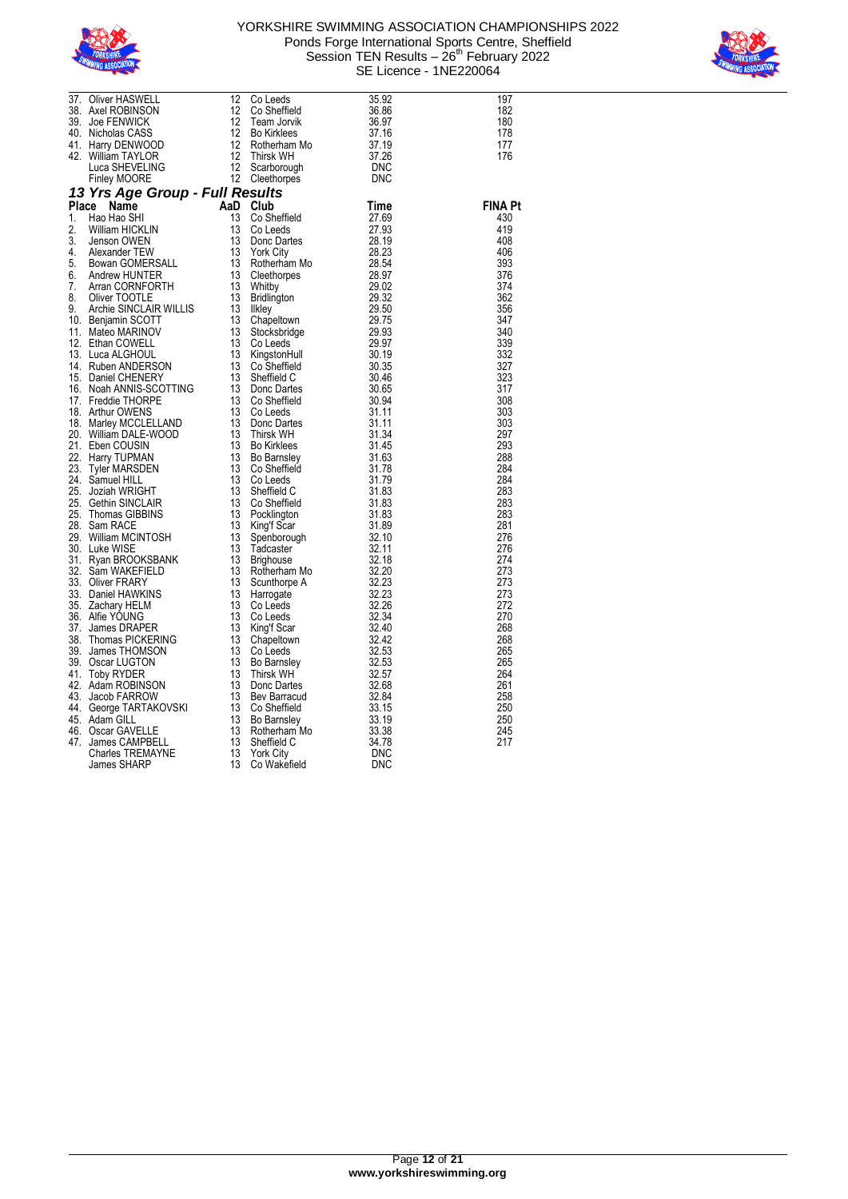



|                                                                                                                                                                                                                                                   |  | 197            |
|---------------------------------------------------------------------------------------------------------------------------------------------------------------------------------------------------------------------------------------------------|--|----------------|
|                                                                                                                                                                                                                                                   |  | 182            |
|                                                                                                                                                                                                                                                   |  | 180            |
|                                                                                                                                                                                                                                                   |  | 178            |
|                                                                                                                                                                                                                                                   |  | 177            |
|                                                                                                                                                                                                                                                   |  | 176            |
|                                                                                                                                                                                                                                                   |  |                |
|                                                                                                                                                                                                                                                   |  |                |
|                                                                                                                                                                                                                                                   |  |                |
|                                                                                                                                                                                                                                                   |  | <b>FINA Pt</b> |
|                                                                                                                                                                                                                                                   |  |                |
|                                                                                                                                                                                                                                                   |  | 430<br>419     |
|                                                                                                                                                                                                                                                   |  |                |
|                                                                                                                                                                                                                                                   |  | 408            |
|                                                                                                                                                                                                                                                   |  | 406<br>393     |
|                                                                                                                                                                                                                                                   |  |                |
|                                                                                                                                                                                                                                                   |  | 376            |
|                                                                                                                                                                                                                                                   |  | 374            |
|                                                                                                                                                                                                                                                   |  | 362            |
|                                                                                                                                                                                                                                                   |  | 356            |
|                                                                                                                                                                                                                                                   |  | 347            |
|                                                                                                                                                                                                                                                   |  | 340            |
|                                                                                                                                                                                                                                                   |  | 339            |
|                                                                                                                                                                                                                                                   |  | 332            |
|                                                                                                                                                                                                                                                   |  | 327            |
|                                                                                                                                                                                                                                                   |  | 323<br>317     |
|                                                                                                                                                                                                                                                   |  |                |
|                                                                                                                                                                                                                                                   |  | 308            |
|                                                                                                                                                                                                                                                   |  | 303<br>303     |
|                                                                                                                                                                                                                                                   |  |                |
|                                                                                                                                                                                                                                                   |  | 297<br>293     |
|                                                                                                                                                                                                                                                   |  | 288            |
|                                                                                                                                                                                                                                                   |  | 284            |
|                                                                                                                                                                                                                                                   |  | 284            |
|                                                                                                                                                                                                                                                   |  | 283            |
|                                                                                                                                                                                                                                                   |  | 283            |
|                                                                                                                                                                                                                                                   |  | 283            |
|                                                                                                                                                                                                                                                   |  | 281            |
|                                                                                                                                                                                                                                                   |  | 276            |
|                                                                                                                                                                                                                                                   |  | 276            |
|                                                                                                                                                                                                                                                   |  | 274            |
|                                                                                                                                                                                                                                                   |  | 273            |
|                                                                                                                                                                                                                                                   |  | 273            |
|                                                                                                                                                                                                                                                   |  | 273            |
|                                                                                                                                                                                                                                                   |  | 272            |
|                                                                                                                                                                                                                                                   |  | 270            |
|                                                                                                                                                                                                                                                   |  | 268            |
|                                                                                                                                                                                                                                                   |  | 268            |
|                                                                                                                                                                                                                                                   |  | 265            |
|                                                                                                                                                                                                                                                   |  | 265            |
|                                                                                                                                                                                                                                                   |  | 264            |
|                                                                                                                                                                                                                                                   |  | 261            |
|                                                                                                                                                                                                                                                   |  | 258            |
|                                                                                                                                                                                                                                                   |  | 250            |
|                                                                                                                                                                                                                                                   |  | 250            |
|                                                                                                                                                                                                                                                   |  | 245            |
| 37. Oliver HASWELL 12 Co. Leeds<br>38. Axel ROBINSON<br>17. Co. Sheffield 35.92<br>38. Axel ROBINSON<br>40. Nicholas CASS<br>40. Nicholas CASS<br>40. Nicholas CASS<br>40. Nicholas CASS<br>40. Nicholas CASS<br>40. Nicholas CASS<br>42. Villiam |  | 217            |
|                                                                                                                                                                                                                                                   |  |                |
|                                                                                                                                                                                                                                                   |  |                |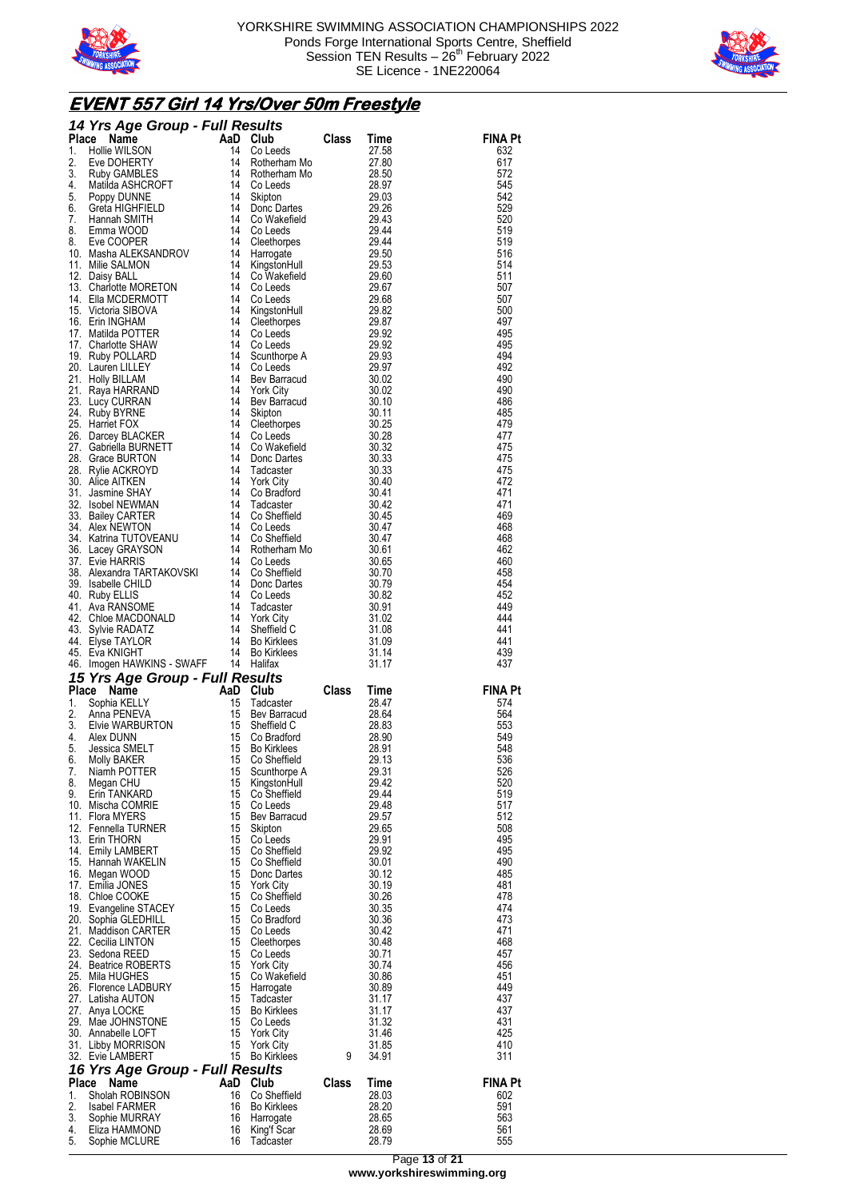



## **EVENT 557 Girl 14 Yrs/Over 50m Freestyle**

|          | 14 Yrs Age Group - Full Results                                                                                                                                                                                                                           |          |                                       |       |                         |                       |
|----------|-----------------------------------------------------------------------------------------------------------------------------------------------------------------------------------------------------------------------------------------------------------|----------|---------------------------------------|-------|-------------------------|-----------------------|
|          |                                                                                                                                                                                                                                                           |          |                                       |       |                         | <b>FINA Pt</b><br>632 |
|          |                                                                                                                                                                                                                                                           |          |                                       |       |                         | 617                   |
|          |                                                                                                                                                                                                                                                           |          |                                       |       |                         | 572                   |
|          |                                                                                                                                                                                                                                                           |          |                                       |       |                         | 545                   |
|          |                                                                                                                                                                                                                                                           |          |                                       |       |                         | 542<br>529            |
|          |                                                                                                                                                                                                                                                           |          |                                       |       |                         | 520                   |
|          |                                                                                                                                                                                                                                                           |          |                                       |       |                         | 519                   |
|          |                                                                                                                                                                                                                                                           |          |                                       |       |                         | 519                   |
|          |                                                                                                                                                                                                                                                           |          |                                       |       |                         | 516<br>514            |
|          |                                                                                                                                                                                                                                                           |          |                                       |       |                         | 511                   |
|          |                                                                                                                                                                                                                                                           |          |                                       |       |                         | 507                   |
|          |                                                                                                                                                                                                                                                           |          |                                       |       |                         | 507<br>500            |
|          |                                                                                                                                                                                                                                                           |          |                                       |       |                         | 497                   |
|          |                                                                                                                                                                                                                                                           |          |                                       |       |                         | 495                   |
|          |                                                                                                                                                                                                                                                           |          |                                       |       |                         | 495                   |
|          |                                                                                                                                                                                                                                                           |          |                                       |       |                         | 494<br>492            |
|          |                                                                                                                                                                                                                                                           |          |                                       |       |                         | 490                   |
|          |                                                                                                                                                                                                                                                           |          |                                       |       |                         | 490                   |
|          |                                                                                                                                                                                                                                                           |          |                                       |       |                         | 486<br>485            |
|          |                                                                                                                                                                                                                                                           |          |                                       |       |                         | 479                   |
|          |                                                                                                                                                                                                                                                           |          |                                       |       |                         | 477                   |
|          |                                                                                                                                                                                                                                                           |          |                                       |       |                         | 475                   |
|          |                                                                                                                                                                                                                                                           |          |                                       |       |                         | 475<br>475            |
|          |                                                                                                                                                                                                                                                           |          |                                       |       |                         | 472                   |
|          |                                                                                                                                                                                                                                                           |          |                                       |       |                         | 471                   |
|          |                                                                                                                                                                                                                                                           |          |                                       |       |                         | 471                   |
|          |                                                                                                                                                                                                                                                           |          |                                       |       |                         | 469<br>468            |
|          |                                                                                                                                                                                                                                                           |          |                                       |       |                         | 468                   |
|          |                                                                                                                                                                                                                                                           |          |                                       |       |                         | 462                   |
|          |                                                                                                                                                                                                                                                           |          |                                       |       |                         | 460<br>458            |
|          |                                                                                                                                                                                                                                                           |          |                                       |       |                         | 454                   |
|          |                                                                                                                                                                                                                                                           |          |                                       |       |                         | 452                   |
|          |                                                                                                                                                                                                                                                           |          |                                       |       |                         | 449                   |
|          |                                                                                                                                                                                                                                                           |          |                                       |       |                         | 444<br>441            |
|          |                                                                                                                                                                                                                                                           |          |                                       |       |                         |                       |
|          |                                                                                                                                                                                                                                                           |          |                                       |       |                         | 441                   |
|          |                                                                                                                                                                                                                                                           |          |                                       |       |                         | 439                   |
|          |                                                                                                                                                                                                                                                           |          |                                       |       |                         | 437                   |
|          |                                                                                                                                                                                                                                                           |          |                                       |       |                         |                       |
| 1.       | 14 Yrs Agre Group - Full Research Class Time<br>11 Anielie Wilson, 14 Anielie Wilson (14 Collection 22.78)<br>2. Eve DOHERTY 44 Collection 22.780<br>2. Eve DOHERTY 44 Collection 22.780<br>4. Holline Wilson, 2007<br>4. Matika ASHCROF<br>Place Name    |          |                                       |       |                         | <b>FINA Pt</b><br>574 |
| 2.       | <b>15 Yrs Age Group - Full Results<br/>Place Name AaD Club Class<br/>1. Sophia KELLY 15 Tadcaster 15 And Agency</b>                                                                                                                                       |          |                                       |       |                         | 564                   |
| 3.       |                                                                                                                                                                                                                                                           |          |                                       |       |                         | 553                   |
|          | 4. Alex DUNN                                                                                                                                                                                                                                              |          |                                       |       |                         | 549                   |
| 5.<br>6. | Compared to the Manne Club Class Time<br>Sophia KELLY 15 Tadcaster 28.47<br>Anna PENEVA 15 Bev Barracud 28.64<br>Elvie WARBURTON 15 Sheffield C 28.83<br>Alex DUNN 15 Co Bradford 28.90<br>Jessica SMELT 15 Bo Kirkles 28.91<br>Molly BAKE<br>Molly BAKER | 15       | Co Sheffield                          |       | 29.13                   | 548<br>536            |
| 7.       | Niamh POTTER                                                                                                                                                                                                                                              | 15       | Scunthorpe A                          |       | 29.31                   | 526                   |
| 8.       | Megan CHU                                                                                                                                                                                                                                                 | 15       | KingstonHull                          |       | 29.42                   | 520                   |
| 9.       | Erin TANKARD                                                                                                                                                                                                                                              | 15<br>15 | Co Sheffield                          |       | 29.44<br>29.48          | 519<br>517            |
|          | 10. Mischa COMRIE<br>11. Flora MYERS                                                                                                                                                                                                                      | 15       | Co Leeds<br>Bev Barracud              |       | 29.57                   | 512                   |
|          | 12. Fennella TURNER                                                                                                                                                                                                                                       | 15       | Skipton                               |       | 29.65                   | 508                   |
|          | 13. Erin THORN                                                                                                                                                                                                                                            | 15       | Co Leeds                              |       | 29.91                   | 495                   |
|          | 14. Emily LAMBERT<br>15. Hannah WAKELIN                                                                                                                                                                                                                   | 15<br>15 | Co Sheffield<br>Co Sheffield          |       | 29.92<br>30.01          | 495<br>490            |
|          | 16. Megan WOOD                                                                                                                                                                                                                                            | 15       | Donc Dartes                           |       | 30.12                   | 485                   |
|          | 17. Emilia JONES                                                                                                                                                                                                                                          | 15       | <b>York City</b>                      |       | 30.19                   | 481                   |
|          | 18. Chloe COOKE                                                                                                                                                                                                                                           | 15<br>15 | Co Sheffield                          |       | 30.26                   | 478<br>474            |
|          | 19. Evangeline STACEY<br>20. Sophia GLEDHILL                                                                                                                                                                                                              | 15       | Co Leeds<br>Co Bradford               |       | 30.35<br>30.36          | 473                   |
|          | 21. Maddison CARTER                                                                                                                                                                                                                                       | 15       | Co Leeds                              |       | 30.42                   | 471                   |
|          | 22. Cecilia LINTON                                                                                                                                                                                                                                        | 15       | Cleethorpes                           |       | 30.48                   | 468                   |
|          | 23. Sedona REED<br>24. Beatrice ROBERTS                                                                                                                                                                                                                   | 15<br>15 | Co Leeds<br><b>York City</b>          |       | 30.71<br>30.74          | 457<br>456            |
|          | 25. Mila HUGHES                                                                                                                                                                                                                                           | 15       | Co Wakefield                          |       | 30.86                   | 451                   |
|          | 26. Florence LADBURY                                                                                                                                                                                                                                      | 15       | Harrogate                             |       | 30.89                   | 449                   |
|          | 27.   Latisha AUTON<br>27. Anya LOCKE                                                                                                                                                                                                                     | 15<br>15 | Tadcaster<br><b>Bo Kirklees</b>       |       | 31.17<br>31.17          | 437<br>437            |
|          | 29. Mae JOHNSTONE                                                                                                                                                                                                                                         | 15       | Co Leeds                              |       | 31.32                   | 431                   |
|          | 30. Annabelle LOFT                                                                                                                                                                                                                                        | 15       | <b>York City</b>                      |       | 31.46                   | 425                   |
|          | 31. Libby MORRISON                                                                                                                                                                                                                                        | 15<br>15 | <b>York City</b>                      | 9     | 31.85                   | 410                   |
|          | 32. Evie LAMBERT                                                                                                                                                                                                                                          |          | <b>Bo Kirklees</b>                    |       | 34.91                   | 311                   |
| Place    | 16 Yrs Age Group - Full Results<br><b>Name</b>                                                                                                                                                                                                            | AaD      | Club                                  | Class | Time                    | <b>FINA Pt</b>        |
| 1.       | Sholah ROBINSON                                                                                                                                                                                                                                           | 16       | Co Sheffield                          |       | 28.03                   | 602                   |
| 2.<br>3. | <b>Isabel FARMER</b>                                                                                                                                                                                                                                      | 16<br>16 | <b>Bo Kirklees</b>                    |       | 28.20                   | 591                   |
| 4.<br>5. | Sophie MURRAY<br>Eliza HAMMOND<br>Sophie MCLURE                                                                                                                                                                                                           | 16<br>16 | Harrogate<br>King'f Scar<br>Tadcaster |       | 28.65<br>28.69<br>28.79 | 563<br>561<br>555     |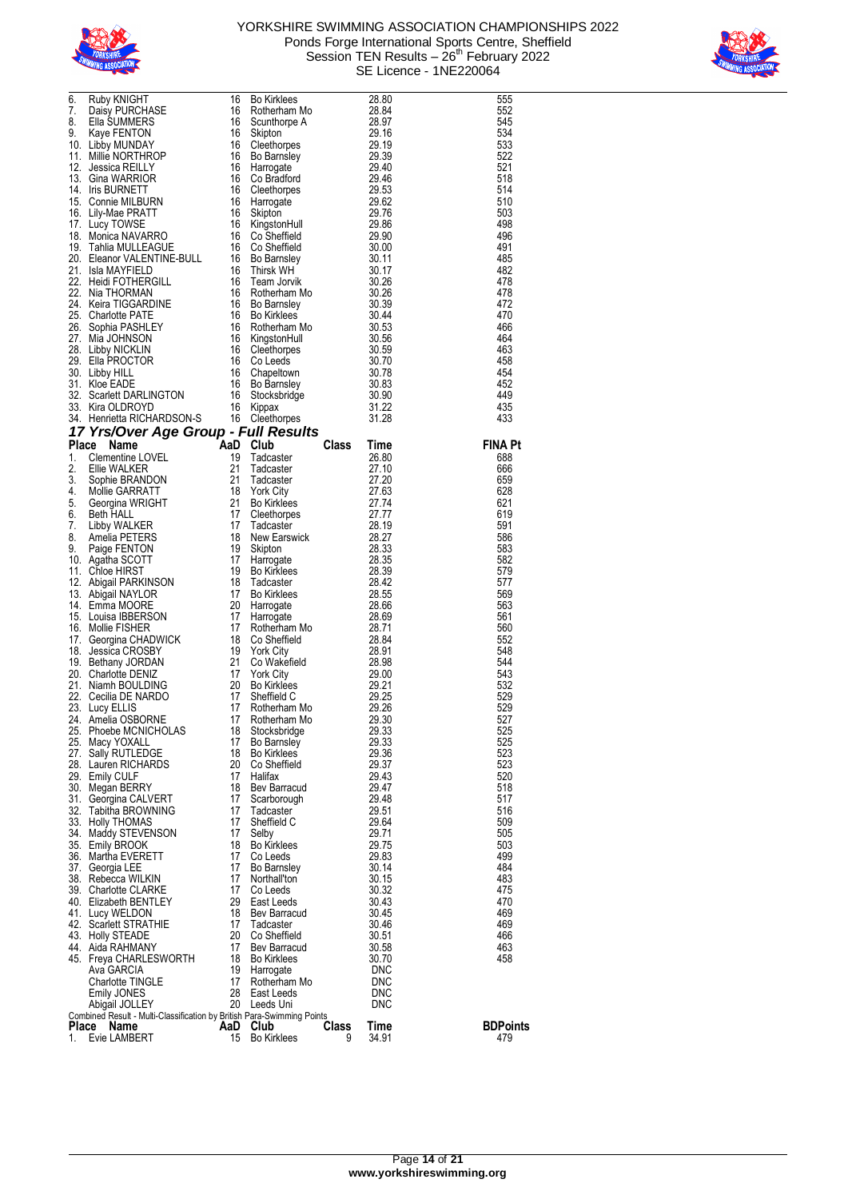



| 6.           | Ruby KNIGHT                                                                    | 16       | <b>Bo Kirklees</b>                 |              | 28.80          | 555             |
|--------------|--------------------------------------------------------------------------------|----------|------------------------------------|--------------|----------------|-----------------|
| 7.           | Daisy PURCHASE                                                                 | 16       | Rotherham Mo                       |              | 28.84          | 552             |
| 8.<br>9.     | Ella SUMMERS<br><b>Kaye FENTON</b>                                             | 16<br>16 | Scunthorpe A                       |              | 28.97<br>29.16 | 545<br>534      |
|              | 10. Libby MUNDAY                                                               | 16       | Skipton<br>Cleethorpes             |              | 29.19          | 533             |
| 11.          | Millie NORTHROP                                                                | 16       | Bo Barnsley                        |              | 29.39          | 522             |
|              | 12. Jessica REILLY                                                             | 16       | Harrogate                          |              | 29.40          | 521             |
|              | 13. Gina WARRIOR                                                               | 16       | Co Bradford                        |              | 29.46          | 518             |
|              | 14. Iris BURNETT                                                               | 16       | Cleethorpes                        |              | 29.53          | 514             |
|              | 15. Connie MILBURN                                                             | 16       | Harrogate                          |              | 29.62          | 510             |
|              | 16. Lily-Mae PRATT                                                             | 16<br>16 | Skipton                            |              | 29.76<br>29.86 | 503<br>498      |
|              | 17. Lucy TOWSE<br>18. Monica NAVARRO                                           | 16       | KingstonHull<br>Co Sheffield       |              | 29.90          | 496             |
|              | 19. Tahlia MULLEAGUE                                                           | 16       | Co Sheffield                       |              | 30.00          | 491             |
|              | 20. Eleanor VALENTINE-BULL                                                     |          | 16 Bo Barnsley                     |              | 30.11          | 485             |
|              | 21. Isla MAYFIELD                                                              | 16       | <b>Thirsk WH</b>                   |              | 30.17          | 482             |
|              | 22. Heidi FOTHERGILL                                                           | 16       | Team Jorvik                        |              | 30.26          | 478             |
|              | 22. Nia THORMAN                                                                |          | 16 Rotherham Mo                    |              | 30.26          | 478             |
|              | 24. Keira TIGGARDINE                                                           | 16       | Bo Barnsley                        |              | 30.39          | 472             |
|              | 25. Charlotte PATE                                                             | 16       | <b>Bo Kirklees</b>                 |              | 30.44          | 470             |
|              | 26. Sophia PASHLEY<br>27. Mia JOHNSON                                          | 16<br>16 | Rotherham Mo                       |              | 30.53<br>30.56 | 466<br>464      |
|              | 28. Libby NICKLIN                                                              | 16       | KingstonHull<br>Cleethorpes        |              | 30.59          | 463             |
|              | 29. Ella PROCTOR                                                               | 16       | Co Leeds                           |              | 30.70          | 458             |
|              | 30. Libby HILL                                                                 | 16       | Chapeltown                         |              | 30.78          | 454             |
|              | 31. Kloe EADE                                                                  | 16       | Bo Barnsley                        |              | 30.83          | 452             |
|              | 32. Scarlett DARLINGTON                                                        | 16       | Stocksbridge                       |              | 30.90          | 449             |
|              | 33. Kira OLDROYD                                                               | 16       | Kippax                             |              | 31.22          | 435             |
|              | 34. Henrietta RICHARDSON-S                                                     |          | 16 Cleethorpes                     |              | 31.28          | 433             |
|              | 17 Yrs/Over Age Group - Full Results                                           |          |                                    |              |                |                 |
|              | Place<br>Name                                                                  | AaD      | Club                               | <b>Class</b> | Time           | <b>FINA Pt</b>  |
| 1.<br>2.     | Clementine LOVEL                                                               | 19<br>21 | Tadcaster                          |              | 26.80          | 688<br>666      |
| 3.           | Ellie WALKER<br>Sophie BRANDON                                                 | 21       | Tadcaster<br>Tadcaster             |              | 27.10<br>27.20 | 659             |
| 4.           | Mollie GARRATT                                                                 | 18       | York City                          |              | 27.63          | 628             |
| 5.           | Georgina WRIGHT                                                                | 21       | <b>Bo Kirklees</b>                 |              | 27.74          | 621             |
| 6.           | <b>Beth HALL</b>                                                               | 17       | Cleethorpes                        |              | 27.77          | 619             |
| 7.           | Libby WALKER                                                                   | 17       | Tadcaster                          |              | 28.19          | 591             |
| 8.           | Amelia PETERS                                                                  | 18       | New Earswick                       |              | 28.27          | 586             |
| 9.           | Paige FENTON                                                                   | 19       | Skipton                            |              | 28.33          | 583             |
|              | 10. Agatha SCOTT<br>11. Chloe HIRST                                            | 17<br>19 | Harrogate<br><b>Bo Kirklees</b>    |              | 28.35<br>28.39 | 582<br>579      |
|              | 12. Abigail PARKINSON                                                          | 18       | Tadcaster                          |              | 28.42          | 577             |
|              | 13. Abigail NAYLOR                                                             | 17       | <b>Bo Kirklees</b>                 |              | 28.55          | 569             |
|              | 14. Emma MOORE                                                                 | 20       | Harrogate                          |              | 28.66          | 563             |
|              | 15. Louisa IBBERSON                                                            | 17       | Harrogate                          |              | 28.69          | 561             |
|              | 16. Mollie FISHER                                                              | 17       | Rotherham Mo                       |              | 28.71          | 560             |
|              | 17. Georgina CHADWICK                                                          | 18       | Co Sheffield                       |              | 28.84          | 552             |
|              | 18. Jessica CROSBY<br>19. Bethany JORDAN                                       | 19<br>21 | <b>York City</b><br>Co Wakefield   |              | 28.91<br>28.98 | 548<br>544      |
|              | 20. Charlotte DENIZ                                                            | 17       | <b>York City</b>                   |              | 29.00          | 543             |
|              | 21. Niamh BOULDING                                                             | 20       | <b>Bo Kirklees</b>                 |              | 29.21          | 532             |
|              | 22. Cecilia DE NARDO                                                           | 17       | Sheffield C                        |              | 29.25          | 529             |
|              | 23. Lucy ELLIS                                                                 | 17       | Rotherham Mo                       |              | 29.26          | 529             |
|              | 24. Amelia OSBORNE                                                             | 17       | Rotherham Mo                       |              | 29.30          | 527             |
|              | 25. Phoebe MCNICHOLAS                                                          | 18       | Stocksbridge                       |              | 29.33          | 525             |
| 27.          | 25. Macy YOXALL                                                                | 17<br>18 | Bo Barnsley                        |              | 29.33<br>29.36 | 525             |
|              | Sally RUTLEDGE<br>28. Lauren RICHARDS                                          | 20       | <b>Bo Kirklees</b><br>Co Sheffield |              | 29.37          | 523<br>523      |
|              | 29. Emily CULF                                                                 | 17       | Halifax                            |              | 29.43          | 520             |
|              | 30. Megan BERRY                                                                | 18       | Bev Barracud                       |              | 29.47          | 518             |
|              | 31. Georgina CALVERT                                                           | 17       | Scarborough                        |              | 29.48          | 517             |
|              | 32. Tabitha BROWNING                                                           | 17       | Tadcaster                          |              | 29.51          | 516             |
|              | 33. Holly THOMAS                                                               | 17       | Sheffield C                        |              | 29.64          | 509             |
|              | 34. Maddy STEVENSON                                                            | 17       | Selby                              |              | 29.71          | 505             |
|              | 35. Emily BROOK<br>36. Martha EVERETT                                          | 18<br>17 | <b>Bo Kirklees</b><br>Co Leeds     |              | 29.75<br>29.83 | 503<br>499      |
|              | 37. Georgia LEE                                                                | 17       | <b>Bo Barnsley</b>                 |              | 30.14          | 484             |
|              | 38. Rebecca WILKIN                                                             | 17       | Northall'ton                       |              | 30.15          | 483             |
|              | 39. Charlotte CLARKE                                                           | 17       | Co Leeds                           |              | 30.32          | 475             |
|              | 40. Elizabeth BENTLEY                                                          | 29       | East Leeds                         |              | 30.43          | 470             |
|              | 41. Lucy WELDON                                                                |          | 18 Bev Barracud                    |              | 30.45          | 469             |
|              | 42. Scarlett STRATHIE                                                          | 17       | Tadcaster                          |              | 30.46          | 469             |
|              | 43. Holly STEADE<br>44. Aida RAHMANY                                           | 20<br>17 | Co Sheffield<br>Bev Barracud       |              | 30.51<br>30.58 | 466<br>463      |
|              | 45. Freya CHARLESWORTH                                                         | 18       | <b>Bo Kirklees</b>                 |              | 30.70          | 458             |
|              | Ava GARCIA                                                                     | 19       | Harrogate                          |              | <b>DNC</b>     |                 |
|              | <b>Charlotte TINGLE</b>                                                        | 17       | Rotherham Mo                       |              | <b>DNC</b>     |                 |
|              | Emily JONES                                                                    | 28       | East Leeds                         |              | <b>DNC</b>     |                 |
|              | Abigail JOLLEY                                                                 | 20       | Leeds Uni                          |              | <b>DNC</b>     |                 |
| <b>Place</b> | Combined Result - Multi-Classification by British Para-Swimming Points<br>Name | AaD      | Club                               | Class        | Time           | <b>BDPoints</b> |
| 1.           | Evie LAMBERT                                                                   |          | 15 Bo Kirklees                     | 9            | 34.91          | 479             |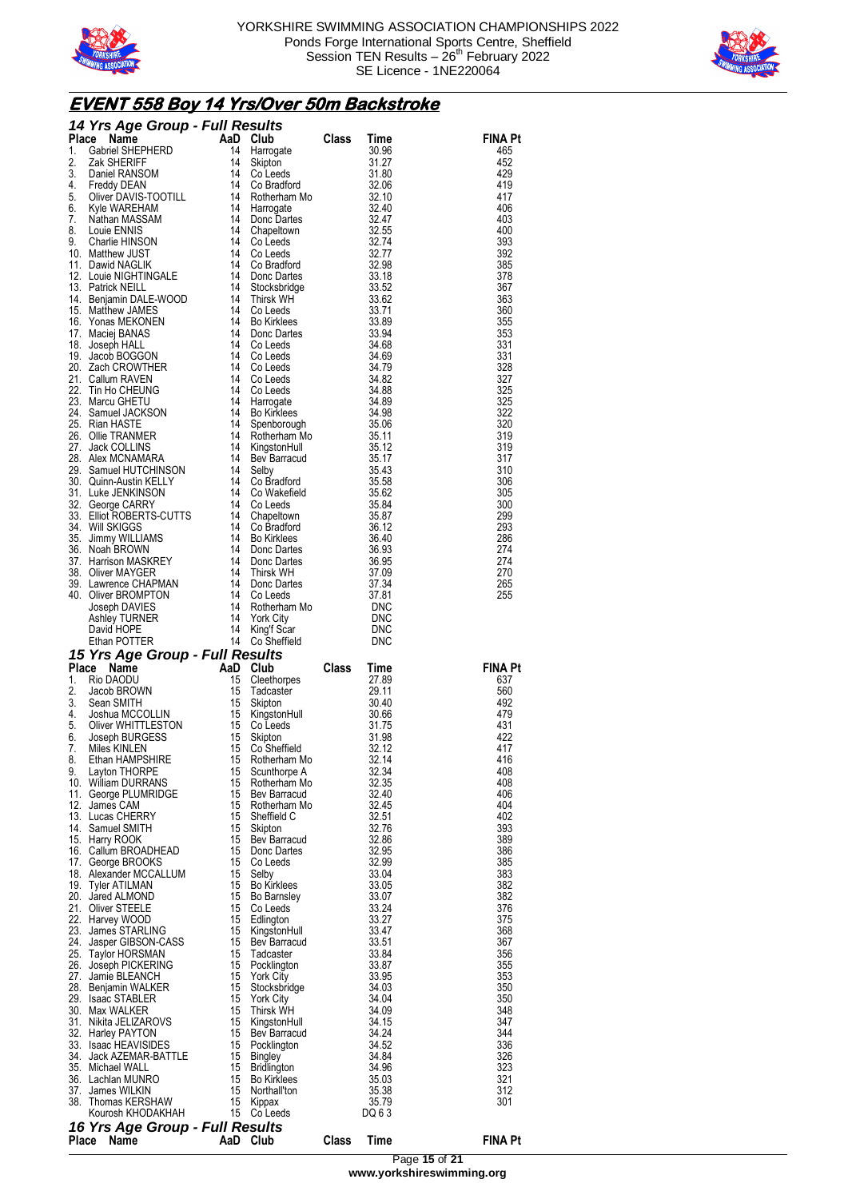



# **EVENT 558 Boy 14 Yrs/Over 50m Backstroke**

|          | 14 Yrs Age Group - Full Results<br>14 Yrs Age Group - Full Re.<br>12 Yrs Age Group - Full Re.<br>14 2 Ak SHERIFF<br>14 2 Ac SHERIFF<br>14 Daniel RANSOM<br>14 Daniel RANSOM<br>14 Daniel RANSOM<br>14 3. Oliver DAVIS-TOOTILL<br>3. We WAREHAM<br>14 14 3. Louie ENNIS<br>9. Charlie |          |                                                                             |                                                                                                                                                                                                                                                                    |                    |                |
|----------|--------------------------------------------------------------------------------------------------------------------------------------------------------------------------------------------------------------------------------------------------------------------------------------|----------|-----------------------------------------------------------------------------|--------------------------------------------------------------------------------------------------------------------------------------------------------------------------------------------------------------------------------------------------------------------|--------------------|----------------|
|          |                                                                                                                                                                                                                                                                                      |          | Club                                                                        | <b>Class</b>                                                                                                                                                                                                                                                       | Time               | <b>FINA Pt</b> |
|          |                                                                                                                                                                                                                                                                                      |          | Harrogate                                                                   |                                                                                                                                                                                                                                                                    | 30.96              | 465            |
|          |                                                                                                                                                                                                                                                                                      |          | Skipton<br>Co Leeds                                                         |                                                                                                                                                                                                                                                                    | 31.27<br>31.80     | 452<br>429     |
|          |                                                                                                                                                                                                                                                                                      |          | Co Bradford                                                                 |                                                                                                                                                                                                                                                                    | 32.06              | 419            |
|          |                                                                                                                                                                                                                                                                                      |          |                                                                             | Co Brauno<br>Rotherham<br>Harrogate<br>Donc Dartes<br>Co Leeds<br>Co Leeds                                                                                                                                                                                         | 32.10              | 417            |
|          |                                                                                                                                                                                                                                                                                      |          |                                                                             |                                                                                                                                                                                                                                                                    | 32.40              | 406            |
|          |                                                                                                                                                                                                                                                                                      |          |                                                                             |                                                                                                                                                                                                                                                                    | 32.47              | 403            |
|          |                                                                                                                                                                                                                                                                                      |          |                                                                             |                                                                                                                                                                                                                                                                    | 32.55              | 400            |
|          |                                                                                                                                                                                                                                                                                      |          |                                                                             |                                                                                                                                                                                                                                                                    | 32.74              | 393            |
|          |                                                                                                                                                                                                                                                                                      |          |                                                                             |                                                                                                                                                                                                                                                                    | 32.77<br>32.98     | 392<br>385     |
|          |                                                                                                                                                                                                                                                                                      |          |                                                                             | Co Leeds<br>Co Bradford<br>Co Bradford<br>Stocksbridge<br>Stocksbridge<br>Co Leeds<br>Bo Kirklees<br>Donc Dartes<br>Co Leeds<br>Co Leeds<br>Co Leeds<br>Co Leeds<br>Bo Kirklees<br>Spenborough<br>Rotherham Mo<br>Kirklees<br>Spenborough<br>Rotherham Mo<br>Bey B | 33.18              | 378            |
|          |                                                                                                                                                                                                                                                                                      |          |                                                                             |                                                                                                                                                                                                                                                                    | 33.52              | 367            |
|          |                                                                                                                                                                                                                                                                                      |          |                                                                             |                                                                                                                                                                                                                                                                    | 33.62              | 363            |
|          |                                                                                                                                                                                                                                                                                      |          |                                                                             |                                                                                                                                                                                                                                                                    | 33.71              | 360            |
|          |                                                                                                                                                                                                                                                                                      |          |                                                                             |                                                                                                                                                                                                                                                                    | 33.89              | 355            |
|          |                                                                                                                                                                                                                                                                                      |          |                                                                             |                                                                                                                                                                                                                                                                    | 33.94              | 353            |
|          |                                                                                                                                                                                                                                                                                      |          |                                                                             |                                                                                                                                                                                                                                                                    | 34.68              | 331            |
|          |                                                                                                                                                                                                                                                                                      |          |                                                                             |                                                                                                                                                                                                                                                                    | 34.69<br>34.79     | 331<br>328     |
|          |                                                                                                                                                                                                                                                                                      |          |                                                                             |                                                                                                                                                                                                                                                                    | 34.82              | 327            |
|          |                                                                                                                                                                                                                                                                                      |          |                                                                             |                                                                                                                                                                                                                                                                    | 34.88              | 325            |
|          |                                                                                                                                                                                                                                                                                      |          |                                                                             |                                                                                                                                                                                                                                                                    | 34.89              | 325            |
|          |                                                                                                                                                                                                                                                                                      |          |                                                                             |                                                                                                                                                                                                                                                                    | $34.98$<br>$35.00$ | 322            |
|          |                                                                                                                                                                                                                                                                                      |          |                                                                             |                                                                                                                                                                                                                                                                    | 35.06              | 320            |
|          |                                                                                                                                                                                                                                                                                      |          |                                                                             |                                                                                                                                                                                                                                                                    | 35.11              | 319            |
|          |                                                                                                                                                                                                                                                                                      |          |                                                                             |                                                                                                                                                                                                                                                                    | 35.12              | 319            |
|          |                                                                                                                                                                                                                                                                                      |          |                                                                             |                                                                                                                                                                                                                                                                    | 35.17<br>35.43     | 317<br>310     |
|          |                                                                                                                                                                                                                                                                                      |          |                                                                             |                                                                                                                                                                                                                                                                    | 35.58              | 306            |
|          |                                                                                                                                                                                                                                                                                      |          |                                                                             |                                                                                                                                                                                                                                                                    | 35.62              | 305            |
|          |                                                                                                                                                                                                                                                                                      |          |                                                                             |                                                                                                                                                                                                                                                                    | 35.84              | 300            |
|          |                                                                                                                                                                                                                                                                                      |          | Chapeltown                                                                  |                                                                                                                                                                                                                                                                    | 35.87              | 299            |
|          |                                                                                                                                                                                                                                                                                      |          | Co Bradford                                                                 |                                                                                                                                                                                                                                                                    | 36.12              | 293            |
|          |                                                                                                                                                                                                                                                                                      |          | <b>Bo Kirklees</b>                                                          |                                                                                                                                                                                                                                                                    | 36.40              | 286            |
|          |                                                                                                                                                                                                                                                                                      |          | Donc Dartes                                                                 |                                                                                                                                                                                                                                                                    | 36.93              | 274            |
|          |                                                                                                                                                                                                                                                                                      |          | Donc Dartes                                                                 |                                                                                                                                                                                                                                                                    | 36.95              | 274            |
|          |                                                                                                                                                                                                                                                                                      | 14       | Thirsk WH                                                                   | Donc Dartes                                                                                                                                                                                                                                                        | 37.09<br>37.34     | 270<br>265     |
|          |                                                                                                                                                                                                                                                                                      |          | Co Leeds                                                                    |                                                                                                                                                                                                                                                                    | 37.81              | 255            |
|          |                                                                                                                                                                                                                                                                                      |          |                                                                             |                                                                                                                                                                                                                                                                    | <b>DNC</b>         |                |
|          |                                                                                                                                                                                                                                                                                      |          |                                                                             |                                                                                                                                                                                                                                                                    | DNC                |                |
|          |                                                                                                                                                                                                                                                                                      |          |                                                                             |                                                                                                                                                                                                                                                                    |                    |                |
|          |                                                                                                                                                                                                                                                                                      |          |                                                                             |                                                                                                                                                                                                                                                                    | <b>DNC</b>         |                |
|          |                                                                                                                                                                                                                                                                                      |          | Rotherham Mo<br>York City<br>King'f Scar<br>Co Sheffield<br>14 Co Sheffield |                                                                                                                                                                                                                                                                    | <b>DNC</b>         |                |
|          | 15 Yrs Age Group - Full Results                                                                                                                                                                                                                                                      |          |                                                                             |                                                                                                                                                                                                                                                                    |                    |                |
| Place    | 11. Dawid NAGLIN<br>12. Louie NIGHTINGALE<br>14. Benjamin DALE-WOOD<br>14. Benjamin DALE-WOOD<br>14. Benjamin DALE-WOOD<br>14. Sensible NIGHTINGALE<br>16. Markey JANAS<br>17. Maciej BANAS<br>14. Joseph HALL<br>17. Maciej BANAS<br>14. Joseph H                                   | AaD      |                                                                             | <b>Class</b>                                                                                                                                                                                                                                                       | Time               | <b>FINA Pt</b> |
| 1.       |                                                                                                                                                                                                                                                                                      | 15       |                                                                             |                                                                                                                                                                                                                                                                    | 27.89              | 637            |
| 2.       |                                                                                                                                                                                                                                                                                      | 15       |                                                                             |                                                                                                                                                                                                                                                                    | 29.11              | 560            |
| 3.       |                                                                                                                                                                                                                                                                                      | 15       |                                                                             |                                                                                                                                                                                                                                                                    | 30.40              | 492            |
| 4.       |                                                                                                                                                                                                                                                                                      | 15       |                                                                             |                                                                                                                                                                                                                                                                    | 30.66              | 479            |
| 5.<br>6. |                                                                                                                                                                                                                                                                                      | 15<br>15 |                                                                             |                                                                                                                                                                                                                                                                    | 31.75<br>31.98     | 431<br>422     |
| 7.       |                                                                                                                                                                                                                                                                                      | 15       |                                                                             |                                                                                                                                                                                                                                                                    | 32.12              | 417            |
|          | Ce Name<br>Rio DAODU<br>Jacob BROWN<br>Sean SMITH<br>Sean SMITH<br>Johua MCCOLLIN<br>Johua MCCOLLIN<br>Joseph BURGESS<br>Miles KINLEN<br>Fran HAMPSHIRE<br>8. Ethan HAMPSHIRE                                                                                                        |          | 15 Rotherham Mo                                                             | <b>Club</b> Class<br>Cleethorpes<br>Tadcaster<br>Skipton<br>KingstonHull<br>Co Leeds<br>Skipton<br>Rotherham Mo                                                                                                                                                    | 32.14              | 416            |
| 9.       | Layton THORPE                                                                                                                                                                                                                                                                        | 15       | Scunthorpe A                                                                |                                                                                                                                                                                                                                                                    | 32.34              | 408            |
|          | 10. William DURRANS                                                                                                                                                                                                                                                                  |          | 15 Rotherham Mo                                                             |                                                                                                                                                                                                                                                                    | 32.35              | 408            |
|          | 11. George PLUMRIDGE                                                                                                                                                                                                                                                                 |          | 15 Bev Barracud                                                             |                                                                                                                                                                                                                                                                    | 32.40              | 406            |
|          | 12. James CAM                                                                                                                                                                                                                                                                        |          | 15 Rotherham Mo                                                             |                                                                                                                                                                                                                                                                    | 32.45              | 404            |
|          | 13. Lucas CHERRY                                                                                                                                                                                                                                                                     |          | 15 Sheffield C                                                              |                                                                                                                                                                                                                                                                    | 32.51              | 402            |
|          | 14. Samuel SMITH                                                                                                                                                                                                                                                                     |          | 15 Skipton                                                                  |                                                                                                                                                                                                                                                                    | 32.76<br>32.86     | 393<br>389     |
|          | 15. Harry ROOK<br>16. Callum BROADHEAD                                                                                                                                                                                                                                               |          | 15 Bev Barracud<br>15 Donc Dartes                                           |                                                                                                                                                                                                                                                                    | 32.95              | 386            |
|          | 17. George BROOKS                                                                                                                                                                                                                                                                    |          | 15 Co Leeds                                                                 |                                                                                                                                                                                                                                                                    | 32.99              | 385            |
|          | 18. Alexander MCCALLUM                                                                                                                                                                                                                                                               |          | 15 Selby                                                                    |                                                                                                                                                                                                                                                                    | 33.04              | 383            |
|          | 19. Tyler ATILMAN                                                                                                                                                                                                                                                                    |          | 15 Bo Kirklees                                                              |                                                                                                                                                                                                                                                                    | 33.05              | 382            |
|          | 20. Jared ALMOND                                                                                                                                                                                                                                                                     |          | 15 Bo Barnsley                                                              |                                                                                                                                                                                                                                                                    | 33.07              | 382            |
|          | 21. Oliver STEELE                                                                                                                                                                                                                                                                    |          | 15 Co Leeds                                                                 |                                                                                                                                                                                                                                                                    | 33.24              | 376            |
|          | 22. Harvey WOOD                                                                                                                                                                                                                                                                      |          | 15 Edlington                                                                |                                                                                                                                                                                                                                                                    | 33.27              | 375            |
|          | 23. James STARLING                                                                                                                                                                                                                                                                   |          | 15 KingstonHull<br>15 Bev Barracud                                          |                                                                                                                                                                                                                                                                    | 33.47<br>33.51     | 368<br>367     |
|          | 24. Jasper GIBSON-CASS<br>25 Taylor HORSMAN                                                                                                                                                                                                                                          |          | 15 Tadcaster                                                                |                                                                                                                                                                                                                                                                    | 33.84              | 356            |
|          | 26. Joseph PICKERING                                                                                                                                                                                                                                                                 |          | 15 Pocklington                                                              |                                                                                                                                                                                                                                                                    | 33.87              | 355            |
|          | 27. Jamie BLEANCH                                                                                                                                                                                                                                                                    |          | 15 York City                                                                |                                                                                                                                                                                                                                                                    | 33.95              | 353            |
|          | 28. Benjamin WALKER                                                                                                                                                                                                                                                                  | 15       | Stocksbridge                                                                |                                                                                                                                                                                                                                                                    | 34.03              | 350            |
|          | 29. Isaac STABLER                                                                                                                                                                                                                                                                    | 15       | York City                                                                   |                                                                                                                                                                                                                                                                    | 34.04              | 350            |
|          | 30. Max WALKER                                                                                                                                                                                                                                                                       |          | 15 Thirsk WH                                                                |                                                                                                                                                                                                                                                                    | 34.09              | 348            |
|          | 31. Nikita JELIZAROVS                                                                                                                                                                                                                                                                |          | 15 KingstonHull                                                             |                                                                                                                                                                                                                                                                    | 34.15<br>34.24     | 347<br>344     |
|          | 32. Harley PAYTON<br>33. Isaac HEAVISIDES                                                                                                                                                                                                                                            |          | 15 Bev Barracud<br>15 Pocklington                                           |                                                                                                                                                                                                                                                                    | 34.52              | 336            |
|          | 34. Jack AZEMAR-BATTLE                                                                                                                                                                                                                                                               |          | 15 Bingley                                                                  |                                                                                                                                                                                                                                                                    | 34.84              | 326            |
|          | 35. Michael WALL                                                                                                                                                                                                                                                                     |          | 15 Bridlington                                                              |                                                                                                                                                                                                                                                                    | 34.96              | 323            |
|          | 36. Lachlan MUNRO                                                                                                                                                                                                                                                                    |          | 15 Bo Kirklees                                                              |                                                                                                                                                                                                                                                                    | 35.03              | 321            |
|          | 37. James WILKIN                                                                                                                                                                                                                                                                     |          | 15 Northall'ton                                                             |                                                                                                                                                                                                                                                                    | 35.38              | 312            |
|          | 38. Thomas KERSHAW                                                                                                                                                                                                                                                                   |          | 15 Kippax                                                                   |                                                                                                                                                                                                                                                                    | 35.79              | 301            |
|          | Kourosh KHODAKHAH<br>16 Yrs Age Group - Full Results                                                                                                                                                                                                                                 |          | 15 Co Leeds                                                                 |                                                                                                                                                                                                                                                                    | DQ 63              |                |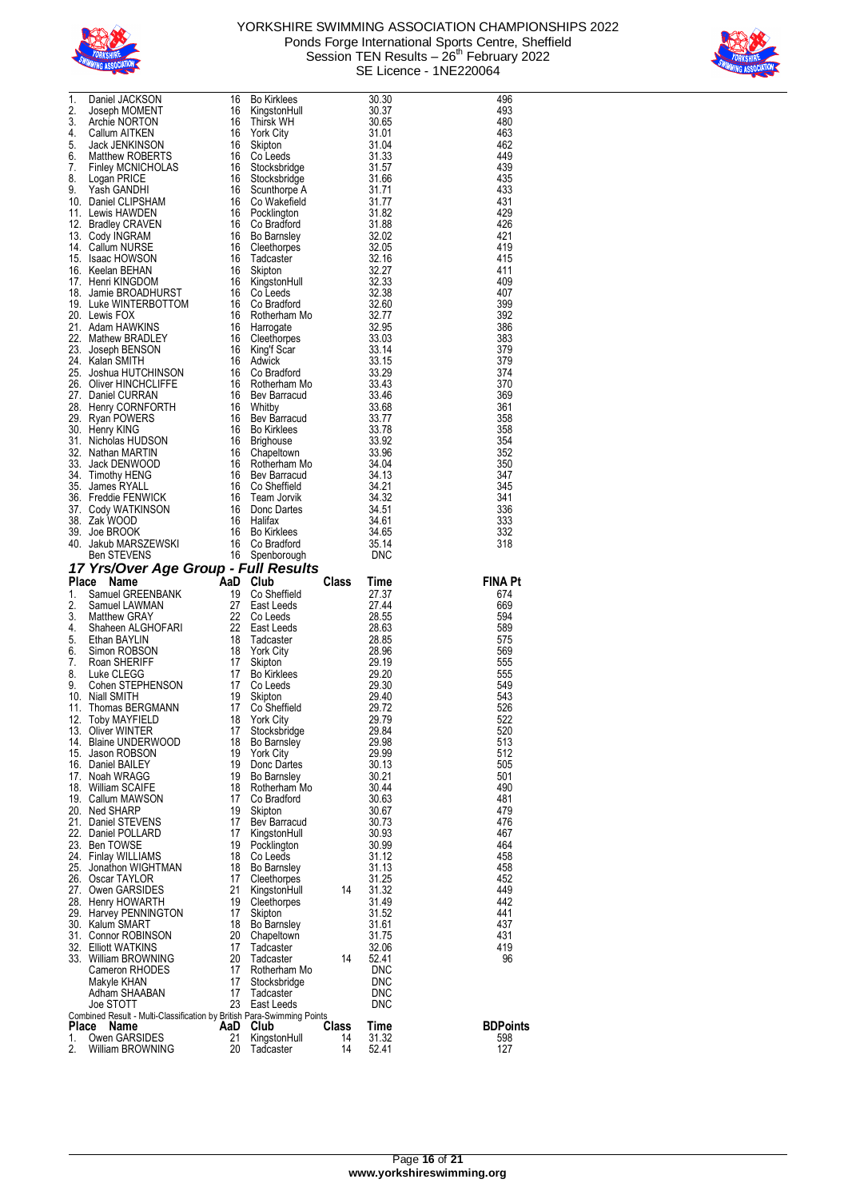



| 1.<br>2.<br>3.<br>4.<br>5.<br>6.<br>7.<br>8.<br>9. | Daniel JACKSON<br>Joseph MOMENT<br>Archie NORTON<br>Callum AITKEN<br>Jack JENKINSON<br>Matthew ROBERTS<br>Finley MCNICHOLAS<br>Logan PRICE<br>Yash GANDHI<br>Daniel CLIPSHAM<br>10. Daniel CLIPSHAM<br>11. Lewis HAWDEN<br>12. Bradley CRAVEN<br>13. Cody INGRAM<br>14. Callum NURSE<br>15. Isaac HOWSON<br>16. Keelan BEHAN<br>17. Henri KINGDOM<br>18. Jamie BROADHURST<br>19. Luke WINTERBOTTOM<br>20. Lewis FOX<br>21. Adam HAWKINS<br>22. Mathew BRADLEY<br>23. Joseph BENSON<br>24. Kalan SMITH<br>24. Kalan Siver (1)<br>25. Joshua HUTCHINSON<br>26. Qiver HINCHCLIFFE<br>27. Daniel CURRAN | 16<br>16<br>16<br>16<br>16<br>16<br>16<br>16<br>16<br>16<br>16<br>16<br>16<br>16<br>16<br>16<br>16<br>16<br>16<br>16<br>16<br>16<br>16 | <b>Bo Kirklees</b><br>KingstonHull<br>Thirsk WH<br>York City<br>Skipton<br>Co Leeds<br>Stocksbridge<br>Stocksbridge<br>Scunthorpe A<br>Co Wakefield<br>Pocklington<br>Co Bradford<br>Bo Barnsley<br>Cleethorpes<br>Tadcaster<br>Skipton<br>KingstonHull<br>Co Leeds<br>16 Co Bradford<br>Rotherham Mo<br>Harrogate<br>Cleethorpes<br>King'f Scar<br>Adwick<br>16 Co Bradford<br>16 Rotherham Mo<br>16 Bev Barracud |             | 30.30<br>30.37<br>30.65<br>31.01<br>31.04<br>31.33<br>31.57<br>31.66<br>31.71<br>31.77<br>31.82<br>31.88<br>32.02<br>32.05<br>32.16<br>32.27<br>32.33<br>32.38<br>32.60<br>32.77<br>32.95<br>33.03<br>33.14<br>33.15<br>33.29<br>33.43<br>33.46 | 496<br>493<br>480<br>463<br>462<br>449<br>439<br>435<br>433<br>431<br>429<br>426<br>421<br>419<br>415<br>411<br>409<br>407<br>399<br>392<br>386<br>383<br>379<br>379<br>374<br>370<br>369 |
|----------------------------------------------------|-----------------------------------------------------------------------------------------------------------------------------------------------------------------------------------------------------------------------------------------------------------------------------------------------------------------------------------------------------------------------------------------------------------------------------------------------------------------------------------------------------------------------------------------------------------------------------------------------------|----------------------------------------------------------------------------------------------------------------------------------------|--------------------------------------------------------------------------------------------------------------------------------------------------------------------------------------------------------------------------------------------------------------------------------------------------------------------------------------------------------------------------------------------------------------------|-------------|-------------------------------------------------------------------------------------------------------------------------------------------------------------------------------------------------------------------------------------------------|-------------------------------------------------------------------------------------------------------------------------------------------------------------------------------------------|
|                                                    |                                                                                                                                                                                                                                                                                                                                                                                                                                                                                                                                                                                                     | - 16<br>16                                                                                                                             | Whitby<br>Bev Barracud<br>Bo Kirklees                                                                                                                                                                                                                                                                                                                                                                              |             | 33.68<br>33.77                                                                                                                                                                                                                                  | 361<br>358                                                                                                                                                                                |
|                                                    | 27. Dating CORNFORTH<br>29. Ryan POWERS<br>30. Henry KING<br>31. Nicholas HUDSON<br>32. Nathan MARTIN<br>33. Jack DENWOOD<br>34. Timothy HENG<br>35. James RYALL<br>34. Timothy HENG<br>35. James RYALL<br>36. Freddie FENWICK<br>35. Janus<br>36. Freddie FENWIUN<br>37. Cody WATKINSON<br>^^ 7nk WOOD                                                                                                                                                                                                                                                                                             | 16<br>16<br>16<br>16<br>16<br>16<br>16                                                                                                 | <b>Brighouse</b><br>Chapeltown<br>Rotherham Mo<br>16 Bev Barracud<br>Co Sheffield<br>Team Jorvik<br>16 Donc Dartes<br>Halifax                                                                                                                                                                                                                                                                                      |             | 33.78<br>33.92<br>33.96<br>34.04<br>34.13<br>34.21<br>34.32<br>34.51<br>34.61                                                                                                                                                                   | 358<br>354<br>352<br>350<br>347<br>345<br>341<br>336<br>333                                                                                                                               |
|                                                    | 39. Joe BROOK<br>40. Jakub MARSZEWSKI<br>Ben STEVENS<br><b>Ben STEVENS</b>                                                                                                                                                                                                                                                                                                                                                                                                                                                                                                                          | 16                                                                                                                                     | <b>Bo Kirklees</b><br>16 Co Bradford<br>16 Spenborough                                                                                                                                                                                                                                                                                                                                                             |             | 34.65<br>35.14<br>DNC                                                                                                                                                                                                                           | 332<br>318                                                                                                                                                                                |
| Place                                              | 17 Yrs/Over Age Group - Full Results                                                                                                                                                                                                                                                                                                                                                                                                                                                                                                                                                                |                                                                                                                                        |                                                                                                                                                                                                                                                                                                                                                                                                                    |             |                                                                                                                                                                                                                                                 | <b>FINA Pt</b>                                                                                                                                                                            |
| 1.<br>2.<br>3.                                     |                                                                                                                                                                                                                                                                                                                                                                                                                                                                                                                                                                                                     |                                                                                                                                        |                                                                                                                                                                                                                                                                                                                                                                                                                    | Class       | Time<br>27.37<br>27.44                                                                                                                                                                                                                          | 674<br>669<br>594                                                                                                                                                                         |
| 4.<br>5.<br>6.<br>7.<br>8.                         | Communication Control of the Samuel GREENBANK<br>Samuel CREENBANK<br>Samuel LAWMAN<br>Samuel LAWMAN<br>27 East Leeds<br>Matthew GRAY<br>Shaheen ALGHOFARI<br>22 Co Leeds<br>Shaheen ALGHOFARI<br>22 East Leeds<br>Simon ROBSON<br>18 Tackaster<br>Simo                                                                                                                                                                                                                                                                                                                                              |                                                                                                                                        |                                                                                                                                                                                                                                                                                                                                                                                                                    |             | 28.55<br>28.63<br>28.85<br>28.96<br>29.19                                                                                                                                                                                                       | 589<br>575<br>569<br>555<br>555                                                                                                                                                           |
| 9.<br>11.<br>12.                                   | Cohen STEPHENSON<br>10. Niall SMITH<br>Thomas BERGMANN<br>Toby MAYFIELD<br>COMMANDITED                                                                                                                                                                                                                                                                                                                                                                                                                                                                                                              | $\frac{17}{12}$<br>-19<br>17<br>18                                                                                                     | Co Leeds<br>Co Leeds<br>Skipton<br>Co Sheffield<br>Co Sheffield<br>29.72<br>York City<br>29.84<br>Stockshridge<br>29.84                                                                                                                                                                                                                                                                                            |             | 29.20<br>29.30<br>29.40                                                                                                                                                                                                                         | 549<br>543<br>526<br>522                                                                                                                                                                  |
|                                                    | 13. Oliver WINTER<br>14. Blaine UNDERWOOD<br>15. Jason ROBSON<br>16. Daniel BAILEY<br>17. Noah WRAGG                                                                                                                                                                                                                                                                                                                                                                                                                                                                                                | 17<br>18<br>19<br>19<br>19                                                                                                             | Stocksbridge 29.84<br><b>Bo Barnsley</b><br><b>York City</b><br>Donc Dartes<br><b>Bo Barnsley</b>                                                                                                                                                                                                                                                                                                                  |             | 29.98<br>29.99<br>30.13<br>30.21                                                                                                                                                                                                                | 520<br>513<br>512<br>505<br>501                                                                                                                                                           |
|                                                    | 18. William SCAIFE<br>19. Callum MAWSON<br>20. Ned SHARP<br>21. Daniel STEVENS                                                                                                                                                                                                                                                                                                                                                                                                                                                                                                                      | 18<br>17<br>19<br>17                                                                                                                   | Rotherham Mo<br>Co Bradford<br>Skipton<br>Bev Barracud                                                                                                                                                                                                                                                                                                                                                             |             | 30.44<br>30.63<br>30.67<br>30.73                                                                                                                                                                                                                | 490<br>481<br>479<br>476                                                                                                                                                                  |
|                                                    | 22. Daniel POLLARD<br>23. Ben TOWSE<br>24. Finlay WILLIAMS<br>25. Jonathon WIGHTMAN<br>26. Oscar TAYLOR                                                                                                                                                                                                                                                                                                                                                                                                                                                                                             | 17<br>19<br>18<br>18<br>17                                                                                                             | KingstonHull<br>Pocklington<br>Co Leeds<br><b>Bo Barnsley</b><br>Cleethorpes                                                                                                                                                                                                                                                                                                                                       |             | 30.93<br>30.99<br>31.12<br>31.13<br>31.25                                                                                                                                                                                                       | 467<br>464<br>458<br>458<br>452                                                                                                                                                           |
|                                                    | 27. Owen GARSIDES<br>28. Henry HOWARTH<br>29. Harvey PENNINGTON<br>30. Kalum SMART<br>31. Connor ROBINSON                                                                                                                                                                                                                                                                                                                                                                                                                                                                                           | 21<br>19<br>17<br>20                                                                                                                   | KingstonHull<br>Cleethorpes<br>Skipton<br>18 Bo Barnsley<br>Chapeltown                                                                                                                                                                                                                                                                                                                                             | 14          | 31.32<br>31.49<br>31.52<br>31.61<br>31.75                                                                                                                                                                                                       | 449<br>442<br>441<br>437<br>431                                                                                                                                                           |
|                                                    | 32. Elliott WATKINS<br>33. William BROWNING<br>Cameron RHODES<br>Makyle KHAN<br>Adham SHAABAN<br>Joe STOTT                                                                                                                                                                                                                                                                                                                                                                                                                                                                                          | 17<br>20<br>17<br>17<br>17                                                                                                             | Tadcaster<br>Tadcaster<br>Rotherham Mo<br>Stocksbridge<br>Tadcaster<br>23 East Leeds                                                                                                                                                                                                                                                                                                                               | 14          | 32.06<br>52.41<br><b>DNC</b><br><b>DNC</b><br><b>DNC</b><br><b>DNC</b>                                                                                                                                                                          | 419<br>96                                                                                                                                                                                 |
| <b>Place</b>                                       | Combined Result - Multi-Classification by British Para-Swimming Points                                                                                                                                                                                                                                                                                                                                                                                                                                                                                                                              |                                                                                                                                        |                                                                                                                                                                                                                                                                                                                                                                                                                    |             |                                                                                                                                                                                                                                                 |                                                                                                                                                                                           |
| 1.                                                 | Name<br>Owen GARSIDES                                                                                                                                                                                                                                                                                                                                                                                                                                                                                                                                                                               | 21                                                                                                                                     | AaD Club<br>KingstonHull                                                                                                                                                                                                                                                                                                                                                                                           | Class<br>14 | <b>Time</b><br>31.32                                                                                                                                                                                                                            | <b>BDPoints</b><br>598                                                                                                                                                                    |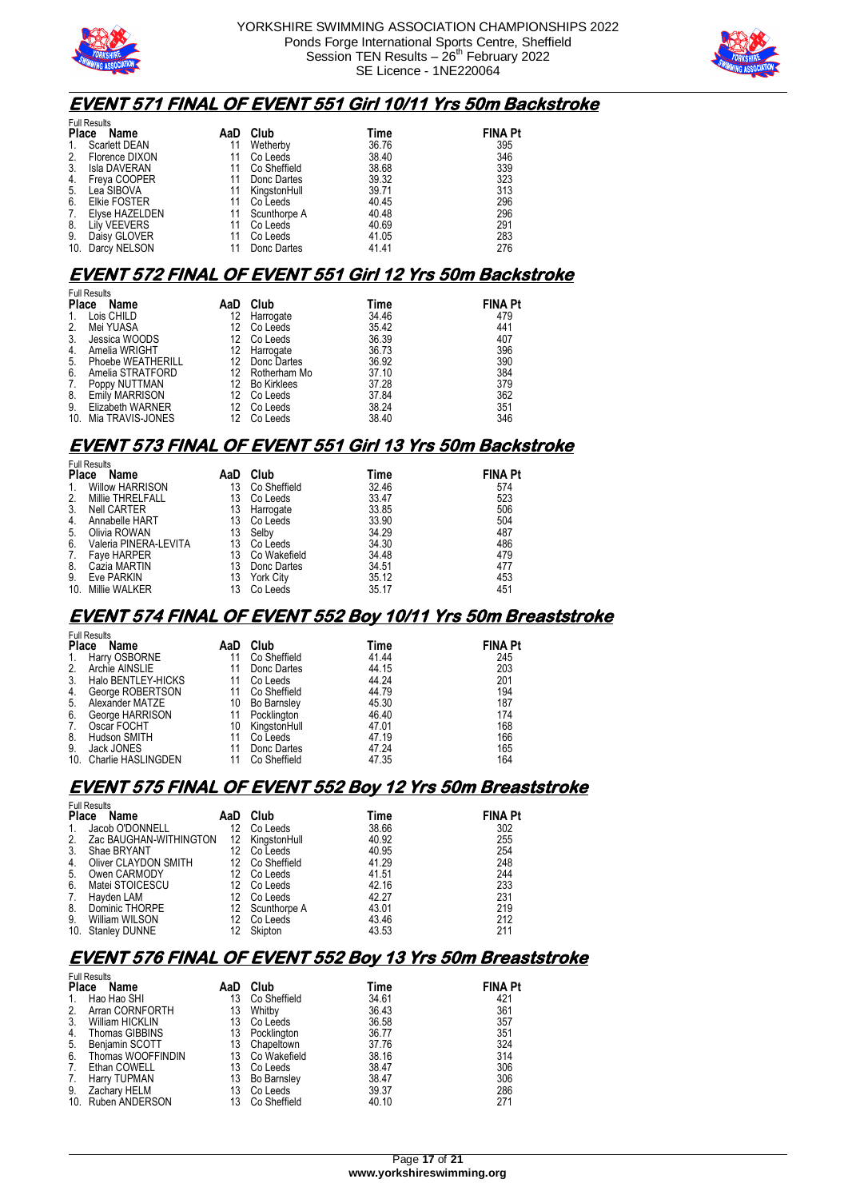



#### **EVENT 571 FINAL OF EVENT 551 Girl 10/11 Yrs 50m Backstroke**

|                | <b>Full Results</b>  |     |              |       |                |  |  |  |
|----------------|----------------------|-----|--------------|-------|----------------|--|--|--|
|                | Place<br>Name        | AaD | Club         | Time  | <b>FINA Pt</b> |  |  |  |
| $\mathbf{1}$ . | <b>Scarlett DEAN</b> | 11  | Wetherby     | 36.76 | 395            |  |  |  |
| 2.             | Florence DIXON       | 11  | Co Leeds     | 38.40 | 346            |  |  |  |
| 3.             | Isla DAVERAN         | 11  | Co Sheffield | 38.68 | 339            |  |  |  |
| 4.             | Freya COOPER         | 11  | Donc Dartes  | 39.32 | 323            |  |  |  |
| 5.             | Lea SIBOVA           | 11  | KingstonHull | 39.71 | 313            |  |  |  |
| 6.             | <b>Elkie FOSTER</b>  |     | Co Leeds     | 40.45 | 296            |  |  |  |
| 7.             | Elyse HAZELDEN       | 11  | Scunthorpe A | 40.48 | 296            |  |  |  |
| 8.             | Lily VEEVERS         | 11  | Co Leeds     | 40.69 | 291            |  |  |  |
| 9.             | Daisy GLOVER         | 11  | Co Leeds     | 41.05 | 283            |  |  |  |
|                | 10. Darcy NELSON     |     | Donc Dartes  | 41.41 | 276            |  |  |  |

#### **EVENT 572 FINAL OF EVENT 551 Girl 12 Yrs 50m Backstroke**

|    | <b>Full Results</b>   |     |              |       |                |  |  |  |
|----|-----------------------|-----|--------------|-------|----------------|--|--|--|
|    | Place Name            | AaD | Club         | Time  | <b>FINA Pt</b> |  |  |  |
| 1. | Lois CHILD            | 12  | Harrogate    | 34.46 | 479            |  |  |  |
| 2. | Mei YUASA             | 12  | Co Leeds     | 35.42 | 441            |  |  |  |
| 3. | Jessica WOODS         | 12  | Co Leeds     | 36.39 | 407            |  |  |  |
| 4. | Amelia WRIGHT         | 12  | Harrogate    | 36.73 | 396            |  |  |  |
| 5. | Phoebe WEATHERILL     | 12  | Donc Dartes  | 36.92 | 390            |  |  |  |
| 6. | Amelia STRATFORD      | 12  | Rotherham Mo | 37.10 | 384            |  |  |  |
| 7. | Poppy NUTTMAN         | 12  | Bo Kirklees  | 37.28 | 379            |  |  |  |
| 8. | <b>Emily MARRISON</b> | 12  | Co Leeds     | 37.84 | 362            |  |  |  |
| 9. | Elizabeth WARNER      | 12  | Co Leeds     | 38.24 | 351            |  |  |  |
|    | 10. Mia TRAVIS-JONES  | 12  | Co Leeds     | 38.40 | 346            |  |  |  |

### **EVENT 573 FINAL OF EVENT 551 Girl 13 Yrs 50m Backstroke**

|              | <b>Full Results</b>    |     |              |       |                |  |  |  |
|--------------|------------------------|-----|--------------|-------|----------------|--|--|--|
| <b>Place</b> | Name                   | AaD | Club         | Time  | <b>FINA Pt</b> |  |  |  |
| 1.           | <b>Willow HARRISON</b> | 13  | Co Sheffield | 32.46 | 574            |  |  |  |
| 2.           | Millie THRELFALL       | 13  | Co Leeds     | 33.47 | 523            |  |  |  |
| 3.           | <b>Nell CARTER</b>     | 13  | Harrogate    | 33.85 | 506            |  |  |  |
| 4.           | Annabelle HART         | 13  | Co Leeds     | 33.90 | 504            |  |  |  |
| 5.           | Olivia ROWAN           | 13  | Selby        | 34.29 | 487            |  |  |  |
| 6.           | Valeria PINERA-LEVITA  | 13  | Co Leeds     | 34.30 | 486            |  |  |  |
| 7.           | Faye HARPER            | 13  | Co Wakefield | 34.48 | 479            |  |  |  |
| 8.           | Cazia MARTIN           | 13  | Donc Dartes  | 34.51 | 477            |  |  |  |
| 9.           | Eve PARKIN             | 13  | York City    | 35.12 | 453            |  |  |  |
|              | 10. Millie WALKER      |     | Co Leeds     | 35.17 | 451            |  |  |  |

#### **EVENT 574 FINAL OF EVENT 552 Boy 10/11 Yrs 50m Breaststroke**

|    | <b>Full Results</b>    |     |              |       |                |  |  |  |
|----|------------------------|-----|--------------|-------|----------------|--|--|--|
|    | Place Name             | AaD | Club         | Time  | <b>FINA Pt</b> |  |  |  |
| 1. | Harry OSBORNE          |     | Co Sheffield | 41.44 | 245            |  |  |  |
| 2. | Archie AINSLIE         | 11  | Donc Dartes  | 44.15 | 203            |  |  |  |
| 3. | Halo BENTLEY-HICKS     | 11  | Co Leeds     | 44.24 | 201            |  |  |  |
| 4. | George ROBERTSON       | 11  | Co Sheffield | 44.79 | 194            |  |  |  |
| 5. | Alexander MATZE        | 10  | Bo Barnsley  | 45.30 | 187            |  |  |  |
| 6. | George HARRISON        |     | Pocklington  | 46.40 | 174            |  |  |  |
| 7. | Oscar FOCHT            | 10  | KingstonHull | 47.01 | 168            |  |  |  |
| 8. | Hudson SMITH           |     | Co Leeds     | 47.19 | 166            |  |  |  |
| 9. | Jack JONES             |     | Donc Dartes  | 47.24 | 165            |  |  |  |
|    | 10. Charlie HASLINGDEN | 11  | Co Sheffield | 47.35 | 164            |  |  |  |

#### **EVENT 575 FINAL OF EVENT 552 Boy 12 Yrs 50m Breaststroke**

|              | <b>Full Results</b>    |     |              |       |                |  |  |  |
|--------------|------------------------|-----|--------------|-------|----------------|--|--|--|
| <b>Place</b> | Name                   | AaD | Club         | Time  | <b>FINA Pt</b> |  |  |  |
| 1.           | Jacob O'DONNELL        | 12  | Co Leeds     | 38.66 | 302            |  |  |  |
| 2.           | Zac BAUGHAN-WITHINGTON | 12  | KingstonHull | 40.92 | 255            |  |  |  |
| 3.           | Shae BRYANT            | 12  | Co Leeds     | 40.95 | 254            |  |  |  |
| 4.           | Oliver CLAYDON SMITH   | 12  | Co Sheffield | 41.29 | 248            |  |  |  |
| 5.           | Owen CARMODY           | 12  | Co Leeds     | 41.51 | 244            |  |  |  |
| 6.           | Matei STOICESCU        | 12  | Co Leeds     | 42.16 | 233            |  |  |  |
| 7.           | Hayden LAM             | 12  | Co Leeds     | 42.27 | 231            |  |  |  |
| 8.           | Dominic THORPE         | 12  | Scunthorpe A | 43.01 | 219            |  |  |  |
| 9.           | William WILSON         | 12  | Co Leeds     | 43.46 | 212            |  |  |  |
| 10.          | <b>Stanley DUNNE</b>   | 12  | Skipton      | 43.53 | 211            |  |  |  |

#### **EVENT 576 FINAL OF EVENT 552 Boy 13 Yrs 50m Breaststroke**

|              | <b>Full Results</b>  |     |                 |       |                |
|--------------|----------------------|-----|-----------------|-------|----------------|
| <b>Place</b> | Name                 | AaD | Club            | Time  | <b>FINA Pt</b> |
| $1_{\cdot}$  | Hao Hao SHI          | 13  | Co Sheffield    | 34.61 | 421            |
| 2.           | Arran CORNFORTH      | 13  | Whitby          | 36.43 | 361            |
| 3.           | William HICKLIN      | 13  | Co Leeds        | 36.58 | 357            |
| 4.           | Thomas GIBBINS       | 13  | Pocklington     | 36.77 | 351            |
| 5.           | Benjamin SCOTT       | 13  | Chapeltown      | 37.76 | 324            |
|              | 6. Thomas WOOFFINDIN |     | 13 Co Wakefield | 38.16 | 314            |
| 7.           | Ethan COWELL         | 13  | Co Leeds        | 38.47 | 306            |
| 7.           | Harry TUPMAN         | 13  | Bo Barnsley     | 38.47 | 306            |
|              | 9. Zachary HELM      | 13  | Co Leeds        | 39.37 | 286            |
|              | 10. Ruben ANDERSON   | 13  | Co Sheffield    | 40.10 | 271            |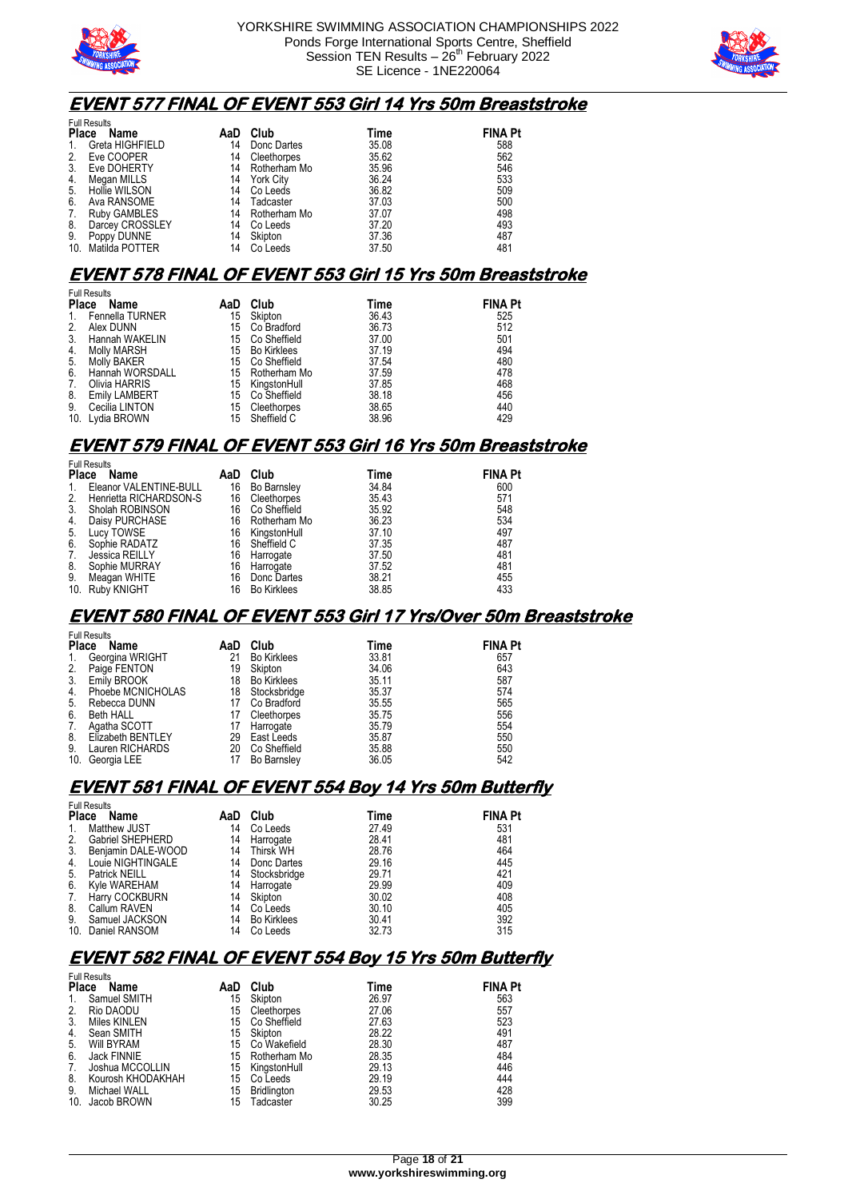



#### **EVENT 577 FINAL OF EVENT 553 Girl 14 Yrs 50m Breaststroke**

|              | <b>Full Results</b> |     |              |       |                |  |  |  |
|--------------|---------------------|-----|--------------|-------|----------------|--|--|--|
| <b>Place</b> | Name                | AaD | Club         | Time  | <b>FINA Pt</b> |  |  |  |
| 1.           | Greta HIGHFIELD     | 14  | Donc Dartes  | 35.08 | 588            |  |  |  |
| 2.           | Eve COOPER          | 14  | Cleethorpes  | 35.62 | 562            |  |  |  |
| 3.           | Eve DOHERTY         | 14  | Rotherham Mo | 35.96 | 546            |  |  |  |
| 4.           | Megan MILLS         | 14  | York Citv    | 36.24 | 533            |  |  |  |
| 5.           | Hollie WILSON       | 14  | Co Leeds     | 36.82 | 509            |  |  |  |
| 6.           | Ava RANSOME         | 14  | Tadcaster    | 37.03 | 500            |  |  |  |
| 7.           | Ruby GAMBLES        | 14  | Rotherham Mo | 37.07 | 498            |  |  |  |
| 8.           | Darcey CROSSLEY     | 14  | Co Leeds     | 37.20 | 493            |  |  |  |
| 9.           | Poppy DUNNE         | 14  | Skipton      | 37.36 | 487            |  |  |  |
| 10.          | Matilda POTTER      | 14  | Co Leeds     | 37.50 | 481            |  |  |  |

#### **EVENT 578 FINAL OF EVENT 553 Girl 15 Yrs 50m Breaststroke**

|    | <b>Full Results</b>  |     |                 |       |                |  |  |  |
|----|----------------------|-----|-----------------|-------|----------------|--|--|--|
|    | Place Name           | AaD | Club            | Time  | <b>FINA Pt</b> |  |  |  |
| 1. | Fennella TURNER      | 15  | Skipton         | 36.43 | 525            |  |  |  |
| 2. | Alex DUNN            |     | 15 Co Bradford  | 36.73 | 512            |  |  |  |
|    | 3. Hannah WAKELIN    | 15  | Co Sheffield    | 37.00 | 501            |  |  |  |
| 4. | Molly MARSH          |     | 15 Bo Kirklees  | 37.19 | 494            |  |  |  |
| 5. | Molly BAKER          |     | 15 Co Sheffield | 37.54 | 480            |  |  |  |
| 6. | Hannah WORSDALL      |     | 15 Rotherham Mo | 37.59 | 478            |  |  |  |
| 7. | Olivia HARRIS        |     | 15 KingstonHull | 37.85 | 468            |  |  |  |
| 8. | <b>Emily LAMBERT</b> |     | 15 Co Sheffield | 38.18 | 456            |  |  |  |
| 9. | Cecilia LINTON       |     | 15 Cleethorpes  | 38.65 | 440            |  |  |  |
|    | 10. Lydia BROWN      |     | 15 Sheffield C  | 38.96 | 429            |  |  |  |

### **EVENT 579 FINAL OF EVENT 553 Girl 16 Yrs 50m Breaststroke**

|              | <b>Full Results</b>    |     |              |       |                |  |  |  |
|--------------|------------------------|-----|--------------|-------|----------------|--|--|--|
| <b>Place</b> | Name                   | AaD | Club         | Time  | <b>FINA Pt</b> |  |  |  |
| 1.           | Eleanor VALENTINE-BULL | 16  | Bo Barnsley  | 34.84 | 600            |  |  |  |
| 2.           | Henrietta RICHARDSON-S | 16  | Cleethorpes  | 35.43 | 571            |  |  |  |
| 3.           | Sholah ROBINSON        | 16  | Co Sheffield | 35.92 | 548            |  |  |  |
| 4.           | Daisy PURCHASE         | 16  | Rotherham Mo | 36.23 | 534            |  |  |  |
| 5.           | Lucy TOWSE             | 16  | KingstonHull | 37.10 | 497            |  |  |  |
| 6.           | Sophie RADATZ          | 16  | Sheffield C  | 37.35 | 487            |  |  |  |
| 7.           | Jessica REILLY         | 16  | Harrogate    | 37.50 | 481            |  |  |  |
| 8.           | Sophie MURRAY          | 16  | Harrogate    | 37.52 | 481            |  |  |  |
| 9.           | Meagan WHITE           | 16  | Donc Dartes  | 38.21 | 455            |  |  |  |
|              | 10. Ruby KNIGHT        | 16  | Bo Kirklees  | 38.85 | 433            |  |  |  |

#### **EVENT 580 FINAL OF EVENT 553 Girl 17 Yrs/Over 50m Breaststroke**

|              | <b>Full Results</b> |     |                    |       |                |  |  |  |
|--------------|---------------------|-----|--------------------|-------|----------------|--|--|--|
| <b>Place</b> | Name                | AaD | Club               | Time  | <b>FINA Pt</b> |  |  |  |
| 1.           | Georgina WRIGHT     | 21  | <b>Bo Kirklees</b> | 33.81 | 657            |  |  |  |
| 2.           | Paige FENTON        | 19  | Skipton            | 34.06 | 643            |  |  |  |
| 3.           | Emily BROOK         | 18  | <b>Bo Kirklees</b> | 35.11 | 587            |  |  |  |
| 4.           | Phoebe MCNICHOLAS   | 18  | Stocksbridge       | 35.37 | 574            |  |  |  |
| 5.           | Rebecca DUNN        |     | Co Bradford        | 35.55 | 565            |  |  |  |
| 6.           | <b>Beth HALL</b>    |     | Cleethorpes        | 35.75 | 556            |  |  |  |
| 7.           | Agatha SCOTT        |     | Harrogate          | 35.79 | 554            |  |  |  |
| 8.           | Elizabeth BENTLEY   | 29  | East Leeds         | 35.87 | 550            |  |  |  |
| 9.           | Lauren RICHARDS     | 20  | Co Sheffield       | 35.88 | 550            |  |  |  |
| 10.          | Georgia LEE         |     | <b>Bo Barnsley</b> | 36.05 | 542            |  |  |  |

#### **EVENT 581 FINAL OF EVENT 554 Boy 14 Yrs 50m Butterfly**

|                 | <b>Full Results</b> |     |                    |       |                |  |  |  |
|-----------------|---------------------|-----|--------------------|-------|----------------|--|--|--|
|                 | Place<br>Name       | AaD | Club               | Time  | <b>FINA Pt</b> |  |  |  |
|                 | Matthew JUST        | 14  | Co Leeds           | 27.49 | 531            |  |  |  |
| 2.              | Gabriel SHEPHERD    | 14  | Harrogate          | 28.41 | 481            |  |  |  |
| 3.              | Benjamin DALE-WOOD  | 14  | Thirsk WH          | 28.76 | 464            |  |  |  |
| 4.              | Louie NIGHTINGALE   | 14  | Donc Dartes        | 29.16 | 445            |  |  |  |
| 5.              | Patrick NEILL       | 14  | Stocksbridge       | 29.71 | 421            |  |  |  |
| 6.              | Kyle WAREHAM        | 14  | Harrogate          | 29.99 | 409            |  |  |  |
| 7.              | Harry COCKBURN      | 14  | Skipton            | 30.02 | 408            |  |  |  |
| 8.              | Callum RAVEN        | 14  | Co Leeds           | 30.10 | 405            |  |  |  |
| 9.              | Samuel JACKSON      | 14  | <b>Bo Kirklees</b> | 30.41 | 392            |  |  |  |
| 10 <sub>1</sub> | Daniel RANSOM       | 14  | Co Leeds           | 32.73 | 315            |  |  |  |

#### **EVENT 582 FINAL OF EVENT 554 Boy 15 Yrs 50m Butterfly**

|              | <b>Full Results</b> |     |                    |       |                |
|--------------|---------------------|-----|--------------------|-------|----------------|
| <b>Place</b> | Name                | AaD | Club               | Time  | <b>FINA Pt</b> |
| 1.           | Samuel SMITH        | 15  | Skipton            | 26.97 | 563            |
| 2.           | Rio DAODU           | 15  | Cleethorpes        | 27.06 | 557            |
| 3.           | Miles KINLEN        | 15. | Co Sheffield       | 27.63 | 523            |
| 4.           | Sean SMITH          | 15  | Skipton            | 28.22 | 491            |
| 5.           | <b>Will BYRAM</b>   | 15  | Co Wakefield       | 28.30 | 487            |
| 6.           | Jack FINNIE         |     | 15 Rotherham Mo    | 28.35 | 484            |
| 7.           | Joshua MCCOLLIN     | 15  | KingstonHull       | 29.13 | 446            |
| 8.           | Kourosh KHODAKHAH   | 15  | Co Leeds           | 29.19 | 444            |
| 9.           | Michael WALL        | 15  | <b>Bridlington</b> | 29.53 | 428            |
| 10.          | Jacob BROWN         | 15  | Tadcaster          | 30.25 | 399            |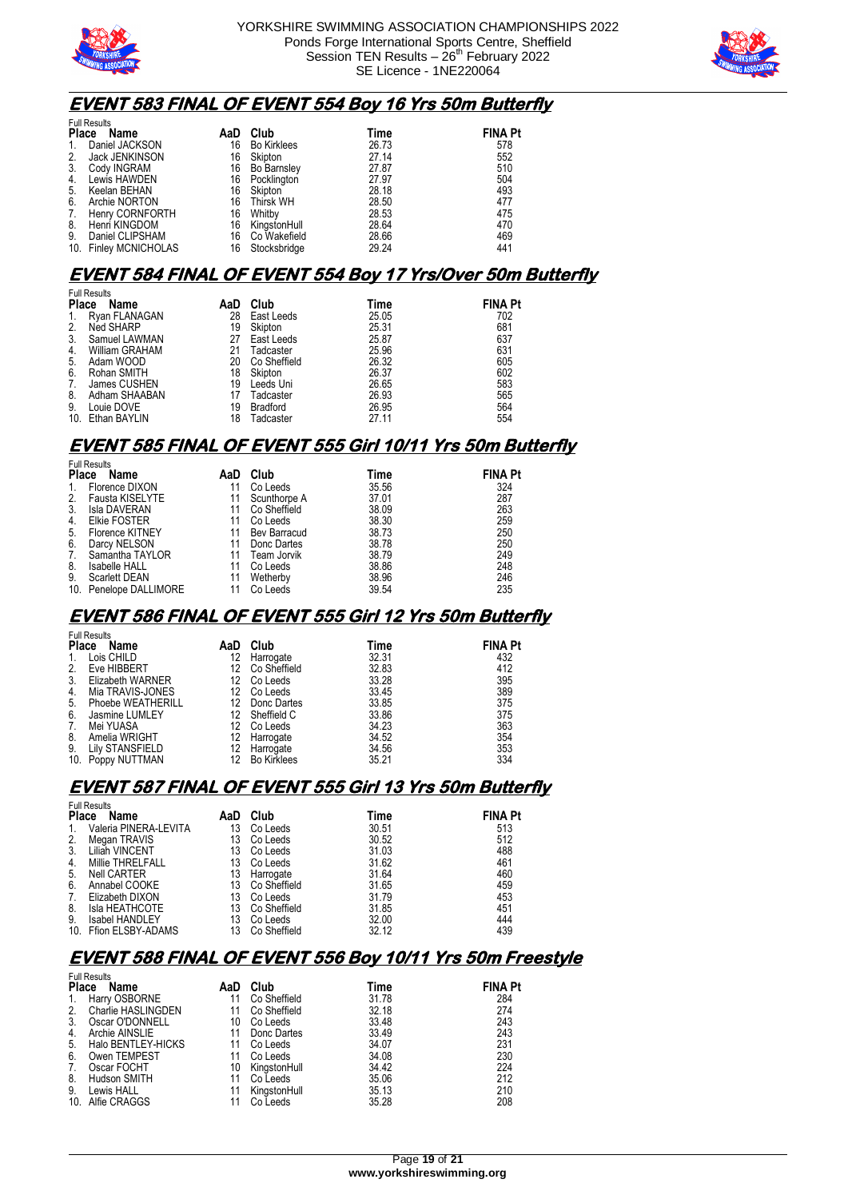



#### **EVENT 583 FINAL OF EVENT 554 Boy 16 Yrs 50m Butterfly**

|              | <b>Full Results</b>   |     |                    |       |                |  |  |  |
|--------------|-----------------------|-----|--------------------|-------|----------------|--|--|--|
| <b>Place</b> | Name                  | AaD | Club               | Time  | <b>FINA Pt</b> |  |  |  |
| 1.           | Daniel JACKSON        | 16  | <b>Bo Kirklees</b> | 26.73 | 578            |  |  |  |
| 2.           | Jack JENKINSON        | 16  | Skipton            | 27.14 | 552            |  |  |  |
| 3.           | Cody INGRAM           | 16  | Bo Barnsley        | 27.87 | 510            |  |  |  |
| 4.           | Lewis HAWDEN          | 16  | Pocklington        | 27.97 | 504            |  |  |  |
| 5.           | Keelan BEHAN          | 16  | <b>Skipton</b>     | 28.18 | 493            |  |  |  |
| 6.           | Archie NORTON         | 16  | <b>Thirsk WH</b>   | 28.50 | 477            |  |  |  |
| 7.           | Henry CORNFORTH       | 16  | Whitby             | 28.53 | 475            |  |  |  |
| 8.           | Henri KINGDOM         | 16  | KingstonHull       | 28.64 | 470            |  |  |  |
| 9.           | Daniel CLIPSHAM       | 16  | Co Wakefield       | 28.66 | 469            |  |  |  |
|              | 10. Finley MCNICHOLAS | 16  | Stocksbridge       | 29.24 | 441            |  |  |  |

### **EVENT 584 FINAL OF EVENT 554 Boy 17 Yrs/Over 50m Butterfly**

|              | <b>Full Results</b> |     |                 |       |                |  |  |  |
|--------------|---------------------|-----|-----------------|-------|----------------|--|--|--|
| <b>Place</b> | Name                | AaD | Club            | Time  | <b>FINA Pt</b> |  |  |  |
| 1.           | Rvan FLANAGAN       | 28  | East Leeds      | 25.05 | 702            |  |  |  |
| 2.           | Ned SHARP           | 19  | Skipton         | 25.31 | 681            |  |  |  |
| 3.           | Samuel LAWMAN       | 27  | East Leeds      | 25.87 | 637            |  |  |  |
| 4.           | William GRAHAM      | 21  | Tadcaster       | 25.96 | 631            |  |  |  |
| 5.           | Adam WOOD           | 20  | Co Sheffield    | 26.32 | 605            |  |  |  |
| 6.           | Rohan SMITH         | 18  | Skipton         | 26.37 | 602            |  |  |  |
| 7.           | James CUSHEN        | 19  | Leeds Uni       | 26.65 | 583            |  |  |  |
| 8.           | Adham SHAABAN       | 17  | Tadcaster       | 26.93 | 565            |  |  |  |
| 9.           | Louie DOVE          | 19  | <b>Bradford</b> | 26.95 | 564            |  |  |  |
| 10.          | Ethan BAYLIN        | 18  | Tadcaster       | 27.11 | 554            |  |  |  |

# **EVENT 585 FINAL OF EVENT 555 Girl 10/11 Yrs 50m Butterfly**

|             | <b>Full Results</b>    |     |              |       |                |
|-------------|------------------------|-----|--------------|-------|----------------|
| Place       | Name                   | AaD | Club         | Time  | <b>FINA Pt</b> |
| $1_{\cdot}$ | Florence DIXON         |     | Co Leeds     | 35.56 | 324            |
| 2.          | Fausta KISELYTE        | 11  | Scunthorpe A | 37.01 | 287            |
| 3.          | Isla DAVERAN           | 11  | Co Sheffield | 38.09 | 263            |
| 4.          | Elkie FOSTER           | 11  | Co Leeds     | 38.30 | 259            |
| 5.          | <b>Florence KITNEY</b> | 11  | Bev Barracud | 38.73 | 250            |
| 6.          | Darcy NELSON           |     | Donc Dartes  | 38.78 | 250            |
| 7.          | Samantha TAYLOR        | 11  | Team Jorvik  | 38.79 | 249            |
| 8.          | <b>Isabelle HALL</b>   | 11  | Co Leeds     | 38.86 | 248            |
| 9.          | Scarlett DEAN          | 11  | Wetherby     | 38.96 | 246            |
|             | 10. Penelope DALLIMORE | 11  | Co Leeds     | 39.54 | 235            |

#### **EVENT 586 FINAL OF EVENT 555 Girl 12 Yrs 50m Butterfly**

|             | <b>Full Results</b> |     |                 |       |                |
|-------------|---------------------|-----|-----------------|-------|----------------|
|             | Place<br>Name       | AaD | Club            | Time  | <b>FINA Pt</b> |
| $1_{\cdot}$ | Lois CHILD          | 12  | Harrogate       | 32.31 | 432            |
| 2.          | Eve HIBBERT         |     | 12 Co Sheffield | 32.83 | 412            |
| 3.          | Elizabeth WARNER    |     | 12 Co Leeds     | 33.28 | 395            |
| 4.          | Mia TRAVIS-JONES    |     | 12 Co Leeds     | 33.45 | 389            |
| 5.          | Phoebe WEATHERILL   |     | 12 Donc Dartes  | 33.85 | 375            |
| 6.          | Jasmine LUMLEY      |     | 12 Sheffield C  | 33.86 | 375            |
| 7.          | Mei YUASA           |     | 12 Co Leeds     | 34.23 | 363            |
| 8.          | Amelia WRIGHT       |     | 12 Harrogate    | 34.52 | 354            |
| 9.          | Lily STANSFIELD     |     | 12 Harrogate    | 34.56 | 353            |
|             | 10. Poppy NUTTMAN   |     | 12 Bo Kirklees  | 35.21 | 334            |

# **EVENT 587 FINAL OF EVENT 555 Girl 13 Yrs 50m Butterfly**

|              | <b>Full Results</b>   |     |              |       |                |  |  |  |
|--------------|-----------------------|-----|--------------|-------|----------------|--|--|--|
| <b>Place</b> | Name                  | AaD | Club         | Time  | <b>FINA Pt</b> |  |  |  |
|              | Valeria PINERA-LEVITA | 13  | Co Leeds     | 30.51 | 513            |  |  |  |
| 2.           | Megan TRAVIS          | 13  | Co Leeds     | 30.52 | 512            |  |  |  |
| 3.           | <b>Liliah VINCENT</b> | 13  | Co Leeds     | 31.03 | 488            |  |  |  |
| 4.           | Millie THRELFALL      | 13  | Co Leeds     | 31.62 | 461            |  |  |  |
| 5.           | <b>Nell CARTER</b>    | 13  | Harrogate    | 31.64 | 460            |  |  |  |
| 6.           | Annabel COOKE         | 13  | Co Sheffield | 31.65 | 459            |  |  |  |
| 7.           | Elizabeth DIXON       |     | Co Leeds     | 31.79 | 453            |  |  |  |
| 8.           | Isla HEATHCOTE        | 13  | Co Sheffield | 31.85 | 451            |  |  |  |
| 9.           | Isabel HANDLEY        | 13  | Co Leeds     | 32.00 | 444            |  |  |  |
| 10.          | Ffion ELSBY-ADAMS     | 13  | Co Sheffield | 32.12 | 439            |  |  |  |

#### **EVENT 588 FINAL OF EVENT 556 Boy 10/11 Yrs 50m Freestyle**

|              | <b>Full Results</b> |     |              |       |                |
|--------------|---------------------|-----|--------------|-------|----------------|
| <b>Place</b> | Name                | AaD | Club         | Time  | <b>FINA Pt</b> |
| 1.           | Harry OSBORNE       |     | Co Sheffield | 31.78 | 284            |
| 2.           | Charlie HASLINGDEN  |     | Co Sheffield | 32.18 | 274            |
| 3.           | Oscar O'DONNELL     | 10  | Co Leeds     | 33.48 | 243            |
| 4.           | Archie AINSLIE      |     | Donc Dartes  | 33.49 | 243            |
| 5.           | Halo BENTLEY-HICKS  |     | Co Leeds     | 34.07 | 231            |
| 6.           | Owen TEMPEST        |     | Co Leeds     | 34.08 | 230            |
| 7.           | Oscar FOCHT         | 10  | KingstonHull | 34.42 | 224            |
| 8.           | Hudson SMITH        |     | Co Leeds     | 35.06 | 212            |
| 9.           | Lewis HALL          |     | KingstonHull | 35.13 | 210            |
|              | 10. Alfie CRAGGS    |     | Co Leeds     | 35.28 | 208            |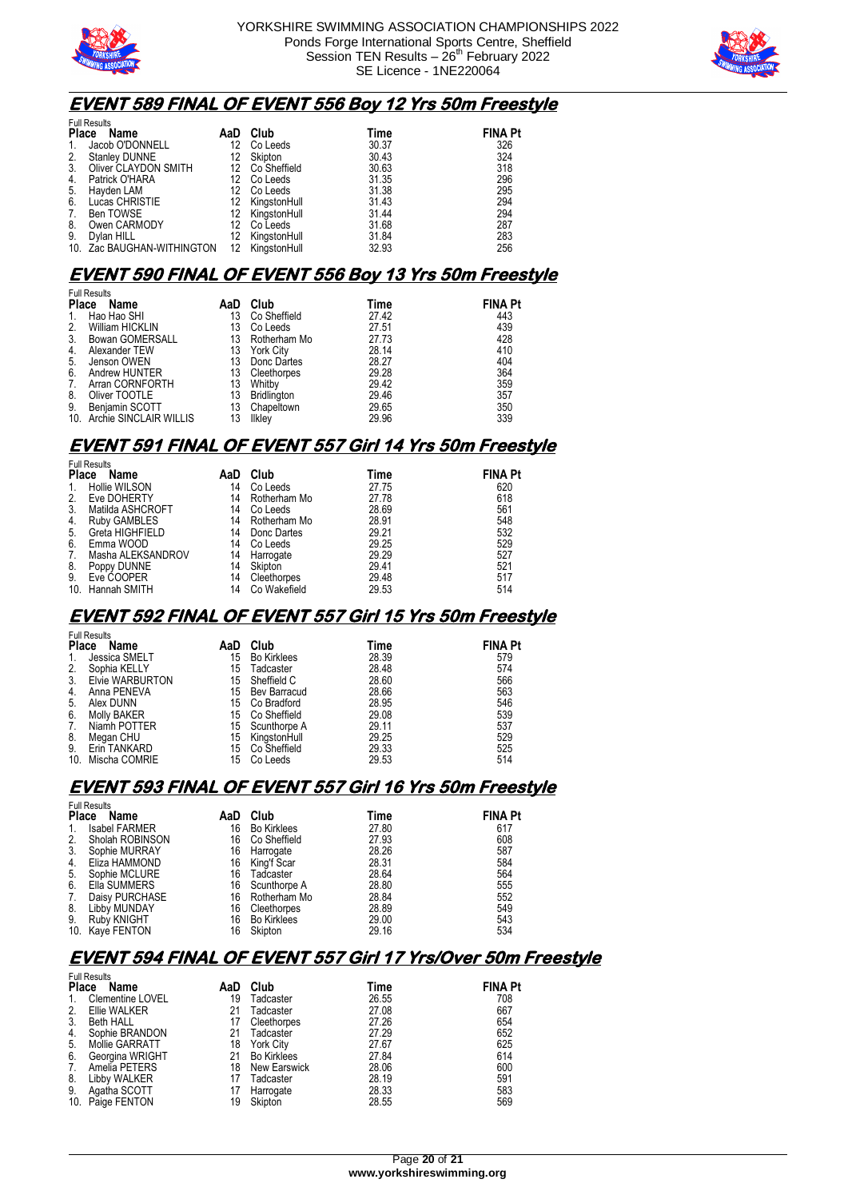



#### **EVENT 589 FINAL OF EVENT 556 Boy 12 Yrs 50m Freestyle**

|              | <b>Full Results</b>        |     |                 |       |                |  |  |  |
|--------------|----------------------------|-----|-----------------|-------|----------------|--|--|--|
| <b>Place</b> | Name                       | AaD | Club            | Time  | <b>FINA Pt</b> |  |  |  |
| 1.           | Jacob O'DONNELL            | 12  | Co Leeds        | 30.37 | 326            |  |  |  |
| 2.           | <b>Stanley DUNNE</b>       | 12  | Skipton         | 30.43 | 324            |  |  |  |
| 3.           | Oliver CLAYDON SMITH       |     | 12 Co Sheffield | 30.63 | 318            |  |  |  |
| 4.           | Patrick O'HARA             |     | 12 Co Leeds     | 31.35 | 296            |  |  |  |
| 5.           | Hayden LAM                 | 12  | Co Leeds        | 31.38 | 295            |  |  |  |
| 6.           | Lucas CHRISTIE             | 12  | KingstonHull    | 31.43 | 294            |  |  |  |
| 7.           | Ben TOWSE                  | 12  | KingstonHull    | 31.44 | 294            |  |  |  |
| 8.           | Owen CARMODY               | 12  | Co Leeds        | 31.68 | 287            |  |  |  |
| 9.           | Dylan HILL                 | 12  | KingstonHull    | 31.84 | 283            |  |  |  |
|              | 10. Zac BAUGHAN-WITHINGTON | 12  | KingstonHull    | 32.93 | 256            |  |  |  |

#### **EVENT 590 FINAL OF EVENT 556 Boy 13 Yrs 50m Freestyle**

|    | <b>Full Results</b>        |     |                    |       |                |  |  |  |
|----|----------------------------|-----|--------------------|-------|----------------|--|--|--|
|    | Place Name                 | AaD | Club               | Time  | <b>FINA Pt</b> |  |  |  |
| 1. | Hao Hao SHI                | 13  | Co Sheffield       | 27.42 | 443            |  |  |  |
| 2. | <b>William HICKLIN</b>     | 13  | Co Leeds           | 27.51 | 439            |  |  |  |
|    | 3. Bowan GOMERSALL         | 13  | Rotherham Mo       | 27.73 | 428            |  |  |  |
| 4. | Alexander TEW              | 13  | York City          | 28.14 | 410            |  |  |  |
| 5. | Jenson OWEN                | 13  | Donc Dartes        | 28.27 | 404            |  |  |  |
| 6. | Andrew HUNTER              | 13  | Cleethorpes        | 29.28 | 364            |  |  |  |
| 7. | Arran CORNFORTH            | 13  | Whitby             | 29.42 | 359            |  |  |  |
| 8. | Oliver TOOTLE              | 13  | <b>Bridlington</b> | 29.46 | 357            |  |  |  |
| 9. | Benjamin SCOTT             | 13  | Chapeltown         | 29.65 | 350            |  |  |  |
|    | 10. Archie SINCLAIR WILLIS | 13  | <b>Ilklev</b>      | 29.96 | 339            |  |  |  |

#### **EVENT 591 FINAL OF EVENT 557 Girl 14 Yrs 50m Freestyle**

|               | <b>Full Results</b> |     |              |       |                |
|---------------|---------------------|-----|--------------|-------|----------------|
| <b>Place</b>  | Name                | AaD | Club         | Time  | <b>FINA Pt</b> |
| 1.            | Hollie WILSON       | 14  | Co Leeds     | 27.75 | 620            |
| 2.            | Eve DOHERTY         | 14  | Rotherham Mo | 27.78 | 618            |
| 3.            | Matilda ASHCROFT    | 14  | Co Leeds     | 28.69 | 561            |
| 4.            | Ruby GAMBLES        | 14  | Rotherham Mo | 28.91 | 548            |
| 5.            | Greta HIGHFIELD     | 14  | Donc Dartes  | 29.21 | 532            |
| 6.            | Emma WOOD           | 14  | Co Leeds     | 29.25 | 529            |
| 7.            | Masha ALEKSANDROV   | 14  | Harrogate    | 29.29 | 527            |
| $\frac{8}{9}$ | Poppy DUNNE         | 14  | Skipton      | 29.41 | 521            |
|               | Eve COOPER          | 14  | Cleethorpes  | 29.48 | 517            |
|               | 10. Hannah SMITH    | 14  | Co Wakefield | 29.53 | 514            |

### **EVENT 592 FINAL OF EVENT 557 Girl 15 Yrs 50m Freestyle**

|              | <b>Full Results</b> |     |                    |       |                |
|--------------|---------------------|-----|--------------------|-------|----------------|
| <b>Place</b> | Name                | AaD | Club               | Time  | <b>FINA Pt</b> |
| -1.          | Jessica SMELT       | 15  | <b>Bo Kirklees</b> | 28.39 | 579            |
| 2.           | Sophia KELLY        | 15  | Tadcaster          | 28.48 | 574            |
| 3.           | Elvie WARBURTON     | 15  | Sheffield C        | 28.60 | 566            |
| 4.           | Anna PENEVA         | 15  | Bev Barracud       | 28.66 | 563            |
| 5.           | Alex DUNN           | 15  | Co Bradford        | 28.95 | 546            |
| 6.           | Molly BAKER         | 15  | Co Sheffield       | 29.08 | 539            |
| 7.           | Niamh POTTER        | 15  | Scunthorpe A       | 29.11 | 537            |
| 8.           | Megan CHU           | 15  | KingstonHull       | 29.25 | 529            |
| 9.           | Erin TANKARD        | 15  | Co Sheffield       | 29.33 | 525            |
| 10.          | Mischa COMRIE       | 15  | Co Leeds           | 29.53 | 514            |

#### **EVENT 593 FINAL OF EVENT 557 Girl 16 Yrs 50m Freestyle**

|              | <b>Full Results</b>  |     |                    |       |                |  |  |  |
|--------------|----------------------|-----|--------------------|-------|----------------|--|--|--|
| <b>Place</b> | Name                 | AaD | Club               | Time  | <b>FINA Pt</b> |  |  |  |
|              | <b>Isabel FARMER</b> | 16  | <b>Bo Kirklees</b> | 27.80 | 617            |  |  |  |
| 2.           | Sholah ROBINSON      | 16  | Co Sheffield       | 27.93 | 608            |  |  |  |
| 3.           | Sophie MURRAY        | 16  | Harrogate          | 28.26 | 587            |  |  |  |
| 4.           | Eliza HAMMOND        | 16  | King'f Scar        | 28.31 | 584            |  |  |  |
| 5.           | Sophie MCLURE        | 16  | Tadcaster          | 28.64 | 564            |  |  |  |
| 6.           | Ella SUMMERS         | 16  | Scunthorpe A       | 28.80 | 555            |  |  |  |
| 7.           | Daisy PURCHASE       | 16  | Rotherham Mo       | 28.84 | 552            |  |  |  |
| 8.           | Libby MUNDAY         | 16  | Cleethorpes        | 28.89 | 549            |  |  |  |
| 9.           | Ruby KNIGHT          | 16  | <b>Bo Kirklees</b> | 29.00 | 543            |  |  |  |
| 10.          | Kaye FENTON          | 16  | Skipton            | 29.16 | 534            |  |  |  |

#### **EVENT 594 FINAL OF EVENT 557 Girl 17 Yrs/Over 50m Freestyle**

|    | <b>Full Results</b> |     |                    |       |                |
|----|---------------------|-----|--------------------|-------|----------------|
|    | Place Name          | AaD | Club               | Time  | <b>FINA Pt</b> |
| 1. | Clementine LOVEL    | 19  | Tadcaster          | 26.55 | 708            |
| 2. | Ellie WALKER        | 21  | Tadcaster          | 27.08 | 667            |
| 3. | Beth HALL           | 17  | Cleethorpes        | 27.26 | 654            |
| 4. | Sophie BRANDON      | 21  | Tadcaster          | 27.29 | 652            |
| 5. | Mollie GARRATT      | 18  | York City          | 27.67 | 625            |
| 6. | Georgina WRIGHT     | 21  | <b>Bo Kirklees</b> | 27.84 | 614            |
| 7. | Amelia PETERS       | 18  | New Earswick       | 28.06 | 600            |
| 8. | Libby WALKER        | 17  | Tadcaster          | 28.19 | 591            |
| 9. | Agatha SCOTT        |     | Harrogate          | 28.33 | 583            |
|    | 10. Paige FENTON    | 19  | Skipton            | 28.55 | 569            |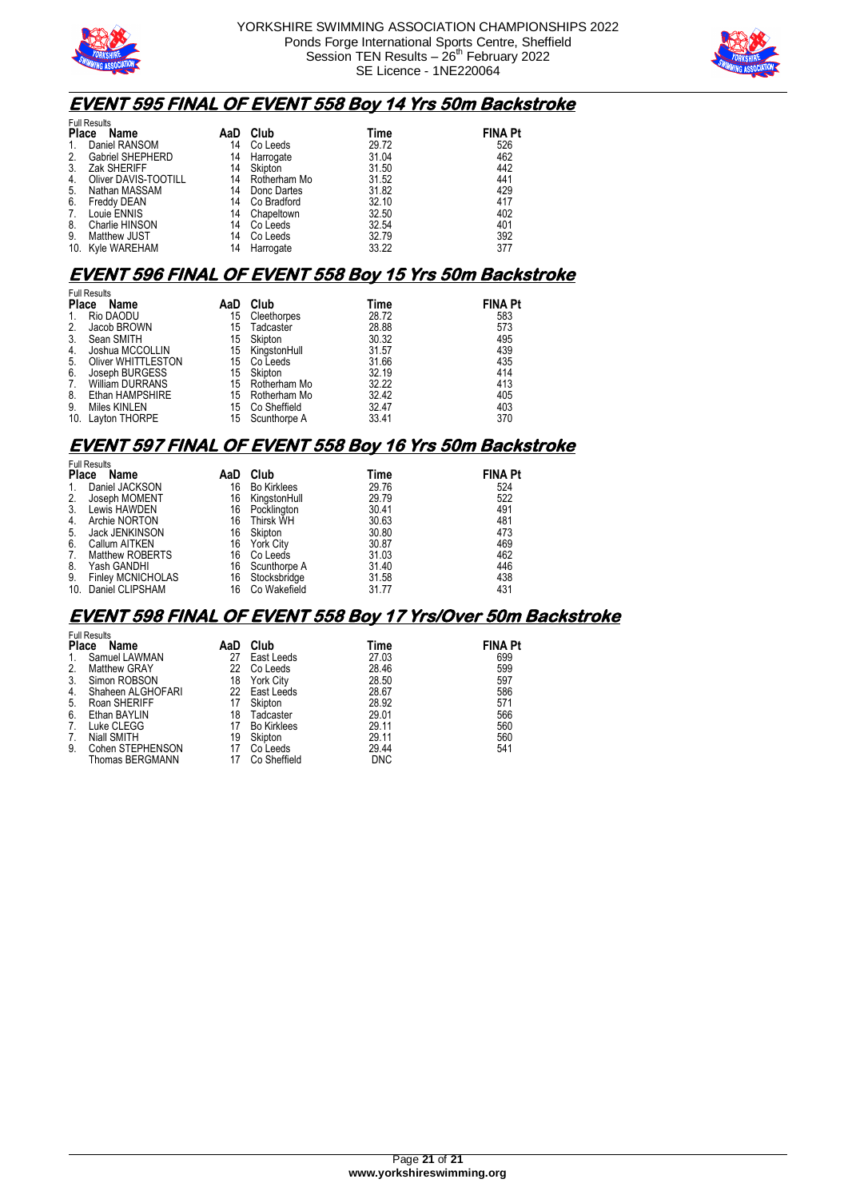



#### **EVENT 595 FINAL OF EVENT 558 Boy 14 Yrs 50m Backstroke**

|              | <b>Full Results</b>  |     |              |       |                |  |  |  |  |  |
|--------------|----------------------|-----|--------------|-------|----------------|--|--|--|--|--|
| <b>Place</b> | Name                 | AaD | Club         | Time  | <b>FINA Pt</b> |  |  |  |  |  |
| 1.           | Daniel RANSOM        | 14  | Co Leeds     | 29.72 | 526            |  |  |  |  |  |
| 2.           | Gabriel SHEPHERD     | 14  | Harrogate    | 31.04 | 462            |  |  |  |  |  |
| 3.           | Zak SHERIFF          | 14  | Skipton      | 31.50 | 442            |  |  |  |  |  |
| 4.           | Oliver DAVIS-TOOTILL | 14  | Rotherham Mo | 31.52 | 441            |  |  |  |  |  |
| 5.           | Nathan MASSAM        | 14  | Donc Dartes  | 31.82 | 429            |  |  |  |  |  |
| 6.           | Freddy DEAN          | 14  | Co Bradford  | 32.10 | 417            |  |  |  |  |  |
| 7.           | Louie ENNIS          | 14  | Chapeltown   | 32.50 | 402            |  |  |  |  |  |
| 8.           | Charlie HINSON       | 14  | Co Leeds     | 32.54 | 401            |  |  |  |  |  |
| 9.           | Matthew JUST         | 14  | Co Leeds     | 32.79 | 392            |  |  |  |  |  |
|              | 10. Kyle WAREHAM     | 14  | Harrogate    | 33.22 | 377            |  |  |  |  |  |

#### **EVENT 596 FINAL OF EVENT 558 Boy 15 Yrs 50m Backstroke**

|             | <b>Full Results</b>    |     |                 |       |                |  |  |  |
|-------------|------------------------|-----|-----------------|-------|----------------|--|--|--|
| Place       | Name                   | AaD | Club            | Time  | <b>FINA Pt</b> |  |  |  |
| $1_{\cdot}$ | Rio DAODU              | 15  | Cleethorpes     | 28.72 | 583            |  |  |  |
| 2.          | Jacob BROWN            | 15  | Tadcaster       | 28.88 | 573            |  |  |  |
| 3.          | Sean SMITH             | 15  | Skipton         | 30.32 | 495            |  |  |  |
| 4.          | Joshua MCCOLLIN        | 15  | KingstonHull    | 31.57 | 439            |  |  |  |
| 5.          | Oliver WHITTLESTON     | 15  | Co Leeds        | 31.66 | 435            |  |  |  |
| 6.          | Joseph BURGESS         | 15  | Skipton         | 32.19 | 414            |  |  |  |
| 7.          | <b>William DURRANS</b> |     | 15 Rotherham Mo | 32.22 | 413            |  |  |  |
| 8.          | Ethan HAMPSHIRE        | 15  | Rotherham Mo    | 32.42 | 405            |  |  |  |
| 9.          | Miles KINLEN           | 15  | Co Sheffield    | 32.47 | 403            |  |  |  |
|             | 10. Lavton THORPE      | 15  | Scunthorpe A    | 33.41 | 370            |  |  |  |

#### **EVENT 597 FINAL OF EVENT 558 Boy 16 Yrs 50m Backstroke**

|              | <b>Full Results</b>      |     |                    |       |                |
|--------------|--------------------------|-----|--------------------|-------|----------------|
| <b>Place</b> | Name                     | AaD | Club               | Time  | <b>FINA Pt</b> |
| 1.           | Daniel JACKSON           | 16  | <b>Bo Kirklees</b> | 29.76 | 524            |
| 2.           | Joseph MOMENT            | 16  | KingstonHull       | 29.79 | 522            |
| 3.           | Lewis HAWDEN             | 16  | Pocklington        | 30.41 | 491            |
| 4.           | Archie NORTON            | 16  | Thirsk WH          | 30.63 | 481            |
| 5.           | Jack JENKINSON           | 16  | Skipton            | 30.80 | 473            |
| 6.           | Callum AITKEN            | 16  | <b>York City</b>   | 30.87 | 469            |
| 7.           | <b>Matthew ROBERTS</b>   | 16  | Co Leeds           | 31.03 | 462            |
| 8.           | Yash GANDHI              | 16  | Scunthorpe A       | 31.40 | 446            |
| 9.           | <b>Finley MCNICHOLAS</b> | 16  | Stocksbridge       | 31.58 | 438            |
|              | 10. Daniel CLIPSHAM      | 16  | Co Wakefield       | 31.77 | 431            |

#### **EVENT 598 FINAL OF EVENT 558 Boy 17 Yrs/Over 50m Backstroke**

|                | <b>Full Results</b> |     |                    |            |                |
|----------------|---------------------|-----|--------------------|------------|----------------|
| <b>Place</b>   | Name                | AaD | Club               | Time       | <b>FINA Pt</b> |
| 1.             | Samuel LAWMAN       | 27  | East Leeds         | 27.03      | 699            |
| 2.             | <b>Matthew GRAY</b> | 22  | Co Leeds           | 28.46      | 599            |
| 3.             | Simon ROBSON        | 18  | <b>York City</b>   | 28.50      | 597            |
| 4.             | Shaheen ALGHOFARI   | 22  | East Leeds         | 28.67      | 586            |
| 5.             | Roan SHERIFF        | 17  | Skipton            | 28.92      | 571            |
| 6.             | Ethan BAYLIN        | 18  | Tadcaster          | 29.01      | 566            |
| 7 <sub>1</sub> | Luke CLEGG          | 17  | <b>Bo Kirklees</b> | 29.11      | 560            |
| 7.             | Niall SMITH         | 19  | Skipton            | 29.11      | 560            |
| 9.             | Cohen STEPHENSON    | 17  | Co Leeds           | 29.44      | 541            |
|                | Thomas BERGMANN     | 17  | Co Sheffield       | <b>DNC</b> |                |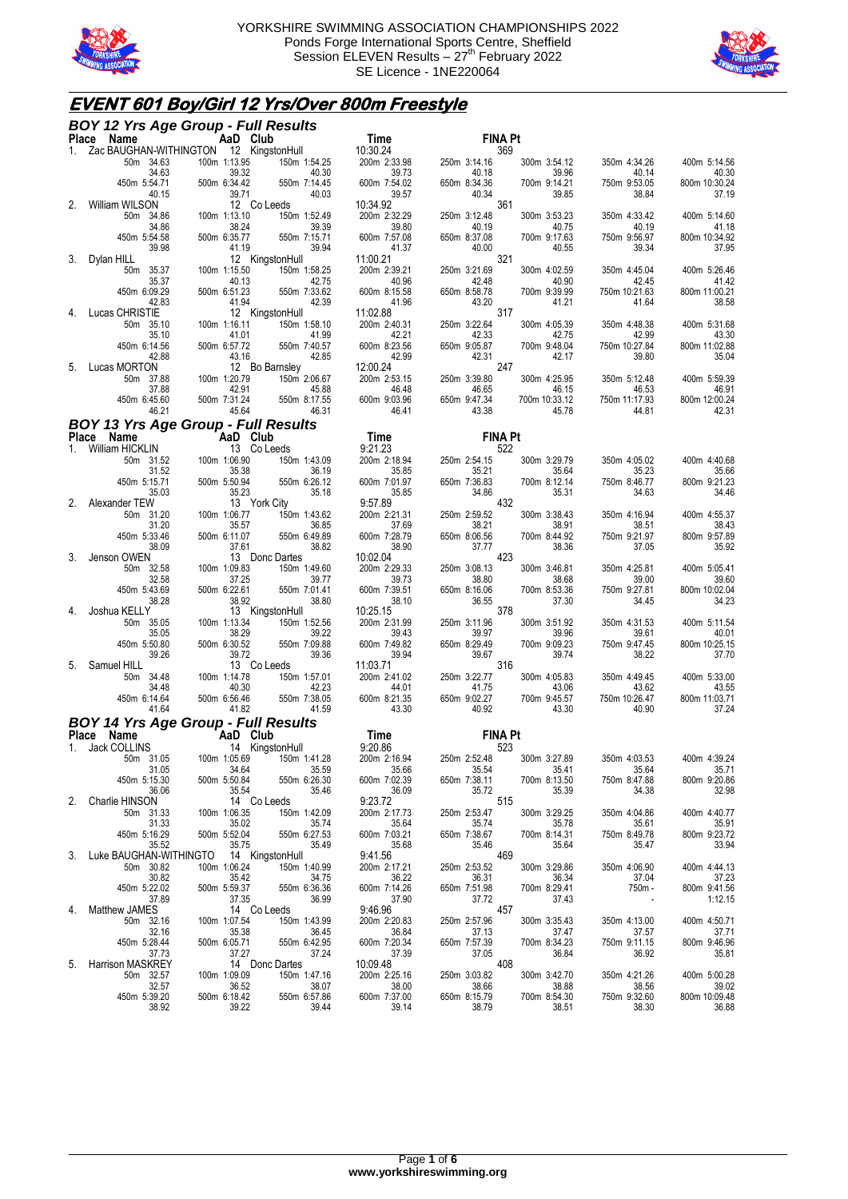



# **EVENT 601 Boy/Girl 12 Yrs/Over 800m Freestyle**

|         | <b>BOY 12 Yrs Age Group - Full Results</b>                   |                                    |                                          |                                   |                                  |                        |                        |                         |
|---------|--------------------------------------------------------------|------------------------------------|------------------------------------------|-----------------------------------|----------------------------------|------------------------|------------------------|-------------------------|
|         | Place Name                                                   | AaD Club                           |                                          | Time                              | <b>FINA Pt</b>                   |                        |                        |                         |
| 1.      | Zac BAUGHAN-WITHINGTON 12 KingstonHull<br>50m 34.63<br>34.63 | 100m 1:13.95<br>39.32              | 150m 1:54.25<br>40.30                    | 10:30.24<br>200m 2:33.98<br>39.73 | 369<br>250m 3:14.16<br>40.18     | 300m 3:54.12<br>39.96  | 350m 4:34.26<br>40.14  | 400m 5:14.56<br>40.30   |
|         | 450m 5:54.71<br>40.15                                        | 500m 6:34.42<br>39.71              | 550m 7:14.45<br>40.03                    | 600m 7:54.02<br>39.57             | 650m 8:34.36<br>40.34            | 700m 9:14.21<br>39.85  | 750m 9:53.05<br>38.84  | 800m 10:30.24<br>37.19  |
| 2.      | William WILSON                                               | 12 Co Leeds                        |                                          | 10:34.92                          | 361                              |                        |                        |                         |
|         | 50m 34.86<br>34.86                                           | 100m 1:13.10<br>38.24              | 150m 1:52.49<br>39.39                    | 200m 2:32.29<br>39.80             | 250m 3:12.48<br>40.19            | 300m 3:53.23<br>40.75  | 350m 4:33.42<br>40.19  | 400m 5:14.60<br>41.18   |
|         | 450m 5:54.58<br>39.98                                        | 500m 6:35.77<br>41.19              | 550m 7:15.71<br>39.94                    | 600m 7:57.08<br>41.37             | 650m 8:37.08<br>40.00            | 700m 9:17.63<br>40.55  | 750m 9:56.97<br>39.34  | 800m 10:34.92<br>37.95  |
| 3.      | Dylan HILL                                                   |                                    | 12 KingstonHull                          | 11:00.21                          | 321                              |                        |                        | 400m 5:26.46            |
|         | 50m 35.37<br>35.37                                           | 100m 1:15.50<br>40.13              | 150m 1:58.25<br>42.75                    | 200m 2:39.21<br>40.96             | 250m 3:21.69<br>42.48            | 300m 4:02.59<br>40.90  | 350m 4:45.04<br>42.45  | 41.42                   |
|         | 450m 6:09.29<br>42.83                                        | 500m 6:51.23<br>41.94              | 550m 7:33.62<br>42.39                    | 600m 8:15.58<br>41.96             | 650m 8:58.78<br>43.20            | 700m 9:39.99<br>41.21  | 750m 10:21.63<br>41.64 | 800m 11:00.21<br>38.58  |
| 4.      | Lucas CHRISTIE<br>50m 35.10                                  | 100m 1:16.11                       | 12 KingstonHull<br>150m 1:58.10          | 11:02.88<br>200m 2:40.31          | 317<br>250m 3:22.64              | 300m 4:05.39           | 350m 4:48.38           | 400m 5:31.68            |
|         | 35.10                                                        | 41.01                              | 41.99                                    | 42.21                             | 42.33                            | 42.75                  | 42.99                  | 43.30                   |
|         | 450m 6:14.56<br>42.88                                        | 500m 6:57.72<br>43.16              | 550m 7:40.57<br>42.85                    | 600m 8:23.56<br>42.99             | 650m 9:05.87<br>42.31            | 700m 9:48.04<br>42.17  | 750m 10:27.84<br>39.80 | 800m 11:02.88<br>35.04  |
| 5.      | Lucas MORTON                                                 |                                    | 12 Bo Barnsley                           | 12:00.24                          | 247                              |                        |                        |                         |
|         | 50m 37.88                                                    | 100m 1:20.79                       | 150m 2:06.67                             | 200m 2:53.15                      | 250m 3:39.80                     | 300m 4:25.95           | 350m 5:12.48           | 400m 5:59.39            |
|         | 37.88<br>450m 6:45.60                                        | 42.91<br>500m 7:31.24              | 45.88<br>550m 8:17.55                    | 46.48<br>600m 9:03.96             | 46.65<br>650m 9:47.34            | 46.15<br>700m 10:33.12 | 46.53<br>750m 11:17.93 | 46.91<br>800m 12:00.24  |
|         | 46.21                                                        | 45.64                              | 46.31                                    | 46.41                             | 43.38                            | 45.78                  | 44.81                  | 42.31                   |
|         | <b>BOY 13 Yrs Age Group - Full Results</b>                   |                                    |                                          |                                   |                                  |                        |                        |                         |
| $1_{-}$ | Place<br>Name<br>William HICKLIN                             | AaD Club<br>13 Co Leeds            |                                          | Time<br>9:21.23                   | <b>FINA Pt</b><br>522            |                        |                        |                         |
|         | 50m 31.52                                                    | 100m 1:06.90                       | 150m 1:43.09                             | 200m 2:18.94                      | 250m 2:54.15                     | 300m 3:29.79           | 350m 4:05.02           | 400m 4:40.68            |
|         | 31.52<br>450m 5:15.71                                        | 35.38<br>500m 5:50.94              | 36.19<br>550m 6:26.12                    | 35.85<br>600m 7:01.97             | 35.21<br>650m 7:36.83            | 35.64<br>700m 8:12.14  | 35.23<br>750m 8:46.77  | 35.66<br>800m 9:21.23   |
|         | 35.03                                                        | 35.23                              | 35.18                                    | 35.85                             | 34.86                            | 35.31                  | 34.63                  | 34.46                   |
| 2.      | Alexander TEW                                                | 13 York City                       |                                          | 9:57.89                           | 432                              |                        |                        |                         |
|         | 50m 31.20<br>31.20                                           | 100m 1:06.77<br>35.57              | 150m 1:43.62<br>36.85                    | 200m 2:21.31<br>37.69             | 250m 2:59.52<br>38.21            | 300m 3:38.43<br>38.91  | 350m 4:16.94<br>38.51  | 400m 4:55.37<br>38.43   |
|         | 450m 5:33.46<br>38.09                                        | 500m 6:11.07<br>37.61              | 550m 6:49.89<br>38.82                    | 600m 7:28.79<br>38.90             | 650m 8:06.56<br>37.77            | 700m 8:44.92<br>38.36  | 750m 9:21.97<br>37.05  | 800m 9:57.89<br>35.92   |
| 3.      | Jenson OWEN                                                  | 100m 1:09.83                       | 13 Donc Dartes                           | 10:02.04<br>200m 2:29.33          | 423                              |                        | 350m 4:25.81           | 400m 5:05.41            |
|         | 50m 32.58<br>32.58                                           | 37.25                              | 150m 1:49.60<br>39.77                    | 39.73                             | 250m 3:08.13<br>38.80            | 300m 3:46.81<br>38.68  | 39.00                  | 39.60                   |
|         | 450m 5:43.69<br>38.28                                        | 500m 6:22.61<br>38.92              | 550m 7:01.41<br>38.80                    | 600m 7:39.51<br>38.10             | 650m 8:16.06<br>36.55            | 700m 8:53.36<br>37.30  | 750m 9:27.81<br>34.45  | 800m 10:02.04<br>34.23  |
| 4.      | Joshua KELLY<br>50m 35.05                                    | 100m 1:13.34                       | 13 KingstonHull<br>150m 1:52.56          | 10:25.15<br>200m 2:31.99          | 378<br>250m 3:11.96              | 300m 3:51.92           | 350m 4:31.53           | 400m 5:11.54            |
|         | 35.05                                                        | 38.29                              | 39.22                                    | 39.43                             | 39.97                            | 39.96                  | 39.61                  | 40.01                   |
|         | 450m 5:50.80                                                 | 500m 6:30.52                       | 550m 7:09.88                             | 600m 7:49.82                      | 650m 8:29.49                     | 700m 9:09.23           | 750m 9:47.45           | 800m 10:25.15           |
| 5.      | 39.26<br>Samuel HILL                                         | 39.72<br>13 Co Leeds               | 39.36                                    | 39.94<br>11:03.71                 | 39.67<br>316                     | 39.74                  | 38.22                  | 37.70                   |
|         | 50m 34.48                                                    | 100m 1:14.78                       | 150m 1:57.01                             | 200m 2:41.02                      | 250m 3:22.77                     | 300m 4:05.83           | 350m 4:49.45           | 400m 5:33.00            |
|         | 34.48<br>450m 6:14.64                                        | 40.30<br>500m 6:56.46              | 42.23<br>550m 7:38.05                    | 44.01<br>600m 8:21.35             | 41.75<br>650m 9:02.27            | 43.06<br>700m 9:45.57  | 43.62<br>750m 10:26.47 | 43.55<br>800m 11:03.71  |
|         | 41.64                                                        | 41.82                              | 41.59                                    | 43.30                             | 40.92                            | 43.30                  | 40.90                  | 37.24                   |
|         | <b>BOY 14 Yrs Age Group - Full Results</b>                   |                                    |                                          |                                   |                                  |                        |                        |                         |
|         | Name<br><b>Place</b>                                         | AaD Club                           |                                          | Time                              | <b>FINA Pt</b>                   |                        |                        |                         |
|         | Jack COLLINS<br>50m 31.05                                    | 100m 1:05.69                       | 14 KingstonHull<br>150m 1:41.28          | 9:20.86<br>200m 2:16.94           | 523<br>250m 2:52.48 300m 3:27.89 |                        | 350m 4:03.53           | 400m 4:39.24            |
|         | 31.05                                                        | 34.64                              | 35.59                                    | 35.66                             | 35.54                            | 35.41                  | 35.64                  | 35.71                   |
|         | 450m 5:15.30<br>36.06                                        | 500m 5:50.84                       | 550m 6:26.30<br>35.46                    | 600m 7:02.39<br>36.09             | 650m 7:38.11<br>35.72            | 700m 8:13.50<br>35.39  | 750m 8:47.88<br>34.38  | 800m 9:20.86<br>32.98   |
| 2.      | Charlie HINSON                                               |                                    | 35.54<br>14    Co Leeds<br>150m  1:42.09 | 9:23.72                           | 35.72<br>515                     |                        |                        |                         |
|         | 50m 31.33                                                    | 100m 1:06.35                       | 150m 1:42.09                             | 200m 2:17.73                      | 250m 2:53.47                     | 300m 3:29.25           | 350m 4:04.86           | 400m 4:40.77            |
|         | 31.33<br>450m 5:16.29                                        | 35.02<br>500m 5:52.04              | 35.74<br>550m 6:27.53                    | 35.64<br>600m 7:03.21             | 35.74<br>650m 7:38.67            | 35.78<br>700m 8:14.31  | 35.61<br>750m 8:49.78  | 35.91<br>800m 9:23.72   |
|         | 35.52                                                        | 35.75                              | 35.49                                    | 35.68                             | 35.46<br>469                     | 35.64                  | 35.47                  | 33.94                   |
| 3.      | Luke BAUGHAN-WITHINGTO 14 KingstonHull<br>50m 30.82          | 100m 1:06.24                       | 150m 1:40.99                             | 9:41.56<br>200m 2:17.21           | 250m 2:53.52                     | 300m 3:29.86           | 350m 4:06.90           | 400m 4:44.13            |
|         | 30.82                                                        | 35.42                              | 34.75                                    | 36.22                             | 36.31                            | 36.34                  | 37.04                  | 37.23                   |
|         | 450m 5:22.02<br>37.89                                        | 500m 5:59.37<br>$\frac{37.35}{14}$ | 550m 6:36.36<br>36.99                    | 600m 7:14.26<br>37.90             | 650m 7:51.98<br>37.72            | 700m 8:29.41<br>37.43  | 750m -                 | 800m 9:41.56<br>1:12.15 |
| 4.      | Matthew JAMES<br>50m 32.16                                   | 14 Co Leeds<br>100m 1:07.54        | 150m 1:43.99                             | 9:46.96<br>200m 2:20.83           | 457<br>250m 2:57.96              | 300m 3:35.43           | 350m 4:13.00           | 400m 4:50.71            |
|         | 32.16                                                        | 35.38                              | 36.45                                    | 36.84                             | 37.13                            | 37.47                  | 37.57                  | 37.71                   |
|         | 450m 5:28.44<br>37.73                                        | 500m 6:05.71<br>37.27              | 550m 6:42.95<br>37.24                    | 600m 7:20.34<br>37.39             | 650m 7:57.39                     | 700m 8:34.23<br>36.84  | 750m 9:11.15<br>36.92  | 800m 9:46.96<br>35.81   |
| 5.      | Harrison MASKREY                                             |                                    | 14 Donc Dartes                           | 10:09.48                          | 37.05<br>408                     |                        |                        |                         |
|         | 50m 32.57                                                    | 100m 1:09.09                       | 150m 1:47.16                             | 200m 2:25.16                      | 250m 3:03.82                     | 300m 3:42.70           | 350m 4:21.26           | 400m 5:00.28            |
|         | 32.57<br>450m 5:39.20                                        | 36.52<br>500m 6:18.42              | 38.07<br>550m 6<br>550m 6:57.86          | 38.00<br>600m 7:37.00             | 38.66<br>650m 8:15.79            | 38.88<br>700m 8:54.30  | 38.56<br>750m 9:32.60  | 39.02<br>800m 10:09.48  |
|         | 38.92                                                        | 39.22                              | 39.44                                    | 39.14                             | 38.79                            | 38.51                  | 38.30                  | 36.88                   |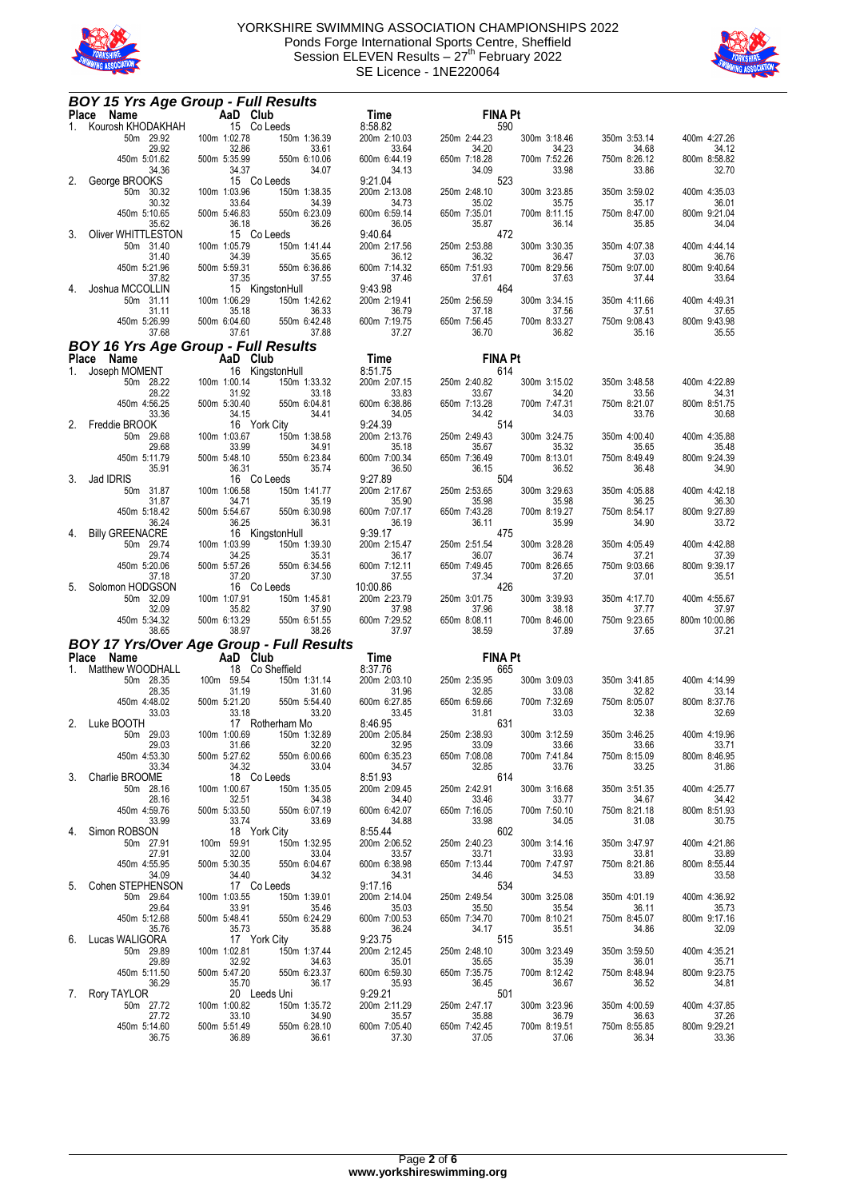



|             | <b>BOY 15 Yrs Age Group - Full Results</b> |                                           |                          |                          |                                                                                                                                                                       |                       |                       |                       |
|-------------|--------------------------------------------|-------------------------------------------|--------------------------|--------------------------|-----------------------------------------------------------------------------------------------------------------------------------------------------------------------|-----------------------|-----------------------|-----------------------|
|             | Place Name<br>and the company              | AaD Club                                  |                          | <b>Time</b>              | <b>FINA Pt</b>                                                                                                                                                        |                       |                       |                       |
| 1.          | Kourosh KHODAKHAH                          | 15 Co Leeds                               |                          | 8:58.82                  | 590                                                                                                                                                                   |                       |                       |                       |
|             | 50m 29.92<br>29.92                         | 100m 1:02.78<br>32.86                     | 150m 1:36.39<br>33.61    | 200m 2:10.03<br>33.64    | 250m 2:44.23<br>34.20                                                                                                                                                 | 300m 3:18.46<br>34.23 | 350m 3:53.14<br>34.68 | 400m 4:27.26<br>34.12 |
|             | 450m 5:01.62                               | 500m 5:35.99                              | 550m 6:10.06             | 600m 6:44.19             | 650m 7:18.28                                                                                                                                                          | 700m 7:52.26          | 750m 8:26.12          | 800m 8:58.82          |
|             | 34.36                                      | 34.37                                     | 34.07                    | 34.13                    | 34.09                                                                                                                                                                 | 33.98                 | 33.86                 | 32.70                 |
| 2.          | George BROOKS                              | 15 Co Leeds<br>100m 1:03.96               |                          | 9:21.04                  | 523                                                                                                                                                                   |                       |                       |                       |
|             | 50m 30.32<br>30.32                         | 33.64                                     | 150m 1:38.35<br>34.39    | 200m 2:13.08<br>34.73    | 250m 2:48.10<br>35.02                                                                                                                                                 | 300m 3:23.85<br>35.75 | 350m 3:59.02<br>35.17 | 400m 4:35.03<br>36.01 |
|             | 450m 5:10.65                               | 500m 5:46.83                              | 550m 6:23.09             | 600m 6:59.14             | 650m 7:35.01                                                                                                                                                          | 700m 8:11.15          | 750m 8:47.00          | 800m 9:21.04          |
|             | 35.62                                      | 36.18                                     | 36.26                    | 36.05                    | 35.87                                                                                                                                                                 | 36.14                 | 35.85                 | 34.04                 |
| 3.          | Oliver WHITTLESTON<br>50m 31.40            | 15 Co Leeds<br>100m 1:05.79               | 150m 1:41.44             | 9:40.64<br>200m 2:17.56  | 472<br>250m 2:53.88                                                                                                                                                   | 300m 3:30.35          | 350m 4:07.38          | 400m 4:44.14          |
|             | 31.40                                      | 34.39                                     | 35.65                    | 36.12                    | 36.32                                                                                                                                                                 | 36.47                 | 37.03                 | 36.76                 |
|             | 450m 5:21.96                               | 500m 5:59.31                              | 550m 6:36.86             | 600m 7:14.32             | 650m 7:51.93                                                                                                                                                          | 700m 8:29.56          | 750m 9:07.00          | 800m 9:40.64          |
| 4.          | 37.82<br>Joshua MCCOLLIN                   | 37.35                                     | 37.55<br>15 KingstonHull | 37.46<br>9:43.98         | 37.61<br>464                                                                                                                                                          | 37.63                 | 37.44                 | 33.64                 |
|             | 50m 31.11                                  | 100m 1:06.29                              | 150m 1:42.62             | 200m 2:19.41             | 250m 2:56.59                                                                                                                                                          | 300m 3:34.15          | 350m 4:11.66          | 400m 4:49.31          |
|             | 31.11                                      | 35.18                                     | 36.33                    | 36.79                    | 37.18                                                                                                                                                                 | 37.56                 | 37.51                 | 37.65                 |
|             | 450m 5:26.99<br>37.68                      | 500m 6:04.60<br>37.61                     | 550m 6:42.48<br>37.88    | 600m 7:19.75<br>37.27    | 650m 7:56.45<br>36.70                                                                                                                                                 | 700m 8:33.27<br>36.82 | 750m 9:08.43<br>35.16 | 800m 9:43.98<br>35.55 |
|             | <b>BOY 16 Yrs Age Group - Full Results</b> |                                           |                          |                          |                                                                                                                                                                       |                       |                       |                       |
|             | Place Name                                 |                                           |                          | Time                     | <b>FINA Pt</b>                                                                                                                                                        |                       |                       |                       |
| $1_{\cdot}$ | Joseph MOMENT                              | $T$ $AaD$ $Club$<br>T $16$ $KingstonHull$ |                          | 8:51.75                  | 614                                                                                                                                                                   |                       |                       |                       |
|             | 50m 28.22                                  | 100m 1:00.14                              | 150m 1:33.32             | 200m 2:07.15             | 250m 2:40.82                                                                                                                                                          | 300m 3:15.02          | 350m 3:48.58          | 400m 4:22.89          |
|             | 28.22                                      | 31.92<br>500m 5:30.40                     | 33.18<br>550m 6:04.81    | 33.83                    | 33.67                                                                                                                                                                 | 34.20                 | 33.56                 | 34.31                 |
|             | 450m 4:56.25<br>33.36                      | 34.15                                     | 34.41                    | 600m 6:38.86<br>34.05    | 650m 7:13.28<br>34.42                                                                                                                                                 | 700m 7:47.31<br>34.03 | 750m 8:21.07<br>33.76 | 800m 8:51.75<br>30.68 |
|             | 2. Freddie BROOK                           | 16 York City                              |                          | 9:24.39                  | 514                                                                                                                                                                   |                       |                       |                       |
|             | 50m 29.68                                  | 100m 1:03.67                              | 150m 1:38.58             | 200m 2:13.76             | 250m 2:49.43                                                                                                                                                          | 300m 3:24.75          | 350m 4:00.40          | 400m 4:35.88          |
|             | 29.68<br>450m 5:11.79                      | 33.99<br>500m 5:48.10                     | 34.91<br>550m 6:23.84    | 35.18<br>600m 7:00.34    | 35.67<br>650m 7:36.49                                                                                                                                                 | 35.32<br>700m 8:13.01 | 35.65<br>750m 8:49.49 | 35.48<br>800m 9:24.39 |
|             | 35.91                                      | 36.31                                     | 35.74                    | 36.50                    | 36.15                                                                                                                                                                 | 36.52                 | 36.48                 | 34.90                 |
| 3.          | Jad IDRIS                                  | 16 Co Leeds                               |                          | 9:27.89                  | 504                                                                                                                                                                   |                       |                       |                       |
|             | 50m 31.87<br>31.87                         | 100m 1:06.58<br>34.71                     | 150m 1:41.77<br>35.19    | 200m 2:17.67<br>35.90    | 250m 2:53.65<br>35.98                                                                                                                                                 | 300m 3:29.63<br>35.98 | 350m 4:05.88<br>36.25 | 400m 4:42.18<br>36.30 |
|             | 450m 5:18.42                               | 500m 5:54.67                              | 550m 6:30.98             | 600m 7:07.17             | 650m 7:43.28                                                                                                                                                          | 700m 8:19.27          | 750m 8:54.17          | 800m 9:27.89          |
|             | 36.24                                      | 36.25                                     | 36.31                    | 36.19                    | 36.11                                                                                                                                                                 | 35.99                 | 34.90                 | 33.72                 |
| 4.          | <b>Billy GREENACRE</b><br>50m 29.74        | 16 KingstonHull<br>100m 1:03.99           | 150m 1:39.30             | 9:39.17<br>200m 2:15.47  | 475<br>250m 2:51.54                                                                                                                                                   | 300m 3:28.28          | 350m 4:05.49          | 400m 4:42.88          |
|             | 29.74                                      | 34.25                                     | 35.31                    | 36.17                    | 36.07                                                                                                                                                                 | 36.74                 | 37.21                 | 37.39                 |
|             | 450m 5:20.06                               | 500m 5:57.26                              | 550m 6:34.56             | 600m 7:12.11             | 650m 7:49.45                                                                                                                                                          | 700m 8:26.65          | 750m 9:03.66          | 800m 9:39.17          |
|             | 37.18                                      | 37.20<br>16 Co Leeds                      | 37.30                    | 37.55                    | 37.34<br>426                                                                                                                                                          | 37.20                 | 37.01                 | 35.51                 |
| 5.          | Solomon HODGSON<br>50m 32.09               | 100m 1:07.91                              | 150m 1:45.81             | 10:00.86<br>200m 2:23.79 | 250m 3:01.75                                                                                                                                                          | 300m 3:39.93          | 350m 4:17.70          | 400m 4:55.67          |
|             | 32.09                                      | 35.82                                     | 37.90                    | 37.98                    | 37.96                                                                                                                                                                 | 38.18                 | 37.77                 | 37.97                 |
|             | 450m 5:34.32                               | 500m 6:13.29                              | 550m 6:51.55             | 600m 7:29.52             | 650m 8:08.11                                                                                                                                                          | 700m 8:46.00          | 750m 9:23.65          | 800m 10:00.86         |
|             | 38.65                                      | 38.97                                     | 38.26                    | 37.97                    | 38.59                                                                                                                                                                 | 37.89                 | 37.65                 | 37.21                 |
|             |                                            |                                           |                          | Time                     | <b>FINA Pt</b>                                                                                                                                                        |                       |                       |                       |
|             | 1. Matthew WOODHALL                        | 18 Co Sheffield                           |                          | 8:37.76                  | $\begin{array}{ll}\n 0.31.0 & 250 \text{m} & 250 \text{m} \\  31.96 & 650 \text{m} & 650 \text{m} \\  33.45 & 252.6 \text{m} & 252.6 \text{m} \\  \end{array}$<br>665 |                       |                       |                       |
|             | 50m 28.35                                  | 100m 59.54                                | 150m 1:31.14             | 200m 2:03.10             | 250m 2:35.95                                                                                                                                                          | 300m 3:09.03          | 350m 3:41.85          | 400m 4:14.99          |
|             | 28.35<br>450m 4:48.02                      | 31.19<br>500m 5:21.20                     | 31.60<br>550m 5:54.40    | 31.96<br>600m 6:27.85    | 32.85<br>650m 6:59.66                                                                                                                                                 | 33.08<br>700m 7:32.69 | 32.82<br>750m 8:05.07 | 33.14                 |
|             | 33.03                                      | 33.18                                     | 33.20                    | 33.45                    | 31.81                                                                                                                                                                 | 33.03                 | 32.38                 | 800m 8:37.76<br>32.69 |
|             | 2. Luke BOOTH                              |                                           | 17 Rotherham Mo          | 8:46.95                  | 631                                                                                                                                                                   |                       |                       |                       |
|             | 50m 29.03                                  | 100m 1:00.69                              | 150m 1:32.89             | 200m 2:05.84             | 250m 2:38.93                                                                                                                                                          | 300m 3:12.59          | 350m 3:46.25          | 400m 4:19.96          |
|             | 29.03<br>450m 4:53.30                      | 31.66<br>500m 5:27.62                     | 32.20<br>550m 6:00.66    | 32.95<br>600m 6:35.23    | 33.09<br>650m 7:08.08                                                                                                                                                 | 33.66<br>700m 7:41.84 | 33.66<br>750m 8:15.09 | 33.71<br>800m 8:46.95 |
|             | 33.34                                      | 34.32                                     | 33.04                    | 34.57                    | 32.85                                                                                                                                                                 | 33.76                 | 33.25                 | 31.86                 |
| 3.          | Charlie BROOME                             | 18 Co Leeds                               |                          | 8:51.93                  | 614                                                                                                                                                                   |                       |                       |                       |
|             | 50m 28.16<br>28.16                         | 100m 1:00.67<br>32.51                     | 150m 1:35.05<br>34.38    | 200m 2:09.45<br>34.40    | 250m 2:42.91<br>33.46                                                                                                                                                 | 300m 3:16.68<br>33.77 | 350m 3:51.35<br>34.67 | 400m 4:25.77<br>34.42 |
|             | 450m 4:59.76                               | 500m 5:33.50                              | 550m 6:07.19             | 600m 6:42.07             | 650m 7:16.05                                                                                                                                                          | 700m 7:50.10          | 750m 8:21.18          | 800m 8:51.93          |
|             | 33.99                                      | 33.74                                     | 33.69                    | 34.88                    | 33.98                                                                                                                                                                 | 34.05                 | 31.08                 | 30.75                 |
| 4.          | Simon ROBSON<br>50m 27.91                  | 18 York City<br>100m 59.91                | 150m 1:32.95             | 8:55.44<br>200m 2:06.52  | 602<br>250m 2:40.23                                                                                                                                                   | 300m 3:14.16          | 350m 3:47.97          | 400m 4:21.86          |
|             | 27.91                                      | 32.00                                     | 33.04                    | 33.57                    | 33.71                                                                                                                                                                 | 33.93                 | 33.81                 | 33.89                 |
|             | 450m 4:55.95                               | 500m 5:30.35                              | 550m 6:04.67             | 600m 6:38.98             | 650m 7:13.44                                                                                                                                                          | 700m 7:47.97          | 750m 8:21.86          | 800m 8:55.44          |
| 5.          | 34.09<br>Cohen STEPHENSON                  | 34.40<br>17 Co Leeds                      | 34.32                    | 34.31<br>9:17.16         | 34.46<br>534                                                                                                                                                          | 34.53                 | 33.89                 | 33.58                 |
|             | 50m 29.64                                  | 100m 1:03.55                              | 150m 1:39.01             | 200m 2:14.04             | 250m 2:49.54                                                                                                                                                          | 300m 3:25.08          | 350m 4:01.19          | 400m 4:36.92          |
|             | 29.64                                      | 33.91                                     | 35.46                    | 35.03                    | 35.50                                                                                                                                                                 | 35.54                 | 36.11                 | 35.73                 |
|             | 450m 5:12.68<br>35.76                      | 500m 5:48.41<br>35.73                     | 550m 6:24.29<br>35.88    | 600m 7:00.53<br>36.24    | 650m 7:34.70<br>34.17                                                                                                                                                 | 700m 8:10.21<br>35.51 | 750m 8:45.07<br>34.86 | 800m 9:17.16<br>32.09 |
| 6.          | Lucas WALIGORA                             | 17 York City                              |                          | 9:23.75                  | 515                                                                                                                                                                   |                       |                       |                       |
|             | 50m 29.89                                  | 100m 1:02.81                              | 150m 1:37.44             | 200m 2:12.45             | 250m 2:48.10                                                                                                                                                          | 300m 3:23.49          | 350m 3:59.50          | 400m 4:35.21          |
|             | 29.89<br>450m 5:11.50                      | 32.92<br>500m 5:47.20                     | 34.63<br>550m 6:23.37    | 35.01<br>600m 6:59.30    | 35.65<br>650m 7:35.75                                                                                                                                                 | 35.39<br>700m 8:12.42 | 36.01<br>750m 8:48.94 | 35.71<br>800m 9:23.75 |
|             | 36.29                                      | 35.70                                     | 36.17                    | 35.93                    | 36.45                                                                                                                                                                 | 36.67                 | 36.52                 | 34.81                 |
|             | 7. Rory TAYLOR                             | 20 Leeds Uni                              |                          | 9:29.21                  | 501                                                                                                                                                                   |                       |                       |                       |
|             | 50m 27.72<br>27.72                         | 100m 1:00.82<br>33.10                     | 150m 1:35.72<br>34.90    | 200m 2:11.29<br>35.57    | 250m 2:47.17<br>35.88                                                                                                                                                 | 300m 3:23.96<br>36.79 | 350m 4:00.59<br>36.63 | 400m 4:37.85<br>37.26 |
|             | 450m 5:14.60                               | 500m 5:51.49                              | 550m 6:28.10             | 600m 7:05.40             | 650m 7:42.45                                                                                                                                                          | 700m 8:19.51          | 750m 8:55.85          | 800m 9:29.21          |
|             | 36.75                                      | 36.89                                     | 36.61                    | 37.30                    | 37.05                                                                                                                                                                 | 37.06                 | 36.34                 | 33.36                 |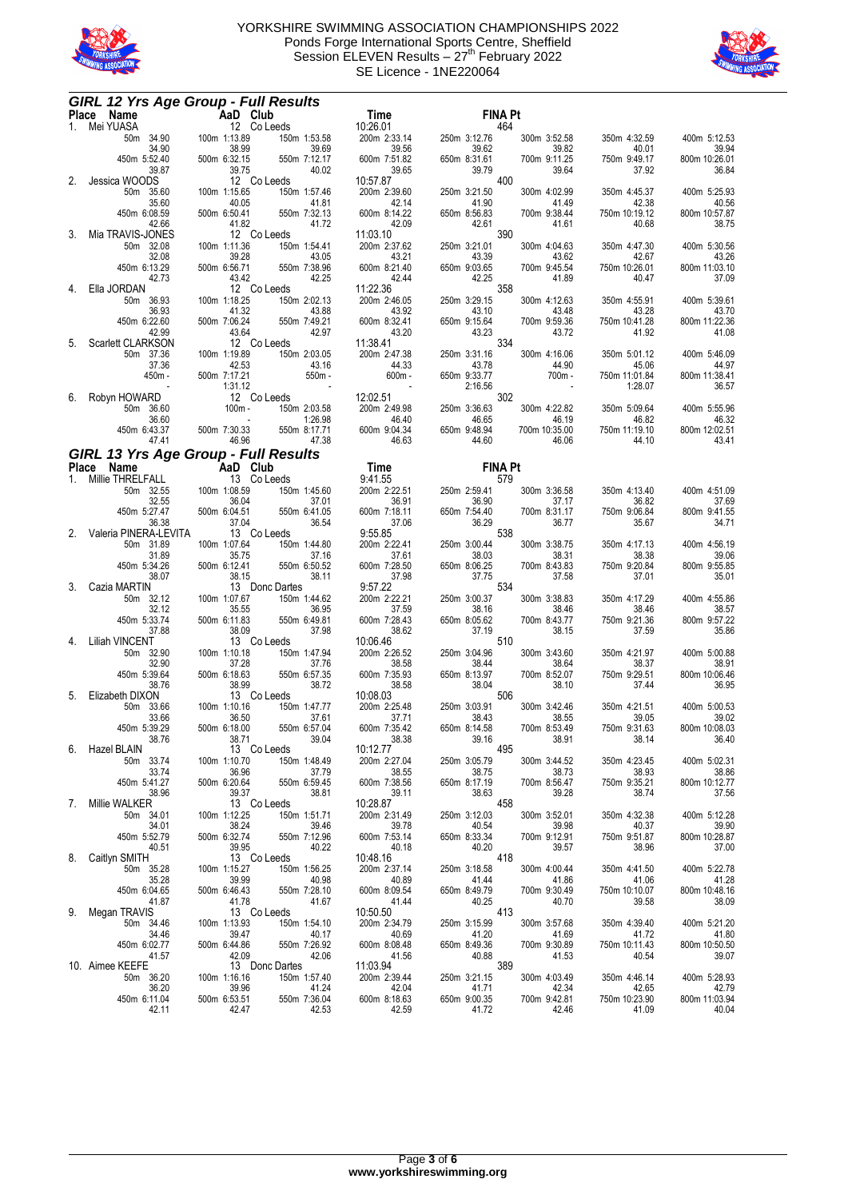



|    | <b>GIRL 12 Yrs Age Group - Full Results</b>                                                                                                                                                                                                                                    |                                                          |                                                       |                          | <b>Time</b><br>10:26.01 1648<br>10:26.01 1648<br>10:26.01 1649<br>10:26.01 33.68 200m 2:33.14 250m 3:12.76 164<br>39.65 39.65 39.79<br>31.61 40.02 39.65 39.79 400<br>39.79 10:57.87 400<br>39.79 250m 3:21.50<br>00m 1:57.46 200m 2:39.60 250m 3:21.                                                   |                       |                                                                             |                        |
|----|--------------------------------------------------------------------------------------------------------------------------------------------------------------------------------------------------------------------------------------------------------------------------------|----------------------------------------------------------|-------------------------------------------------------|--------------------------|---------------------------------------------------------------------------------------------------------------------------------------------------------------------------------------------------------------------------------------------------------------------------------------------------------|-----------------------|-----------------------------------------------------------------------------|------------------------|
|    | 1.13.89<br><b>AD Club</b><br>ASA 12 Co Leeds<br>50m 34.90 100m 1:13.89 150m<br>34.90 38.99<br>50m 5:52.40 500m 6:32.15 550m<br>Place Name                                                                                                                                      |                                                          |                                                       |                          |                                                                                                                                                                                                                                                                                                         |                       |                                                                             |                        |
|    | 1. Mei YUASA                                                                                                                                                                                                                                                                   |                                                          | 150m 1:53.58                                          |                          |                                                                                                                                                                                                                                                                                                         | 300m 3:52.58          | 350m 4:32.59                                                                | 400m 5:12.53           |
|    |                                                                                                                                                                                                                                                                                |                                                          |                                                       |                          |                                                                                                                                                                                                                                                                                                         | 39.82                 | 40.01                                                                       | 39.94                  |
|    | 450m 5:52.40                                                                                                                                                                                                                                                                   |                                                          | 550m 7:12.17                                          |                          |                                                                                                                                                                                                                                                                                                         | 700m 9:11.25          | 750m 9:49.17                                                                | 800m 10:26.01          |
| 2. | 39.87<br>Jessica WOODS                                                                                                                                                                                                                                                         |                                                          |                                                       |                          |                                                                                                                                                                                                                                                                                                         | 39.64                 | 37.92                                                                       | 36.84                  |
|    | 50m 35.60                                                                                                                                                                                                                                                                      |                                                          | 150m 1:57.46                                          |                          |                                                                                                                                                                                                                                                                                                         | 300m 4:02.99          | 350m 4:45.37                                                                | 400m 5:25.93           |
|    | 35.60<br>450m 6:08.59                                                                                                                                                                                                                                                          | 40.05<br>500m 6:50.41                                    | 550m 7:32.13                                          | 600m 8:14.22             |                                                                                                                                                                                                                                                                                                         | 41.49<br>700m 9:38.44 | 42.38<br>750m 10:19.12                                                      | 40.56<br>800m 10:57.87 |
|    | 42.66                                                                                                                                                                                                                                                                          | 41.82                                                    | 41.72                                                 | 42.09                    |                                                                                                                                                                                                                                                                                                         | 41.61                 | 40.68                                                                       | 38.75                  |
| 3. | Mia TRAVIS-JONES                                                                                                                                                                                                                                                               | 12 Co Leeds                                              |                                                       | 11:03.10                 |                                                                                                                                                                                                                                                                                                         |                       |                                                                             |                        |
|    | 50m 32.08<br>32.08                                                                                                                                                                                                                                                             | 100m 1:11.36<br>39.28                                    | 150m 1:54.41<br>43.05                                 | 200m 2:37.62             | $650m$ 42.61<br>42.61 390<br>$\begin{array}{cccc}\n & -0.4 & 0.21.01 \\  & -0.21 & 43.39 \\  & 42.44 & 650 \text{m} & 9.03.65 \\  & 42.44 & 42.25 \\  & 42.25 & 358 \\  & 200 \text{m} & 2.46.05 & 250 \text{m} & 3.29.15\n\end{array}$                                                                 | 300m 4:04.63<br>43.62 | 350m 4:47.30<br>42.67                                                       | 400m 5:30.56<br>43.26  |
|    | 450m 6:13.29                                                                                                                                                                                                                                                                   |                                                          | 43.05<br>550m 7:38.96                                 |                          |                                                                                                                                                                                                                                                                                                         | 700m 9:45.54          | 750m 10:26.01                                                               | 800m 11:03.10          |
| 4. | 42.73<br>Ella JORDAN                                                                                                                                                                                                                                                           |                                                          | 42.25                                                 |                          |                                                                                                                                                                                                                                                                                                         | 41.89                 | 40.47                                                                       | 37.09                  |
|    | 50m 36.93                                                                                                                                                                                                                                                                      | Sourn 0:56.71 550r.<br>43.42 12 Co Leeds<br>100m 1:18.25 | 150m 2:02.13                                          |                          | 200m 2:46.05<br>43.92<br>600m 8:32.41<br>43.20<br>11:38.41<br>200m 2:47.38<br>250m 3:31.16<br>250m 3:31.16<br>250m 3:31.16<br>250m 3:31.16<br>250m 3:31.16<br>250m 3:31.16                                                                                                                              | 300m 4:12.63          | 350m 4:55.91                                                                | 400m 5:39.61           |
|    | 36.93                                                                                                                                                                                                                                                                          | 41.32                                                    | 43.88                                                 |                          |                                                                                                                                                                                                                                                                                                         | 43.48                 | 43.28                                                                       | 43.70                  |
|    | 450m 6:22.60<br>42.99                                                                                                                                                                                                                                                          | 500m 7:06.24                                             | 43.88<br>550m 7:49.21<br>42.97<br>42.97               |                          |                                                                                                                                                                                                                                                                                                         | 700m 9:59.36<br>43.72 | 750m 10:41.28<br>41.92                                                      | 800m 11:22.36<br>41.08 |
| 5. | Scarlett CLARKSON                                                                                                                                                                                                                                                              | $\frac{43.64}{12}$<br>12 Co Leeds                        |                                                       |                          |                                                                                                                                                                                                                                                                                                         |                       |                                                                             |                        |
|    |                                                                                                                                                                                                                                                                                |                                                          |                                                       |                          |                                                                                                                                                                                                                                                                                                         |                       | 350m 5:01.12                                                                | 400m 5:46.09<br>44.97  |
|    |                                                                                                                                                                                                                                                                                |                                                          |                                                       |                          |                                                                                                                                                                                                                                                                                                         |                       | 45.06<br>750m 11:01.84                                                      | 800m 11:38.41          |
|    |                                                                                                                                                                                                                                                                                |                                                          |                                                       |                          |                                                                                                                                                                                                                                                                                                         |                       | 1:28.07                                                                     | 36.57                  |
|    |                                                                                                                                                                                                                                                                                |                                                          |                                                       |                          |                                                                                                                                                                                                                                                                                                         |                       | 350m 5:09.64                                                                | 400m 5:55.96           |
|    |                                                                                                                                                                                                                                                                                |                                                          |                                                       |                          |                                                                                                                                                                                                                                                                                                         |                       | 46.82                                                                       | 46.32                  |
|    |                                                                                                                                                                                                                                                                                |                                                          |                                                       |                          |                                                                                                                                                                                                                                                                                                         |                       | $\frac{46.19}{20000}$<br>0.35.00 750m 11<br>46.06<br>750m 11:19.10<br>44.10 | 800m 12:02.51<br>43.41 |
|    |                                                                                                                                                                                                                                                                                |                                                          |                                                       |                          |                                                                                                                                                                                                                                                                                                         |                       |                                                                             |                        |
|    | 334<br>334<br>37.36<br>37.36<br>43.78<br>43.78<br>43.78<br>44.90<br>450m 3.31.16<br>44.30<br>450m 3.31.16<br>44.80<br>450m 3.36<br>560m 3.32<br>560m 3.32<br>560m 3.32<br>560m 3.32<br>560m 3.32<br>560m 3.32<br>560m 3.32<br>560m 3.32<br>46.60<br>500m 100m-<br>100m-<br>150 |                                                          |                                                       |                          | Time FINA Pt<br>9:41.55 579<br>200m 2:22.51 250m 2:59.41 579<br>600m 7:18.11 650m 7:54.40 7<br>9:55.85 200m 2:22.41 250m 3:00.44 37.61 250m 3:00.44 37.61 650m 3:00.45                                                                                                                                  |                       |                                                                             |                        |
|    | <b>Place Name AaD Club</b><br>1. Millie THRELFALL 13 Co Leeds<br>50m 32.55 100m 1:08.59 150n<br>32.55 36.04 450m 52.747 500m 6:04.51<br>36.38 36.04 550m                                                                                                                       |                                                          |                                                       |                          |                                                                                                                                                                                                                                                                                                         |                       |                                                                             |                        |
|    |                                                                                                                                                                                                                                                                                |                                                          | 150m 1:45.60<br>150m 1:45.60<br>37.01<br>550m 6:41.05 |                          | 250m 2:59.41 36.90<br>36.90<br>650m 7:54.40 7<br>36.29                                                                                                                                                                                                                                                  | 300m 3:36.58<br>37.17 | 350m 4:13.40<br>36.82                                                       | 400m 4:51.09<br>37.69  |
|    |                                                                                                                                                                                                                                                                                |                                                          |                                                       |                          |                                                                                                                                                                                                                                                                                                         | 700m 8:31.17          | 750m 9:06.84                                                                | 800m 9:41.55           |
|    | 36.38                                                                                                                                                                                                                                                                          | 37.04                                                    | 36.54                                                 |                          |                                                                                                                                                                                                                                                                                                         | 36.77                 | 35.67                                                                       | 34.71                  |
| 2. | 36.38<br>Valeria PINERA-LEVITA<br>50m 31.89                                                                                                                                                                                                                                    | 13 Co Leeds<br>100m 1:07.64                              | 150m 1:44.80                                          |                          |                                                                                                                                                                                                                                                                                                         | 300m 3:38.75          | 350m 4:17.13                                                                | 400m 4:56.19           |
|    | 31.89                                                                                                                                                                                                                                                                          | 35.75                                                    | 37.16                                                 | 200m 2:22.41<br>37.61    | 250m 3:00.44 30<br>38.03<br>650m 8:06.25 70                                                                                                                                                                                                                                                             | 38.31                 | 38.38                                                                       | 39.06                  |
|    | 450m 5:34.26                                                                                                                                                                                                                                                                   | 500m 6:12.41                                             | 550m 6:50.52                                          | 600m 7:28.50             |                                                                                                                                                                                                                                                                                                         | 700m 8:43.83<br>37.58 | 750m 9:20.84                                                                | 800m 9:55.85           |
| 3. | 38.07<br>Cazia MARTIN                                                                                                                                                                                                                                                          | $38.15$<br>13 Donc Dartes                                | 38.11                                                 | 37.98<br>9:57.22         | 37.75<br>37.75<br>534                                                                                                                                                                                                                                                                                   |                       | 37.01                                                                       | 35.01                  |
|    | 50m 32.12                                                                                                                                                                                                                                                                      | 100m 1:07.67                                             | 150m 1:44.62<br>36.95<br>550m 6:49.81                 | 200m 2:22.21             | 250m 3:00.37<br>38.16<br>650m 8:05.62<br>37.19                                                                                                                                                                                                                                                          | 300m 3:38.83          | 350m 4:17.29                                                                | 400m 4:55.86           |
|    | 32.12<br>450m 5:33.74                                                                                                                                                                                                                                                          | 35.55<br>500m 6:11.83                                    |                                                       | 37.59<br>600m 7:28.43    |                                                                                                                                                                                                                                                                                                         | 38.46<br>700m 8:43.77 | 38.46<br>750m 9:21.36                                                       | 38.57<br>800m 9:57.22  |
|    | 37.88                                                                                                                                                                                                                                                                          | 38.09                                                    | 37.98                                                 |                          |                                                                                                                                                                                                                                                                                                         | 38.15                 | 37.59                                                                       | 35.86                  |
| 4. | <b>Liliah VINCENT</b>                                                                                                                                                                                                                                                          | 38.09<br>13 Colleeds<br>100m 1:10.18                     | 150m 1:47.94                                          |                          | $\begin{array}{llll} & & 37.19 & \\ \text{0.00m} & 2.26.52 & 250\text{m} & 3.04.96 \\ & 38.58 & 38.44 & 38.54 \\ \text{600m} & 7.35.93 & 650\text{m} & 8.13.97 \\ & 38.58 & 38.04 & 38.04 \\ \text{10.08.03} & 200\text{m} & 2.25.48 & 250\text{m} & 3.03.91 \\ & 37.71 & 250\text{m} & 3.03.91 & 37.7$ |                       |                                                                             |                        |
|    | 50m 32.90<br>32.90                                                                                                                                                                                                                                                             | 37.28                                                    | 37.76                                                 |                          |                                                                                                                                                                                                                                                                                                         | 300m 3:43.60<br>38.64 | 350m 4:21.97<br>38.37                                                       | 400m 5:00.88<br>38.91  |
|    | 450m 5:39.64                                                                                                                                                                                                                                                                   | 500m 6:18.63                                             | 550m 6:57.35                                          |                          |                                                                                                                                                                                                                                                                                                         | 700m 8:52.07          | 750m 9:29.51                                                                | 800m 10:06.46          |
| 5. | 38.76<br>Elizabeth DIXON                                                                                                                                                                                                                                                       | 38.99<br>13 Co Leeds<br>100m 1:10.16 150m                | 38.72                                                 |                          |                                                                                                                                                                                                                                                                                                         | 38.10                 | 37.44                                                                       | 36.95                  |
|    | 50m 33.66                                                                                                                                                                                                                                                                      |                                                          | 150m 1:47.77                                          | 200m 2:25.48             |                                                                                                                                                                                                                                                                                                         | 300m 3:42.46          | 350m 4:21.51                                                                | 400m 5:00.53           |
|    | 33.66                                                                                                                                                                                                                                                                          | 36.50<br>500m 6:18.00                                    | 37.61<br>550m 6:57.04                                 | 600m 7:35.42             | 650m 8:14.58 700m 8:53.49                                                                                                                                                                                                                                                                               | 38.55                 | 39.05<br>750m 9:31.63                                                       | 39.02<br>800m 10:08.03 |
|    | 450m 5:39.29<br>38.76                                                                                                                                                                                                                                                          |                                                          | 38.71<br>39.04                                        | 38.38                    | 39.16                                                                                                                                                                                                                                                                                                   | 38.91                 | 38.14                                                                       | 36.40                  |
| 6. | Hazel BLAIN                                                                                                                                                                                                                                                                    |                                                          | 13 Co Leeds                                           | 10:12.77                 | 495                                                                                                                                                                                                                                                                                                     |                       |                                                                             |                        |
|    | 50m 33.74<br>33.74                                                                                                                                                                                                                                                             |                                                          |                                                       | 200m 2:27.04<br>38.55    | 250m 3:05.79                                                                                                                                                                                                                                                                                            | 300m 3:44.52<br>38.73 | 350m 4:23.45<br>38.93                                                       | 400m 5:02.31<br>38.86  |
|    | 450m 5:41.27                                                                                                                                                                                                                                                                   |                                                          |                                                       | 600m 7:38.56             | 38.75<br>38.75<br>650m 8:17.19 700<br>38.63<br>38.63                                                                                                                                                                                                                                                    | 700m 8:56.47          | 750m 9:35.21                                                                | 800m 10:12.77          |
| 7. | 38.96<br>Millie WALKER                                                                                                                                                                                                                                                         | $39.37$<br>13 Co Leeds                                   |                                                       | 39.11<br>10:28.87        |                                                                                                                                                                                                                                                                                                         | 39.28                 | 38.74                                                                       | 37.56                  |
|    | 50m 34.01                                                                                                                                                                                                                                                                      | 100m 1:12.25                                             | 150m 1:51.71                                          | 200m 2:31.49             | 250m 3:12.03                                                                                                                                                                                                                                                                                            | 300m 3:52.01          | 350m 4:32.38                                                                | 400m 5:12.28           |
|    | 34.01                                                                                                                                                                                                                                                                          | 38.24                                                    | 39.46<br>550m 7:12.96                                 | 39.78                    | 40.54                                                                                                                                                                                                                                                                                                   | 39.98                 | 40.37                                                                       | 39.90                  |
|    | 450m 5:52.79<br>40.51                                                                                                                                                                                                                                                          | 500m 6:32.74                                             | 40.22                                                 | 600m 7:53.14<br>40.18    | 650m 8:33.34<br>40.20                                                                                                                                                                                                                                                                                   | 700m 9:12.91<br>39.57 | 750m 9:51.87<br>38.96                                                       | 800m 10:28.87<br>37.00 |
| 8. | Caitlyn SMITH                                                                                                                                                                                                                                                                  | 39.95<br>13 Co Leeds                                     |                                                       | 10:48.16                 | $40.20$ 418                                                                                                                                                                                                                                                                                             |                       |                                                                             |                        |
|    | 50m 35.28<br>35.28                                                                                                                                                                                                                                                             | 100m 1:15.27<br>39.99                                    | 150m 1:56.25<br>40.98                                 | 200m 2:37.14<br>40.89    | 250m 3:18.58<br>41.44                                                                                                                                                                                                                                                                                   | 300m 4:00.44<br>41.86 | 350m 4:41.50<br>41.06                                                       | 400m 5:22.78<br>41.28  |
|    | 450m 6:04.65                                                                                                                                                                                                                                                                   | 500m 6:46.43                                             | 550m 7:28.10                                          | 600m 8:09.54             | 650m 8:49.79                                                                                                                                                                                                                                                                                            | 700m 9:30.49          | 750m 10:10.07                                                               | 800m 10:48.16          |
|    | 41.87                                                                                                                                                                                                                                                                          | 41.78<br>13 Co Leeds                                     | 41.67                                                 | 41.44                    | $40.25$ 413                                                                                                                                                                                                                                                                                             | 40.70                 | 39.58                                                                       | 38.09                  |
|    | 9. Megan TRAVIS<br>50m 34.46                                                                                                                                                                                                                                                   | 100m 1:13.93                                             | 150m 1:54.10                                          | 10:50.50<br>200m 2:34.79 | 250m 3:15.99                                                                                                                                                                                                                                                                                            | 300m 3:57.68          | 350m 4:39.40                                                                | 400m 5:21.20           |
|    | 34.46                                                                                                                                                                                                                                                                          | 39.47                                                    | 40.17                                                 | 40.69                    | 41.20                                                                                                                                                                                                                                                                                                   | 41.69                 | 41.72                                                                       | 41.80                  |
|    | 450m 6:02.77<br>41.57                                                                                                                                                                                                                                                          | 500m 6:44.86                                             | 550m 7:26.92<br>42.06                                 | 600m 8:08.48<br>41.56    | 650m 8:49.36                                                                                                                                                                                                                                                                                            | 700m 9:30.89<br>41.53 | 750m 10:11.43<br>40.54                                                      | 800m 10:50.50<br>39.07 |
|    | 10. Aimee KEEFE                                                                                                                                                                                                                                                                | 42.09<br>13 Г                                            | 13 Donc Dartes                                        | 11:03.94                 | 40.88 389                                                                                                                                                                                                                                                                                               |                       |                                                                             |                        |
|    | 50m 36.20                                                                                                                                                                                                                                                                      | 100m 1:16.16                                             | 150m 1:57.40                                          | 200m 2:39.44             | 250m 3:21.15                                                                                                                                                                                                                                                                                            | 300m 4:03.49          | 350m 4:46.14                                                                | 400m 5:28.93           |
|    | 36.20<br>450m 6:11.04                                                                                                                                                                                                                                                          | 39.96<br>500m 6:53.51                                    | 41.24<br>550m 7:36.04                                 | 42.04<br>600m 8:18.63    | 41.71<br>650m 9:00.35                                                                                                                                                                                                                                                                                   | 42.34<br>700m 9:42.81 | 42.65<br>750m 10:23.90                                                      | 42.79<br>800m 11:03.94 |
|    | 42.11                                                                                                                                                                                                                                                                          | 42.47                                                    | 42.53                                                 | 42.59                    | 41.72                                                                                                                                                                                                                                                                                                   | 42.46                 | 41.09                                                                       | 40.04                  |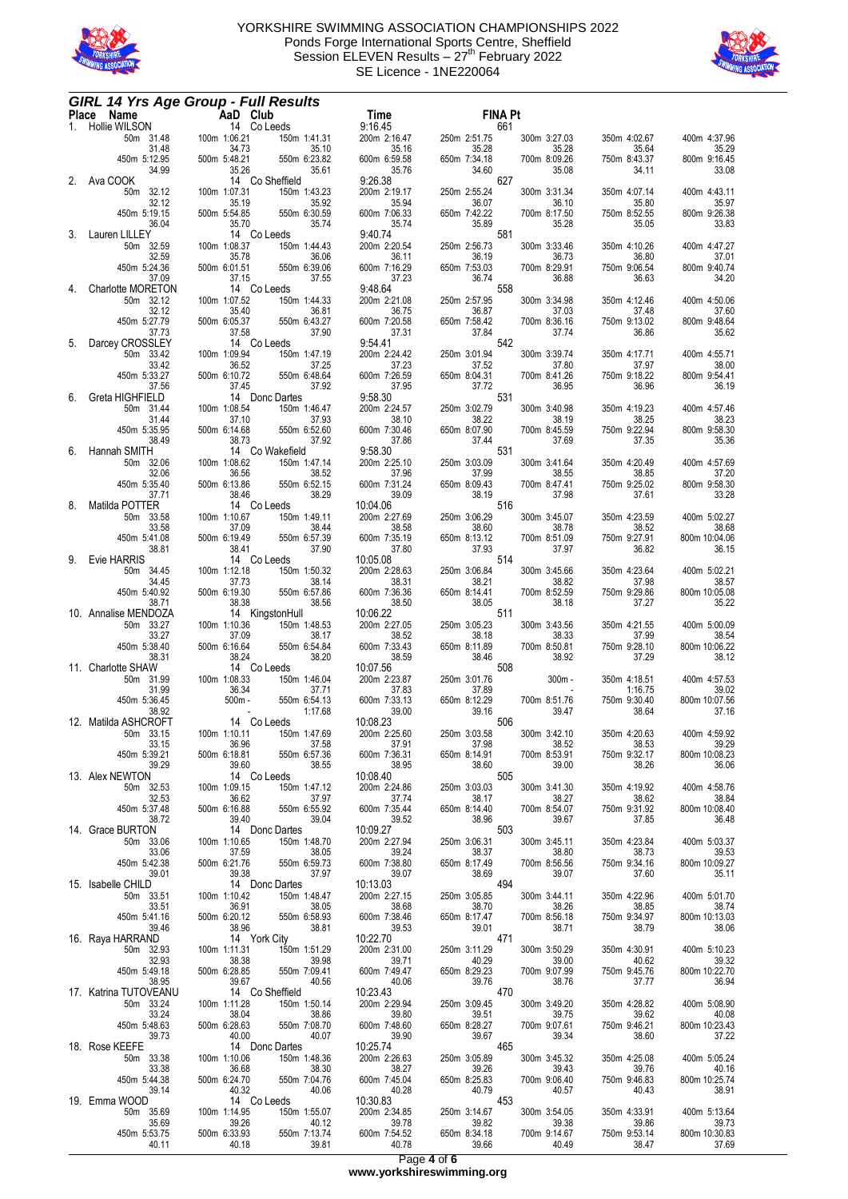



|    |                                | <b>GIRL 14 Yrs Age Group - Full Results</b>               |                                     |                                                           |                         |                        |
|----|--------------------------------|-----------------------------------------------------------|-------------------------------------|-----------------------------------------------------------|-------------------------|------------------------|
|    | Place Name<br>1. Hollie WILSON | <b>Aab Club</b><br>14 Co Leeds<br>31.48 100m 1:06.21 150n | $\frac{1}{9.16}$ and $\frac{1}{46}$ | <b>FINA Pt</b><br>661                                     |                         |                        |
|    | 50m 31.48                      | 150m 1:41.31                                              |                                     | 9:16.45<br>200m 2:16.47 250m 2:51.75<br>300m 3:27.03      | 350m 4:02.67            | 400m 4:37.96           |
|    | 31.48<br>450m 5:12.95          | 35.10<br>34.73<br>500m 5:48.21<br>550m 6:23.82            | 35.16<br>600m 6:59.58               | 35.28<br>35.28<br>650m 7:34.18<br>700m 8:09.26            | 35.64<br>750m 8:43.37   | 35.29<br>800m 9:16.45  |
|    | 34.99                          | 35.26<br>35.61                                            | 35.76                               | 34.60<br>35.08                                            | 34.11                   | 33.08                  |
| 2. | Ava COOK<br>50m 32.12          | 14 Co Sheffield<br>150m 1:43.23<br>100m 1:07.31           | 9:26.38<br>200m 2:19.17             | 627<br>250m 2:55.24<br>300m 3:31.34                       | 350m 4:07.14            | 400m 4:43.11           |
|    | 32.12                          | 35.19<br>35.92                                            | 35.94                               | 36.07<br>36.10                                            | 35.80                   | 35.97                  |
|    | 450m 5:19.15<br>36.04          | 500m 5:54.85<br>550m 6:30.59<br>35.70<br>35.74            | 600m 7:06.33<br>35.74               | 650m 7:42.22<br>700m 8:17.50<br>$+2.22$<br>35.89<br>35.28 | 750m 8:52.55<br>35.05   | 800m 9:26.38<br>33.83  |
| 3. | Lauren LILLEY                  | $35.70$<br>14 Co Leeds                                    | 9:40.74                             | 35.89<br>581                                              |                         |                        |
|    | 50m 32.59<br>32.59             | 100m 1:08.37<br>150m 1:44.43<br>35.78<br>36.06            | 200m 2:20.54<br>36.11               | 250m 2:56.73<br>300m 3:33.46<br>36.19<br>36.73            | 350m 4:10.26<br>36.80   | 400m 4:47.27<br>37.01  |
|    | 450m 5:24.36                   | 550m 6:39.06<br>500m 6:01.51                              | 600m 7:16.29                        | 650m 7:53.03<br>700m 8:29.91                              | 750m 9:06.54            | 800m 9:40.74           |
| 4. | 37.09<br>Charlotte MORETON     | 37.15<br>37.55<br>14 Co Leeds                             | 37.23<br>9:48.64                    | 36.88<br>36.74<br>558                                     | 36.63                   | 34.20                  |
|    | 50m 32.12                      | 100m 1:07.52<br>150m 1:44.33                              | 200m 2:21.08                        | 250m 2:57.95<br>300m 3:34.98                              | 350m 4:12.46            | 400m 4:50.06           |
|    | 32.12<br>450m 5:27.79          | 36.81<br>35.40<br>550m 6:43.27<br>500m 6:05.37            | 36.75<br>600m 7:20.58               | 36.87<br>37.03<br>650m 7:58.42<br>700m 8:36.16            | 37.48<br>750m 9:13.02   | 37.60<br>800m 9:48.64  |
|    | 37.73                          | 37.58<br>37.90                                            | 37.31                               | 37.84<br>542<br>37.74                                     | 36.86                   | 35.62                  |
| 5. | Darcey CROSSLEY<br>50m 33.42   | 14 Co Leeds<br>100m 1:09.94<br>150m 1:47.19               | 9:54.41<br>200m 2:24.42             | 250m 3:01.94<br>300m 3:39.74                              | 350m 4:17.71            | 400m 4:55.71           |
|    | 33.42                          | 36.52<br>37.25<br>550m 6:48.64                            | 37.23<br>600m 7:26.59               | 37.52<br>37.80                                            | 37.97                   | 38.00                  |
|    | 450m 5:33.27<br>37.56          | 500m 6:10.72<br>37.45<br>37.92                            | 37.95                               | $650m$ $8:04.31$<br>700m 8:41.26<br>36.95<br>37.72        | 750m 9:18.22<br>36.96   | 800m 9:54.41<br>36.19  |
| 6. | Greta HIGHFIELD<br>50m 31.44   | 14 Donc Dartes<br>150m 1:46.47<br>100m 1:08.54            | 9:58.30<br>200m 2:24.57             | 531<br>250m 3:02.79<br>300m 3:40.98                       |                         | 400m 4:57.46           |
|    | 31.44                          | 37.10<br>37.93                                            | 38.10                               | 38.22<br>38.19                                            | 350m 4:19.23<br>38.25   | 38.23                  |
|    | 450m 5:35.95<br>38.49          | 550m 6:52.60<br>500m 6:14.68<br>37.92<br>38.73            | 600m 7:30.46<br>37.86               | 650m 8:07.90<br>700m 8:45.59<br>37.44<br>37.69            | 750m 9:22.94<br>37.35   | 800m 9:58.30<br>35.36  |
| 6. | Hannah SMITH                   | <sub>oo.r</sub> .<br>14 Co Wakefield<br>150m 1            | 9:58.30                             | 31.44<br>531                                              |                         |                        |
|    | 50m 32.06<br>32.06             | 100m 1:08.62<br>150m 1:47.14<br>36.56<br>38.52            | 200m 2:25.10<br>37.96               | 250m 3:03.09<br>300m 3:41.64<br>38.55<br>37.99            | 350m 4:20.49<br>38.85   | 400m 4:57.69<br>37.20  |
|    | 450m 5:35.40                   | 500m 6:13.86<br>550m 6:52.15                              | 600m 7:31.24                        | 650m 8:09.43<br>700m 8:47.41                              | 750m 9:25.02            | 800m 9:58.30           |
| 8. | 37.71<br>Matilda POTTER        | 38.29<br>38.46<br>14 Co Leeds                             | 39.09<br>10:04.06                   | 38.19<br>37.98<br>38.19<br>516                            | 37.61                   | 33.28                  |
|    | 50m 33.58                      | 150m 1:49.11<br>100m 1:10.67                              | 200m 2:27.69                        | 250m 3:06.29<br>300m 3:45.07                              | 350m 4:23.59            | 400m 5:02.27           |
|    | 33.58<br>450m 5:41.08          | 37.09<br>38.44<br>550m 6:57.39<br>500m 6:19.49            | 38.58<br>600m 7:35.19               | 38.60<br>38.78<br>700m 8:51.09<br>650m 8:13.12            | 38.52<br>750m 9:27.91   | 38.68<br>800m 10:04.06 |
|    | 38.81                          | 37.90<br>38.41<br>14 Co Leeds                             | 37.80                               | 37.97<br>$37.93$<br>$514$                                 | 36.82                   | 36.15                  |
| 9. | Evie HARRIS<br>50m 34.45       | 100m 1:12.18<br>150m 1:50.32                              | 10:05.08<br>200m 2:28.63            | 250m 3:06.84<br>300m 3:45.66                              | 350m 4:23.64            | 400m 5:02.21           |
|    | 34.45                          | 37.73<br>38.14<br>550m 6:57.86                            | 38.31<br>600m 7:36.36               | 38.21<br>38.82                                            | 37.98                   | 38.57                  |
|    | 450m 5:40.92<br>38.71          | 500m 6:19.30<br>38.56<br>38.38                            | 38.50                               | 650m 8:14.41<br>700m 8:52.59<br>38.05<br>38.18            | 750m 9:29.86<br>37.27   | 800m 10:05.08<br>35.22 |
|    | 10. Annalise MENDOZA           | 14 KingstonHull<br>150m 1:48.53                           | 10:06.22                            | $\frac{1}{2}$ 511                                         |                         |                        |
|    | 50m 33.27<br>33.27             | 100m 1:10.36<br>37.09<br>38.17                            | 200m 2:27.05<br>38.52               | 250m 3:05.23<br>300m 3:43.56<br>38.33<br>38.18            | 350m 4:21.55<br>37.99   | 400m 5:00.09<br>38.54  |
|    | 450m 5:38.40<br>38.31          | 500m 6:16.64<br>550m 6:54.84<br>38.24<br>38.20            | 600m 7:33.43<br>38.59               | 700m 8:50.81<br>650m 8:11.89<br>38.92                     | 750m 9:28.10<br>37.29   | 800m 10:06.22<br>38.12 |
|    | 11. Charlotte SHAW             | 14 Co Leeds                                               | 10:07.56                            | 38.46<br>508                                              |                         |                        |
|    | 50m 31.99<br>31.99             | 100m 1:08.33<br>150m 1:46.04<br>36.34<br>37.71            | 200m 2:23.87<br>37.83               | 250m 3:01.76<br>$300m -$<br>37.89                         | 350m 4:18.51<br>1:16.75 | 400m 4:57.53<br>39.02  |
|    | 450m 5:36.45                   | $500m -$<br>550m 6:54.13                                  | 600m 7:33.13                        | 650m 8:12.29<br>700m 8:51.76                              | 750m 9:30.40            | 800m 10:07.56          |
|    | 38.92<br>12. Matilda ASHCROFT  | 1:17.68<br>14 Co Leeds                                    | 39.00<br>10:08.23                   | 39.16<br>39.47<br>506                                     | 38.64                   | 37.16                  |
|    | 50m 33.15                      | 150m 1:47.69<br>100m 1:10.11                              | 200m 2:25.60                        | 300m 3:42.10<br>250m 3:03.58                              | 350m 4:20.63            | 400m 4:59.92<br>39.29  |
|    | 33.15<br>450m 5:39.21          | 36.96<br>37.58<br>500m 6:18.81<br>550m 6:57.36            | 37.91<br>600m 7:36.31               | 38.52<br>37.98<br>650m 8:14.91<br>38.60<br>700m 8:53.91   | 38.53<br>750m 9:32.17   | 800m 10:08.23          |
|    | 39.29<br>13. Alex NEWTON       | 39.60<br>38.55<br>14 Co Leeds                             | 38.95<br>10:08.40                   | 39.00<br>38.60<br>505                                     | 38.26                   | 36.06                  |
|    | 50m 32.53                      | 100m 1:09.15<br>150m 1:47.12                              | 200m 2:24.86                        | 250m 3:03.03<br>300m 3:41.30                              | 350m 4:19.92            | 400m 4:58.76           |
|    | 32.53<br>450m 5:37.48          | 36.62<br>37.97<br>550m 6:55.92<br>500m 6:16.88            | 37.74<br>600m 7:35.44               | 38.17<br>38.27<br>650m 8:14.40<br>700m 8:54.07            | 38.62<br>750m 9:31.92   | 38.84<br>800m 10:08.40 |
|    | 38.72                          | 39.04<br>39.40                                            | 39.52                               | 38.96<br>39.67                                            | 37.85                   | 36.48                  |
|    | 14. Grace BURTON<br>50m 33.06  | 14 Donc Dartes<br>150m 1:48.70<br>100m 1:10.65            | 10:09.27<br>200m 2:27.94            | 503<br>250m 3:06.31<br>300m 3:45.11                       | 350m 4:23.84            | 400m 5:03.37           |
|    | 33.06                          | 37.59<br>38.05                                            | 39.24                               | 38.37<br>38.80                                            | 38.73                   | 39.53                  |
|    | 450m 5:42.38<br>39.01          | 550m 6:59.73<br>500m 6:21.76<br>39.38<br>37.97            | 600m 7:38.80<br>39.07               | 650m 8:17.49<br>700m 8:56.56<br>38.69<br>39.07            | 750m 9:34.16<br>37.60   | 800m 10:09.27<br>35.11 |
|    | 15. Isabelle CHILD             | 14 Donc Dartes                                            | 10:13.03                            | 494                                                       |                         |                        |
|    | 50m 33.51<br>33.51             | 150m 1:48.47<br>100m 1:10.42<br>36.91<br>38.05            | 200m 2:27.15<br>38.68               | 250m 3:05.85<br>300m 3:44.11<br>38.70<br>38.26            | 350m 4:22.96<br>38.85   | 400m 5:01.70<br>38.74  |
|    | 450m 5:41.16<br>39.46          | 550m 6:58.93<br>500m 6:20.12<br>38.96<br>38.81            | 600m 7:38.46<br>39.53               | 650m 8:17.47<br>700m 8:56.18<br>39.01<br>38.71            | 750m 9:34.97<br>38.79   | 800m 10:13.03<br>38.06 |
|    | 16. Raya HARRAND               | 14 York City                                              | 10:22.70                            | 471                                                       |                         |                        |
|    | 50m 32.93<br>32.93             | 100m 1:11.31<br>150m 1:51.29<br>38.38<br>39.98            | 200m 2:31.00<br>39.71               | 250m 3:11.29<br>300m 3:50.29<br>40.29<br>39.00            | 350m 4:30.91<br>40.62   | 400m 5:10.23<br>39.32  |
|    | 450m 5:49.18                   | 550m 7:09.41<br>500m 6:28.85                              | 600m 7:49.47                        | 650m 8:29.23<br>700m 9:07.99                              | 750m 9:45.76            | 800m 10:22.70          |
|    | 38.95<br>17. Katrina TUTOVEANU | 39.67<br>40.56<br>14 Co Sheffield                         | 40.06<br>10:23.43                   | 39.76<br>38.76<br>470                                     | 37.77                   | 36.94                  |
|    | 50m 33.24                      | 100m 1:11.28<br>150m 1:50.14                              | 200m 2:29.94                        | 250m 3:09.45<br>300m 3:49.20                              | 350m 4:28.82            | 400m 5:08.90           |
|    | 33.24<br>450m 5:48.63          | 38.04<br>38.86<br>500m 6:28.63<br>550m 7:08.70            | 39.80<br>600m 7:48.60               | 39.51<br>39.75<br>650m 8:28.27<br>700m 9:07.61            | 39.62<br>750m 9:46.21   | 40.08<br>800m 10:23.43 |
|    | 39.73                          | 40.00<br>40.07                                            | 39.90                               | 39.67<br>39.34                                            | 38.60                   | 37.22                  |
|    | 18. Rose KEEFE<br>50m 33.38    | 14 Donc Dartes<br>150m 1:48.36<br>100m 1:10.06            | 10:25.74<br>200m 2:26.63            | 465<br>250m 3:05.89<br>300m 3:45.32                       | 350m 4:25.08            | 400m 5:05.24           |
|    | 33.38                          | 36.68<br>38.30                                            | 38.27                               | 39.26<br>39.43                                            | 39.76                   | 40.16                  |
|    | 450m 5:44.38<br>39.14          | 550m 7:04.76<br>500m 6:24.70<br>40.06<br>40.32            | 600m 7:45.04<br>40.28               | 650m 8:25.83<br>700m 9:06.40<br>40.79<br>40.57            | 750m 9:46.83<br>40.43   | 800m 10:25.74<br>38.91 |
|    | 19. Emma WOOD<br>50m 35.69     | 14 Co Leeds<br>100m 1:14.95<br>150m 1:55.07               | 10:30.83<br>200m 2:34.85            | 453<br>250m 3:14.67<br>300m 3:54.05                       | 350m 4:33.91            | 400m 5:13.64           |
|    | 35.69                          | 39.26<br>40.12                                            | 39.78                               | 39.38<br>39.82                                            | 39.86                   | 39.73                  |
|    | 450m 5:53.75<br>40.11          | 500m 6:33.93<br>550m 7:13.74<br>40.18<br>39.81            | 600m 7:54.52<br>40.78               | 650m 8:34.18<br>700m 9:14.67<br>40.49<br>39.66            | 750m 9:53.14<br>38.47   | 800m 10:30.83<br>37.69 |
|    |                                |                                                           |                                     |                                                           |                         |                        |

Page **4** of **6 www.yorkshireswimming.org**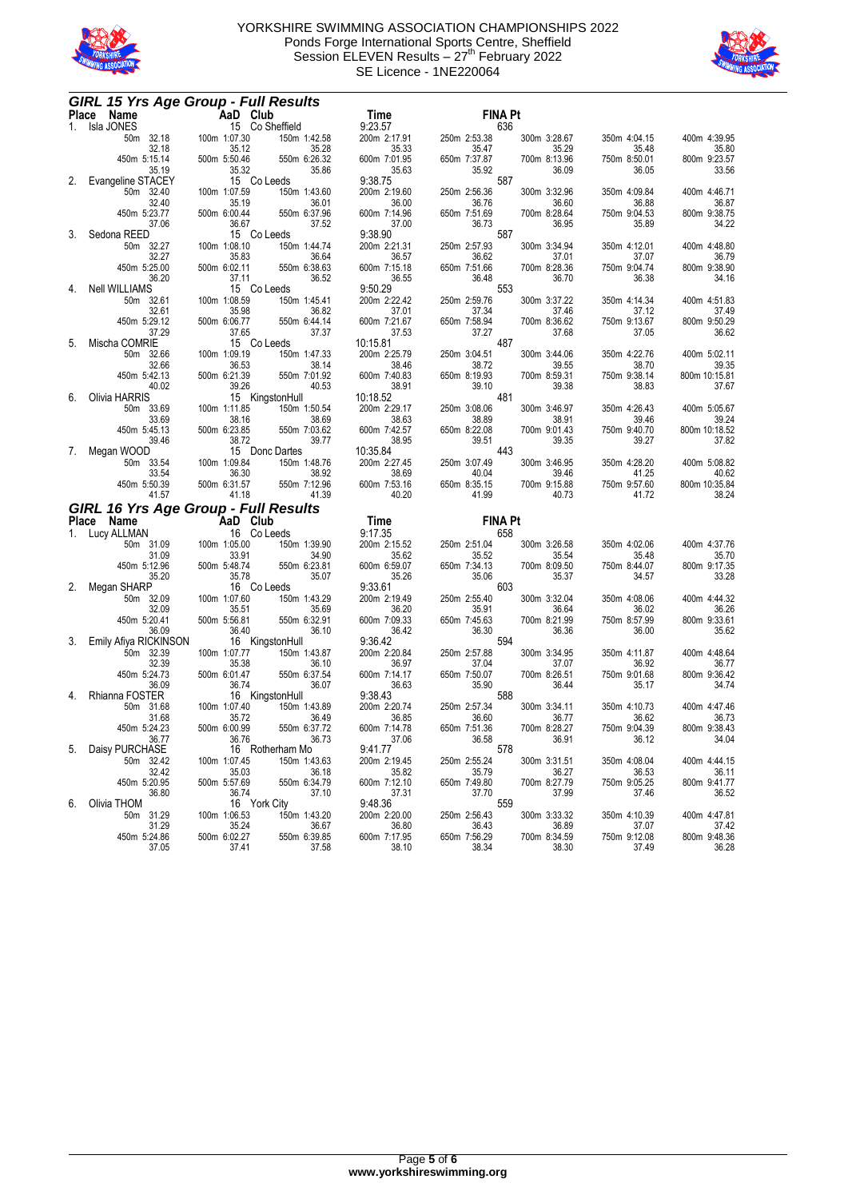



|    | GIRL 15 Yrs Age Group - Full Results        |                       |                                 |                                                 |                           |                       |                       |                       |
|----|---------------------------------------------|-----------------------|---------------------------------|-------------------------------------------------|---------------------------|-----------------------|-----------------------|-----------------------|
|    | Place Name                                  | AaD Club              |                                 | <b>Time</b>                                     | <b>FINA Pt</b>            |                       |                       |                       |
| 1. | Isla JONES                                  |                       | 15 Co Sheffield                 | 9:23.57                                         | 636                       |                       |                       |                       |
|    | 50m 32.18                                   | 100m 1:07.30          | 150m 1:42.58                    | 200m 2:17.91                                    | 250m 2:53.38              | 300m 3:28.67          | 350m 4:04.15          | 400m 4:39.95          |
|    | 32.18                                       | 35.12                 | 35.28                           | 35.33                                           | 35.47                     | 35.29                 | 35.48                 | 35.80                 |
|    | 450m 5:15.14                                | 500m 5:50.46          | 550m 6:26.32                    | 600m 7:01.95                                    | 650m 7:37.87              | 700m 8:13.96          | 750m 8:50.01          | 800m 9:23.57          |
| 2. | 35.19<br>Evangeline STACEY                  | 35.32<br>15 Co Leeds  | 35.86                           | 35.63<br>9:38.75                                | 35.92<br>587              | 36.09                 | 36.05                 | 33.56                 |
|    | 50m 32.40                                   | 100m 1:07.59          | 150m 1:43.60                    | 200m 2:19.60                                    | 250m 2:56.36              | 300m 3:32.96          | 350m 4:09.84          | 400m 4:46.71          |
|    | 32.40                                       | 35.19                 | 36.01                           | 36.00                                           | 36.76                     | 36.60                 | 36.88                 | 36.87                 |
|    | 450m 5:23.77                                | 500m 6:00.44          | 550m 6:37.96                    | 600m 7:14.96                                    | 650m 7:51.69              | 700m 8:28.64          | 750m 9:04.53          | 800m 9:38.75          |
|    | 37.06                                       | 36.67                 | 37.52                           | 37.00                                           | 36.73                     | 36.95                 | 35.89                 | 34.22                 |
| 3. | Sedona REED                                 | 15 Co Leeds           |                                 | 9:38.90                                         | 587                       | 300m 3:34.94          | 350m 4:12.01          |                       |
|    | 50m 32.27<br>32.27                          | 100m 1:08.10<br>35.83 | 150m 1:44.74<br>36.64           | 200m 2:21.31<br>36.57                           | 250m 2:57.93<br>36.62     | 37.01                 | 37.07                 | 400m 4:48.80<br>36.79 |
|    | 450m 5:25.00                                | 500m 6:02.11          | 550m 6:38.63                    | 600m 7:15.18                                    | 650m 7:51.66              | 700m 8:28.36          | 750m 9:04.74          | 800m 9:38.90          |
|    | 36.20                                       | 37.11                 | 36.52                           | 36.55                                           | 36.48                     | 36.70                 | 36.38                 | 34.16                 |
| 4. | <b>Nell WILLIAMS</b>                        |                       | 15 Co Leeds                     | 9:50.29                                         | 553                       |                       |                       |                       |
|    | 50m 32.61                                   | 100m 1:08.59          | 150m 1:45.41                    | 200m 2:22.42                                    | 250m 2:59.76              | 300m 3:37.22          | 350m 4:14.34          | 400m 4:51.83          |
|    | 32.61<br>450m 5:29.12                       | 35.98<br>500m 6:06.77 | 36.82<br>550m 6:44.14           | 37.01<br>600m 7:21.67                           | 37.34<br>650m 7:58.94     | 37.46<br>700m 8:36.62 | 37.12<br>750m 9:13.67 | 37.49<br>800m 9:50.29 |
|    | 37.29                                       | 37.65                 | 37.37                           | 37.53                                           | 37.27                     | 37.68                 | 37.05                 | 36.62                 |
| 5. | Mischa COMRIE                               |                       | 15 Co Leeds                     | 10:15.81                                        | 487                       |                       |                       |                       |
|    | 50m 32.66                                   | 100m 1:09.19          | 150m 1:47.33                    | 200m 2:25.79                                    | 250m 3:04.51              | 300m 3:44.06          | 350m 4:22.76          | 400m 5:02.11          |
|    | 32.66                                       | 36.53                 | 38.14                           | 38.46                                           | 38.72                     | 39.55                 | 38.70                 | 39.35                 |
|    | 450m 5:42.13                                | 500m 6:21.39          | 550m 7:01.92                    | 600m 7:40.83                                    | 650m 8:19.93              | 700m 8:59.31          | 750m 9:38.14          | 800m 10:15.81         |
| 6. | 40.02<br>Olivia HARRIS                      | 39.26                 | 40.53<br>15 KingstonHull        | 38.91<br>10:18.52                               | 39.10<br>481              | 39.38                 | 38.83                 | 37.67                 |
|    | 50m 33.69                                   | 100m 1:11.85          | 150m 1:50.54                    | 200m 2:29.17                                    | 250m 3:08.06              | 300m 3:46.97          | 350m 4:26.43          | 400m 5:05.67          |
|    | 33.69                                       | 38.16                 | 38.69                           | 38.63                                           | 38.89                     | 38.91                 | 39.46                 | 39.24                 |
|    | 450m 5:45.13                                | 500m 6:23.85          | 550m 7:03.62                    | 600m 7:42.57                                    | 650m 8:22.08              | 700m 9:01.43          | 750m 9:40.70          | 800m 10:18.52         |
|    | 39.46                                       | 38.72                 | 39.77                           | 38.95                                           | 39.51<br>443              | 39.35                 | 39.27                 | 37.82                 |
| 7. | Megan WOOD<br>50m 33.54                     | 100m 1:09.84          | 15 Donc Dartes<br>150m 1:48.76  | 10:35.84<br>200m 2:27.45                        | 250m 3:07.49              | 300m 3:46.95          | 350m 4:28.20          | 400m 5:08.82          |
|    | 33.54                                       | 36.30                 | 38.92                           | 38.69                                           | 40.04                     | 39.46                 | 41.25                 | 40.62                 |
|    | 450m 5:50.39                                | 500m 6:31.57          | 550m 7:12.96                    | 600m 7:53.16                                    | 650m 8:35.15              | 700m 9:15.88          | 750m 9:57.60          | 800m 10:35.84         |
|    | 41.57                                       | 41.18                 | 41.39                           | 40.20                                           | 41.99                     | 40.73                 | 41.72                 | 38.24                 |
|    | <b>GIRL 16 Yrs Age Group - Full Results</b> |                       |                                 |                                                 |                           |                       |                       |                       |
|    | Place Name                                  | AaD Club              |                                 | Time                                            | <b>FINA Pt</b>            |                       |                       |                       |
| 1. | Lucy ALLMAN                                 | 16 Co Leeds           |                                 | 9:17.35                                         |                           |                       |                       |                       |
|    | 50m 31.09                                   |                       |                                 |                                                 | 658                       |                       |                       |                       |
|    |                                             | 100m 1:05.00          | 150m 1:39.90                    | 200m 2:15.52                                    | 250m 2:51.04              | 300m 3:26.58          | 350m 4:02.06          | 400m 4:37.76          |
|    | 31.09                                       | 33.91                 | 34.90                           | 35.62                                           | 35.52                     | 35.54                 | 35.48                 | 35.70                 |
|    | 450m 5:12.96<br>35.20                       | 500m 5:48.74<br>35.78 | 550m 6:23.81<br>35.07           | 600m 6:59.07<br>35.26                           | 650m 7:34.13<br>35.06     | 700m 8:09.50<br>35.37 | 750m 8:44.07<br>34.57 | 800m 9:17.35<br>33.28 |
| 2. | Megan SHARP                                 | 16 Co Leeds           |                                 | 9:33.61                                         | 603                       |                       |                       |                       |
|    | 50m 32.09                                   | 100m 1:07.60          | 150m 1:43.29                    | 200m 2:19.49                                    | 250m 2:55.40              | 300m 3:32.04          | 350m 4:08.06          | 400m 4:44.32          |
|    | 32.09                                       | 35.51                 | 35.69                           | 36.20                                           | 35.91                     | 36.64                 | 36.02                 | 36.26                 |
|    | 450m 5:20.41                                | 500m 5:56.81          | 550m 6:32.91                    | 600m 7:09.33                                    | 650m 7:45.63              | 700m 8:21.99          | 750m 8:57.99          | 800m 9:33.61          |
| 3. | 36.09<br>Emily Afiya RICKINSON              | 36.40                 | 36.10                           | 36.42<br>9:36.42                                | 36.30<br>594              | 36.36                 | 36.00                 | 35.62                 |
|    | 50m 32.39                                   | 100m 1:07.77          | 16 KingstonHull<br>150m 1:43.87 | 200m 2:20.84                                    | 250m 2:57.88              | 300m 3:34.95          | 350m 4:11.87          | 400m 4:48.64          |
|    | 32.39                                       | 35.38                 | 36.10                           | 36.97                                           | 37.04                     | 37.07                 | 36.92                 | 36.77                 |
|    | 450m 5:24.73                                | 500m 6:01.47          | 550m 6:37.54                    | 600m 7:14.17                                    | 650m 7:50.07              | 700m 8:26.51          | 750m 9:01.68          | 800m 9:36.42          |
|    | 36.09                                       | 36.74                 | 36.07                           | 36.63                                           | 35.90                     | 36.44                 | 35.17                 | 34.74                 |
| 4. | Rhianna FOSTER                              |                       | 16 KingstonHull                 | 9:38.43                                         | 588                       |                       |                       |                       |
|    | 50m 31.68<br>31.68                          | 100m 1:07.40<br>35.72 | 150m 1:43.89<br>36.49           | 200m 2:20.74<br>36.85                           | 250m 2:57.34<br>36.60     | 300m 3:34.11<br>36.77 | 350m 4:10.73<br>36.62 | 400m 4:47.46<br>36.73 |
|    | 450m 5:24.23                                | 500m 6:00.99          | 550m 6:37.72                    | 600m 7:14.78                                    | 650m 7:51.36 700m 8:28.27 |                       | 750m 9:04.39          | 800m 9:38.43          |
|    | 36.77                                       | 36.76                 | 36.73                           | 37.06                                           | 36.58                     | 36.91                 | 36.12                 | 34.04                 |
| 5. | Daisy PURCHASE                              |                       | 16 Rotherham Mo                 | 9:41.77                                         | 578                       |                       |                       |                       |
|    | 50m 32.42<br>32.42                          | 100m 1:07.45<br>35.03 | 150m 1:43.63<br>36.18           | 200m 2:19.45                                    | 250m 2:55.24<br>35.79     | 300m 3:31.51<br>36.27 | 350m 4:08.04<br>36.53 | 400m 4:44.15<br>36.11 |
|    | 450m 5:20.95                                | 500m 5:57.69          | 550m 6:34.79                    | 35.82<br>600m 7:12.10                           | 650m 7:49.80              | 700m 8:27.79          | 750m 9:05.25          | 800m 9:41.77          |
|    | 36.80                                       |                       | 37.10                           |                                                 | 37.70                     | 37.99                 | 37.46                 | 36.52                 |
| 6. | Olivia THOM                                 | 36.74<br>16 York City |                                 | $\begin{array}{c} 37.31 \\ 9.48.36 \end{array}$ | 559                       |                       |                       |                       |
|    | 50m 31.29                                   | 100m 1:06.53          | 150m 1:43.20                    | 200m 2:20.00                                    | 250m 2:56.43              | 300m 3:33.32          | 350m 4:10.39          | 400m 4:47.81          |
|    | 31.29<br>450m 5:24.86                       | 35.24<br>500m 6:02.27 | 36.67<br>550m 6:39.85           | 36.80<br>600m 7:17.95                           | 36.43<br>650m 7:56.29     | 36.89<br>700m 8:34.59 | 37.07<br>750m 9:12.08 | 37.42<br>800m 9:48.36 |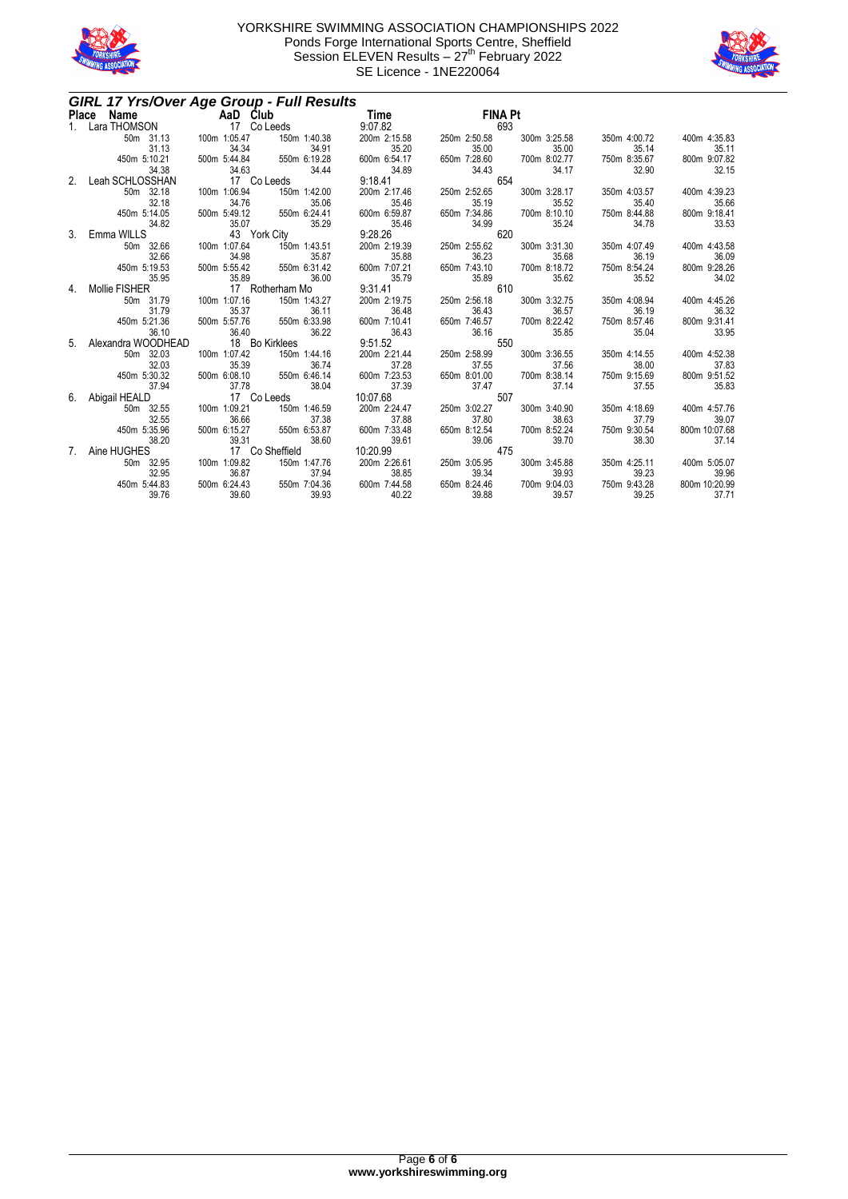



|    | <b>GIRL 17 Yrs/Over Age Group - Full Results</b> |              |                                                                      |                                     |                                                 |              |              |               |
|----|--------------------------------------------------|--------------|----------------------------------------------------------------------|-------------------------------------|-------------------------------------------------|--------------|--------------|---------------|
|    | Place Name                                       | AaD Club     |                                                                      |                                     | Time FINA Pt                                    |              |              |               |
|    | 1. Lara THOMSON 17 Co Leeds                      |              |                                                                      | 9:07.82                             | 693                                             |              |              |               |
|    | 50m 31.13                                        | 100m 1:05.47 | 150m 1:40.38                                                         |                                     | $200m$ 2:15.58 $250m$ 2:50.58<br>35.20 $35.00$  | 300m 3:25.58 | 350m 4:00.72 | 400m 4:35.83  |
|    | 31.13                                            | 34.34        | 34.91                                                                |                                     |                                                 | 35.00        | 35.14        | 35.11         |
|    | 450m 5:10.21                                     | 500m 5:44.84 | 550m 6:19.28                                                         | 600m 6:54.17                        | 650m 7:28.60 700m 8:02.77<br>34.43 34.43        |              | 750m 8:35.67 | 800m 9:07.82  |
|    | 34.38                                            | 34.63        | 34.44                                                                | 34.89                               |                                                 |              | 32.90        | 32.15         |
| 2. | Leah SCHLOSSHAN                                  | 17 Co Leeds  |                                                                      | 9:18.41                             | 654                                             |              |              |               |
|    | 50m 32.18                                        | 100m 1:06.94 | 150m 1:42.00                                                         | 200m 2:17.46                        | 250m 2:52.65                                    | 300m 3:28.17 | 350m 4:03.57 | 400m 4:39.23  |
|    | 32.18                                            | 34.76        | 35.06                                                                | 35.46                               | 35.19                                           | 35.52        | 35.40        | 35.66         |
|    | 450m 5:14.05                                     | 500m 5:49.12 | 550m 6:24.41<br>35.29                                                | 600m 6:59.87                        | 650m 7:34.86 700m 8:10.10<br>34.99 700m 8:10.10 |              | 750m 8:44.88 | 800m 9:18.41  |
|    | 34.82                                            | 35.07        |                                                                      | 35.46                               | 34.99                                           | 35.24        | 34.78        | 33.53         |
| 3  | Emma WILLS                                       |              | 34.82 35.07 35.07<br>43 York City<br>32.66 100m 1:07.64 150m 1:43.51 | 9:28.26                             | 620                                             |              |              |               |
|    | 50m 32.66                                        |              |                                                                      | 200m 2:19.39 250m 2:55.62           |                                                 | 300m 3:31.30 | 350m 4:07.49 | 400m 4:43.58  |
|    | 32.66                                            | 34.98        | 35.87                                                                | 35.88                               | 36.23                                           | 35.68        | 36.19        | 36.09         |
|    | 450m 5:19.53                                     | 500m 5:55.42 | 550m 6:31.42                                                         | 600m 7:07.21                        | 650m 7:43.10 700m 8:18.72                       |              | 750m 8:54.24 | 800m 9:28.26  |
| 4  | 35.95<br>Mollie FISHER                           | 35.89        | 36.00<br><sub>ປັບ.ບ</sub><br>17 Rotherham Mo                         | 35.79<br>$35.79$ $35.89$<br>9:31.41 | 35.89<br>610                                    | 35.62        | 35.52        | 34.02         |
|    | 50m 31.79                                        | 100m 1:07.16 | 150m 1:43.27                                                         | 200m 2:19.75                        | 250m 2:56.18                                    | 300m 3:32.75 | 350m 4:08.94 | 400m 4:45.26  |
|    | 31.79                                            | 35.37        | 36.11                                                                | 36.48                               | 36.43                                           | 36.57        | 36.19        | 36.32         |
|    | 450m 5:21.36                                     | 500m 5:57.76 | 550m 6:33.98                                                         | 600m 7:10.41                        | 650m 7:46.57 700m 8:22.42                       |              | 750m 8:57.46 | 800m 9:31.41  |
|    | 36.10                                            | 36.40        | 36.22                                                                | 36.43                               | 36.16                                           | 35.85        | 35.04        | 33.95         |
| 5  | Alexandra WOODHEAD 18 Bo Kirklees                |              |                                                                      | 36.16<br>9:51.52<br>9:51.52         | 550                                             |              |              |               |
|    | 50m 32.03                                        | 100m 1:07.42 | 150m 1:44.16                                                         | 200m 2:21.44                        | 250m 2:58.99                                    | 300m 3:36.55 | 350m 4:14.55 | 400m 4:52.38  |
|    | 32.03                                            | 35.39        | 36.74                                                                | 37.28                               | 37.55                                           | 37.56        | 38.00        | 37.83         |
|    | 450m 5:30.32                                     | 500m 6:08.10 | 550m 6:46.14                                                         | 600m 7:23.53                        | 650m 8:01.00                                    | 700m 8:38.14 | 750m 9:15.69 | 800m 9:51.52  |
|    | 37.94                                            | 37.78        | 38.04                                                                | 37.39                               | 37.47                                           | 37.14        | 37.55        | 35.83         |
| 6. | Abigail HEALD 17 Co Leeds                        |              |                                                                      | $37.39$ 37.47<br>10:07.68           | 507                                             |              |              |               |
|    | 50m 32.55                                        | 100m 1:09.21 | 150m 1:46.59                                                         | 200m 2:24.47                        | 250m 3:02.27                                    | 300m 3:40.90 | 350m 4:18.69 | 400m 4:57.76  |
|    | 32.55                                            | 36.66        | 37.38                                                                | 37.88                               | 37.80                                           | 38.63        | 37.79        | 39.07         |
|    | 450m 5:35.96                                     | 500m 6:15.27 | 550m 6:53.87                                                         | 600m 7:33.48                        | 650m 8:12.54 700m 8:52.24                       |              | 750m 9:30.54 | 800m 10:07.68 |
|    | 38.20                                            | 39.31        | 38.60                                                                | 39.61                               | 39.06                                           | 39.70        | 38.30        | 37.14         |
| 7. | 38.20 39.31<br>Aine HUGHES 17 Co Sheffield       |              |                                                                      |                                     | 475                                             |              |              |               |
|    | 50m 32.95                                        | 100m 1:09.82 | 150m 1:47.76                                                         | 200m 2:26.61                        | 250m 3:05.95                                    | 300m 3:45.88 | 350m 4:25.11 | 400m 5:05.07  |
|    | 32.95                                            | 36.87        | 37.94                                                                | 38.85<br>600m 7:44.58               | 39.93 39.93<br>650m 8:24.46 700m 9:04.03        |              | 39.23        | 39.96         |
|    | 450m 5:44.83                                     | 500m 6:24.43 | 550m 7:04.36                                                         |                                     |                                                 |              | 750m 9:43.28 | 800m 10:20.99 |
|    | 39.76                                            | 39.60        | 39.93                                                                | 40.22                               | 39.88                                           | 39.57        | 39.25        | 37.71         |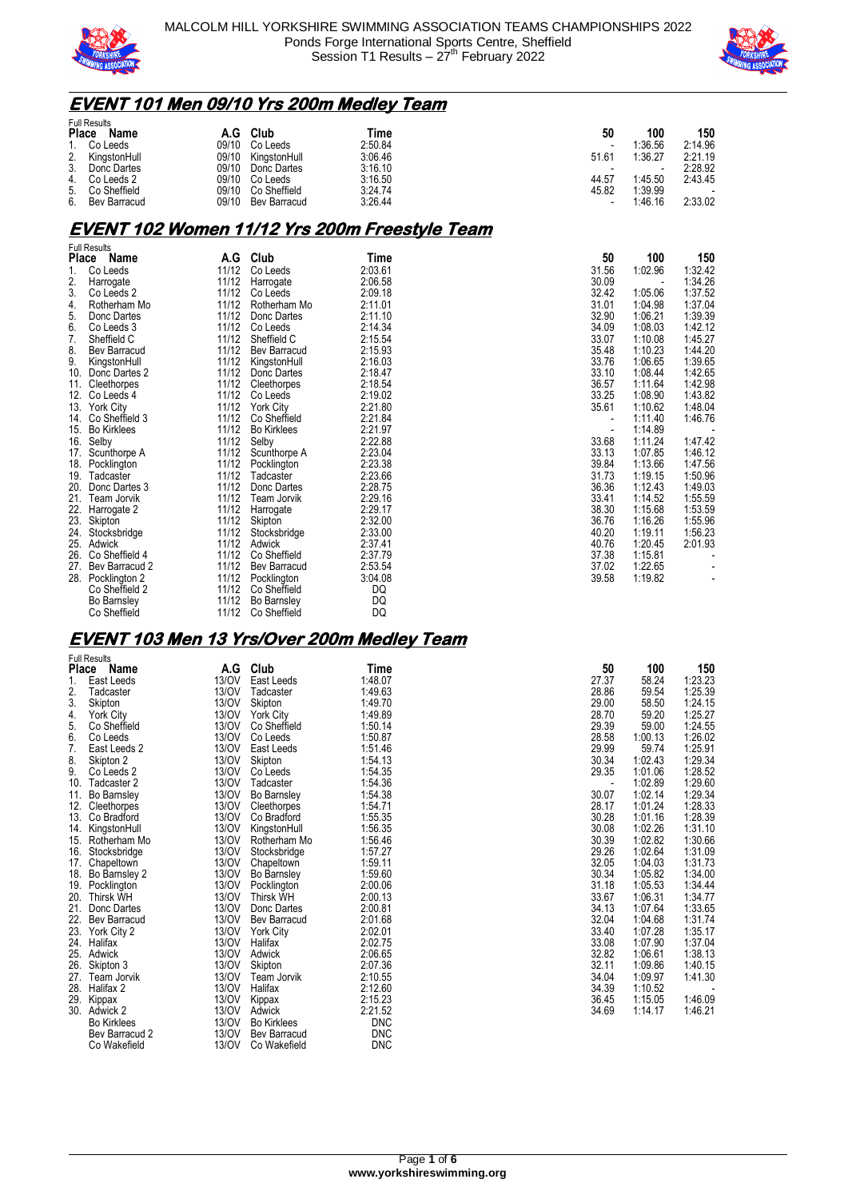



### **EVENT 101 Men 09/10 Yrs 200m Medley Team**

|    | <b>Full Results</b> |       |              |         |                          |                          |                          |
|----|---------------------|-------|--------------|---------|--------------------------|--------------------------|--------------------------|
|    | Place<br>Name       | A.G   | Club         | Time    | 50                       | 100                      | 150                      |
|    | Co Leeds            | 09/10 | Co Leeds     | 2:50.84 | $\overline{\phantom{0}}$ | 1:36.56                  | 2.14.96                  |
| 2. | KingstonHull        | 09/10 | KingstonHull | 3:06.46 | 51.61                    | 1:36.27                  | 2:21.19                  |
| 3. | Donc Dartes         | 09/10 | Donc Dartes  | 3:16.10 |                          | $\overline{\phantom{0}}$ | 2:28.92                  |
|    | 4. Co Leeds 2       | 09/10 | Co Leeds     | 3:16.50 | 44.57                    | 1:45.50                  | 2.43.45                  |
| 5. | Co Sheffield        | 09/10 | Co Sheffield | 3:24.74 | 45.82                    | 1:39.99                  | $\overline{\phantom{a}}$ |
| 6. | Bev Barracud        | 09/10 | Bev Barracud | 3:26.44 |                          | 1:46.16                  | 2:33.02                  |

## **EVENT 102 Women 11/12 Yrs 200m Freestyle Team**

|     | <b>Full Results</b> |       |                    |         |                          |         |         |
|-----|---------------------|-------|--------------------|---------|--------------------------|---------|---------|
|     | Place Name          | A.G   | Club               | Time    | 50                       | 100     | 150     |
| 1.  | Co Leeds            | 11/12 | Co Leeds           | 2:03.61 | 31.56                    | 1:02.96 | 1:32.42 |
| 2.  | Harrogate           | 11/12 | Harrogate          | 2:06.58 | 30.09                    |         | 1:34.26 |
| 3.  | Co Leeds 2          | 11/12 | Co Leeds           | 2:09.18 | 32.42                    | 1:05.06 | 1.37.52 |
| 4.  | Rotherham Mo        |       | 11/12 Rotherham Mo | 2:11.01 | 31.01                    | 1:04.98 | 1:37.04 |
| 5.  | Donc Dartes         | 11/12 | Donc Dartes        | 2:11.10 | 32.90                    | 1:06.21 | 1:39.39 |
| 6.  | Co Leeds 3          | 11/12 | Co Leeds           | 2:14.34 | 34.09                    | 1:08.03 | 1:42.12 |
| 7.  | Sheffield C         |       | 11/12 Sheffield C  | 2:15.54 | 33.07                    | 1:10.08 | 1:45.27 |
| 8.  | Bev Barracud        |       | 11/12 Bev Barracud | 2:15.93 | 35.48                    | 1:10.23 | 1:44.20 |
| 9.  | KingstonHull        |       | 11/12 KingstonHull | 2:16.03 | 33.76                    | 1:06.65 | 1:39.65 |
| 10. | Donc Dartes 2       |       | 11/12 Donc Dartes  | 2:18.47 | 33.10                    | 1:08.44 | 1:42.65 |
| 11. | Cleethorpes         |       | 11/12 Cleethorpes  | 2:18.54 | 36.57                    | 1:11.64 | 1:42.98 |
| 12. | Co Leeds 4          |       | 11/12 Co Leeds     | 2:19.02 | 33.25                    | 1:08.90 | 1:43.82 |
|     | 13. York City       |       | 11/12 York City    | 2:21.80 | 35.61                    | 1:10.62 | 1:48.04 |
|     | 14. Co Sheffield 3  |       | 11/12 Co Sheffield | 2:21.84 |                          | 1:11.40 | 1:46.76 |
| 15. | <b>Bo Kirklees</b>  |       | 11/12 Bo Kirklees  | 2:21.97 | $\overline{\phantom{a}}$ | 1:14.89 |         |
|     | 16. Selby           |       | 11/12 Selby        | 2:22.88 | 33.68                    | 1:11.24 | 1:47.42 |
|     | 17. Scunthorpe A    |       | 11/12 Scunthorpe A | 2:23.04 | 33.13                    | 1:07.85 | 1.46.12 |
| 18. | Pocklington         | 11/12 | Pocklington        | 2:23.38 | 39.84                    | 1:13.66 | 1:47.56 |
| 19. | Tadcaster           | 11/12 | Tadcaster          | 2:23.66 | 31.73                    | 1:19.15 | 1:50.96 |
|     | 20. Donc Dartes 3   |       | 11/12 Donc Dartes  | 2:28.75 | 36.36                    | 1:12.43 | 1:49.03 |
| 21. | Team Jorvik         |       | 11/12 Team Jorvik  | 2:29.16 | 33.41                    | 1:14.52 | 1:55.59 |
| 22. | Harrogate 2         | 11/12 | Harrogate          | 2:29.17 | 38.30                    | 1:15.68 | 1:53.59 |
|     | 23. Skipton         | 11/12 | Skipton            | 2:32.00 | 36.76                    | 1:16.26 | 1:55.96 |
|     | 24. Stocksbridge    | 11/12 | Stocksbridge       | 2:33.00 | 40.20                    | 1:19.11 | 1:56.23 |
| 25. | Adwick              | 11/12 | Adwick             | 2:37.41 | 40.76                    | 1:20.45 | 2:01.93 |
| 26. | Co Sheffield 4      |       | 11/12 Co Sheffield | 2:37.79 | 37.38                    | 1:15.81 |         |
|     | 27. Bev Barracud 2  |       | 11/12 Bev Barracud | 2:53.54 | 37.02                    | 1:22.65 |         |
| 28. | Pocklington 2       |       | 11/12 Pocklington  | 3:04.08 | 39.58                    | 1:19.82 |         |
|     | Co Sheffield 2      | 11/12 | Co Sheffield       | DQ      |                          |         |         |
|     | <b>Bo Barnsley</b>  | 11/12 | <b>Bo Barnsley</b> | DQ      |                          |         |         |
|     | Co Sheffield        | 11/12 | Co Sheffield       | DQ      |                          |         |         |

#### **EVENT 103 Men 13 Yrs/Over 200m Medley Team**

|     | <b>Full Results</b> |       |                     |            |       |         |         |
|-----|---------------------|-------|---------------------|------------|-------|---------|---------|
|     | Place Name          | A.G   | Club                | Time       | 50    | 100     | 150     |
| 1.  | East Leeds          | 13/OV | East Leeds          | 1:48.07    | 27.37 | 58.24   | 1:23.23 |
| 2.  | Tadcaster           | 13/OV | Tadcaster           | 1:49.63    | 28.86 | 59.54   | 1:25.39 |
| 3.  | Skipton             | 13/OV | Skipton             | 1:49.70    | 29.00 | 58.50   | 1:24.15 |
| 4.  | <b>York City</b>    | 13/OV | <b>York City</b>    | 1:49.89    | 28.70 | 59.20   | 1:25.27 |
| 5.  | Co Sheffield        | 13/OV | Co Sheffield        | 1:50.14    | 29.39 | 59.00   | 1:24.55 |
| 6.  | Co Leeds            | 13/OV | Co Leeds            | 1:50.87    | 28.58 | 1:00.13 | 1 26 02 |
| 7.  | East Leeds 2        | 13/OV | East Leeds          | 1:51.46    | 29.99 | 59.74   | 1:25.91 |
| 8.  | Skipton 2           | 13/OV | Skipton             | 1:54.13    | 30.34 | 1:02.43 | 1.29.34 |
| 9.  | Co Leeds 2          | 13/OV | Co Leeds            | 1:54.35    | 29.35 | 1:01.06 | 1:28.52 |
| 10. | Tadcaster 2         | 13/OV | Tadcaster           | 1:54.36    |       | 1:02.89 | 1.29.60 |
| 11. | Bo Barnsley         | 13/OV | Bo Barnsley         | 1:54.38    | 30.07 | 1:02.14 | 1:29.34 |
| 12. | Cleethorpes         | 13/OV | Cleethorpes         | 1:54.71    | 28.17 | 1:01.24 | 1:28.33 |
| 13. | Co Bradford         | 13/OV | Co Bradford         | 1:55.35    | 30.28 | 1:01.16 | 1:28.39 |
| 14. | KingstonHull        | 13/OV | KingstonHull        | 1:56.35    | 30.08 | 1:02.26 | 1:31.10 |
| 15. | Rotherham Mo        | 13/OV | Rotherham Mo        | 1:56.46    | 30.39 | 1:02.82 | 1 30.66 |
| 16. | Stocksbridge        | 13/OV | Stocksbridge        | 1:57.27    | 29.26 | 1:02.64 | 1 31 09 |
| 17. | Chapeltown          | 13/OV | Chapeltown          | 1:59.11    | 32.05 | 1:04.03 | 1.31.73 |
|     | 18. Bo Barnsley 2   | 13/OV | Bo Barnsley         | 1:59.60    | 30.34 | 1:05.82 | 1 34 00 |
|     | 19. Pocklington     | 13/OV | Pocklington         | 2:00.06    | 31.18 | 1:05.53 | 1 34 44 |
| 20. | <b>Thirsk WH</b>    | 13/OV | <b>Thirsk WH</b>    | 2:00.13    | 33.67 | 1:06.31 | 1:34.77 |
| 21. | Donc Dartes         | 13/OV | Donc Dartes         | 2:00.81    | 34.13 | 1:07.64 | 1:33.65 |
| 22. | <b>Bev Barracud</b> | 13/OV | <b>Bev Barracud</b> | 2:01.68    | 32.04 | 1:04.68 | 1:31.74 |
| 23. | York City 2         | 13/OV | <b>York City</b>    | 2:02.01    | 33.40 | 1:07.28 | 1:35.17 |
| 24. | Halifax             | 13/OV | Halifax             | 2:02.75    | 33.08 | 1:07.90 | 1.37.04 |
| 25. | Adwick              | 13/OV | Adwick              | 2:06.65    | 32.82 | 1:06.61 | 1:38.13 |
| 26. | Skipton 3           | 13/OV | Skipton             | 2:07.36    | 32.11 | 1:09.86 | 1:40.15 |
| 27. | Team Jorvik         | 13/OV | Team Jorvik         | 2:10.55    | 34.04 | 1:09.97 | 1:41.30 |
| 28. | Halifax 2           | 13/OV | Halifax             | 2:12.60    | 34.39 | 1:10.52 |         |
| 29. | Kippax              | 13/OV | Kippax              | 2:15.23    | 36.45 | 1:15.05 | 1.46.09 |
| 30. | Adwick 2            | 13/OV | Adwick              | 2:21.52    | 34.69 | 1:14.17 | 146.21  |
|     | <b>Bo Kirklees</b>  | 13/OV | <b>Bo Kirklees</b>  | <b>DNC</b> |       |         |         |
|     | Bev Barracud 2      | 13/OV | <b>Bev Barracud</b> | <b>DNC</b> |       |         |         |
|     | Co Wakefield        | 13/OV | Co Wakefield        | <b>DNC</b> |       |         |         |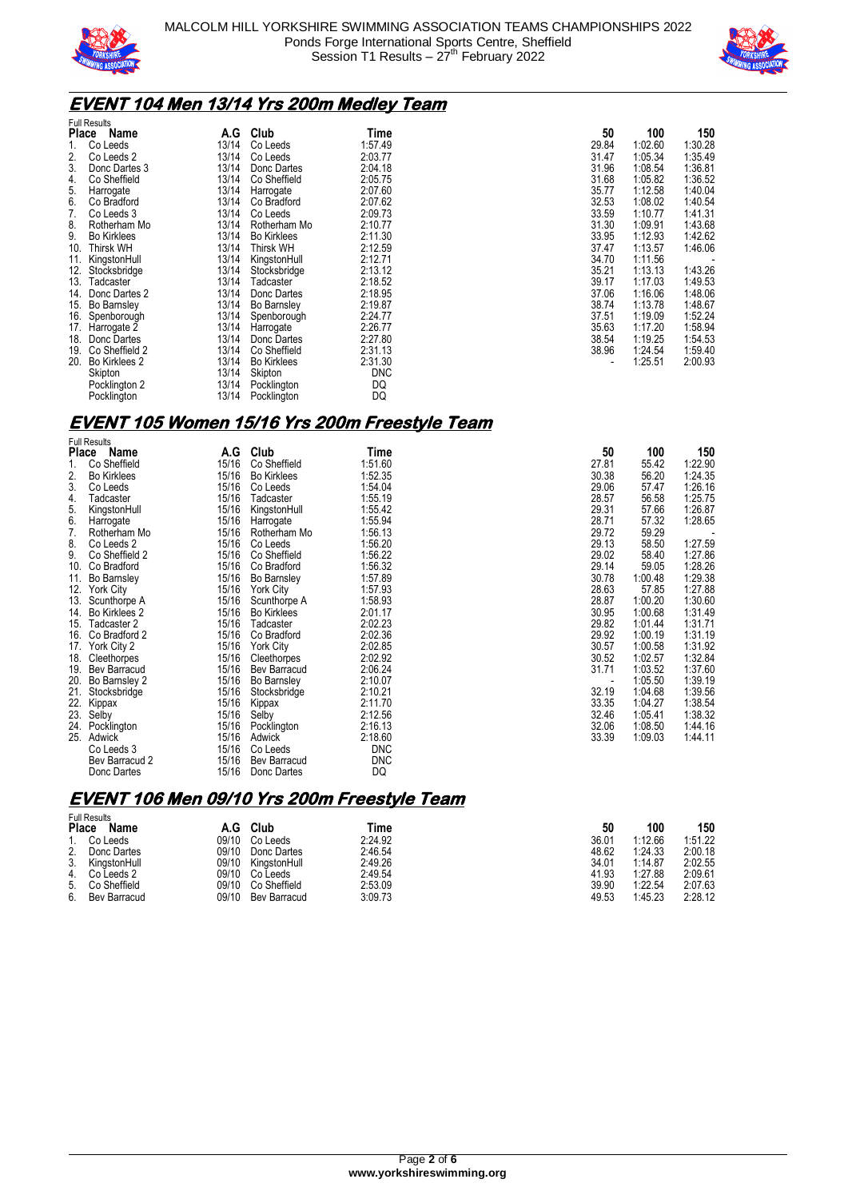



## **EVENT 104 Men 13/14 Yrs 200m Medley Team**

|       | <b>Full Results</b>  |       |                    |            |       |         |         |
|-------|----------------------|-------|--------------------|------------|-------|---------|---------|
| Place | Name                 | A.G   | Club               | Time       | 50    | 100     | 150     |
|       | Co Leeds             | 13/14 | Co Leeds           | 1:57.49    | 29.84 | 1:02.60 | 1:30.28 |
| 2.    | Co Leeds 2           | 13/14 | Co Leeds           | 2:03.77    | 31.47 | 1:05.34 | 1:35.49 |
| 3.    | Donc Dartes 3        | 13/14 | Donc Dartes        | 2:04.18    | 31.96 | 1:08.54 | 1:36.81 |
| 4.    | Co Sheffield         | 13/14 | Co Sheffield       | 2:05.75    | 31.68 | 1:05.82 | 1:36.52 |
| 5.    | Harrogate            | 13/14 | Harrogate          | 2:07.60    | 35.77 | 1:12.58 | 1 40 04 |
| 6.    | Co Bradford          | 13/14 | Co Bradford        | 2:07.62    | 32.53 | 1:08.02 | 1 40 54 |
| 7.    | Co Leeds 3           | 13/14 | Co Leeds           | 2:09.73    | 33.59 | 1:10.77 | 141.31  |
| 8.    | Rotherham Mo         | 13/14 | Rotherham Mo       | 2:10.77    | 31.30 | 1:09.91 | 143.68  |
| 9.    | <b>Bo Kirklees</b>   | 13/14 | <b>Bo Kirklees</b> | 2:11.30    | 33.95 | 1:12.93 | 1:42.62 |
| 10.   | Thirsk WH            | 13/14 | Thirsk WH          | 2:12.59    | 37.47 | 1:13.57 | 1:46.06 |
| 11.   | KingstonHull         | 13/14 | KingstonHull       | 2:12.71    | 34.70 | 1:11.56 |         |
| 12.   | Stocksbridge         | 13/14 | Stocksbridge       | 2:13.12    | 35.21 | 1:13.13 | 1.43.26 |
| 13.   | Tadcaster            | 13/14 | Tadcaster          | 2:18.52    | 39.17 | 1:17.03 | 1:49.53 |
| 14.   | Donc Dartes 2        | 13/14 | Donc Dartes        | 2:18.95    | 37.06 | 1:16.06 | 1:48.06 |
| 15.   | <b>Bo Barnsley</b>   | 13/14 | Bo Barnsley        | 2:19.87    | 38.74 | 1:13.78 | 1 48.67 |
| 16.   | Spenborough          | 13/14 | Spenborough        | 2:24.77    | 37.51 | 1:19.09 | 1:52.24 |
|       | 17. Harrogate 2      | 13/14 | Harrogate          | 2:26.77    | 35.63 | 1:17.20 | 1 58 94 |
| 18.   | Donc Dartes          | 13/14 | Donc Dartes        | 2:27.80    | 38.54 | 1:19.25 | 1:54.53 |
| 19.   | Co Sheffield 2       | 13/14 | Co Sheffield       | 2:31.13    | 38.96 | 1:24.54 | 1:59.40 |
| 20.   | <b>Bo Kirklees 2</b> | 13/14 | <b>Bo Kirklees</b> | 2:31.30    |       | 1:25.51 | 2:00.93 |
|       | Skipton              | 13/14 | Skipton            | <b>DNC</b> |       |         |         |
|       | Pocklington 2        | 13/14 | Pocklington        | DQ         |       |         |         |
|       | Pocklington          | 13/14 | Pocklington        | DQ         |       |         |         |

#### **EVENT 105 Women 15/16 Yrs 200m Freestyle Team**  Full Results

| Place | Name               | A.G   | Club               | Time       | 50    | 100     | 150     |
|-------|--------------------|-------|--------------------|------------|-------|---------|---------|
|       | Co Sheffield       | 15/16 | Co Sheffield       | 1:51.60    | 27.81 | 55.42   | 1.22.90 |
| 2.    | <b>Bo Kirklees</b> | 15/16 | <b>Bo Kirklees</b> | 1:52.35    | 30.38 | 56.20   | 1 24 35 |
| 3.    | Co Leeds           | 15/16 | Co Leeds           | 1:54.04    | 29.06 | 57.47   | 1:26.16 |
| 4.    | Tadcaster          | 15/16 | Tadcaster          | 1:55.19    | 28.57 | 56.58   | 1.25.75 |
| 5.    | KingstonHull       | 15/16 | KingstonHull       | 1:55.42    | 29.31 | 57.66   | 1 26 87 |
| 6.    | Harrogate          | 15/16 | Harrogate          | 1:55.94    | 28.71 | 57.32   | 1:28.65 |
| 7.    | Rotherham Mo       | 15/16 | Rotherham Mo       | 1:56.13    | 29.72 | 59.29   |         |
| 8.    | Co Leeds 2         | 15/16 | Co Leeds           | 1:56.20    | 29.13 | 58.50   | 1:27.59 |
| 9.    | Co Sheffield 2     | 15/16 | Co Sheffield       | 1:56.22    | 29.02 | 58.40   | 1.27.86 |
| 10.   | Co Bradford        | 15/16 | Co Bradford        | 1:56.32    | 29.14 | 59.05   | 1.28.26 |
| 11.   | Bo Barnsley        | 15/16 | <b>Bo Barnsley</b> | 1:57.89    | 30.78 | 1:00.48 | 1:29.38 |
| 12.   | York City          | 15/16 | <b>York City</b>   | 1:57.93    | 28.63 | 57.85   | 1 27 88 |
| 13.   | Scunthorpe A       | 15/16 | Scunthorpe A       | 1:58.93    | 28.87 | 1:00.20 | 1 30 60 |
|       | 14. Bo Kirklees 2  | 15/16 | <b>Bo Kirklees</b> | 2:01.17    | 30.95 | 1:00.68 | 1 31 49 |
| 15.   | Tadcaster 2        | 15/16 | Tadcaster          | 2:02.23    | 29.82 | 1:01.44 | 1:31.71 |
| 16.   | Co Bradford 2      | 15/16 | Co Bradford        | 2:02.36    | 29.92 | 1:00.19 | 1 31 19 |
| 17.   | York City 2        | 15/16 | <b>York City</b>   | 2:02.85    | 30.57 | 1:00.58 | 1:31.92 |
|       | 18. Cleethorpes    | 15/16 | Cleethorpes        | 2:02.92    | 30.52 | 1:02.57 | 1 32.84 |
| 19.   | Bev Barracud       | 15/16 | Bev Barracud       | 2:06.24    | 31.71 | 1:03.52 | 1 37 60 |
|       | 20. Bo Barnsley 2  | 15/16 | Bo Barnsley        | 2:10.07    |       | 1:05.50 | 1 39 19 |
| 21.   | Stocksbridge       | 15/16 | Stocksbridge       | 2:10.21    | 32.19 | 1:04.68 | 1 39 56 |
| 22.   | Kippax             | 15/16 | Kippax             | 2:11.70    | 33.35 | 1:04.27 | 1:38.54 |
|       | 23. Selby          | 15/16 | Selby              | 2:12.56    | 32.46 | 1:05.41 | 1:38.32 |
|       | 24. Pocklington    | 15/16 | Pocklington        | 2:16.13    | 32.06 | 1:08.50 | 1:44.16 |
| 25.   | Adwick             | 15/16 | Adwick             | 2:18.60    | 33.39 | 1:09.03 | 144.11  |
|       | Co Leeds 3         | 15/16 | Co Leeds           | <b>DNC</b> |       |         |         |
|       | Bev Barracud 2     | 15/16 | Bev Barracud       | <b>DNC</b> |       |         |         |
|       | Donc Dartes        | 15/16 | Donc Dartes        | DQ         |       |         |         |

# **EVENT 106 Men 09/10 Yrs 200m Freestyle Team**

| Place | <b>Full Results</b><br>Name | A.G   | Club         | Time    | 50    | 100     | 150     |
|-------|-----------------------------|-------|--------------|---------|-------|---------|---------|
| 1.    | Co Leeds                    | 09/10 | Co Leeds     | 2:24.92 | 36.01 | 1:12.66 | 1:51.22 |
| 2.    | Donc Dartes                 | 09/10 | Donc Dartes  | 2:46.54 | 48.62 | 1:24.33 | 2.00.18 |
| 3.    | KingstonHull                | 09/10 | KingstonHull | 2:49.26 | 34.01 | 1:14.87 | 2.02.55 |
| 4.    | Co Leeds 2                  | 09/10 | Co Leeds     | 2:49.54 | 41.93 | 1:27.88 | 2:09.61 |
| 5.    | Co Sheffield                | 09/10 | Co Sheffield | 2:53.09 | 39.90 | 1:22.54 | 2.07.63 |
| 6.    | Bev Barracud                | 09/10 | Bev Barracud | 3:09.73 | 49.53 | 1:45.23 | 2.28.12 |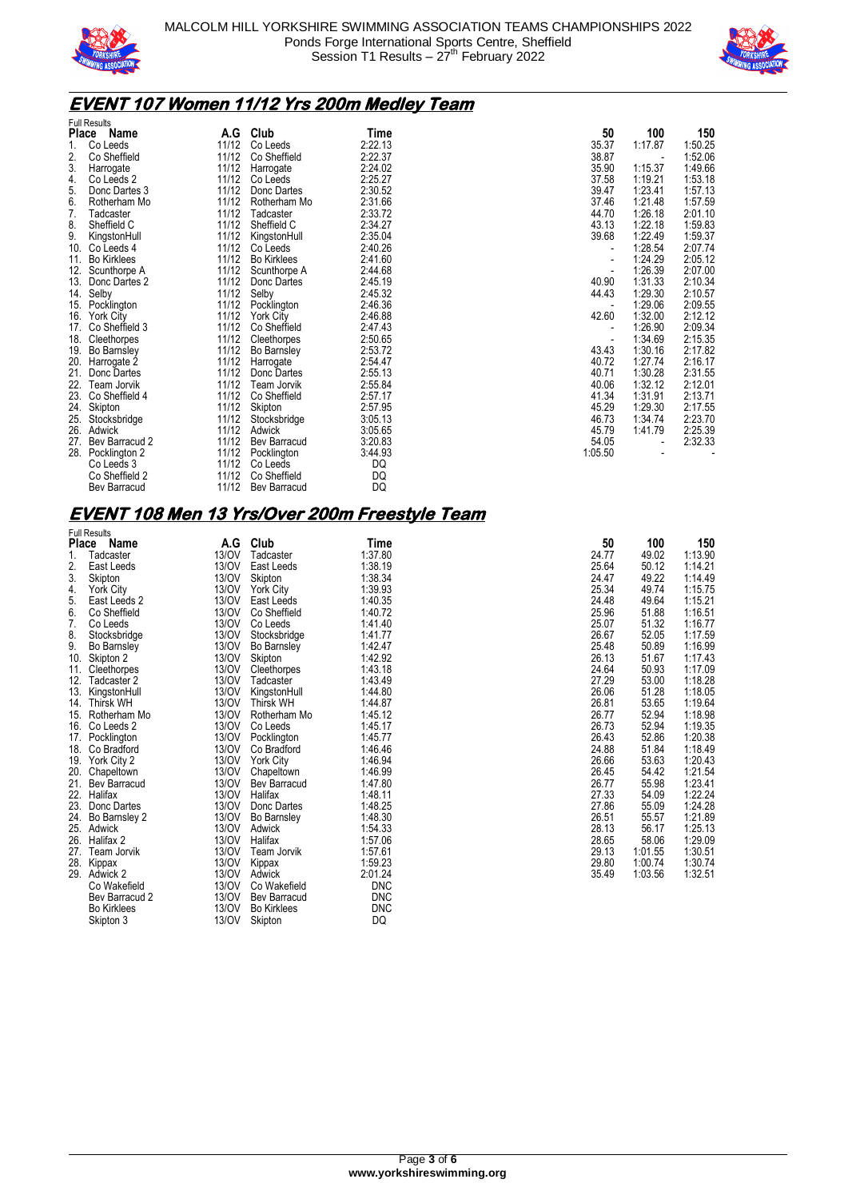



# **EVENT 107 Women 11/12 Yrs 200m Medley Team**

|     | <b>Full Results</b> |       |                     |         |                          |         |         |
|-----|---------------------|-------|---------------------|---------|--------------------------|---------|---------|
|     | Place<br>Name       | A.G   | Club                | Time    | 50                       | 100     | 150     |
| 1.  | Co Leeds            | 11/12 | Co Leeds            | 2:22.13 | 35.37                    | 1:17.87 | 1:50.25 |
| 2.  | Co Sheffield        | 11/12 | Co Sheffield        | 2:22.37 | 38.87                    |         | 1 52.06 |
| 3.  | Harrogate           |       | 11/12 Harrogate     | 2:24.02 | 35.90                    | 1:15.37 | 1:49.66 |
| 4.  | Co Leeds 2          | 11/12 | Co Leeds            | 2:25.27 | 37.58                    | 1:19.21 | 1:53.18 |
| 5.  | Donc Dartes 3       | 11/12 | Donc Dartes         | 2:30.52 | 39.47                    | 1:23.41 | 1:57.13 |
| 6.  | Rotherham Mo        |       | 11/12 Rotherham Mo  | 2:31.66 | 37.46                    | 1:21.48 | 157.59  |
| 7.  | Tadcaster           | 11/12 | Tadcaster           | 2:33.72 | 44.70                    | 1:26.18 | 2:01.10 |
| 8.  | Sheffield C         | 11/12 | Sheffield C         | 2:34.27 | 43.13                    | 1:22.18 | 1:59.83 |
| 9.  | KingstonHull        |       | 11/12 KingstonHull  | 2:35.04 | 39.68                    | 1:22.49 | 1:59.37 |
| 10. | Co Leeds 4          |       | 11/12 Co Leeds      | 2:40.26 |                          | 1:28.54 | 2 07.74 |
| 11. | <b>Bo Kirklees</b>  | 11/12 | <b>Bo Kirklees</b>  | 2:41.60 |                          | 1:24.29 | 2 05.12 |
| 12. | Scunthorpe A        | 11/12 | Scunthorpe A        | 2:44.68 |                          | 1:26.39 | 2:07.00 |
|     | 13. Donc Dartes 2   |       | 11/12 Donc Dartes   | 2:45.19 | 40.90                    | 1:31.33 | 2:10.34 |
| 14. | Selby               |       | 11/12 Selby         | 2:45.32 | 44.43                    | 1:29.30 | 2:10.57 |
| 15. | Pocklington         | 11/12 | Pocklington         | 2:46.36 |                          | 1:29.06 | 2:09.55 |
| 16. | <b>York City</b>    |       | 11/12 York City     | 2:46.88 | 42.60                    | 1:32.00 | 2:12.12 |
|     | 17. Co Sheffield 3  |       | 11/12 Co Sheffield  | 2:47.43 | $\overline{\phantom{a}}$ | 1:26.90 | 2:09.34 |
| 18. | Cleethorpes         | 11/12 | Cleethorpes         | 2:50.65 | $\overline{\phantom{a}}$ | 1:34.69 | 2:15.35 |
| 19. | <b>Bo Barnsley</b>  | 11/12 | Bo Barnsley         | 2:53.72 | 43.43                    | 1:30.16 | 2 17.82 |
|     | 20. Harrogate 2     | 11/12 | Harrogate           | 2:54.47 | 40.72                    | 1:27.74 | 2:16.17 |
| 21. | Donc Dartes         | 11/12 | Donc Dartes         | 2:55.13 | 40.71                    | 1:30.28 | 2:31.55 |
| 22. | <b>Team Jorvik</b>  | 11/12 | Team Jorvik         | 2:55.84 | 40.06                    | 1:32.12 | 2.12.01 |
| 23. | Co Sheffield 4      |       | 11/12 Co Sheffield  | 2:57.17 | 41.34                    | 1:31.91 | 2 13 71 |
|     | 24. Skipton         |       | 11/12 Skipton       | 2:57.95 | 45.29                    | 1:29.30 | 2:17.55 |
| 25. | Stocksbridge        | 11/12 | Stocksbridge        | 3:05.13 | 46.73                    | 1:34.74 | 2:23.70 |
| 26. | Adwick              | 11/12 | Adwick              | 3:05.65 | 45.79                    | 1:41.79 | 2:25.39 |
|     | 27 Bev Barracud 2   |       | 11/12 Bev Barracud  | 3:20.83 | 54.05                    |         | 2:32.33 |
|     | 28. Pocklington 2   |       | 11/12 Pocklington   | 3:44.93 | 1.05.50                  |         |         |
|     | Co Leeds 3          | 11/12 | Co Leeds            | DQ      |                          |         |         |
|     | Co Sheffield 2      | 11/12 | Co Sheffield        | DQ      |                          |         |         |
|     | <b>Bev Barracud</b> | 11/12 | <b>Bev Barracud</b> | DQ      |                          |         |         |

#### **EVENT 108 Men 13 Yrs/Over 200m Freestyle Team**  Full Results

|       | I UII NESUILS       |       |                    |            |       |         |         |
|-------|---------------------|-------|--------------------|------------|-------|---------|---------|
| Place | Name                | A.G   | Club               | Time       | 50    | 100     | 150     |
| 1.    | Tadcaster           | 13/OV | Tadcaster          | 1:37.80    | 24.77 | 49.02   | 1 13 90 |
| 2.    | East Leeds          | 13/OV | East Leeds         | 1:38.19    | 25.64 | 50.12   | 1:14.21 |
| 3.    | Skipton             | 13/OV | Skipton            | 1:38.34    | 24.47 | 49.22   | 1:14.49 |
| 4.    | <b>York City</b>    | 13/0V | York City          | 1:39.93    | 25.34 | 49.74   | 1:15.75 |
| 5.    | East Leeds 2        | 13/OV | East Leeds         | 1:40.35    | 24.48 | 49.64   | 1.15.21 |
| 6.    | Co Sheffield        | 13/OV | Co Sheffield       | 1:40.72    | 25.96 | 51.88   | 1:16.51 |
| 7.    | Co Leeds            | 13/0V | Co Leeds           | 1:41.40    | 25.07 | 51.32   | 1:16.77 |
| 8.    | Stocksbridge        | 13/OV | Stocksbridge       | 1:41.77    | 26.67 | 52.05   | 1 17 59 |
| 9.    | Bo Barnsley         | 13/OV | Bo Barnsley        | 1.42.47    | 25.48 | 50.89   | 1 16 99 |
| 10.   | Skipton 2           | 13/OV | Skipton            | 1:42.92    | 26.13 | 51.67   | 1 17 43 |
|       | 11. Cleethorpes     |       | 13/OV Cleethorpes  | 1:43.18    | 24.64 | 50.93   | 1.17.09 |
| 12.   | Tadcaster 2         | 13/OV | Tadcaster          | 1:43.49    | 27.29 | 53.00   | 1.18.28 |
| 13.   | KingstonHull        | 13/OV | KingstonHull       | 1:44.80    | 26.06 | 51.28   | 1:18.05 |
| 14.   | <b>Thirsk WH</b>    | 13/OV | <b>Thirsk WH</b>   | 1:44.87    | 26.81 | 53.65   | 1.19.64 |
| 15.   | Rotherham Mo        | 13/OV | Rotherham Mo       | 1:45.12    | 26.77 | 52.94   | 1.18.98 |
| 16.   | Co Leeds 2          | 13/0V | Co Leeds           | 1:45.17    | 26.73 | 52.94   | 1:19.35 |
|       | 17. Pocklington     | 13/OV | Pocklington        | 1:45.77    | 26.43 | 52.86   | 1:20.38 |
|       | 18. Co Bradford     | 13/OV | Co Bradford        | 1:46.46    | 24.88 | 51.84   | 1 18 49 |
|       | 19. York City 2     |       | 13/OV York City    | 1:46.94    | 26.66 | 53.63   | 1:20.43 |
| 20.   | Chapeltown          | 13/OV | Chapeltown         | 1:46.99    | 26.45 | 54.42   | 1:21.54 |
| 21.   | <b>Bev Barracud</b> | 13/0V | Bev Barracud       | 1:47.80    | 26.77 | 55.98   | 1 23.41 |
| 22.   | Halifax             | 13/0V | Halifax            | 1:48.11    | 27.33 | 54.09   | 1 22 24 |
| 23.   | Donc Dartes         | 13/OV | Donc Dartes        | 1:48.25    | 27.86 | 55.09   | 1:24.28 |
|       | 24. Bo Barnsley 2   | 13/OV | <b>Bo Barnsley</b> | 1:48.30    | 26.51 | 55.57   | 1.21.89 |
| 25.   | Adwick              | 13/OV | Adwick             | 1:54.33    | 28.13 | 56.17   | 1:25.13 |
| 26.   | Halifax 2           | 13/OV | Halifax            | 1:57.06    | 28.65 | 58.06   | 1:29.09 |
| 27.   | Team Jorvik         | 13/OV | Team Jorvik        | 1:57.61    | 29.13 | 1:01.55 | 1:30.51 |
| 28.   | Kippax              | 13/OV | Kippax             | 1:59.23    | 29.80 | 1:00.74 | 1 30 74 |
| 29.   | Adwick 2            | 13/0V | Adwick             | 2:01.24    | 35.49 | 1:03.56 | 1:32.51 |
|       | Co Wakefield        | 13/OV | Co Wakefield       | <b>DNC</b> |       |         |         |
|       | Bev Barracud 2      | 13/OV | Bev Barracud       | <b>DNC</b> |       |         |         |
|       | <b>Bo Kirklees</b>  | 13/OV | <b>Bo Kirklees</b> | <b>DNC</b> |       |         |         |
|       | Skipton 3           | 13/OV | Skipton            | DQ         |       |         |         |
|       |                     |       |                    |            |       |         |         |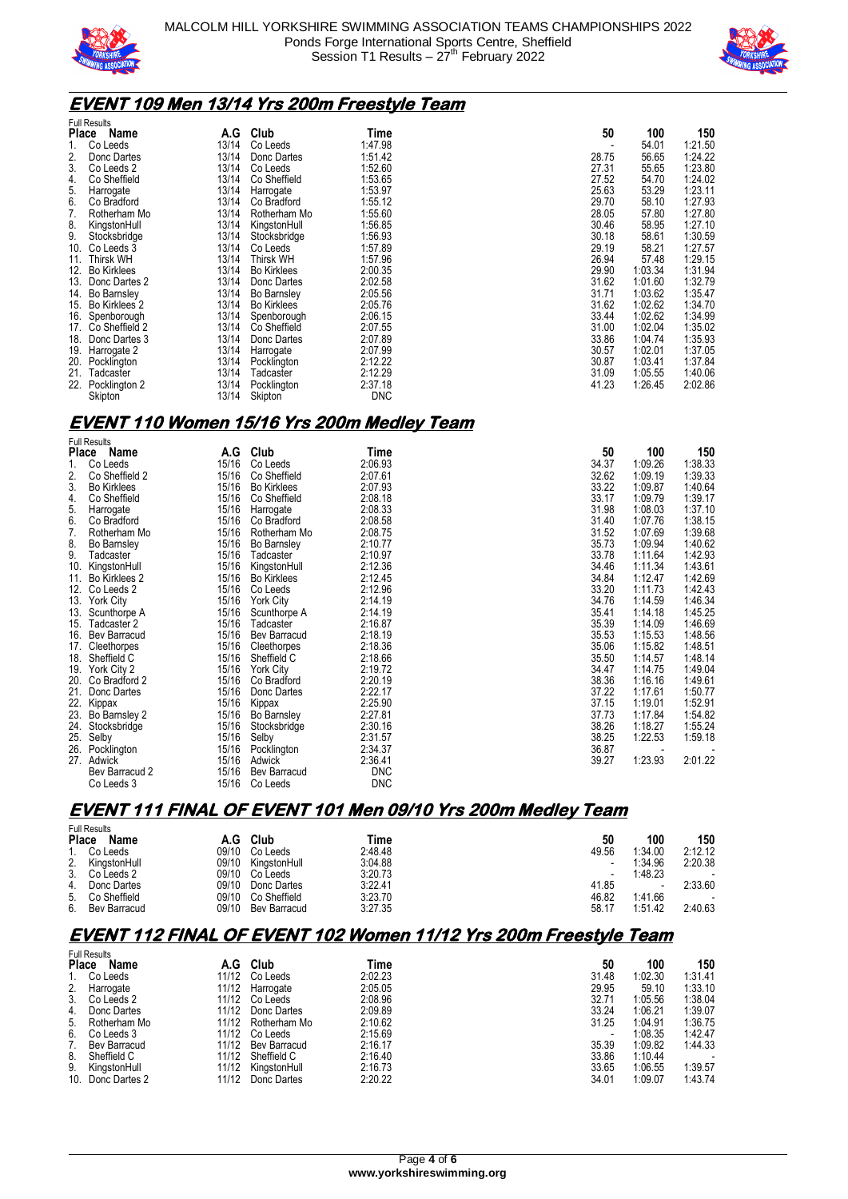



## **EVENT 109 Men 13/14 Yrs 200m Freestyle Team**

|       | <b>Full Results</b> |       |                    |            |       |         |         |
|-------|---------------------|-------|--------------------|------------|-------|---------|---------|
| Place | Name                | A.G   | Club               | Time       | 50    | 100     | 150     |
| 1.    | Co Leeds            | 13/14 | Co Leeds           | 1:47.98    |       | 54.01   | 1:21.50 |
| 2.    | Donc Dartes         | 13/14 | Donc Dartes        | 1:51.42    | 28.75 | 56.65   | 1:24.22 |
| 3.    | Co Leeds 2          | 13/14 | Co Leeds           | 1:52.60    | 27.31 | 55.65   | 1:23.80 |
| 4.    | Co Sheffield        | 13/14 | Co Sheffield       | 1:53.65    | 27.52 | 54.70   | 1:24.02 |
| 5.    | Harrogate           | 13/14 | Harrogate          | 1:53.97    | 25.63 | 53.29   | 1:23.11 |
| 6.    | Co Bradford         | 13/14 | Co Bradford        | 1:55.12    | 29.70 | 58.10   | 1:27.93 |
| 7.    | Rotherham Mo        | 13/14 | Rotherham Mo       | 1:55.60    | 28.05 | 57.80   | 1:27.80 |
| 8.    | KingstonHull        | 13/14 | KingstonHull       | 1:56.85    | 30.46 | 58.95   | 1:27.10 |
| 9.    | Stocksbridge        | 13/14 | Stocksbridge       | 1:56.93    | 30.18 | 58.61   | 1:30.59 |
| 10.   | Co Leeds 3          | 13/14 | Co Leeds           | 1:57.89    | 29.19 | 58.21   | 1:27.57 |
| 11.   | Thirsk WH           | 13/14 | Thirsk WH          | 1:57.96    | 26.94 | 57.48   | 1:29.15 |
| 12.   | <b>Bo Kirklees</b>  | 13/14 | <b>Bo Kirklees</b> | 2:00.35    | 29.90 | 1:03.34 | 1:31.94 |
| 13.   | Donc Dartes 2       | 13/14 | Donc Dartes        | 2:02.58    | 31.62 | 1:01.60 | 1:32.79 |
| 14.   | <b>Bo Barnsley</b>  | 13/14 | Bo Barnsley        | 2:05.56    | 31.71 | 1:03.62 | 1:35.47 |
| 15.   | Bo Kirklees 2       | 13/14 | <b>Bo Kirklees</b> | 2:05.76    | 31.62 | 1:02.62 | 1:34.70 |
| 16.   | Spenborough         | 13/14 | Spenborough        | 2:06.15    | 33.44 | 1:02.62 | 1:34.99 |
|       | 17. Co Sheffield 2  | 13/14 | Co Sheffield       | 2:07.55    | 31.00 | 1:02.04 | 1:35.02 |
| 18.   | Donc Dartes 3       | 13/14 | Donc Dartes        | 2:07.89    | 33.86 | 1:04.74 | 1:35.93 |
| 19.   | Harrogate 2         | 13/14 | Harrogate          | 2:07.99    | 30.57 | 1:02.01 | 1:37.05 |
|       | 20. Pocklington     | 13/14 | Pocklington        | 2:12.22    | 30.87 | 1:03.41 | 1:37.84 |
| 21.   | Tadcaster           | 13/14 | Tadcaster          | 2:12.29    | 31.09 | 1:05.55 | 1:40.06 |
| 22.   | Pocklington 2       | 13/14 | Pocklington        | 2:37.18    | 41.23 | 1:26.45 | 2:02.86 |
|       | Skipton             | 13/14 | Skipton            | <b>DNC</b> |       |         |         |

#### **EVENT 110 Women 15/16 Yrs 200m Medley Team**

|       | <b>Full Results</b> |       |                    |            |       |         |         |
|-------|---------------------|-------|--------------------|------------|-------|---------|---------|
| Place | Name                | A.G   | Club               | Time       | 50    | 100     | 150     |
| 1.    | Co Leeds            | 15/16 | Co Leeds           | 2:06.93    | 34.37 | 1:09.26 | 1 38 33 |
| 2.    | Co Sheffield 2      | 15/16 | Co Sheffield       | 2:07.61    | 32.62 | 1:09.19 | 1:39.33 |
| 3.    | <b>Bo Kirklees</b>  | 15/16 | <b>Bo Kirklees</b> | 2:07.93    | 33.22 | 1:09.87 | 1:40.64 |
| 4.    | Co Sheffield        | 15/16 | Co Sheffield       | 2:08.18    | 33.17 | 1:09.79 | 1 39 17 |
| 5.    | Harrogate           | 15/16 | Harrogate          | 2:08.33    | 31.98 | 1:08.03 | 1 37 10 |
| 6.    | Co Bradford         | 15/16 | Co Bradford        | 2:08.58    | 31.40 | 1:07.76 | 1:38.15 |
| 7.    | Rotherham Mo        | 15/16 | Rotherham Mo       | 2:08.75    | 31.52 | 1:07.69 | 1:39.68 |
| 8.    | Bo Barnsley         | 15/16 | <b>Bo Barnsley</b> | 2:10.77    | 35.73 | 1:09.94 | 1:40.62 |
| 9.    | Tadcaster           | 15/16 | Tadcaster          | 2:10.97    | 33.78 | 1:11.64 | 142.93  |
| 10.   | KingstonHull        | 15/16 | KingstonHull       | 2:12.36    | 34.46 | 1:11.34 | 1.43.61 |
| 11.   | Bo Kirklees 2       | 15/16 | <b>Bo Kirklees</b> | 2:12.45    | 34.84 | 1:12.47 | 1:42.69 |
| 12.   | Co Leeds 2          | 15/16 | Co Leeds           | 2:12.96    | 33.20 | 1:11.73 | 1.42.43 |
| 13.   | <b>York City</b>    | 15/16 | York City          | 2:14.19    | 34.76 | 1:14.59 | 1 46 34 |
| 13.   | Scunthorpe A        | 15/16 | Scunthorpe A       | 2:14.19    | 35.41 | 1:14.18 | 1:45.25 |
| 15.   | Tadcaster 2         | 15/16 | Tadcaster          | 2:16.87    | 35.39 | 1:14.09 | 1.46.69 |
| 16.   | Bev Barracud        | 15/16 | Bev Barracud       | 2:18.19    | 35.53 | 1:15.53 | 148.56  |
| 17.   | Cleethorpes         | 15/16 | Cleethorpes        | 2:18.36    | 35.06 | 1:15.82 | 1:48.51 |
| 18.   | Sheffield C         | 15/16 | Sheffield C        | 2:18.66    | 35.50 | 1:14.57 | 1.48.14 |
| 19.   | York City 2         | 15/16 | <b>York City</b>   | 2:19.72    | 34.47 | 1:14.75 | 1.49.04 |
| 20.   | Co Bradford 2       | 15/16 | Co Bradford        | 2:20.19    | 38.36 | 1:16.16 | 1:49.61 |
| 21.   | Donc Dartes         | 15/16 | Donc Dartes        | 2:22.17    | 37.22 | 1:17.61 | 1:50.77 |
| 22.   | Kippax              | 15/16 | Kippax             | 2:25.90    | 37.15 | 1:19.01 | 1:52.91 |
| 23.   | Bo Barnsley 2       | 15/16 | <b>Bo Barnsley</b> | 2:27.81    | 37.73 | 1:17.84 | 1.54.82 |
| 24.   | Stocksbridge        | 15/16 | Stocksbridge       | 2:30.16    | 38.26 | 1:18.27 | 1 55 24 |
| 25.   | Selby               | 15/16 | Selby              | 2:31.57    | 38.25 | 1:22.53 | 1 59 18 |
| 26.   | Pocklington         | 15/16 | Pocklington        | 2:34.37    | 36.87 |         |         |
|       | 27. Adwick          | 15/16 | Adwick             | 2:36.41    | 39.27 | 1:23.93 | 2:01.22 |
|       | Bev Barracud 2      | 15/16 | Bev Barracud       | <b>DNC</b> |       |         |         |
|       | Co Leeds 3          | 15/16 | Co Leeds           | <b>DNC</b> |       |         |         |

# **EVENT 111 FINAL OF EVENT 101 Men 09/10 Yrs 200m Medley Team**

|              | <b>Full Results</b> |       |              |         |       |         |                          |
|--------------|---------------------|-------|--------------|---------|-------|---------|--------------------------|
| <b>Place</b> | Name                | A.G   | Club         | Time    | 50    | 100     | 150                      |
|              | 1. Co Leeds         | 09/10 | Co Leeds     | 2:48.48 | 49.56 | 1:34.00 | 2.12.12                  |
| 2.           | KingstonHull        | 09/10 | KinastonHull | 3:04.88 |       | 1:34.96 | 2.20.38                  |
|              | 3. Co Leeds 2       | 09/10 | Co Leeds     | 3:20.73 |       | 1:48.23 | $\overline{\phantom{a}}$ |
| 4.           | Donc Dartes         | 09/10 | Donc Dartes  | 3:22.41 | 41.85 |         | 2:33.60                  |
|              | 5. Co Sheffield     | 09/10 | Co Sheffield | 3:23.70 | 46.82 | 1:41.66 | $\overline{\phantom{a}}$ |
| 6.           | Bev Barracud        | 09/10 | Bev Barracud | 3:27.35 | 58.17 | 1:51.42 | 2:40.63                  |

# **EVENT 112 FINAL OF EVENT 102 Women 11/12 Yrs 200m Freestyle Team**

|              | <b>Full Results</b> |       |                    |         |                          |         |                          |  |  |
|--------------|---------------------|-------|--------------------|---------|--------------------------|---------|--------------------------|--|--|
| <b>Place</b> | Name                | A.G   | Club               | Time    | 50                       | 100     | 150                      |  |  |
|              | 1. Co Leeds         | 11/12 | Co Leeds           | 2:02.23 | 31.48                    | 1:02.30 | 1:31.41                  |  |  |
| 2.           | Harrogate           |       | 11/12 Harrogate    | 2:05.05 | 29.95                    | 59.10   | 1:33.10                  |  |  |
|              | 3. Co Leeds 2       |       | 11/12 Co Leeds     | 2:08.96 | 32.71                    | 1:05.56 | 1 38 04                  |  |  |
| 4.           | Donc Dartes         |       | 11/12 Donc Dartes  | 2:09.89 | 33.24                    | 1:06.21 | 1:39.07                  |  |  |
|              | 5. Rotherham Mo     |       | 11/12 Rotherham Mo | 2:10.62 | 31.25                    | 1:04.91 | 1:36.75                  |  |  |
|              | 6. Co Leeds 3       |       | 11/12 Co Leeds     | 2:15.69 | $\overline{\phantom{a}}$ | 1:08.35 | 1:42.47                  |  |  |
| 7.           | Bev Barracud        | 11/12 | Bev Barracud       | 2:16.17 | 35.39                    | 1:09.82 | 1 44 33                  |  |  |
| 8.           | Sheffield C         | 11/12 | Sheffield C        | 2:16.40 | 33.86                    | 1:10.44 | $\overline{\phantom{a}}$ |  |  |
| 9.           | KingstonHull        | 11/12 | KingstonHull       | 2:16.73 | 33.65                    | 1:06.55 | 1:39.57                  |  |  |
|              | 10. Donc Dartes 2   | 11/12 | Donc Dartes        | 2:20.22 | 34.01                    | 1:09.07 | 1.43.74                  |  |  |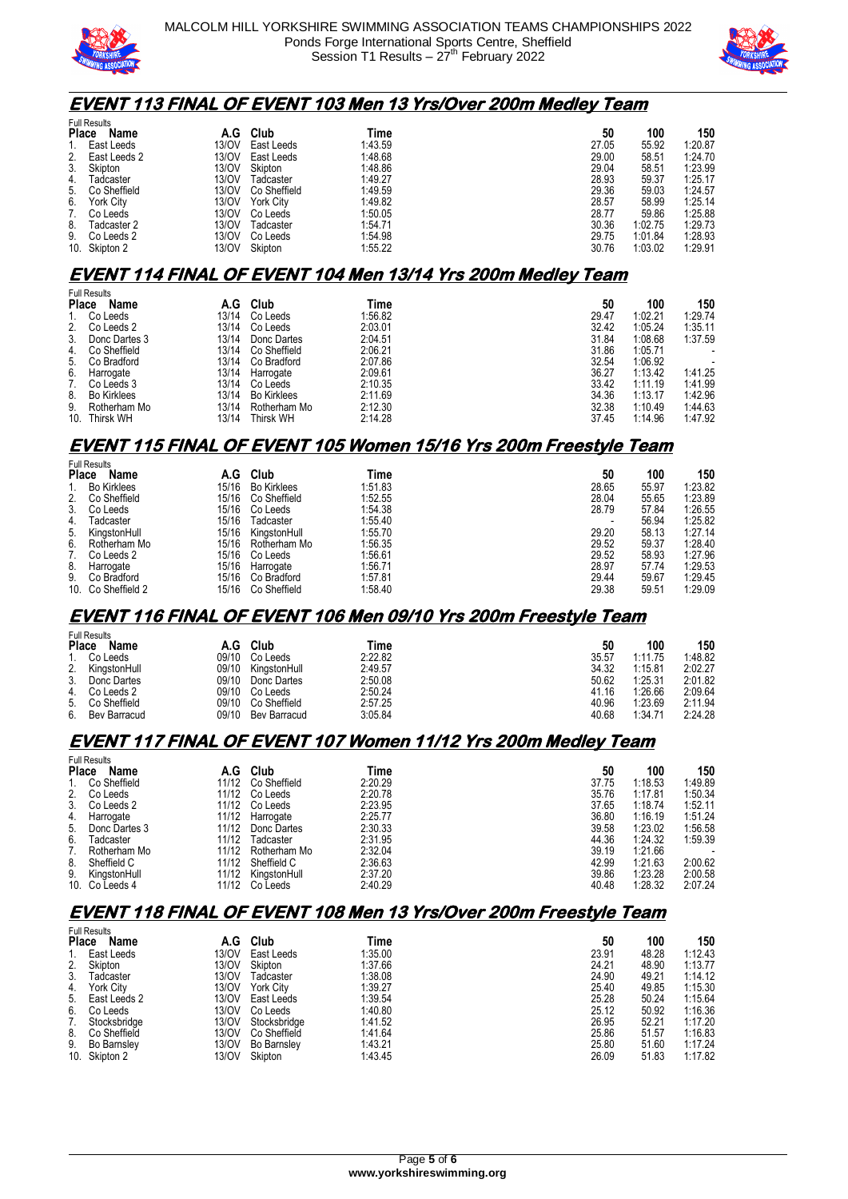



### **EVENT 113 FINAL OF EVENT 103 Men 13 Yrs/Over 200m Medley Team**

| Name                 | A.G                                                        | Club         | Time    | 50    | 100     | 150     |
|----------------------|------------------------------------------------------------|--------------|---------|-------|---------|---------|
| East Leeds           | 13/OV                                                      | East Leeds   | 1:43.59 | 27.05 | 55.92   | 1:20.87 |
| East Leeds 2         | 13/OV                                                      | East Leeds   | 1:48.68 | 29.00 | 58.51   | 1.24.70 |
| Skipton              | 13/OV                                                      | Skipton      | 1:48.86 | 29.04 | 58.51   | 1.23.99 |
| Tadcaster            | 13/OV                                                      | Tadcaster    | 1:49.27 | 28.93 | 59.37   | 1.25.17 |
| Co Sheffield         | 13/0V                                                      | Co Sheffield | 1:49.59 | 29.36 | 59.03   | 1.24.57 |
| York City            | 13/OV                                                      | York City    | 1:49.82 | 28.57 | 58.99   | 1.25.14 |
| Co Leeds             | 13/0V                                                      | Co Leeds     | 1:50.05 | 28.77 | 59.86   | 1:25.88 |
| Tadcaster 2          | 13/0V                                                      | Tadcaster    | 1:54.71 | 30.36 | 1:02.75 | 1:29.73 |
| Co Leeds 2           | 13/OV                                                      | Co Leeds     | 1:54.98 | 29.75 | 1:01.84 | 1:28.93 |
|                      | 13/OV                                                      | Skipton      | 1:55.22 | 30.76 | 1:03.02 | 1.29.91 |
| 1.<br>2.<br>7.<br>9. | <b>Full Results</b><br><b>Place</b><br>5.<br>10. Skipton 2 |              |         |       |         |         |

### **EVENT 114 FINAL OF EVENT 104 Men 13/14 Yrs 200m Medley Team**

|       | <b>Full Results</b> |       |                    |         |       |         |                |
|-------|---------------------|-------|--------------------|---------|-------|---------|----------------|
| Place | Name                | A.G   | Club               | Time    | 50    | 100     | 150            |
| 1.    | Co Leeds            | 13/14 | Co Leeds           | 1:56.82 | 29.47 | 1:02.21 | 1.29.74        |
| 2.    | Co Leeds 2          | 13/14 | Co Leeds           | 2:03.01 | 32.42 | 1:05.24 | 1:35.11        |
| 3.    | Donc Dartes 3       | 13/14 | Donc Dartes        | 2:04.51 | 31.84 | 1:08.68 | 1:37.59        |
| 4.    | Co Sheffield        | 13/14 | Co Sheffield       | 2:06.21 | 31.86 | 1:05.71 |                |
| 5.    | Co Bradford         |       | 13/14 Co Bradford  | 2:07.86 | 32.54 | 1:06.92 | $\blacksquare$ |
| 6.    | Harrogate           | 13/14 | Harrogate          | 2:09.61 | 36.27 | 1:13.42 | 1.41.25        |
| 7.    | Co Leeds 3          | 13/14 | Co Leeds           | 2:10.35 | 33.42 | 1:11.19 | 1.41.99        |
| 8.    | <b>Bo Kirklees</b>  | 13/14 | <b>Bo Kirklees</b> | 2:11.69 | 34.36 | 1:13.17 | 1:42.96        |
| 9.    | Rotherham Mo        | 13/14 | Rotherham Mo       | 2:12.30 | 32.38 | 1:10.49 | 1.44.63        |
|       | 10. Thirsk WH       | 13/14 | Thirsk WH          | 2:14.28 | 37.45 | 1:14.96 | 1.47.92        |

#### **EVENT 115 FINAL OF EVENT 105 Women 15/16 Yrs 200m Freestyle Team**

| Place<br>Name<br>A.G |                                                                    | Club               | Time                                                              | 50    | 100   | 150     |
|----------------------|--------------------------------------------------------------------|--------------------|-------------------------------------------------------------------|-------|-------|---------|
| <b>Bo Kirklees</b>   | 15/16                                                              | <b>Bo Kirklees</b> | 1:51.83                                                           | 28.65 | 55.97 | 1.23.82 |
| Co Sheffield         | 15/16                                                              |                    | 1:52.55                                                           | 28.04 | 55.65 | 1:23.89 |
| Co Leeds             | 15/16                                                              |                    | 1:54.38                                                           | 28.79 | 57.84 | 1.26.55 |
| Tadcaster            | 15/16                                                              | Tadcaster          | 1:55.40                                                           |       | 56.94 | 1.25.82 |
| KingstonHull         | 15/16                                                              | KingstonHull       | 1:55.70                                                           | 29.20 | 58.13 | 1.27.14 |
| Rotherham Mo         | 15/16                                                              | Rotherham Mo       | 1:56.35                                                           | 29.52 | 59.37 | 1:28.40 |
| Co Leeds 2           | 15/16                                                              |                    | 1:56.61                                                           | 29.52 | 58.93 | 1.27.96 |
|                      | 15/16                                                              |                    | 1:56.71                                                           | 28.97 | 57.74 | 1.29.53 |
| Co Bradford          | 15/16                                                              | Co Bradford        | 1:57.81                                                           | 29.44 | 59.67 | 1.29.45 |
|                      | 15/16                                                              |                    | 1:58.40                                                           | 29.38 | 59.51 | 1.29.09 |
|                      | <b>Full Results</b><br>2.<br>3.<br>Harrogate<br>10. Co Sheffield 2 |                    | Co Sheffield<br>Co Leeds<br>Co Leeds<br>Harrogate<br>Co Sheffield |       |       |         |

#### **EVENT 116 FINAL OF EVENT 106 Men 09/10 Yrs 200m Freestyle Team**

|    | <b>Full Results</b> |       |              |         |       |         |         |
|----|---------------------|-------|--------------|---------|-------|---------|---------|
|    | Place<br>Name       | A.G   | Club         | Time    | 50    | 100     | 150     |
| 1. | Co Leeds            | 09/10 | Co Leeds     | 2:22.82 | 35.57 | 1:11.75 | 1.48.82 |
| 2. | KingstonHull        | 09/10 | KingstonHull | 2:49.57 | 34.32 | 1:15.81 | 2.02.27 |
| 3. | Donc Dartes         | 09/10 | Donc Dartes  | 2:50.08 | 50.62 | 1:25.31 | 2:01.82 |
|    | 4. Co Leeds 2       | 09/10 | Co Leeds     | 2:50.24 | 41.16 | 1:26.66 | 2.09.64 |
|    | 5. Co Sheffield     | 09/10 | Co Sheffield | 2:57.25 | 40.96 | 1:23.69 | 2:11.94 |
| 6. | Bev Barracud        | 09/10 | Bev Barracud | 3:05.84 | 40.68 | 1:34.71 | 2.24.28 |

# **EVENT 117 FINAL OF EVENT 107 Women 11/12 Yrs 200m Medley Team**

|              | <b>Full Results</b> |       |              |         |       |         |                          |
|--------------|---------------------|-------|--------------|---------|-------|---------|--------------------------|
| <b>Place</b> | Name                | A.G   | Time<br>Club |         | 50    | 100     | 150                      |
| 1.           | Co Sheffield        | 11/12 | Co Sheffield | 2:20.29 | 37.75 | 1:18.53 | 1:49.89                  |
| 2.           | Co Leeds            | 11/12 | Co Leeds     | 2:20.78 | 35.76 | 1:17.81 | 1:50.34                  |
| 3.           | Co Leeds 2          | 11/12 | Co Leeds     | 2:23.95 | 37.65 | 1:18.74 | 1.52.11                  |
| 4.           | Harrogate           | 11/12 | Harrogate    | 2:25.77 | 36.80 | 1:16.19 | 1.51.24                  |
| 5.           | Donc Dartes 3       | 11/12 | Donc Dartes  | 2:30.33 | 39.58 | 1:23.02 | 1:56.58                  |
| 6.           | Tadcaster           | 11/12 | Tadcaster    | 2:31.95 | 44.36 | 1:24.32 | 1:59.39                  |
| 7.           | Rotherham Mo        | 11/12 | Rotherham Mo | 2:32.04 | 39.19 | 1:21.66 | $\overline{\phantom{a}}$ |
| 8.           | Sheffield C         | 11/12 | Sheffield C  | 2:36.63 | 42.99 | 1:21.63 | 2:00.62                  |
| 9.           | KingstonHull        | 11/12 | KinastonHull | 2:37.20 | 39.86 | 1:23.28 | 2:00.58                  |
| 10.          | Co Leeds 4          | 11/12 | Co Leeds     | 2:40.29 | 40.48 | 1:28.32 | 2:07.24                  |

# **EVENT 118 FINAL OF EVENT 108 Men 13 Yrs/Over 200m Freestyle Team**

|       | <b>Full Results</b> |       |              |         |       |       |         |
|-------|---------------------|-------|--------------|---------|-------|-------|---------|
| Place | Name                | A.G   | Club         | Time    | 50    | 100   | 150     |
|       | 1. East Leeds       | 13/OV | East Leeds   | 1:35.00 | 23.91 | 48.28 | 1:12.43 |
| 2.    | Skipton             | 13/OV | Skipton      | 1:37.66 | 24.21 | 48.90 | 1:13.77 |
| 3.    | Tadcaster           | 13/OV | Tadcaster    | 1:38.08 | 24.90 | 49.21 | 1.14.12 |
| 4.    | York City           | 13/OV | York City    | 1:39.27 | 25.40 | 49.85 | 1.15.30 |
|       | 5. East Leeds 2     | 13/0V | East Leeds   | 1:39.54 | 25.28 | 50.24 | 1.15.64 |
|       | 6. Co Leeds         | 13/0V | Co Leeds     | 1:40.80 | 25.12 | 50.92 | 1 16 36 |
| 7.    | Stocksbridge        | 13/OV | Stocksbridge | 1:41.52 | 26.95 | 52.21 | 1.17.20 |
| 8.    | Co Sheffield        | 13/OV | Co Sheffield | 1:41.64 | 25.86 | 51.57 | 1 16.83 |
|       | 9. Bo Barnsley      | 13/OV | Bo Barnsley  | 1:43.21 | 25.80 | 51.60 | 1:17.24 |
|       | 10. Skipton 2       | 13/OV | Skipton      | 1:43.45 | 26.09 | 51.83 | 1.17.82 |